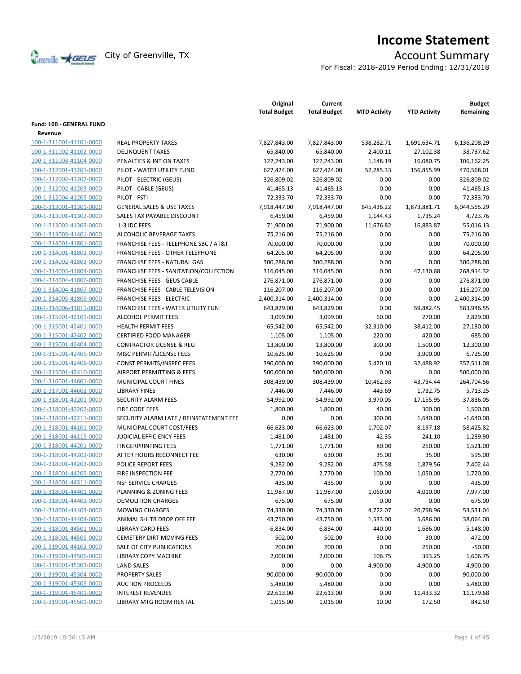

# **Income Statement**

For Fiscal: 2018-2019 Period Ending: 12/31/2018

|                          |                                           | Original<br><b>Total Budget</b> | Current<br><b>Total Budget</b> | <b>MTD Activity</b> | <b>YTD Activity</b> | <b>Budget</b><br>Remaining |
|--------------------------|-------------------------------------------|---------------------------------|--------------------------------|---------------------|---------------------|----------------------------|
| Fund: 100 - GENERAL FUND |                                           |                                 |                                |                     |                     |                            |
| Revenue                  |                                           |                                 |                                |                     |                     |                            |
| 100-1-311001-41101-0000  | <b>REAL PROPERTY TAXES</b>                | 7,827,843.00                    | 7,827,843.00                   | 538,282.71          | 1,691,634.71        | 6,136,208.29               |
| 100-1-311002-41102-0000  | <b>DELINQUENT TAXES</b>                   | 65,840.00                       | 65,840.00                      | 2,400.11            | 27,102.38           | 38,737.62                  |
| 100-1-311003-41104-0000  | PENALTIES & INT ON TAXES                  | 122,243.00                      | 122,243.00                     | 1,148.19            | 16,080.75           | 106,162.25                 |
| 100-1-312001-41201-0000  | PILOT - WATER UTILITY FUND                | 627,424.00                      | 627,424.00                     | 52,285.33           | 156,855.99          | 470,568.01                 |
| 100-1-312002-41202-0000  | PILOT - ELECTRIC (GEUS)                   | 326,809.02                      | 326,809.02                     | 0.00                | 0.00                | 326,809.02                 |
| 100-1-312002-41203-0000  | PILOT - CABLE (GEUS)                      | 41,465.13                       | 41,465.13                      | 0.00                | 0.00                | 41,465.13                  |
| 100-1-312004-41205-0000  | PILOT - FSTI                              | 72,333.70                       | 72,333.70                      | 0.00                | 0.00                | 72,333.70                  |
| 100-1-313001-41301-0000  | <b>GENERAL SALES &amp; USE TAXES</b>      | 7,918,447.00                    | 7,918,447.00                   | 645,436.22          | 1,873,881.71        | 6,044,565.29               |
| 100-1-313001-41302-0000  | SALES TAX PAYABLE DISCOUNT                | 6,459.00                        | 6,459.00                       | 1,144.43            | 1,735.24            | 4,723.76                   |
| 100-1-313002-41303-0000  | L-3 IDC FEES                              | 71,900.00                       | 71,900.00                      | 11,676.82           | 16,883.87           | 55,016.13                  |
| 100-1-313003-41401-0000  | ALCOHOLIC BEVERAGE TAXES                  | 75,216.00                       | 75,216.00                      | 0.00                | 0.00                | 75,216.00                  |
| 100-1-314001-41801-0000  | FRANCHISE FEES - TELEPHONE SBC / AT&T     | 70,000.00                       | 70,000.00                      | 0.00                | 0.00                | 70,000.00                  |
| 100-1-314001-41802-0000  | <b>FRANCHISE FEES - OTHER TELEPHONE</b>   | 64,205.00                       | 64,205.00                      | 0.00                | 0.00                | 64,205.00                  |
| 100-1-314002-41803-0000  | FRANCHISE FEES - NATURAL GAS              | 300,288.00                      | 300,288.00                     | 0.00                | 0.00                | 300,288.00                 |
| 100-1-314003-41804-0000  | FRANCHISE FEES - SANITATION/COLLECTION    | 316,045.00                      | 316,045.00                     | 0.00                | 47,130.68           | 268,914.32                 |
| 100-1-314004-41806-0000  | <b>FRANCHISE FEES - GEUS CABLE</b>        | 276,871.00                      | 276,871.00                     | 0.00                | 0.00                | 276,871.00                 |
| 100-1-314004-41807-0000  | <b>FRANCHISE FEES - CABLE TELEVISION</b>  | 116,207.00                      | 116,207.00                     | 0.00                | 0.00                | 116,207.00                 |
| 100-1-314005-41809-0000  | <b>FRANCHISE FEES - ELECTRIC</b>          | 2,400,314.00                    | 2,400,314.00                   | 0.00                | 0.00                | 2,400,314.00               |
| 100-1-314006-41811-0000  | <b>FRANCHISE FEES - WATER UTILITY FUN</b> | 643,829.00                      | 643,829.00                     | 0.00                | 59,882.45           | 583,946.55                 |
| 100-1-315001-42101-0000  | <b>ALCOHOL PERMIT FEES</b>                | 3,099.00                        | 3,099.00                       | 60.00               | 270.00              | 2,829.00                   |
| 100-1-315001-42401-0000  | <b>HEALTH PERMIT FEES</b>                 | 65,542.00                       | 65,542.00                      | 32,310.00           | 38,412.00           | 27,130.00                  |
| 100-1-315001-42402-0000  | <b>CERTIFIED FOOD MANAGER</b>             | 1,105.00                        | 1,105.00                       | 220.00              | 420.00              | 685.00                     |
| 100-1-315001-42404-0000  | <b>CONTRACTOR LICENSE &amp; REG</b>       | 13,800.00                       | 13,800.00                      | 300.00              | 1,500.00            | 12,300.00                  |
| 100-1-315001-42405-0000  | MISC PERMIT/LICENSE FEES                  | 10,625.00                       | 10,625.00                      | 0.00                | 3,900.00            | 6,725.00                   |
| 100-1-315001-42406-0000  | CONST PERMITS/INSPEC FEES                 | 390,000.00                      | 390,000.00                     | 5,420.10            | 32,488.92           | 357,511.08                 |
| 100-1-315001-42410-0000  | AIRPORT PERMITTING & FEES                 | 500,000.00                      | 500,000.00                     | 0.00                | 0.00                | 500,000.00                 |
| 100-1-316001-44601-0000  | MUNICIPAL COURT FINES                     | 308,439.00                      | 308,439.00                     | 10,462.93           | 43,734.44           | 264,704.56                 |
| 100-1-317001-44602-0000  | <b>LIBRARY FINES</b>                      | 7,446.00                        | 7,446.00                       | 443.69              | 1,732.75            | 5,713.25                   |
| 100-1-318001-42201-0000  | <b>SECURITY ALARM FEES</b>                | 54,992.00                       | 54,992.00                      | 3,970.05            | 17,155.95           | 37,836.05                  |
| 100-1-318001-42202-0000  | FIRE CODE FEES                            | 1,800.00                        | 1,800.00                       | 40.00               | 300.00              | 1,500.00                   |
| 100-1-318001-42211-0000  | SECURITY ALARM LATE / REINSTATEMENT FEE   | 0.00                            | 0.00                           | 300.00              | 1,640.00            | $-1,640.00$                |
| 100-1-318001-44101-0000  | MUNICIPAL COURT COST/FEES                 | 66,623.00                       | 66,623.00                      | 1,702.07            | 8,197.18            | 58,425.82                  |
| 100-1-318001-44115-0000  | <b>JUDICIAL EFFICIENCY FEES</b>           | 1,481.00                        | 1,481.00                       | 42.35               | 241.10              | 1,239.90                   |
| 100-1-318001-44201-0000  | <b>FINGERPRINTING FEES</b>                | 1,771.00                        | 1,771.00                       | 80.00               | 250.00              | 1,521.00                   |
| 100-1-318001-44202-0000  | AFTER HOURS RECONNECT FEE                 | 630.00                          | 630.00                         | 35.00               | 35.00               | 595.00                     |
| 100-1-318001-44203-0000  | POLICE REPORT FEES                        | 9,282.00                        | 9,282.00                       | 475.58              | 1,879.56            | 7,402.44                   |
| 100-1-318001-44205-0000  | FIRE INSPECTION FEE                       | 2,770.00                        | 2,770.00                       | 100.00              | 1,050.00            | 1,720.00                   |
| 100-1-318001-44311-0000  | <b>NSF SERVICE CHARGES</b>                | 435.00                          | 435.00                         | 0.00                | 0.00                | 435.00                     |
| 100-1-318001-44401-0000  | PLANNING & ZONING FEES                    | 11,987.00                       | 11,987.00                      | 1,060.00            | 4,010.00            | 7,977.00                   |
| 100-1-318001-44402-0000  | <b>DEMOLITION CHARGES</b>                 | 675.00                          | 675.00                         | 0.00                | 0.00                | 675.00                     |
| 100-1-318001-44403-0000  | <b>MOWING CHARGES</b>                     | 74,330.00                       | 74,330.00                      | 4,722.07            | 20,798.96           | 53,531.04                  |
| 100-1-318001-44404-0000  | ANIMAL SHLTR DROP OFF FEE                 | 43,750.00                       | 43,750.00                      | 1,533.00            | 5,686.00            | 38,064.00                  |
| 100-1-318001-44501-0000  | <b>LIBRARY CARD FEES</b>                  | 6,834.00                        | 6,834.00                       | 440.00              | 1,686.00            | 5,148.00                   |
| 100-1-318001-44505-0000  | <b>CEMETERY DIRT MOVING FEES</b>          | 502.00                          | 502.00                         | 30.00               | 30.00               | 472.00                     |
| 100-1-319001-44102-0000  | SALE OF CITY PUBLICATIONS                 | 200.00                          | 200.00                         | 0.00                | 250.00              | $-50.00$                   |
| 100-1-319001-44506-0000  | <b>LIBRARY COPY MACHINE</b>               | 2,000.00                        | 2,000.00                       | 106.75              | 393.25              | 1,606.75                   |
| 100-1-319001-45303-0000  | LAND SALES                                | 0.00                            | 0.00                           | 4,900.00            | 4,900.00            | $-4,900.00$                |
| 100-1-319001-45304-0000  | <b>PROPERTY SALES</b>                     | 90,000.00                       | 90,000.00                      | 0.00                | 0.00                | 90,000.00                  |
| 100-1-319001-45305-0000  | <b>AUCTION PROCEEDS</b>                   | 5,480.00                        | 5,480.00                       | 0.00                | 0.00                | 5,480.00                   |
| 100-1-319001-45401-0000  |                                           |                                 |                                | 0.00                |                     |                            |
| 100-1-319001-45501-0000  | <b>INTEREST REVENUES</b>                  | 22,613.00                       | 22,613.00                      |                     | 11,433.32           | 11,179.68                  |
|                          | LIBRARY MTG ROOM RENTAL                   | 1,015.00                        | 1,015.00                       | 10.00               | 172.50              | 842.50                     |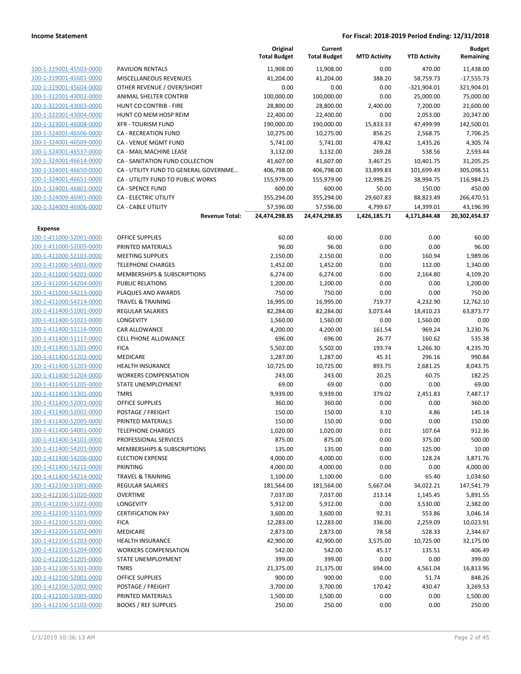|                                                    |                                                   | Original<br><b>Total Budget</b> | Current<br><b>Total Budget</b> | <b>MTD Activity</b> | <b>YTD Activity</b> | <b>Budget</b><br>Remaining |
|----------------------------------------------------|---------------------------------------------------|---------------------------------|--------------------------------|---------------------|---------------------|----------------------------|
| 100-1-319001-45503-0000                            | <b>PAVILION RENTALS</b>                           | 11,908.00                       | 11,908.00                      | 0.00                | 470.00              | 11,438.00                  |
| 100-1-319001-45601-0000                            | MISCELLANEOUS REVENUES                            | 41,204.00                       | 41,204.00                      | 388.20              | 58,759.73           | $-17,555.73$               |
| 100-1-319001-45604-0000                            | OTHER REVENUE / OVER/SHORT                        | 0.00                            | 0.00                           | 0.00                | $-321,904.01$       | 321,904.01                 |
| 100-1-322001-43002-0000                            | <b>ANIMAL SHELTER CONTRIB</b>                     | 100,000.00                      | 100,000.00                     | 0.00                | 25,000.00           | 75,000.00                  |
| 100-1-322001-43003-0000                            | HUNT CO CONTRIB - FIRE                            | 28,800.00                       | 28,800.00                      | 2,400.00            | 7,200.00            | 21,600.00                  |
| 100-1-322001-43004-0000                            | HUNT CO MEM HOSP REIM                             | 22,400.00                       | 22,400.00                      | 0.00                | 2,053.00            | 20,347.00                  |
| 100-1-323001-46008-0000                            | <b>XFR - TOURISM FUND</b>                         | 190,000.00                      | 190,000.00                     | 15,833.33           | 47,499.99           | 142,500.01                 |
| 100-1-324001-46506-0000                            | <b>CA - RECREATION FUND</b>                       | 10,275.00                       | 10,275.00                      | 856.25              | 2,568.75            | 7,706.25                   |
| 100-1-324001-46509-0000                            | CA - VENUE MGMT FUND                              | 5,741.00                        | 5,741.00                       | 478.42              | 1,435.26            | 4,305.74                   |
| 100-1-324001-46537-0000                            | CA - MAIL MACHINE LEASE                           | 3,132.00                        | 3,132.00                       | 269.28              | 538.56              | 2,593.44                   |
| 100-1-324001-46614-0000                            | CA - SANITATION FUND COLLECTION                   | 41,607.00                       | 41,607.00                      | 3,467.25            | 10,401.75           | 31,205.25                  |
| 100-1-324001-46650-0000                            | CA - UTILITY FUND TO GENERAL GOVERNME             | 406,798.00                      | 406,798.00                     | 33,899.83           | 101,699.49          | 305,098.51                 |
| 100-1-324001-46651-0000                            | CA - UTILITY FUND TO PUBLIC WORKS                 | 155,979.00                      | 155,979.00                     | 12,998.25           | 38,994.75           | 116,984.25                 |
| 100-1-324001-46801-0000                            | <b>CA - SPENCE FUND</b>                           | 600.00                          | 600.00                         | 50.00               | 150.00              | 450.00                     |
| 100-1-324009-46901-0000                            | CA - ELECTRIC UTILITY                             | 355,294.00                      | 355,294.00                     | 29,607.83           | 88,823.49           | 266,470.51                 |
| 100-1-324009-46906-0000                            | <b>CA - CABLE UTILITY</b>                         | 57,596.00                       | 57,596.00                      | 4,799.67            | 14,399.01           | 43,196.99                  |
|                                                    | <b>Revenue Total:</b>                             | 24,474,298.85                   | 24,474,298.85                  | 1,426,185.71        | 4,171,844.48        | 20,302,454.37              |
| Expense                                            |                                                   |                                 |                                |                     |                     |                            |
| 100-1-411000-52001-0000                            | <b>OFFICE SUPPLIES</b>                            | 60.00                           | 60.00                          | 0.00                | 0.00                | 60.00                      |
| 100-1-411000-52005-0000                            | PRINTED MATERIALS                                 | 96.00                           | 96.00                          | 0.00                | 0.00                | 96.00                      |
| 100-1-411000-52103-0000                            | <b>MEETING SUPPLIES</b>                           | 2,150.00                        | 2,150.00                       | 0.00                | 160.94              | 1,989.06                   |
| 100-1-411000-54001-0000                            | <b>TELEPHONE CHARGES</b>                          | 1,452.00                        | 1,452.00                       | 0.00                | 112.00              | 1,340.00                   |
| 100-1-411000-54201-0000                            | MEMBERSHIPS & SUBSCRIPTIONS                       | 6,274.00                        | 6,274.00                       | 0.00                | 2,164.80            | 4,109.20                   |
| 100-1-411000-54204-0000                            | PUBLIC RELATIONS                                  | 1,200.00                        | 1,200.00                       | 0.00                | 0.00                | 1,200.00                   |
| 100-1-411000-54213-0000                            | PLAQUES AND AWARDS                                | 750.00                          | 750.00                         | 0.00                | 0.00                | 750.00                     |
| 100-1-411000-54214-0000                            | <b>TRAVEL &amp; TRAINING</b>                      | 16,995.00                       | 16,995.00                      | 719.77              | 4,232.90            | 12,762.10                  |
| 100-1-411400-51001-0000                            | <b>REGULAR SALARIES</b>                           | 82,284.00                       | 82,284.00                      | 3,073.44            | 18,410.23           | 63,873.77                  |
| 100-1-411400-51021-0000                            | LONGEVITY                                         | 1,560.00                        | 1,560.00                       | 0.00                | 1,560.00            | 0.00                       |
| 100-1-411400-51116-0000                            | CAR ALLOWANCE                                     | 4,200.00                        | 4,200.00                       | 161.54              | 969.24              | 3,230.76                   |
| 100-1-411400-51117-0000                            | <b>CELL PHONE ALLOWANCE</b>                       | 696.00                          | 696.00                         | 26.77               | 160.62              | 535.38                     |
| 100-1-411400-51201-0000                            | <b>FICA</b>                                       | 5,502.00                        | 5,502.00                       | 193.74              | 1,266.30            | 4,235.70                   |
| 100-1-411400-51202-0000                            | MEDICARE                                          | 1,287.00                        | 1,287.00                       | 45.31               | 296.16              | 990.84                     |
| 100-1-411400-51203-0000                            | HEALTH INSURANCE                                  | 10,725.00                       | 10,725.00                      | 893.75              | 2,681.25            | 8,043.75                   |
| 100-1-411400-51204-0000                            | <b>WORKERS COMPENSATION</b>                       | 243.00                          | 243.00                         | 20.25               | 60.75               | 182.25                     |
| 100-1-411400-51205-0000                            | STATE UNEMPLOYMENT                                | 69.00                           | 69.00                          | 0.00                | 0.00                | 69.00                      |
| 100-1-411400-51301-0000                            | <b>TMRS</b>                                       | 9,939.00                        | 9,939.00                       | 379.02              | 2,451.83            | 7,487.17                   |
| 100-1-411400-52001-0000                            | <b>OFFICE SUPPLIES</b><br>POSTAGE / FREIGHT       | 360.00                          | 360.00                         | 0.00                | 0.00                | 360.00                     |
| 100-1-411400-52002-0000<br>100-1-411400-52005-0000 |                                                   | 150.00                          | 150.00                         | 3.10                | 4.86                | 145.14                     |
|                                                    | PRINTED MATERIALS                                 | 150.00                          | 150.00                         | 0.00                | 0.00                | 150.00                     |
| 100-1-411400-54001-0000<br>100-1-411400-54101-0000 | <b>TELEPHONE CHARGES</b><br>PROFESSIONAL SERVICES | 1,020.00                        | 1,020.00                       | 0.01                | 107.64              | 912.36                     |
| 100-1-411400-54201-0000                            | MEMBERSHIPS & SUBSCRIPTIONS                       | 875.00<br>135.00                | 875.00<br>135.00               | 0.00<br>0.00        | 375.00<br>125.00    | 500.00<br>10.00            |
| 100-1-411400-54206-0000                            | <b>ELECTION EXPENSE</b>                           | 4,000.00                        | 4,000.00                       | 0.00                | 128.24              | 3,871.76                   |
| 100-1-411400-54212-0000                            | PRINTING                                          | 4,000.00                        | 4,000.00                       | 0.00                | 0.00                | 4,000.00                   |
| 100-1-411400-54214-0000                            | <b>TRAVEL &amp; TRAINING</b>                      | 1,100.00                        | 1,100.00                       | 0.00                | 65.40               | 1,034.60                   |
| 100-1-412100-51001-0000                            | <b>REGULAR SALARIES</b>                           | 181,564.00                      | 181,564.00                     | 5,667.04            | 34,022.21           | 147,541.79                 |
| 100-1-412100-51020-0000                            | <b>OVERTIME</b>                                   | 7,037.00                        | 7,037.00                       | 213.14              | 1,145.45            | 5,891.55                   |
| 100-1-412100-51021-0000                            | LONGEVITY                                         | 5,912.00                        | 5,912.00                       | 0.00                | 3,530.00            | 2,382.00                   |
| 100-1-412100-51101-0000                            | <b>CERTIFICATION PAY</b>                          | 3,600.00                        | 3,600.00                       | 92.31               | 553.86              | 3,046.14                   |
| 100-1-412100-51201-0000                            | <b>FICA</b>                                       | 12,283.00                       | 12,283.00                      | 336.00              | 2,259.09            | 10,023.91                  |
| 100-1-412100-51202-0000                            | MEDICARE                                          | 2,873.00                        | 2,873.00                       | 78.58               | 528.33              | 2,344.67                   |
| 100-1-412100-51203-0000                            | <b>HEALTH INSURANCE</b>                           | 42,900.00                       | 42,900.00                      | 3,575.00            | 10,725.00           | 32,175.00                  |
| 100-1-412100-51204-0000                            | <b>WORKERS COMPENSATION</b>                       | 542.00                          | 542.00                         | 45.17               | 135.51              | 406.49                     |
| 100-1-412100-51205-0000                            | STATE UNEMPLOYMENT                                | 399.00                          | 399.00                         | 0.00                | 0.00                | 399.00                     |
| 100-1-412100-51301-0000                            | <b>TMRS</b>                                       | 21,375.00                       | 21,375.00                      | 694.00              | 4,561.04            | 16,813.96                  |
| 100-1-412100-52001-0000                            | <b>OFFICE SUPPLIES</b>                            | 900.00                          | 900.00                         | 0.00                | 51.74               | 848.26                     |
| 100-1-412100-52002-0000                            | POSTAGE / FREIGHT                                 | 3,700.00                        | 3,700.00                       | 170.42              | 430.47              | 3,269.53                   |
| 100-1-412100-52005-0000                            | PRINTED MATERIALS                                 | 1,500.00                        | 1,500.00                       | 0.00                | 0.00                | 1,500.00                   |
| 100-1-412100-52102-0000                            | <b>BOOKS / REF SUPPLIES</b>                       | 250.00                          | 250.00                         | 0.00                | 0.00                | 250.00                     |
|                                                    |                                                   |                                 |                                |                     |                     |                            |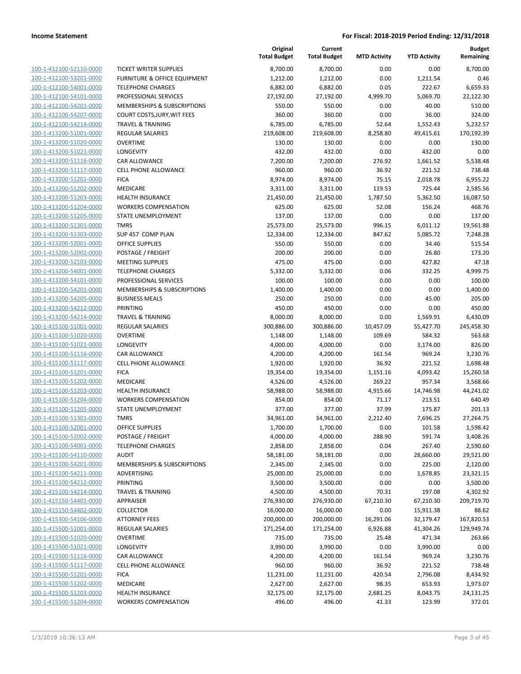|                         |                                         | Original<br><b>Total Budget</b> | Current<br><b>Total Budget</b> | <b>MTD Activity</b> | <b>YTD Activity</b> | <b>Budget</b><br>Remaining |
|-------------------------|-----------------------------------------|---------------------------------|--------------------------------|---------------------|---------------------|----------------------------|
| 100-1-412100-52110-0000 | <b>TICKET WRITER SUPPLIES</b>           | 8,700.00                        | 8,700.00                       | 0.00                | 0.00                | 8,700.00                   |
| 100-1-412100-53201-0000 | <b>FURNITURE &amp; OFFICE EQUIPMENT</b> | 1,212.00                        | 1,212.00                       | 0.00                | 1,211.54            | 0.46                       |
| 100-1-412100-54001-0000 | <b>TELEPHONE CHARGES</b>                | 6,882.00                        | 6,882.00                       | 0.05                | 222.67              | 6,659.33                   |
| 100-1-412100-54101-0000 | PROFESSIONAL SERVICES                   | 27,192.00                       | 27,192.00                      | 4,999.70            | 5,069.70            | 22,122.30                  |
| 100-1-412100-54201-0000 | MEMBERSHIPS & SUBSCRIPTIONS             | 550.00                          | 550.00                         | 0.00                | 40.00               | 510.00                     |
| 100-1-412100-54207-0000 | COURT COSTS, JURY, WIT FEES             | 360.00                          | 360.00                         | 0.00                | 36.00               | 324.00                     |
| 100-1-412100-54214-0000 | <b>TRAVEL &amp; TRAINING</b>            | 6,785.00                        | 6,785.00                       | 52.64               | 1,552.43            | 5,232.57                   |
| 100-1-413200-51001-0000 | REGULAR SALARIES                        | 219,608.00                      | 219,608.00                     | 8,258.80            | 49,415.61           | 170,192.39                 |
| 100-1-413200-51020-0000 | <b>OVERTIME</b>                         | 130.00                          | 130.00                         | 0.00                | 0.00                | 130.00                     |
| 100-1-413200-51021-0000 | <b>LONGEVITY</b>                        | 432.00                          | 432.00                         | 0.00                | 432.00              | 0.00                       |
| 100-1-413200-51116-0000 | CAR ALLOWANCE                           | 7,200.00                        | 7,200.00                       | 276.92              | 1,661.52            | 5,538.48                   |
| 100-1-413200-51117-0000 | <b>CELL PHONE ALLOWANCE</b>             | 960.00                          | 960.00                         | 36.92               | 221.52              | 738.48                     |
| 100-1-413200-51201-0000 | <b>FICA</b>                             | 8,974.00                        | 8,974.00                       | 75.15               | 2,018.78            | 6,955.22                   |
| 100-1-413200-51202-0000 | <b>MEDICARE</b>                         | 3,311.00                        | 3,311.00                       | 119.53              | 725.44              | 2,585.56                   |
| 100-1-413200-51203-0000 | <b>HEALTH INSURANCE</b>                 | 21,450.00                       | 21,450.00                      | 1,787.50            | 5,362.50            | 16,087.50                  |
| 100-1-413200-51204-0000 | <b>WORKERS COMPENSATION</b>             | 625.00                          | 625.00                         | 52.08               | 156.24              | 468.76                     |
| 100-1-413200-51205-0000 | STATE UNEMPLOYMENT                      | 137.00                          | 137.00                         | 0.00                | 0.00                | 137.00                     |
| 100-1-413200-51301-0000 | <b>TMRS</b>                             | 25,573.00                       | 25,573.00                      | 996.15              | 6,011.12            | 19,561.88                  |
| 100-1-413200-51303-0000 | SUP 457 COMP PLAN                       | 12,334.00                       | 12,334.00                      | 847.62              | 5,085.72            | 7,248.28                   |
| 100-1-413200-52001-0000 | <b>OFFICE SUPPLIES</b>                  | 550.00                          | 550.00                         | 0.00                | 34.46               | 515.54                     |
| 100-1-413200-52002-0000 | POSTAGE / FREIGHT                       | 200.00                          | 200.00                         | 0.00                | 26.80               | 173.20                     |
| 100-1-413200-52103-0000 | <b>MEETING SUPPLIES</b>                 | 475.00                          | 475.00                         | 0.00                | 427.82              | 47.18                      |
| 100-1-413200-54001-0000 | <b>TELEPHONE CHARGES</b>                | 5,332.00                        | 5,332.00                       | 0.06                | 332.25              | 4,999.75                   |
| 100-1-413200-54101-0000 | PROFESSIONAL SERVICES                   | 100.00                          | 100.00                         | 0.00                | 0.00                | 100.00                     |
| 100-1-413200-54201-0000 | MEMBERSHIPS & SUBSCRIPTIONS             | 1,400.00                        | 1,400.00                       | 0.00                | 0.00                | 1,400.00                   |
| 100-1-413200-54205-0000 | <b>BUSINESS MEALS</b>                   | 250.00                          | 250.00                         | 0.00                | 45.00               | 205.00                     |
| 100-1-413200-54212-0000 | <b>PRINTING</b>                         | 450.00                          | 450.00                         | 0.00                | 0.00                | 450.00                     |
| 100-1-413200-54214-0000 | <b>TRAVEL &amp; TRAINING</b>            | 8,000.00                        | 8,000.00                       | 0.00                | 1,569.91            | 6,430.09                   |
| 100-1-415100-51001-0000 | <b>REGULAR SALARIES</b>                 | 300,886.00                      | 300,886.00                     | 10,457.09           | 55,427.70           | 245,458.30                 |
| 100-1-415100-51020-0000 | <b>OVERTIME</b>                         | 1,148.00                        | 1,148.00                       | 109.69              | 584.32              | 563.68                     |
| 100-1-415100-51021-0000 | LONGEVITY                               | 4,000.00                        | 4,000.00                       | 0.00                | 3,174.00            | 826.00                     |
| 100-1-415100-51116-0000 | CAR ALLOWANCE                           | 4,200.00                        | 4,200.00                       | 161.54              | 969.24              | 3,230.76                   |
| 100-1-415100-51117-0000 | <b>CELL PHONE ALLOWANCE</b>             | 1,920.00                        | 1,920.00                       | 36.92               | 221.52              | 1,698.48                   |
| 100-1-415100-51201-0000 | <b>FICA</b>                             | 19,354.00                       | 19,354.00                      | 1,151.16            | 4,093.42            | 15,260.58                  |
| 100-1-415100-51202-0000 | <b>MEDICARE</b>                         | 4,526.00                        | 4,526.00                       | 269.22              | 957.34              | 3,568.66                   |
| 100-1-415100-51203-0000 | <b>HEALTH INSURANCE</b>                 | 58,988.00                       | 58,988.00                      | 4,915.66            | 14,746.98           | 44,241.02                  |
| 100-1-415100-51204-0000 | <b>WORKERS COMPENSATION</b>             | 854.00                          | 854.00                         | 71.17               | 213.51              | 640.49                     |
| 100-1-415100-51205-0000 | <b>STATE UNEMPLOYMENT</b>               | 377.00                          | 377.00                         | 37.99               | 175.87              | 201.13                     |
| 100-1-415100-51301-0000 | <b>TMRS</b>                             | 34,961.00                       | 34,961.00                      | 2,212.40            | 7,696.25            | 27,264.75                  |
| 100-1-415100-52001-0000 | <b>OFFICE SUPPLIES</b>                  | 1,700.00                        | 1,700.00                       | 0.00                | 101.58              | 1,598.42                   |
| 100-1-415100-52002-0000 | POSTAGE / FREIGHT                       | 4,000.00                        | 4,000.00                       | 288.90              | 591.74              | 3,408.26                   |
| 100-1-415100-54001-0000 | <b>TELEPHONE CHARGES</b>                | 2,858.00                        | 2,858.00                       | 0.04                | 267.40              | 2,590.60                   |
| 100-1-415100-54110-0000 | <b>AUDIT</b>                            | 58,181.00                       | 58,181.00                      | 0.00                | 28,660.00           | 29,521.00                  |
| 100-1-415100-54201-0000 | <b>MEMBERSHIPS &amp; SUBSCRIPTIONS</b>  | 2,345.00                        | 2,345.00                       | 0.00                | 225.00              | 2,120.00                   |
| 100-1-415100-54211-0000 | ADVERTISING                             | 25,000.00                       | 25,000.00                      | 0.00                | 1,678.85            | 23,321.15                  |
| 100-1-415100-54212-0000 | <b>PRINTING</b>                         | 3,500.00                        | 3,500.00                       | 0.00                | 0.00                | 3,500.00                   |
| 100-1-415100-54214-0000 | <b>TRAVEL &amp; TRAINING</b>            | 4,500.00                        | 4,500.00                       | 70.31               | 197.08              | 4,302.92                   |
| 100-1-415150-54401-0000 | APPRAISER                               | 276,930.00                      | 276,930.00                     | 67,210.30           | 67,210.30           | 209,719.70                 |
| 100-1-415150-54402-0000 | <b>COLLECTOR</b>                        | 16,000.00                       | 16,000.00                      | 0.00                | 15,911.38           | 88.62                      |
| 100-1-415300-54106-0000 | <b>ATTORNEY FEES</b>                    | 200,000.00                      | 200,000.00                     | 16,291.06           | 32,179.47           | 167,820.53                 |
| 100-1-415500-51001-0000 | REGULAR SALARIES                        | 171,254.00                      | 171,254.00                     | 6,926.88            | 41,304.26           | 129,949.74                 |
| 100-1-415500-51020-0000 | <b>OVERTIME</b>                         | 735.00                          | 735.00                         | 25.48               | 471.34              | 263.66                     |
| 100-1-415500-51021-0000 | LONGEVITY                               | 3,990.00                        | 3,990.00                       | 0.00                | 3,990.00            | 0.00                       |
| 100-1-415500-51116-0000 | CAR ALLOWANCE                           | 4,200.00                        | 4,200.00                       | 161.54              | 969.24              | 3,230.76                   |
| 100-1-415500-51117-0000 | CELL PHONE ALLOWANCE                    | 960.00                          | 960.00                         | 36.92               | 221.52              | 738.48                     |
| 100-1-415500-51201-0000 | <b>FICA</b>                             | 11,231.00                       | 11,231.00                      | 420.54              | 2,796.08            | 8,434.92                   |
| 100-1-415500-51202-0000 | MEDICARE                                | 2,627.00                        | 2,627.00                       | 98.35               | 653.93              | 1,973.07                   |
| 100-1-415500-51203-0000 | <b>HEALTH INSURANCE</b>                 | 32,175.00                       | 32,175.00                      | 2,681.25            | 8,043.75            | 24,131.25                  |
| 100-1-415500-51204-0000 | <b>WORKERS COMPENSATION</b>             | 496.00                          | 496.00                         | 41.33               | 123.99              | 372.01                     |
|                         |                                         |                                 |                                |                     |                     |                            |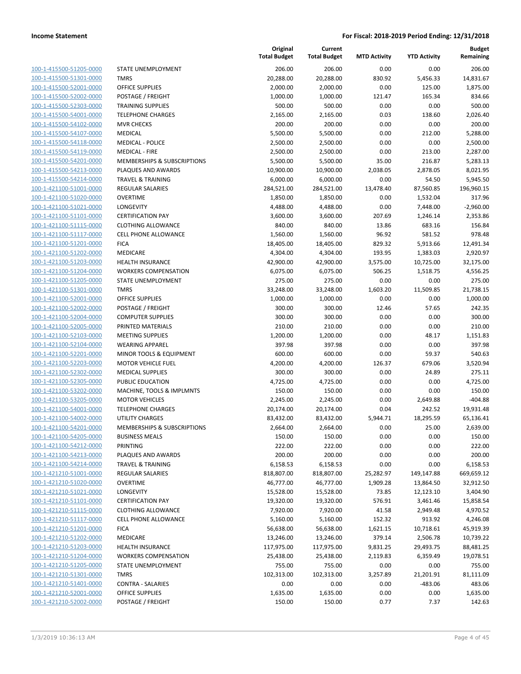| 100-1-415500-51205-0000        |
|--------------------------------|
| 100-1-415500-51301-0000        |
| 100-1-415500-52001-0000        |
| 100-1-415500-52002-0000        |
| 100-1-415500-52303-0000        |
| 100-1-415500-54001-0000        |
| 100-1-415500-54102-0000        |
| 100-1-415500-54107-0000        |
| 100-1-415500-54118-0000        |
| 100-1-415500-54119-0000        |
| 100-1-415500-54201-0000        |
| 100-1-415500-54213-0000        |
| 100-1-415500-54214-0000        |
| 100-1-421100-51001-0000        |
| 100-1-421100-51020-0000        |
| 100-1-421100-51021-0000        |
| 100-1-421100-51101-0000        |
| 100-1-421100-51115-0000        |
| 100-1-421100-51117-0000        |
| 100-1-421100-51201-0000        |
| 100-1-421100-51202-0000        |
| 100-1-421100-51203-0000        |
| <u>100-1-421100-51204-0000</u> |
| 100-1-421100-51205-0000        |
| 100-1-421100-51301-0000        |
| 100-1-421100-52001-0000        |
| 100-1-421100-52002-0000        |
| 100-1-421100-52004-0000        |
| 100-1-421100-52005-0000        |
| 100-1-421100-52103-0000        |
| 100-1-421100-52104-0000        |
| 100-1-421100-52201-0000        |
| <u>100-1-421100-52203-0000</u> |
| 100-1-421100-52302-0000        |
| 100-1-421100-52305-0000        |
| 100-1-421100-53202-0000        |
| 100-1-421100-53205-0000        |
| 100-1-421100-54001-0000        |
| 100-1-421100-54002-0000        |
| 100-1-421100-54201-0000        |
| 100-1-421100-54205-0000        |
| 100-1-421100-54212-0000        |
| <u>100-1-421100-54213-0000</u> |
| 100-1-421100-54214-0000        |
| 100-1-421210-51001-0000        |
| 100-1-421210-51020-0000        |
| 100-1-421210-51021-0000        |
| <u>100-1-421210-51101-0000</u> |
| 100-1-421210-51115-0000        |
| 100-1-421210-51117-0000        |
| 100-1-421210-51201-0000        |
| 100-1-421210-51202-0000        |
| <u>100-1-421210-51203-0000</u> |
| 100-1-421210-51204-0000        |
| 1-421210-51205-0000<br>100-    |
| 100-1-421210-51301-0000        |
| <u>100-1-421210-51401-0000</u> |
| <u>100-1-421210-52001-0000</u> |
| 100-1-421210-52002-0000        |
|                                |

|                         |                              | Original<br><b>Total Budget</b> | Current<br><b>Total Budget</b> | <b>MTD Activity</b> | <b>YTD Activity</b> | <b>Budget</b><br>Remaining |
|-------------------------|------------------------------|---------------------------------|--------------------------------|---------------------|---------------------|----------------------------|
| 100-1-415500-51205-0000 | STATE UNEMPLOYMENT           | 206.00                          | 206.00                         | 0.00                | 0.00                | 206.00                     |
| 100-1-415500-51301-0000 | <b>TMRS</b>                  | 20,288.00                       | 20,288.00                      | 830.92              | 5,456.33            | 14,831.67                  |
| 100-1-415500-52001-0000 | <b>OFFICE SUPPLIES</b>       | 2,000.00                        | 2,000.00                       | 0.00                | 125.00              | 1,875.00                   |
| 100-1-415500-52002-0000 | POSTAGE / FREIGHT            | 1,000.00                        | 1,000.00                       | 121.47              | 165.34              | 834.66                     |
| 100-1-415500-52303-0000 | <b>TRAINING SUPPLIES</b>     | 500.00                          | 500.00                         | 0.00                | 0.00                | 500.00                     |
| 100-1-415500-54001-0000 | <b>TELEPHONE CHARGES</b>     | 2,165.00                        | 2,165.00                       | 0.03                | 138.60              | 2,026.40                   |
| 100-1-415500-54102-0000 | <b>MVR CHECKS</b>            | 200.00                          | 200.00                         | 0.00                | 0.00                | 200.00                     |
| 100-1-415500-54107-0000 | <b>MEDICAL</b>               | 5,500.00                        | 5,500.00                       | 0.00                | 212.00              | 5,288.00                   |
| 100-1-415500-54118-0000 | <b>MEDICAL - POLICE</b>      | 2,500.00                        | 2,500.00                       | 0.00                | 0.00                | 2,500.00                   |
| 100-1-415500-54119-0000 | <b>MEDICAL - FIRE</b>        | 2,500.00                        | 2,500.00                       | 0.00                | 213.00              | 2,287.00                   |
| 100-1-415500-54201-0000 | MEMBERSHIPS & SUBSCRIPTIONS  | 5,500.00                        | 5,500.00                       | 35.00               | 216.87              | 5,283.13                   |
| 100-1-415500-54213-0000 | PLAQUES AND AWARDS           | 10,900.00                       | 10,900.00                      | 2,038.05            | 2,878.05            | 8,021.95                   |
| 100-1-415500-54214-0000 | <b>TRAVEL &amp; TRAINING</b> | 6,000.00                        | 6,000.00                       | 0.00                | 54.50               | 5,945.50                   |
| 100-1-421100-51001-0000 | <b>REGULAR SALARIES</b>      | 284,521.00                      | 284,521.00                     | 13,478.40           | 87,560.85           | 196,960.15                 |
| 100-1-421100-51020-0000 | <b>OVERTIME</b>              | 1,850.00                        | 1,850.00                       | 0.00                | 1,532.04            | 317.96                     |
| 100-1-421100-51021-0000 | LONGEVITY                    | 4,488.00                        | 4,488.00                       | 0.00                | 7,448.00            | $-2,960.00$                |
| 100-1-421100-51101-0000 | <b>CERTIFICATION PAY</b>     | 3,600.00                        | 3,600.00                       | 207.69              | 1,246.14            | 2,353.86                   |
| 100-1-421100-51115-0000 | <b>CLOTHING ALLOWANCE</b>    | 840.00                          | 840.00                         | 13.86               | 683.16              | 156.84                     |
| 100-1-421100-51117-0000 | <b>CELL PHONE ALLOWANCE</b>  | 1,560.00                        | 1,560.00                       | 96.92               | 581.52              | 978.48                     |
| 100-1-421100-51201-0000 | <b>FICA</b>                  | 18,405.00                       | 18,405.00                      | 829.32              | 5,913.66            | 12,491.34                  |
| 100-1-421100-51202-0000 | MEDICARE                     | 4,304.00                        | 4,304.00                       | 193.95              | 1,383.03            | 2,920.97                   |
| 100-1-421100-51203-0000 | <b>HEALTH INSURANCE</b>      | 42,900.00                       | 42,900.00                      | 3,575.00            | 10,725.00           | 32,175.00                  |
| 100-1-421100-51204-0000 | <b>WORKERS COMPENSATION</b>  | 6,075.00                        | 6,075.00                       | 506.25              | 1,518.75            | 4,556.25                   |
| 100-1-421100-51205-0000 | STATE UNEMPLOYMENT           | 275.00                          | 275.00                         | 0.00                | 0.00                | 275.00                     |
| 100-1-421100-51301-0000 | <b>TMRS</b>                  | 33,248.00                       | 33,248.00                      | 1,603.20            | 11,509.85           | 21,738.15                  |
| 100-1-421100-52001-0000 | <b>OFFICE SUPPLIES</b>       | 1,000.00                        | 1,000.00                       | 0.00                | 0.00                | 1,000.00                   |
| 100-1-421100-52002-0000 | POSTAGE / FREIGHT            | 300.00                          | 300.00                         | 12.46               | 57.65               | 242.35                     |
| 100-1-421100-52004-0000 | <b>COMPUTER SUPPLIES</b>     | 300.00                          | 300.00                         | 0.00                | 0.00                | 300.00                     |
| 100-1-421100-52005-0000 | PRINTED MATERIALS            | 210.00                          | 210.00                         | 0.00                | 0.00                | 210.00                     |
| 100-1-421100-52103-0000 | <b>MEETING SUPPLIES</b>      | 1,200.00                        | 1,200.00                       | 0.00                | 48.17               | 1,151.83                   |
| 100-1-421100-52104-0000 | <b>WEARING APPAREL</b>       | 397.98                          | 397.98                         | 0.00                | 0.00                | 397.98                     |
| 100-1-421100-52201-0000 | MINOR TOOLS & EQUIPMENT      | 600.00                          | 600.00                         | 0.00                | 59.37               | 540.63                     |
| 100-1-421100-52203-0000 | <b>MOTOR VEHICLE FUEL</b>    | 4,200.00                        | 4,200.00                       | 126.37              | 679.06              | 3,520.94                   |
| 100-1-421100-52302-0000 | <b>MEDICAL SUPPLIES</b>      | 300.00                          | 300.00                         | 0.00                | 24.89               | 275.11                     |
| 100-1-421100-52305-0000 | PUBLIC EDUCATION             | 4,725.00                        | 4,725.00                       | 0.00                | 0.00                | 4,725.00                   |
| 100-1-421100-53202-0000 | MACHINE, TOOLS & IMPLMNTS    | 150.00                          | 150.00                         | 0.00                | 0.00                | 150.00                     |
| 100-1-421100-53205-0000 | <b>MOTOR VEHICLES</b>        | 2,245.00                        | 2,245.00                       | 0.00                | 2,649.88            | $-404.88$                  |
| 100-1-421100-54001-0000 | <b>TELEPHONE CHARGES</b>     | 20,174.00                       | 20,174.00                      | 0.04                | 242.52              | 19,931.48                  |
| 100-1-421100-54002-0000 | UTILITY CHARGES              | 83,432.00                       | 83,432.00                      | 5,944.71            | 18,295.59           | 65,136.41                  |
| 100-1-421100-54201-0000 | MEMBERSHIPS & SUBSCRIPTIONS  | 2,664.00                        | 2,664.00                       | 0.00                | 25.00               | 2,639.00                   |
| 100-1-421100-54205-0000 | <b>BUSINESS MEALS</b>        | 150.00                          | 150.00                         | 0.00                | 0.00                | 150.00                     |
| 100-1-421100-54212-0000 | PRINTING                     | 222.00                          | 222.00                         | 0.00                | 0.00                | 222.00                     |
| 100-1-421100-54213-0000 | PLAQUES AND AWARDS           | 200.00                          | 200.00                         | 0.00                | 0.00                | 200.00                     |
| 100-1-421100-54214-0000 | <b>TRAVEL &amp; TRAINING</b> | 6,158.53                        | 6,158.53                       | 0.00                | 0.00                | 6,158.53                   |
| 100-1-421210-51001-0000 | REGULAR SALARIES             | 818,807.00                      | 818,807.00                     | 25,282.97           | 149,147.88          | 669,659.12                 |
| 100-1-421210-51020-0000 | <b>OVERTIME</b>              | 46,777.00                       | 46,777.00                      | 1,909.28            | 13,864.50           | 32,912.50                  |
| 100-1-421210-51021-0000 | <b>LONGEVITY</b>             | 15,528.00                       | 15,528.00                      | 73.85               | 12,123.10           | 3,404.90                   |
| 100-1-421210-51101-0000 | <b>CERTIFICATION PAY</b>     | 19,320.00                       | 19,320.00                      | 576.91              | 3,461.46            | 15,858.54                  |
| 100-1-421210-51115-0000 | <b>CLOTHING ALLOWANCE</b>    | 7,920.00                        | 7,920.00                       | 41.58               | 2,949.48            | 4,970.52                   |
| 100-1-421210-51117-0000 | CELL PHONE ALLOWANCE         | 5,160.00                        | 5,160.00                       | 152.32              | 913.92              | 4,246.08                   |
| 100-1-421210-51201-0000 | <b>FICA</b>                  | 56,638.00                       | 56,638.00                      | 1,621.15            | 10,718.61           | 45,919.39                  |
| 100-1-421210-51202-0000 | MEDICARE                     | 13,246.00                       | 13,246.00                      | 379.14              | 2,506.78            | 10,739.22                  |
| 100-1-421210-51203-0000 | <b>HEALTH INSURANCE</b>      | 117,975.00                      | 117,975.00                     | 9,831.25            | 29,493.75           | 88,481.25                  |
| 100-1-421210-51204-0000 | <b>WORKERS COMPENSATION</b>  | 25,438.00                       | 25,438.00                      | 2,119.83            | 6,359.49            | 19,078.51                  |
| 100-1-421210-51205-0000 | STATE UNEMPLOYMENT           | 755.00                          | 755.00                         | 0.00                | 0.00                | 755.00                     |
| 100-1-421210-51301-0000 | <b>TMRS</b>                  | 102,313.00                      | 102,313.00                     | 3,257.89            | 21,201.91           | 81,111.09                  |
| 100-1-421210-51401-0000 | <b>CONTRA - SALARIES</b>     | 0.00                            | 0.00                           | 0.00                | $-483.06$           | 483.06                     |
| 100-1-421210-52001-0000 | <b>OFFICE SUPPLIES</b>       | 1,635.00                        | 1,635.00                       | 0.00                | 0.00                | 1,635.00                   |
| 100-1-421210-52002-0000 | POSTAGE / FREIGHT            | 150.00                          | 150.00                         | 0.77                | 7.37                | 142.63                     |
|                         |                              |                                 |                                |                     |                     |                            |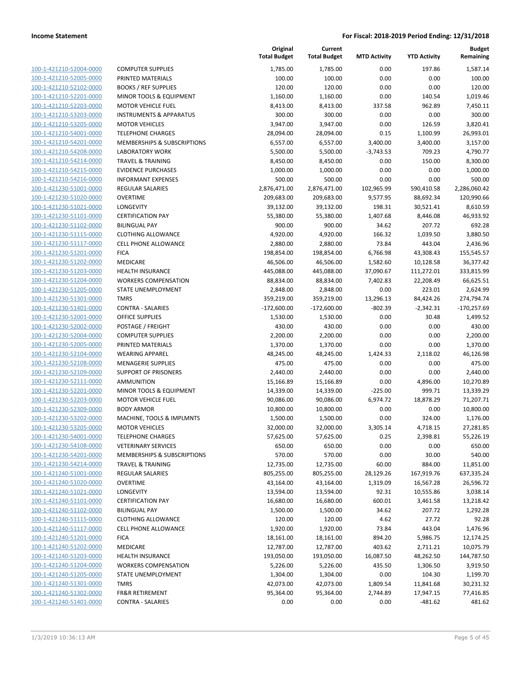| 100-1-421210-52004-0000        |
|--------------------------------|
| 100-1-421210-52005-0000        |
| 100-1-421210-52102-0000        |
| 100-1-421210-52201-0000        |
| 100-1-421210-52203-0000        |
| 100-1-421210-53203-0000        |
|                                |
| 100-1-421210-53205-0000        |
| 100-1-421210-54001-0000        |
| 100-1-421210-54201-0000        |
| 100-1-421210-54208-0000        |
| 100-1-421210-54214-0000        |
| 100-1-421210-54215-0000        |
| 100-1-421210-54216-0000        |
| 100-1-421230-51001-0000        |
| 100-1-421230-51020-0000        |
| 100-1-421230-51021-0000        |
|                                |
| 100-1-421230-51101-0000        |
| 100-1-421230-51102-0000        |
| 100-1-421230-51115-0000        |
| 100-1-421230-51117-0000        |
| 100-1-421230-51201-0000        |
| 100-1-421230-51202-0000        |
| 100-1-421230-51203-0000        |
| 100-1-421230-51204-0000        |
| 100-1-421230-51205-0000        |
| 100-1-421230-51301-0000        |
|                                |
| 100-1-421230-51401-0000        |
| 100-1-421230-52001-0000        |
| 100-1-421230-52002-0000        |
| 100-1-421230-52004-0000        |
| 100-1-421230-52005-0000        |
| 100-1-421230-52104-0000        |
| 100-1-421230-52108-0000        |
| 100-1-421230-52109-0000        |
| 100-1-421230-52111-0000        |
| 100-1-421230-52201-0000        |
| 100-1-421230-52203-0000        |
| 100-1-421230-52309-0000        |
|                                |
| 100-1-421230-53202-0000        |
| 100-1-421230-53205-0000        |
| 100-1-421230-54001-0000        |
| 100-1-421230-54108-0000        |
| <u>100-1-421230-54201-0000</u> |
| <u>100-1-421230-54214-0000</u> |
| 100-1-421240-51001-0000        |
| 100-1-421240-51020-0000        |
| 100-1-421240-51021-0000        |
| <u>100-1-421240-51101-0000</u> |
|                                |
| 100-1-421240-51102-0000        |
| 100-1-421240-51115-0000        |
| 100-1-421240-51117-0000        |
| 100-1-421240-51201-0000        |
| 100-1-421240-51202-0000        |
| 100-1-421240-51203-0000        |
| 100-1-421240-51204-0000        |
| 100-1-421240-51205-0000        |
| 100-1-421240-51301-0000        |
| 100-1-421240-51302-0000        |
| <u>100-1-421240-51401-0000</u> |
|                                |

|                         |                                    | Original<br><b>Total Budget</b> | Current<br><b>Total Budget</b> | <b>MTD Activity</b> | <b>YTD Activity</b> | <b>Budget</b><br>Remaining |
|-------------------------|------------------------------------|---------------------------------|--------------------------------|---------------------|---------------------|----------------------------|
| 100-1-421210-52004-0000 | <b>COMPUTER SUPPLIES</b>           | 1,785.00                        | 1,785.00                       | 0.00                | 197.86              | 1,587.14                   |
| 100-1-421210-52005-0000 | PRINTED MATERIALS                  | 100.00                          | 100.00                         | 0.00                | 0.00                | 100.00                     |
| 100-1-421210-52102-0000 | <b>BOOKS / REF SUPPLIES</b>        | 120.00                          | 120.00                         | 0.00                | 0.00                | 120.00                     |
| 100-1-421210-52201-0000 | MINOR TOOLS & EQUIPMENT            | 1,160.00                        | 1,160.00                       | 0.00                | 140.54              | 1,019.46                   |
| 100-1-421210-52203-0000 | <b>MOTOR VEHICLE FUEL</b>          | 8,413.00                        | 8,413.00                       | 337.58              | 962.89              | 7,450.11                   |
| 100-1-421210-53203-0000 | <b>INSTRUMENTS &amp; APPARATUS</b> | 300.00                          | 300.00                         | 0.00                | 0.00                | 300.00                     |
| 100-1-421210-53205-0000 | <b>MOTOR VEHICLES</b>              | 3,947.00                        | 3,947.00                       | 0.00                | 126.59              | 3,820.41                   |
| 100-1-421210-54001-0000 | <b>TELEPHONE CHARGES</b>           | 28,094.00                       | 28,094.00                      | 0.15                | 1,100.99            | 26,993.01                  |
| 100-1-421210-54201-0000 | MEMBERSHIPS & SUBSCRIPTIONS        | 6,557.00                        | 6,557.00                       | 3,400.00            | 3,400.00            | 3,157.00                   |
| 100-1-421210-54208-0000 | <b>LABORATORY WORK</b>             | 5,500.00                        | 5,500.00                       | $-3,743.53$         | 709.23              | 4,790.77                   |
| 100-1-421210-54214-0000 | <b>TRAVEL &amp; TRAINING</b>       | 8,450.00                        | 8,450.00                       | 0.00                | 150.00              | 8,300.00                   |
| 100-1-421210-54215-0000 | <b>EVIDENCE PURCHASES</b>          | 1,000.00                        | 1,000.00                       | 0.00                | 0.00                | 1,000.00                   |
| 100-1-421210-54216-0000 | <b>INFORMANT EXPENSES</b>          | 500.00                          | 500.00                         | 0.00                | 0.00                | 500.00                     |
| 100-1-421230-51001-0000 | <b>REGULAR SALARIES</b>            | 2,876,471.00                    | 2,876,471.00                   | 102,965.99          | 590,410.58          | 2,286,060.42               |
| 100-1-421230-51020-0000 | <b>OVERTIME</b>                    | 209,683.00                      | 209,683.00                     | 9,577.95            | 88,692.34           | 120,990.66                 |
| 100-1-421230-51021-0000 | LONGEVITY                          | 39,132.00                       | 39,132.00                      | 198.31              | 30,521.41           | 8,610.59                   |
| 100-1-421230-51101-0000 | <b>CERTIFICATION PAY</b>           | 55,380.00                       | 55,380.00                      | 1,407.68            | 8,446.08            | 46,933.92                  |
| 100-1-421230-51102-0000 | <b>BILINGUAL PAY</b>               | 900.00                          | 900.00                         | 34.62               | 207.72              | 692.28                     |
| 100-1-421230-51115-0000 | <b>CLOTHING ALLOWANCE</b>          | 4,920.00                        | 4,920.00                       | 166.32              | 1,039.50            | 3,880.50                   |
| 100-1-421230-51117-0000 | CELL PHONE ALLOWANCE               | 2,880.00                        | 2,880.00                       | 73.84               | 443.04              | 2,436.96                   |
| 100-1-421230-51201-0000 | <b>FICA</b>                        | 198,854.00                      | 198,854.00                     | 6,766.98            | 43,308.43           | 155,545.57                 |
| 100-1-421230-51202-0000 | <b>MEDICARE</b>                    | 46,506.00                       | 46,506.00                      | 1,582.60            | 10,128.58           | 36,377.42                  |
| 100-1-421230-51203-0000 | <b>HEALTH INSURANCE</b>            | 445,088.00                      | 445,088.00                     | 37,090.67           | 111,272.01          | 333,815.99                 |
| 100-1-421230-51204-0000 | <b>WORKERS COMPENSATION</b>        | 88,834.00                       | 88,834.00                      | 7,402.83            | 22,208.49           | 66,625.51                  |
| 100-1-421230-51205-0000 | STATE UNEMPLOYMENT                 | 2,848.00                        | 2,848.00                       | 0.00                | 223.01              | 2,624.99                   |
| 100-1-421230-51301-0000 | <b>TMRS</b>                        | 359,219.00                      | 359,219.00                     | 13,296.13           | 84,424.26           | 274,794.74                 |
| 100-1-421230-51401-0000 | <b>CONTRA - SALARIES</b>           | $-172,600.00$                   | $-172,600.00$                  | $-802.39$           | $-2,342.31$         | $-170,257.69$              |
| 100-1-421230-52001-0000 | OFFICE SUPPLIES                    | 1,530.00                        | 1,530.00                       | 0.00                | 30.48               | 1,499.52                   |
| 100-1-421230-52002-0000 | POSTAGE / FREIGHT                  | 430.00                          | 430.00                         | 0.00                | 0.00                | 430.00                     |
| 100-1-421230-52004-0000 | <b>COMPUTER SUPPLIES</b>           | 2,200.00                        | 2,200.00                       | 0.00                | 0.00                | 2,200.00                   |
| 100-1-421230-52005-0000 | PRINTED MATERIALS                  | 1,370.00                        | 1,370.00                       | 0.00                | 0.00                | 1,370.00                   |
| 100-1-421230-52104-0000 | <b>WEARING APPAREL</b>             | 48,245.00                       | 48,245.00                      | 1,424.33            | 2,118.02            | 46,126.98                  |
| 100-1-421230-52108-0000 | <b>MENAGERIE SUPPLIES</b>          | 475.00                          | 475.00                         | 0.00                | 0.00                | 475.00                     |
| 100-1-421230-52109-0000 | <b>SUPPORT OF PRISONERS</b>        | 2,440.00                        | 2,440.00                       | 0.00                | 0.00                | 2,440.00                   |
| 100-1-421230-52111-0000 | <b>AMMUNITION</b>                  | 15,166.89                       | 15,166.89                      | 0.00                | 4,896.00            | 10,270.89                  |
| 100-1-421230-52201-0000 | MINOR TOOLS & EQUIPMENT            | 14,339.00                       | 14,339.00                      | $-225.00$           | 999.71              | 13,339.29                  |
| 100-1-421230-52203-0000 | <b>MOTOR VEHICLE FUEL</b>          | 90,086.00                       | 90,086.00                      | 6,974.72            | 18,878.29           | 71,207.71                  |
| 100-1-421230-52309-0000 | <b>BODY ARMOR</b>                  | 10,800.00                       | 10,800.00                      | 0.00                | 0.00                | 10,800.00                  |
| 100-1-421230-53202-0000 | MACHINE, TOOLS & IMPLMNTS          | 1,500.00                        | 1,500.00                       | 0.00                | 324.00              | 1,176.00                   |
| 100-1-421230-53205-0000 | <b>MOTOR VEHICLES</b>              | 32,000.00                       | 32,000.00                      | 3,305.14            | 4,718.15            | 27,281.85                  |
| 100-1-421230-54001-0000 | <b>TELEPHONE CHARGES</b>           | 57,625.00                       | 57,625.00                      | 0.25                | 2,398.81            | 55,226.19                  |
| 100-1-421230-54108-0000 | <b>VETERINARY SERVICES</b>         | 650.00                          | 650.00                         | 0.00                | 0.00                | 650.00                     |
| 100-1-421230-54201-0000 | MEMBERSHIPS & SUBSCRIPTIONS        | 570.00                          | 570.00                         | 0.00                | 30.00               | 540.00                     |
| 100-1-421230-54214-0000 | <b>TRAVEL &amp; TRAINING</b>       | 12,735.00                       | 12,735.00                      | 60.00               | 884.00              | 11,851.00                  |
| 100-1-421240-51001-0000 | REGULAR SALARIES                   | 805,255.00                      | 805,255.00                     | 28,129.26           | 167,919.76          | 637,335.24                 |
| 100-1-421240-51020-0000 | <b>OVERTIME</b>                    | 43,164.00                       | 43,164.00                      | 1,319.09            | 16,567.28           | 26,596.72                  |
| 100-1-421240-51021-0000 | <b>LONGEVITY</b>                   | 13,594.00                       | 13,594.00                      | 92.31               | 10,555.86           | 3,038.14                   |
| 100-1-421240-51101-0000 | <b>CERTIFICATION PAY</b>           | 16,680.00                       | 16,680.00                      | 600.01              | 3,461.58            | 13,218.42                  |
| 100-1-421240-51102-0000 | <b>BILINGUAL PAY</b>               | 1,500.00                        | 1,500.00                       | 34.62               | 207.72              | 1,292.28                   |
| 100-1-421240-51115-0000 | <b>CLOTHING ALLOWANCE</b>          | 120.00                          | 120.00                         | 4.62                | 27.72               | 92.28                      |
| 100-1-421240-51117-0000 | <b>CELL PHONE ALLOWANCE</b>        | 1,920.00                        | 1,920.00                       | 73.84               | 443.04              | 1,476.96                   |
| 100-1-421240-51201-0000 | <b>FICA</b>                        | 18,161.00                       | 18,161.00                      | 894.20              | 5,986.75            | 12,174.25                  |
| 100-1-421240-51202-0000 | MEDICARE                           | 12,787.00                       | 12,787.00                      | 403.62              | 2,711.21            | 10,075.79                  |
| 100-1-421240-51203-0000 | <b>HEALTH INSURANCE</b>            | 193,050.00                      | 193,050.00                     | 16,087.50           | 48,262.50           | 144,787.50                 |
| 100-1-421240-51204-0000 | <b>WORKERS COMPENSATION</b>        | 5,226.00                        | 5,226.00                       | 435.50              | 1,306.50            | 3,919.50                   |
| 100-1-421240-51205-0000 | STATE UNEMPLOYMENT                 | 1,304.00                        | 1,304.00                       | 0.00                | 104.30              | 1,199.70                   |
| 100-1-421240-51301-0000 | <b>TMRS</b>                        | 42,073.00                       | 42,073.00                      | 1,809.54            | 11,841.68           | 30,231.32                  |
| 100-1-421240-51302-0000 | <b>FR&amp;R RETIREMENT</b>         | 95,364.00                       | 95,364.00                      | 2,744.89            | 17,947.15           | 77,416.85                  |
| 100-1-421240-51401-0000 | <b>CONTRA - SALARIES</b>           | 0.00                            | 0.00                           | 0.00                | $-481.62$           | 481.62                     |
|                         |                                    |                                 |                                |                     |                     |                            |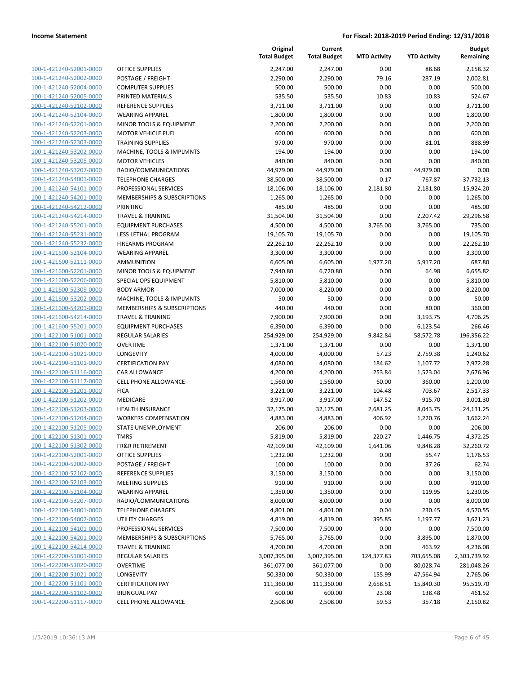| 100-1-421240-52001-0000        |
|--------------------------------|
| 100-1-421240-52002-0000        |
| 100-1-421240-52004-0000        |
| <u>100-1-421240-52005-0000</u> |
| 100-1-421240-52102-0000        |
| 100-1-421240-52104-0000        |
| 100-1-421240-52201-0000        |
| 100-1-421240-52203-0000        |
| <u>100-1-421240-52303-0000</u> |
| 100-1-421240-53202-0000        |
| 100-1-421240-53205-0000        |
| 100-1-421240-53207-0000        |
| 100-1-421240-54001-0000        |
| <u>100-1-421240-54101-0000</u> |
| 100-1-421240-54201-0000        |
|                                |
| 100-1-421240-54212-0000        |
| 100-1-421240-54214-0000        |
| 100-1-421240-55201-0000        |
| 100-1-421240-55231-0000        |
| 100-1-421240-55232-0000        |
| 100-1-421600-52104-0000        |
| 100-1-421600-52111-0000        |
| 100-1-421600-52201-0000        |
| <u>100-1-421600-52206-0000</u> |
| 100-1-421600-52309-0000        |
| 100-1-421600-53202-0000        |
| 100-1-421600-54201-0000        |
| 100-1-421600-54214-0000        |
| <u>100-1-421600-55201-0000</u> |
| 100-1-422100-51001-0000        |
| 100-1-422100-51020-0000        |
| 100-1-422100-51021-0000        |
| 100-1-422100-51101-0000        |
| <u>100-1-422100-51116-0000</u> |
| 100-1-422100-51117-0000        |
| 100-1-422100-51201-0000        |
| 100-1-422100-51202-0000        |
|                                |
| 100-1-422100-51203-0000        |
| 100-1-422100-51204-0000        |
| 100-1-422100-51205-0000        |
| 100-1-422100-51301-0000        |
| 100-1-422100-51302-0000        |
| 100-1-422100-52001-0000        |
| <u>100-1-422100-52002-0000</u> |
| <u>100-1-422100-52102-0000</u> |
| 100-1-422100-52103-0000        |
| 100-1-422100-52104-0000        |
| <u>100-1-422100-53207-0000</u> |
| <u>100-1-422100-54001-0000</u> |
| <u>100-1-422100-54002-0000</u> |
| 100-1-422100-54101-0000        |
| 100-1-422100-54201-0000        |
| <u>100-1-422100-54214-0000</u> |
|                                |
| <u>100-1-422200-51001-0000</u> |
| <u>100-1-422200-51020-0000</u> |
| 100-1-422200-51021-0000        |
| 100-1-422200-51101-0000        |
| <u>100-1-422200-51102-0000</u> |
| <u>100-1-422200-51117-0000</u> |

|                                                    |                                                   | Original<br><b>Total Budget</b> | Current<br><b>Total Budget</b> | <b>MTD Activity</b> | <b>YTD Activity</b>  | <b>Budget</b><br>Remaining |
|----------------------------------------------------|---------------------------------------------------|---------------------------------|--------------------------------|---------------------|----------------------|----------------------------|
| 100-1-421240-52001-0000                            | <b>OFFICE SUPPLIES</b>                            | 2,247.00                        | 2,247.00                       | 0.00                | 88.68                | 2,158.32                   |
| 100-1-421240-52002-0000                            | POSTAGE / FREIGHT                                 | 2,290.00                        | 2,290.00                       | 79.16               | 287.19               | 2,002.81                   |
| 100-1-421240-52004-0000                            | <b>COMPUTER SUPPLIES</b>                          | 500.00                          | 500.00                         | 0.00                | 0.00                 | 500.00                     |
| 100-1-421240-52005-0000                            | PRINTED MATERIALS                                 | 535.50                          | 535.50                         | 10.83               | 10.83                | 524.67                     |
| 100-1-421240-52102-0000                            | <b>REFERENCE SUPPLIES</b>                         | 3,711.00                        | 3,711.00                       | 0.00                | 0.00                 | 3,711.00                   |
| 100-1-421240-52104-0000                            | <b>WEARING APPAREL</b>                            | 1,800.00                        | 1,800.00                       | 0.00                | 0.00                 | 1,800.00                   |
| 100-1-421240-52201-0000                            | MINOR TOOLS & EQUIPMENT                           | 2,200.00                        | 2,200.00                       | 0.00                | 0.00                 | 2,200.00                   |
| 100-1-421240-52203-0000                            | <b>MOTOR VEHICLE FUEL</b>                         | 600.00                          | 600.00                         | 0.00                | 0.00                 | 600.00                     |
| 100-1-421240-52303-0000                            | <b>TRAINING SUPPLIES</b>                          | 970.00                          | 970.00                         | 0.00                | 81.01                | 888.99                     |
| 100-1-421240-53202-0000                            | MACHINE, TOOLS & IMPLMNTS                         | 194.00                          | 194.00                         | 0.00                | 0.00                 | 194.00                     |
| 100-1-421240-53205-0000                            | <b>MOTOR VEHICLES</b>                             | 840.00                          | 840.00                         | 0.00                | 0.00                 | 840.00                     |
| 100-1-421240-53207-0000                            | RADIO/COMMUNICATIONS                              | 44,979.00                       | 44,979.00                      | 0.00                | 44,979.00            | 0.00                       |
| 100-1-421240-54001-0000                            | <b>TELEPHONE CHARGES</b>                          | 38,500.00                       | 38,500.00                      | 0.17                | 767.87               | 37,732.13                  |
| 100-1-421240-54101-0000                            | PROFESSIONAL SERVICES                             | 18,106.00                       | 18,106.00                      | 2,181.80            | 2,181.80             | 15,924.20                  |
| 100-1-421240-54201-0000                            | MEMBERSHIPS & SUBSCRIPTIONS                       | 1,265.00                        | 1,265.00                       | 0.00                | 0.00                 | 1,265.00                   |
| 100-1-421240-54212-0000                            | PRINTING                                          | 485.00                          | 485.00                         | 0.00                | 0.00                 | 485.00                     |
| 100-1-421240-54214-0000                            | <b>TRAVEL &amp; TRAINING</b>                      | 31,504.00                       | 31,504.00                      | 0.00                | 2,207.42             | 29,296.58                  |
| 100-1-421240-55201-0000                            | <b>EQUIPMENT PURCHASES</b>                        | 4,500.00                        | 4,500.00                       | 3,765.00            | 3,765.00             | 735.00                     |
| 100-1-421240-55231-0000                            | LESS LETHAL PROGRAM                               | 19,105.70                       | 19,105.70                      | 0.00                | 0.00                 | 19,105.70                  |
| 100-1-421240-55232-0000                            | <b>FIREARMS PROGRAM</b>                           | 22,262.10                       | 22,262.10                      | 0.00                | 0.00                 | 22,262.10                  |
| 100-1-421600-52104-0000                            | <b>WEARING APPAREL</b>                            | 3,300.00                        | 3,300.00                       | 0.00                | 0.00                 | 3,300.00                   |
| 100-1-421600-52111-0000                            | <b>AMMUNITION</b>                                 | 6,605.00                        | 6,605.00                       | 1,977.20            | 5,917.20             | 687.80                     |
| 100-1-421600-52201-0000                            | MINOR TOOLS & EQUIPMENT                           | 7,940.80                        | 6,720.80                       | 0.00                | 64.98                | 6,655.82                   |
| 100-1-421600-52206-0000                            | SPECIAL OPS EQUIPMENT                             | 5,810.00                        | 5,810.00                       | 0.00                | 0.00                 | 5,810.00                   |
| 100-1-421600-52309-0000                            | <b>BODY ARMOR</b>                                 | 7,000.00                        | 8,220.00                       | 0.00                | 0.00                 | 8,220.00                   |
| 100-1-421600-53202-0000                            | MACHINE, TOOLS & IMPLMNTS                         | 50.00                           | 50.00                          | 0.00                | 0.00                 | 50.00                      |
| 100-1-421600-54201-0000                            | MEMBERSHIPS & SUBSCRIPTIONS                       | 440.00                          | 440.00                         | 0.00                | 80.00                | 360.00                     |
| 100-1-421600-54214-0000                            | <b>TRAVEL &amp; TRAINING</b>                      | 7,900.00                        | 7,900.00                       | 0.00                | 3,193.75             | 4,706.25                   |
| 100-1-421600-55201-0000                            | <b>EQUIPMENT PURCHASES</b>                        | 6,390.00                        | 6,390.00                       | 0.00                | 6,123.54             | 266.46                     |
| 100-1-422100-51001-0000                            | <b>REGULAR SALARIES</b>                           | 254,929.00                      | 254,929.00                     | 9,842.84            | 58,572.78            | 196,356.22                 |
| 100-1-422100-51020-0000                            | <b>OVERTIME</b>                                   | 1,371.00                        | 1,371.00                       | 0.00                | 0.00                 | 1,371.00                   |
| 100-1-422100-51021-0000                            | LONGEVITY                                         | 4,000.00                        | 4,000.00                       | 57.23               | 2,759.38             | 1,240.62                   |
| 100-1-422100-51101-0000                            | <b>CERTIFICATION PAY</b>                          | 4,080.00                        | 4,080.00                       | 184.62              | 1,107.72             | 2,972.28                   |
| 100-1-422100-51116-0000                            | <b>CAR ALLOWANCE</b>                              | 4,200.00                        | 4,200.00                       | 253.84              | 1,523.04             | 2,676.96                   |
| 100-1-422100-51117-0000                            | <b>CELL PHONE ALLOWANCE</b>                       | 1,560.00                        | 1,560.00                       | 60.00               | 360.00               | 1,200.00                   |
| 100-1-422100-51201-0000                            | <b>FICA</b>                                       | 3,221.00                        | 3,221.00                       | 104.48              | 703.67               | 2,517.33                   |
| 100-1-422100-51202-0000<br>100-1-422100-51203-0000 | MEDICARE                                          | 3,917.00                        | 3,917.00                       | 147.52              | 915.70               | 3,001.30                   |
| 100-1-422100-51204-0000                            | <b>HEALTH INSURANCE</b>                           | 32,175.00                       | 32,175.00                      | 2,681.25            | 8,043.75             | 24,131.25                  |
| 100-1-422100-51205-0000                            | <b>WORKERS COMPENSATION</b><br>STATE UNEMPLOYMENT | 4,883.00<br>206.00              | 4,883.00<br>206.00             | 406.92<br>0.00      | 1,220.76<br>0.00     | 3,662.24<br>206.00         |
| 100-1-422100-51301-0000                            | <b>TMRS</b>                                       | 5,819.00                        | 5,819.00                       | 220.27              |                      | 4,372.25                   |
| 100-1-422100-51302-0000                            | <b>FR&amp;R RETIREMENT</b>                        | 42,109.00                       | 42,109.00                      | 1,641.06            | 1,446.75<br>9,848.28 | 32,260.72                  |
| 100-1-422100-52001-0000                            | OFFICE SUPPLIES                                   | 1,232.00                        | 1,232.00                       | 0.00                | 55.47                | 1,176.53                   |
| 100-1-422100-52002-0000                            | POSTAGE / FREIGHT                                 | 100.00                          | 100.00                         | 0.00                | 37.26                | 62.74                      |
| 100-1-422100-52102-0000                            | REFERENCE SUPPLIES                                | 3,150.00                        | 3,150.00                       | 0.00                | 0.00                 | 3,150.00                   |
| 100-1-422100-52103-0000                            | <b>MEETING SUPPLIES</b>                           | 910.00                          | 910.00                         | 0.00                | 0.00                 | 910.00                     |
| 100-1-422100-52104-0000                            | <b>WEARING APPAREL</b>                            | 1,350.00                        | 1,350.00                       | 0.00                | 119.95               | 1,230.05                   |
| 100-1-422100-53207-0000                            | RADIO/COMMUNICATIONS                              | 8,000.00                        | 8,000.00                       | 0.00                | 0.00                 | 8,000.00                   |
| 100-1-422100-54001-0000                            | <b>TELEPHONE CHARGES</b>                          | 4,801.00                        | 4,801.00                       | 0.04                | 230.45               | 4,570.55                   |
| 100-1-422100-54002-0000                            | UTILITY CHARGES                                   | 4,819.00                        | 4,819.00                       | 395.85              | 1,197.77             | 3,621.23                   |
| 100-1-422100-54101-0000                            | PROFESSIONAL SERVICES                             | 7,500.00                        | 7,500.00                       | 0.00                | 0.00                 | 7,500.00                   |
| 100-1-422100-54201-0000                            | MEMBERSHIPS & SUBSCRIPTIONS                       | 5,765.00                        | 5,765.00                       | 0.00                | 3,895.00             | 1,870.00                   |
| 100-1-422100-54214-0000                            | <b>TRAVEL &amp; TRAINING</b>                      | 4,700.00                        | 4,700.00                       | 0.00                | 463.92               | 4,236.08                   |
| 100-1-422200-51001-0000                            | <b>REGULAR SALARIES</b>                           | 3,007,395.00                    | 3,007,395.00                   | 124,377.83          | 703,655.08           | 2,303,739.92               |
| 100-1-422200-51020-0000                            | <b>OVERTIME</b>                                   | 361,077.00                      | 361,077.00                     | 0.00                | 80,028.74            | 281,048.26                 |
| 100-1-422200-51021-0000                            | LONGEVITY                                         | 50,330.00                       | 50,330.00                      | 155.99              | 47,564.94            | 2,765.06                   |
| 100-1-422200-51101-0000                            | <b>CERTIFICATION PAY</b>                          | 111,360.00                      | 111,360.00                     | 2,658.51            | 15,840.30            | 95,519.70                  |
| 100-1-422200-51102-0000                            | <b>BILINGUAL PAY</b>                              | 600.00                          | 600.00                         | 23.08               | 138.48               | 461.52                     |
| 100-1-422200-51117-0000                            | CELL PHONE ALLOWANCE                              | 2,508.00                        | 2,508.00                       | 59.53               | 357.18               | 2,150.82                   |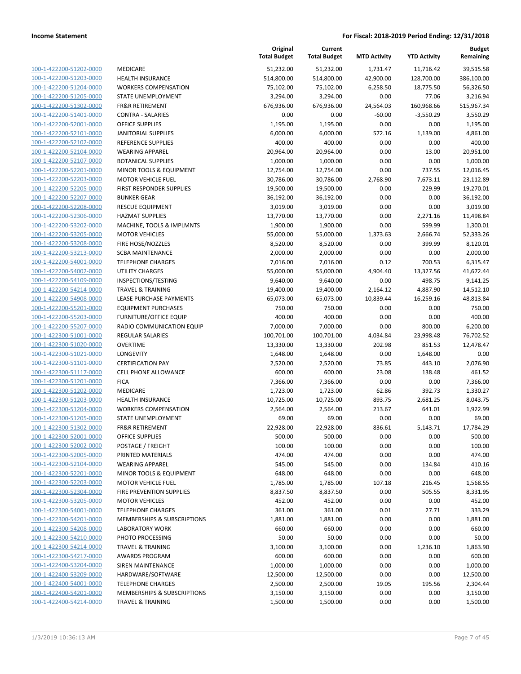|                                                    |                                                     | Original<br><b>Total Budget</b> | Current<br><b>Total Budget</b> | <b>MTD Activity</b> | <b>YTD Activity</b> | Budget<br>Remaining |
|----------------------------------------------------|-----------------------------------------------------|---------------------------------|--------------------------------|---------------------|---------------------|---------------------|
| 100-1-422200-51202-0000                            | MEDICARE                                            | 51,232.00                       | 51,232.00                      | 1.731.47            | 11,716.42           | 39,515.58           |
| 100-1-422200-51203-0000                            | <b>HEALTH INSURANCE</b>                             | 514,800.00                      | 514,800.00                     | 42,900.00           | 128,700.00          | 386,100.00          |
| 100-1-422200-51204-0000                            | <b>WORKERS COMPENSATION</b>                         | 75,102.00                       | 75,102.00                      | 6,258.50            | 18,775.50           | 56,326.50           |
| 100-1-422200-51205-0000                            | STATE UNEMPLOYMENT                                  | 3,294.00                        | 3,294.00                       | 0.00                | 77.06               | 3,216.94            |
| 100-1-422200-51302-0000                            | <b>FR&amp;R RETIREMENT</b>                          | 676,936.00                      | 676,936.00                     | 24,564.03           | 160,968.66          | 515,967.34          |
| 100-1-422200-51401-0000                            | <b>CONTRA - SALARIES</b>                            | 0.00                            | 0.00                           | $-60.00$            | $-3,550.29$         | 3,550.29            |
| 100-1-422200-52001-0000                            | <b>OFFICE SUPPLIES</b>                              | 1,195.00                        | 1,195.00                       | 0.00                | 0.00                | 1,195.00            |
| 100-1-422200-52101-0000                            | <b>JANITORIAL SUPPLIES</b>                          | 6,000.00                        | 6,000.00                       | 572.16              | 1,139.00            | 4,861.00            |
| 100-1-422200-52102-0000                            | <b>REFERENCE SUPPLIES</b>                           | 400.00                          | 400.00                         | 0.00                | 0.00                | 400.00              |
| 100-1-422200-52104-0000                            | <b>WEARING APPAREL</b>                              | 20,964.00                       | 20,964.00                      | 0.00                | 13.00               | 20,951.00           |
| 100-1-422200-52107-0000                            | <b>BOTANICAL SUPPLIES</b>                           | 1,000.00                        | 1,000.00                       | 0.00                | 0.00                | 1,000.00            |
| 100-1-422200-52201-0000                            | MINOR TOOLS & EQUIPMENT                             | 12,754.00                       | 12,754.00                      | 0.00                | 737.55              | 12,016.45           |
| 100-1-422200-52203-0000                            | <b>MOTOR VEHICLE FUEL</b>                           | 30,786.00                       | 30,786.00                      | 2,768.90            | 7,673.11            | 23,112.89           |
| 100-1-422200-52205-0000                            | FIRST RESPONDER SUPPLIES                            | 19,500.00                       | 19,500.00                      | 0.00                | 229.99              | 19,270.01           |
| 100-1-422200-52207-0000                            | <b>BUNKER GEAR</b>                                  | 36,192.00                       | 36,192.00                      | 0.00                | 0.00                | 36,192.00           |
| 100-1-422200-52208-0000                            | <b>RESCUE EQUIPMENT</b>                             | 3,019.00                        | 3,019.00                       | 0.00                | 0.00                | 3,019.00            |
| 100-1-422200-52306-0000                            | <b>HAZMAT SUPPLIES</b>                              | 13,770.00                       | 13,770.00                      | 0.00                | 2,271.16            | 11,498.84           |
| 100-1-422200-53202-0000                            | MACHINE, TOOLS & IMPLMNTS                           | 1,900.00                        | 1,900.00                       | 0.00                | 599.99              | 1,300.01            |
| 100-1-422200-53205-0000                            | <b>MOTOR VEHICLES</b>                               | 55,000.00                       | 55,000.00                      | 1,373.63            | 2,666.74            | 52,333.26           |
| 100-1-422200-53208-0000                            | FIRE HOSE/NOZZLES                                   | 8,520.00                        | 8,520.00                       | 0.00                | 399.99              | 8,120.01            |
| 100-1-422200-53213-0000                            | <b>SCBA MAINTENANCE</b>                             | 2,000.00                        | 2,000.00                       | 0.00                | 0.00                | 2,000.00            |
| 100-1-422200-54001-0000                            | <b>TELEPHONE CHARGES</b>                            | 7,016.00                        | 7,016.00                       | 0.12                | 700.53              | 6,315.47            |
| 100-1-422200-54002-0000                            | <b>UTILITY CHARGES</b>                              | 55,000.00                       | 55,000.00                      | 4,904.40            | 13,327.56           | 41,672.44           |
| 100-1-422200-54109-0000                            | INSPECTIONS/TESTING<br><b>TRAVEL &amp; TRAINING</b> | 9,640.00                        | 9,640.00                       | 0.00                | 498.75              | 9,141.25            |
| 100-1-422200-54214-0000<br>100-1-422200-54908-0000 | LEASE PURCHASE PAYMENTS                             | 19,400.00                       | 19,400.00                      | 2,164.12            | 4,887.90            | 14,512.10           |
| 100-1-422200-55201-0000                            | <b>EQUIPMENT PURCHASES</b>                          | 65,073.00<br>750.00             | 65,073.00<br>750.00            | 10,839.44<br>0.00   | 16,259.16<br>0.00   | 48,813.84<br>750.00 |
| 100-1-422200-55203-0000                            | <b>FURNITURE/OFFICE EQUIP</b>                       | 400.00                          | 400.00                         | 0.00                | 0.00                | 400.00              |
| 100-1-422200-55207-0000                            | RADIO COMMUNICATION EQUIP                           | 7,000.00                        | 7,000.00                       | 0.00                | 800.00              | 6,200.00            |
| 100-1-422300-51001-0000                            | <b>REGULAR SALARIES</b>                             | 100,701.00                      | 100,701.00                     | 4,034.84            | 23,998.48           | 76,702.52           |
| 100-1-422300-51020-0000                            | <b>OVERTIME</b>                                     | 13,330.00                       | 13,330.00                      | 202.98              | 851.53              | 12,478.47           |
| 100-1-422300-51021-0000                            | <b>LONGEVITY</b>                                    | 1,648.00                        | 1,648.00                       | 0.00                | 1,648.00            | 0.00                |
| 100-1-422300-51101-0000                            | <b>CERTIFICATION PAY</b>                            | 2,520.00                        | 2,520.00                       | 73.85               | 443.10              | 2,076.90            |
| 100-1-422300-51117-0000                            | <b>CELL PHONE ALLOWANCE</b>                         | 600.00                          | 600.00                         | 23.08               | 138.48              | 461.52              |
| 100-1-422300-51201-0000                            | <b>FICA</b>                                         | 7,366.00                        | 7,366.00                       | 0.00                | 0.00                | 7,366.00            |
| 100-1-422300-51202-0000                            | <b>MEDICARE</b>                                     | 1,723.00                        | 1,723.00                       | 62.86               | 392.73              | 1,330.27            |
| 100-1-422300-51203-0000                            | <b>HEALTH INSURANCE</b>                             | 10,725.00                       | 10,725.00                      | 893.75              | 2,681.25            | 8,043.75            |
| 100-1-422300-51204-0000                            | <b>WORKERS COMPENSATION</b>                         | 2,564.00                        | 2,564.00                       | 213.67              | 641.01              | 1,922.99            |
| 100-1-422300-51205-0000                            | STATE UNEMPLOYMENT                                  | 69.00                           | 69.00                          | 0.00                | 0.00                | 69.00               |
| 100-1-422300-51302-0000                            | <b>FR&amp;R RETIREMENT</b>                          | 22,928.00                       | 22,928.00                      | 836.61              | 5,143.71            | 17,784.29           |
| 100-1-422300-52001-0000                            | OFFICE SUPPLIES                                     | 500.00                          | 500.00                         | 0.00                | 0.00                | 500.00              |
| 100-1-422300-52002-0000                            | POSTAGE / FREIGHT                                   | 100.00                          | 100.00                         | 0.00                | 0.00                | 100.00              |
| 100-1-422300-52005-0000                            | PRINTED MATERIALS                                   | 474.00                          | 474.00                         | 0.00                | 0.00                | 474.00              |
| 100-1-422300-52104-0000                            | <b>WEARING APPAREL</b>                              | 545.00                          | 545.00                         | 0.00                | 134.84              | 410.16              |
| 100-1-422300-52201-0000                            | MINOR TOOLS & EQUIPMENT                             | 648.00                          | 648.00                         | 0.00                | 0.00                | 648.00              |
| 100-1-422300-52203-0000                            | <b>MOTOR VEHICLE FUEL</b>                           | 1,785.00                        | 1,785.00                       | 107.18              | 216.45              | 1,568.55            |
| 100-1-422300-52304-0000                            | <b>FIRE PREVENTION SUPPLIES</b>                     | 8,837.50                        | 8,837.50                       | 0.00                | 505.55              | 8,331.95            |
| 100-1-422300-53205-0000                            | <b>MOTOR VEHICLES</b>                               | 452.00                          | 452.00                         | 0.00                | 0.00                | 452.00              |
| 100-1-422300-54001-0000                            | <b>TELEPHONE CHARGES</b>                            | 361.00                          | 361.00                         | 0.01                | 27.71               | 333.29              |
| 100-1-422300-54201-0000                            | MEMBERSHIPS & SUBSCRIPTIONS                         | 1,881.00                        | 1,881.00                       | 0.00                | 0.00                | 1,881.00            |
| 100-1-422300-54208-0000                            | <b>LABORATORY WORK</b>                              | 660.00                          | 660.00                         | 0.00                | 0.00                | 660.00              |
| 100-1-422300-54210-0000                            | PHOTO PROCESSING                                    | 50.00                           | 50.00                          | 0.00                | 0.00                | 50.00               |
| 100-1-422300-54214-0000                            | <b>TRAVEL &amp; TRAINING</b>                        | 3,100.00                        | 3,100.00                       | 0.00                | 1,236.10            | 1,863.90            |
| 100-1-422300-54217-0000                            | <b>AWARDS PROGRAM</b>                               | 600.00                          | 600.00                         | 0.00                | 0.00                | 600.00              |
| 100-1-422400-53204-0000                            | SIREN MAINTENANCE                                   | 1,000.00                        | 1,000.00                       | 0.00                | 0.00                | 1,000.00            |
| 100-1-422400-53209-0000                            | HARDWARE/SOFTWARE                                   | 12,500.00                       | 12,500.00                      | 0.00                | 0.00                | 12,500.00           |
| 100-1-422400-54001-0000                            | <b>TELEPHONE CHARGES</b>                            | 2,500.00                        | 2,500.00                       | 19.05               | 195.56              | 2,304.44            |
| 100-1-422400-54201-0000                            | MEMBERSHIPS & SUBSCRIPTIONS                         | 3,150.00                        | 3,150.00                       | 0.00                | 0.00                | 3,150.00            |
| 100-1-422400-54214-0000                            | <b>TRAVEL &amp; TRAINING</b>                        | 1,500.00                        | 1,500.00                       | 0.00                | 0.00                | 1,500.00            |
|                                                    |                                                     |                                 |                                |                     |                     |                     |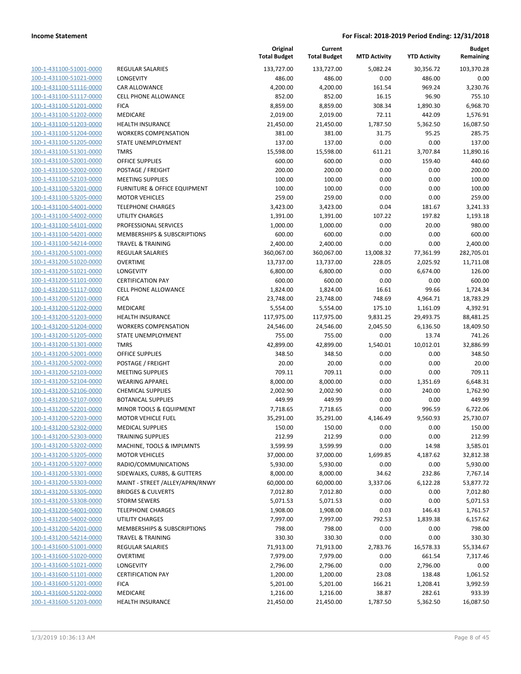| 100-1-431100-51001-0000                                   |
|-----------------------------------------------------------|
| 100-1-431100-51021-0000                                   |
| 100-1-431100-51116-0000                                   |
| 100-1-431100-51117-0000                                   |
| 100-1-431100-51201-0000                                   |
| 100-1-431100-51202-0000                                   |
| 100-1-431100-51203-0000                                   |
| 100-1-431100-51204-0000                                   |
| <u>100-1-431100-51205-0000</u>                            |
| 100-1-431100-51301-0000                                   |
| 100-1-431100-52001-0000                                   |
| 100-1-431100-52002-0000                                   |
| 100-1-431100-52103-0000                                   |
| 100-1-431100-53201-0000                                   |
| 100-1-431100-53205-0000                                   |
| 100-1-431100-54001-0000                                   |
| 100-1-431100-54002-0000                                   |
| 100-1-431100-54101-0000                                   |
| 100-1-431100-54201-0000<br>100-1-431100-54214-0000        |
| 100-1-431200-51001-0000                                   |
| 100-1-431200-51020-0000                                   |
| 100-1-431200-51021-0000                                   |
|                                                           |
| <u>100-1-431200-51101-0000</u><br>100-1-431200-51117-0000 |
| 100-1-431200-51201-0000                                   |
| 100-1-431200-51202-0000                                   |
| 100-1-431200-51203-0000                                   |
| <u>100-1-431200-51204-0000</u>                            |
| 100-1-431200-51205-0000                                   |
| 100-1-431200-51301-0000                                   |
| 100-1-431200-52001-0000                                   |
| 100-1-431200-52002-0000                                   |
| <u>100-1-431200-52103-0000</u>                            |
| 100-1-431200-52104-0000                                   |
| 100-1-431200-52106-0000                                   |
| 100-1-431200-52107-0000                                   |
| 100-1-431200-52201-0000                                   |
| <u>100-1-431200-52203-0000</u>                            |
| 100-1-431200-52302-0000                                   |
| 100-1-431200-52303-0000                                   |
| <u>100-1-431200-53202-0000</u>                            |
| 100-1-431200-53205-0000                                   |
| 100-1-431200-53207-0000                                   |
| <u>100-1-431200-53301-0000</u>                            |
| <u>100-1-431200-53303-0000</u>                            |
| 100-1-431200-53305-0000                                   |
| 100-1-431200-53308-0000                                   |
| 100-1-431200-54001-0000                                   |
| <u>100-1-431200-54002-0000</u>                            |
| 100-1-431200-54201-0000                                   |
| 100-1-431200-54214-0000                                   |
| 100-1-431600-51001-0000                                   |
| 100-1-431600-51020-0000                                   |
| <u>100-1-431600-51021-0000</u>                            |
| <u>100-1-431600-51101-0000</u>                            |
| <u>100-1-431600-51201-0000</u>                            |
| 100-1-431600-51202-0000                                   |
| <u>100-1-431600-51203-0000</u>                            |
|                                                           |

|                                                    |                                                         | Original<br><b>Total Budget</b> | Current<br><b>Total Budget</b> | <b>MTD Activity</b> | <b>YTD Activity</b>   | <b>Budget</b><br>Remaining |
|----------------------------------------------------|---------------------------------------------------------|---------------------------------|--------------------------------|---------------------|-----------------------|----------------------------|
| 100-1-431100-51001-0000                            | <b>REGULAR SALARIES</b>                                 | 133,727.00                      | 133,727.00                     | 5,082.24            | 30,356.72             | 103,370.28                 |
| 100-1-431100-51021-0000                            | LONGEVITY                                               | 486.00                          | 486.00                         | 0.00                | 486.00                | 0.00                       |
| 100-1-431100-51116-0000                            | <b>CAR ALLOWANCE</b>                                    | 4,200.00                        | 4,200.00                       | 161.54              | 969.24                | 3,230.76                   |
| 100-1-431100-51117-0000                            | <b>CELL PHONE ALLOWANCE</b>                             | 852.00                          | 852.00                         | 16.15               | 96.90                 | 755.10                     |
| 100-1-431100-51201-0000                            | <b>FICA</b>                                             | 8,859.00                        | 8,859.00                       | 308.34              | 1,890.30              | 6,968.70                   |
| 100-1-431100-51202-0000                            | MEDICARE                                                | 2,019.00                        | 2,019.00                       | 72.11               | 442.09                | 1,576.91                   |
| 100-1-431100-51203-0000                            | <b>HEALTH INSURANCE</b>                                 | 21,450.00                       | 21,450.00                      | 1,787.50            | 5,362.50              | 16,087.50                  |
| 100-1-431100-51204-0000                            | <b>WORKERS COMPENSATION</b>                             | 381.00                          | 381.00                         | 31.75               | 95.25                 | 285.75                     |
| 100-1-431100-51205-0000                            | STATE UNEMPLOYMENT                                      | 137.00                          | 137.00                         | 0.00                | 0.00                  | 137.00                     |
| 100-1-431100-51301-0000                            | <b>TMRS</b>                                             | 15,598.00                       | 15,598.00                      | 611.21              | 3,707.84              | 11,890.16                  |
| 100-1-431100-52001-0000                            | <b>OFFICE SUPPLIES</b>                                  | 600.00                          | 600.00                         | 0.00                | 159.40                | 440.60                     |
| 100-1-431100-52002-0000                            | POSTAGE / FREIGHT                                       | 200.00                          | 200.00                         | 0.00                | 0.00                  | 200.00                     |
| 100-1-431100-52103-0000                            | <b>MEETING SUPPLIES</b>                                 | 100.00                          | 100.00                         | 0.00                | 0.00                  | 100.00                     |
| 100-1-431100-53201-0000                            | <b>FURNITURE &amp; OFFICE EQUIPMENT</b>                 | 100.00                          | 100.00                         | 0.00                | 0.00                  | 100.00                     |
| 100-1-431100-53205-0000                            | <b>MOTOR VEHICLES</b>                                   | 259.00                          | 259.00                         | 0.00                | 0.00                  | 259.00                     |
| 100-1-431100-54001-0000                            | <b>TELEPHONE CHARGES</b>                                | 3,423.00                        | 3,423.00                       | 0.04                | 181.67                | 3,241.33                   |
| 100-1-431100-54002-0000                            | <b>UTILITY CHARGES</b>                                  | 1,391.00                        | 1,391.00                       | 107.22              | 197.82                | 1,193.18                   |
| 100-1-431100-54101-0000                            | PROFESSIONAL SERVICES                                   | 1,000.00                        | 1,000.00                       | 0.00                | 20.00                 | 980.00                     |
| 100-1-431100-54201-0000                            | MEMBERSHIPS & SUBSCRIPTIONS                             | 600.00                          | 600.00                         | 0.00                | 0.00                  | 600.00                     |
| 100-1-431100-54214-0000                            | <b>TRAVEL &amp; TRAINING</b>                            | 2,400.00                        | 2,400.00                       | 0.00                | 0.00                  | 2,400.00                   |
| 100-1-431200-51001-0000                            | <b>REGULAR SALARIES</b>                                 | 360,067.00                      | 360,067.00                     | 13,008.32           | 77,361.99             | 282,705.01                 |
| 100-1-431200-51020-0000                            | <b>OVERTIME</b>                                         | 13,737.00                       | 13,737.00                      | 228.05              | 2,025.92              | 11,711.08                  |
| 100-1-431200-51021-0000                            | LONGEVITY                                               | 6,800.00                        | 6,800.00                       | 0.00                | 6,674.00              | 126.00                     |
| 100-1-431200-51101-0000<br>100-1-431200-51117-0000 | <b>CERTIFICATION PAY</b><br><b>CELL PHONE ALLOWANCE</b> | 600.00                          | 600.00                         | 0.00                | 0.00<br>99.66         | 600.00                     |
|                                                    | <b>FICA</b>                                             | 1,824.00                        | 1,824.00                       | 16.61               |                       | 1,724.34                   |
| 100-1-431200-51201-0000<br>100-1-431200-51202-0000 | <b>MEDICARE</b>                                         | 23,748.00                       | 23,748.00                      | 748.69              | 4,964.71              | 18,783.29                  |
| 100-1-431200-51203-0000                            | <b>HEALTH INSURANCE</b>                                 | 5,554.00<br>117,975.00          | 5,554.00<br>117,975.00         | 175.10<br>9,831.25  | 1,161.09<br>29,493.75 | 4,392.91<br>88,481.25      |
| 100-1-431200-51204-0000                            | <b>WORKERS COMPENSATION</b>                             | 24,546.00                       | 24,546.00                      | 2,045.50            | 6,136.50              | 18,409.50                  |
| 100-1-431200-51205-0000                            | STATE UNEMPLOYMENT                                      | 755.00                          | 755.00                         | 0.00                | 13.74                 | 741.26                     |
| 100-1-431200-51301-0000                            | <b>TMRS</b>                                             | 42,899.00                       | 42,899.00                      | 1,540.01            | 10,012.01             | 32,886.99                  |
| 100-1-431200-52001-0000                            | <b>OFFICE SUPPLIES</b>                                  | 348.50                          | 348.50                         | 0.00                | 0.00                  | 348.50                     |
| 100-1-431200-52002-0000                            | POSTAGE / FREIGHT                                       | 20.00                           | 20.00                          | 0.00                | 0.00                  | 20.00                      |
| 100-1-431200-52103-0000                            | <b>MEETING SUPPLIES</b>                                 | 709.11                          | 709.11                         | 0.00                | 0.00                  | 709.11                     |
| 100-1-431200-52104-0000                            | <b>WEARING APPAREL</b>                                  | 8,000.00                        | 8,000.00                       | 0.00                | 1,351.69              | 6,648.31                   |
| 100-1-431200-52106-0000                            | <b>CHEMICAL SUPPLIES</b>                                | 2,002.90                        | 2,002.90                       | 0.00                | 240.00                | 1,762.90                   |
| 100-1-431200-52107-0000                            | <b>BOTANICAL SUPPLIES</b>                               | 449.99                          | 449.99                         | 0.00                | 0.00                  | 449.99                     |
| 100-1-431200-52201-0000                            | <b>MINOR TOOLS &amp; EQUIPMENT</b>                      | 7,718.65                        | 7,718.65                       | 0.00                | 996.59                | 6,722.06                   |
| 100-1-431200-52203-0000                            | <b>MOTOR VEHICLE FUEL</b>                               | 35,291.00                       | 35,291.00                      | 4,146.49            | 9,560.93              | 25,730.07                  |
| 100-1-431200-52302-0000                            | <b>MEDICAL SUPPLIES</b>                                 | 150.00                          | 150.00                         | 0.00                | 0.00                  | 150.00                     |
| 100-1-431200-52303-0000                            | <b>TRAINING SUPPLIES</b>                                | 212.99                          | 212.99                         | 0.00                | 0.00                  | 212.99                     |
| 100-1-431200-53202-0000                            | MACHINE, TOOLS & IMPLMNTS                               | 3,599.99                        | 3,599.99                       | 0.00                | 14.98                 | 3,585.01                   |
| 100-1-431200-53205-0000                            | <b>MOTOR VEHICLES</b>                                   | 37,000.00                       | 37,000.00                      | 1,699.85            | 4,187.62              | 32,812.38                  |
| 100-1-431200-53207-0000                            | RADIO/COMMUNICATIONS                                    | 5,930.00                        | 5,930.00                       | 0.00                | 0.00                  | 5,930.00                   |
| 100-1-431200-53301-0000                            | SIDEWALKS, CURBS, & GUTTERS                             | 8,000.00                        | 8,000.00                       | 34.62               | 232.86                | 7,767.14                   |
| 100-1-431200-53303-0000                            | MAINT - STREET /ALLEY/APRN/RNWY                         | 60,000.00                       | 60,000.00                      | 3,337.06            | 6,122.28              | 53,877.72                  |
| 100-1-431200-53305-0000                            | <b>BRIDGES &amp; CULVERTS</b>                           | 7,012.80                        | 7,012.80                       | 0.00                | 0.00                  | 7,012.80                   |
| 100-1-431200-53308-0000                            | <b>STORM SEWERS</b>                                     | 5,071.53                        | 5,071.53                       | 0.00                | 0.00                  | 5,071.53                   |
| 100-1-431200-54001-0000                            | <b>TELEPHONE CHARGES</b>                                | 1,908.00                        | 1,908.00                       | 0.03                | 146.43                | 1,761.57                   |
| 100-1-431200-54002-0000                            | <b>UTILITY CHARGES</b>                                  | 7,997.00                        | 7,997.00                       | 792.53              | 1,839.38              | 6,157.62                   |
| 100-1-431200-54201-0000                            | MEMBERSHIPS & SUBSCRIPTIONS                             | 798.00                          | 798.00                         | 0.00                | 0.00                  | 798.00                     |
| 100-1-431200-54214-0000                            | <b>TRAVEL &amp; TRAINING</b>                            | 330.30                          | 330.30                         | 0.00                | 0.00                  | 330.30                     |
| 100-1-431600-51001-0000                            | REGULAR SALARIES                                        | 71,913.00                       | 71,913.00                      | 2,783.76            | 16,578.33             | 55,334.67                  |
| 100-1-431600-51020-0000                            | <b>OVERTIME</b>                                         | 7,979.00                        | 7,979.00                       | 0.00                | 661.54                | 7,317.46                   |
| 100-1-431600-51021-0000                            | LONGEVITY                                               | 2,796.00                        | 2,796.00                       | 0.00                | 2,796.00              | 0.00                       |
| 100-1-431600-51101-0000                            | <b>CERTIFICATION PAY</b>                                | 1,200.00                        | 1,200.00                       | 23.08               | 138.48                | 1,061.52                   |
| 100-1-431600-51201-0000                            | <b>FICA</b>                                             | 5,201.00                        | 5,201.00                       | 166.21              | 1,208.41              | 3,992.59                   |
| 100-1-431600-51202-0000                            | MEDICARE                                                | 1,216.00                        | 1,216.00                       | 38.87               | 282.61                | 933.39                     |
| 100-1-431600-51203-0000                            | <b>HEALTH INSURANCE</b>                                 | 21,450.00                       | 21,450.00                      | 1,787.50            | 5,362.50              | 16,087.50                  |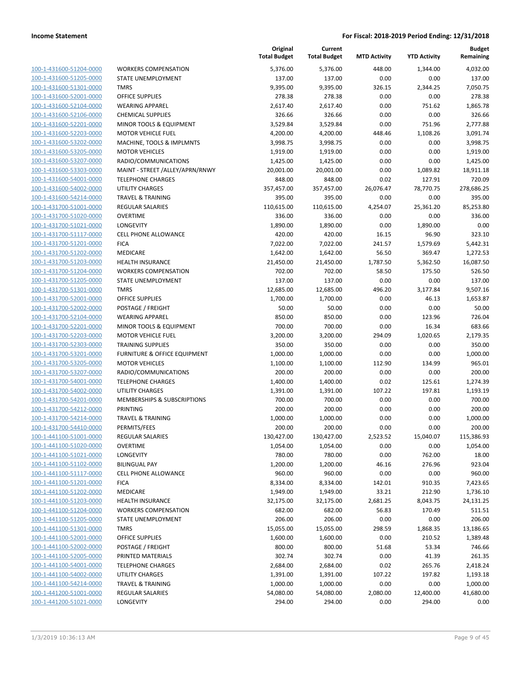| 100-1-431600-51204-0000        |
|--------------------------------|
| 100-1-431600-51205-0000        |
| 100-1-431600-51301-0000        |
| <u>100-1-431600-52001-0000</u> |
| 100-1-431600-52104-0000        |
| 100-1-431600-52106-0000        |
| 100-1-431600-52201-0000        |
| 100-1-431600-52203-0000        |
|                                |
| 100-1-431600-53202-0000        |
| 100-1-431600-53205-0000        |
| 100-1-431600-53207-0000        |
| 100-1-431600-53303-0000        |
| 100-1-431600-54001-0000        |
| 100-1-431600-54002-0000        |
| 100-1-431600-54214-0000        |
| 100-1-431700-51001-0000        |
| 100-1-431700-51020-0000        |
| 100-1-431700-51021-0000        |
| 100-1-431700-51117-0000        |
| 100-1-431700-51201-0000        |
| 100-1-431700-51202-0000        |
|                                |
| 100-1-431700-51203-0000        |
| 100-1-431700-51204-0000        |
| 100-1-431700-51205-0000        |
| 100-1-431700-51301-0000        |
| 100-1-431700-52001-0000        |
| 100-1-431700-52002-0000        |
| 100-1-431700-52104-0000        |
| 100-1-431700-52201-0000        |
| 100-1-431700-52203-0000        |
| 100-1-431700-52303-0000        |
| 100-1-431700-53201-0000        |
| 100-1-431700-53205-0000        |
| 100-1-431700-53207-0000        |
|                                |
| 100-1-431700-54001-0000        |
| 100-1-431700-54002-0000        |
| 100-1-431700-54201-0000        |
| 100-1-431700-54212-0000        |
| 100-1-431700-54214-0000        |
| 100-1-431700-54410-0000        |
| 100-1-441100-51001-0000        |
| <u>100-1-441100-51020-0000</u> |
| <u>100-1-441100-51021-0000</u> |
| <u>100-1-441100-51102-0000</u> |
| <u>100-1-441100-51117-0000</u> |
| <u>100-1-441100-51201-0000</u> |
| 100-1-441100-51202-0000        |
|                                |
| <u>100-1-441100-51203-0000</u> |
| <u>100-1-441100-51204-0000</u> |
| <u>100-1-441100-51205-0000</u> |
| 100-1-441100-51301-0000        |
| 100-1-441100-52001-0000        |
| 100-1-441100-52002-0000        |
| <u>100-1-441100-52005-0000</u> |
| <u>100-1-441100-54001-0000</u> |
| <u>100-1-441100-54002-0000</u> |
| 100-1-441100-54214-0000        |
| <u>100-1-441200-51001-0000</u> |
| <u>100-1-441200-51021-0000</u> |
|                                |

|                         |                                 | Original<br><b>Total Budget</b> | Current<br><b>Total Budget</b> | <b>MTD Activity</b> | <b>YTD Activity</b> | <b>Budget</b><br>Remaining |
|-------------------------|---------------------------------|---------------------------------|--------------------------------|---------------------|---------------------|----------------------------|
| 100-1-431600-51204-0000 | <b>WORKERS COMPENSATION</b>     | 5,376.00                        | 5,376.00                       | 448.00              | 1,344.00            | 4,032.00                   |
| 100-1-431600-51205-0000 | STATE UNEMPLOYMENT              | 137.00                          | 137.00                         | 0.00                | 0.00                | 137.00                     |
| 100-1-431600-51301-0000 | <b>TMRS</b>                     | 9,395.00                        | 9,395.00                       | 326.15              | 2,344.25            | 7,050.75                   |
| 100-1-431600-52001-0000 | <b>OFFICE SUPPLIES</b>          | 278.38                          | 278.38                         | 0.00                | 0.00                | 278.38                     |
| 100-1-431600-52104-0000 | <b>WEARING APPAREL</b>          | 2,617.40                        | 2,617.40                       | 0.00                | 751.62              | 1,865.78                   |
| 100-1-431600-52106-0000 | <b>CHEMICAL SUPPLIES</b>        | 326.66                          | 326.66                         | 0.00                | 0.00                | 326.66                     |
| 100-1-431600-52201-0000 | MINOR TOOLS & EQUIPMENT         | 3,529.84                        | 3,529.84                       | 0.00                | 751.96              | 2,777.88                   |
| 100-1-431600-52203-0000 | <b>MOTOR VEHICLE FUEL</b>       | 4,200.00                        | 4,200.00                       | 448.46              | 1,108.26            | 3,091.74                   |
| 100-1-431600-53202-0000 | MACHINE, TOOLS & IMPLMNTS       | 3,998.75                        | 3,998.75                       | 0.00                | 0.00                | 3,998.75                   |
| 100-1-431600-53205-0000 | <b>MOTOR VEHICLES</b>           | 1,919.00                        | 1,919.00                       | 0.00                | 0.00                | 1,919.00                   |
| 100-1-431600-53207-0000 | RADIO/COMMUNICATIONS            | 1,425.00                        | 1,425.00                       | 0.00                | 0.00                | 1,425.00                   |
| 100-1-431600-53303-0000 | MAINT - STREET /ALLEY/APRN/RNWY | 20,001.00                       | 20,001.00                      | 0.00                | 1,089.82            | 18,911.18                  |
| 100-1-431600-54001-0000 | <b>TELEPHONE CHARGES</b>        | 848.00                          | 848.00                         | 0.02                | 127.91              | 720.09                     |
| 100-1-431600-54002-0000 | <b>UTILITY CHARGES</b>          | 357,457.00                      | 357,457.00                     | 26,076.47           | 78,770.75           | 278,686.25                 |
| 100-1-431600-54214-0000 | TRAVEL & TRAINING               | 395.00                          | 395.00                         | 0.00                | 0.00                | 395.00                     |
| 100-1-431700-51001-0000 | REGULAR SALARIES                | 110,615.00                      | 110,615.00                     | 4,254.07            | 25,361.20           | 85,253.80                  |
| 100-1-431700-51020-0000 | <b>OVERTIME</b>                 | 336.00                          | 336.00                         | 0.00                | 0.00                | 336.00                     |
| 100-1-431700-51021-0000 | LONGEVITY                       | 1,890.00                        | 1,890.00                       | 0.00                | 1,890.00            | 0.00                       |
| 100-1-431700-51117-0000 | <b>CELL PHONE ALLOWANCE</b>     | 420.00                          | 420.00                         | 16.15               | 96.90               | 323.10                     |
| 100-1-431700-51201-0000 | <b>FICA</b>                     | 7,022.00                        | 7,022.00                       | 241.57              | 1,579.69            | 5,442.31                   |
| 100-1-431700-51202-0000 | <b>MEDICARE</b>                 | 1,642.00                        | 1,642.00                       | 56.50               | 369.47              | 1,272.53                   |
| 100-1-431700-51203-0000 | HEALTH INSURANCE                | 21,450.00                       | 21,450.00                      | 1,787.50            | 5,362.50            | 16,087.50                  |
| 100-1-431700-51204-0000 | <b>WORKERS COMPENSATION</b>     | 702.00                          | 702.00                         | 58.50               | 175.50              | 526.50                     |
| 100-1-431700-51205-0000 | STATE UNEMPLOYMENT              | 137.00                          | 137.00                         | 0.00                | 0.00                | 137.00                     |
| 100-1-431700-51301-0000 | <b>TMRS</b>                     | 12,685.00                       | 12,685.00                      | 496.20              | 3,177.84            | 9,507.16                   |
| 100-1-431700-52001-0000 | OFFICE SUPPLIES                 | 1,700.00                        | 1,700.00                       | 0.00                | 46.13               | 1,653.87                   |
| 100-1-431700-52002-0000 | POSTAGE / FREIGHT               | 50.00                           | 50.00                          | 0.00                | 0.00                | 50.00                      |
| 100-1-431700-52104-0000 | <b>WEARING APPAREL</b>          | 850.00                          | 850.00                         | 0.00                | 123.96              | 726.04                     |
| 100-1-431700-52201-0000 | MINOR TOOLS & EQUIPMENT         | 700.00                          | 700.00                         | 0.00                | 16.34               | 683.66                     |
| 100-1-431700-52203-0000 | <b>MOTOR VEHICLE FUEL</b>       | 3,200.00                        | 3,200.00                       | 294.09              | 1,020.65            | 2,179.35                   |
| 100-1-431700-52303-0000 | <b>TRAINING SUPPLIES</b>        | 350.00                          | 350.00                         | 0.00                | 0.00                | 350.00                     |
| 100-1-431700-53201-0000 | FURNITURE & OFFICE EQUIPMENT    | 1,000.00                        | 1,000.00                       | 0.00                | 0.00                | 1,000.00                   |
| 100-1-431700-53205-0000 | <b>MOTOR VEHICLES</b>           | 1,100.00                        | 1,100.00                       | 112.90              | 134.99              | 965.01                     |
| 100-1-431700-53207-0000 | RADIO/COMMUNICATIONS            | 200.00                          | 200.00                         | 0.00                | 0.00                | 200.00                     |
| 100-1-431700-54001-0000 | <b>TELEPHONE CHARGES</b>        | 1,400.00                        | 1,400.00                       | 0.02                | 125.61              | 1,274.39                   |
| 100-1-431700-54002-0000 | <b>UTILITY CHARGES</b>          | 1,391.00                        | 1,391.00                       | 107.22              | 197.81              | 1,193.19                   |
| 100-1-431700-54201-0000 | MEMBERSHIPS & SUBSCRIPTIONS     | 700.00                          | 700.00                         | 0.00                | 0.00                | 700.00                     |
| 100-1-431700-54212-0000 | <b>PRINTING</b>                 | 200.00                          | 200.00                         | 0.00                | 0.00                | 200.00                     |
| 100-1-431700-54214-0000 | <b>TRAVEL &amp; TRAINING</b>    | 1,000.00                        | 1,000.00                       | 0.00                | 0.00                | 1,000.00                   |
| 100-1-431700-54410-0000 | PERMITS/FEES                    | 200.00                          | 200.00                         | 0.00                | 0.00                | 200.00                     |
| 100-1-441100-51001-0000 | <b>REGULAR SALARIES</b>         | 130,427.00                      | 130,427.00                     | 2,523.52            | 15,040.07           | 115,386.93                 |
| 100-1-441100-51020-0000 | OVERTIME                        | 1,054.00                        | 1,054.00                       | 0.00                | 0.00                | 1,054.00                   |
| 100-1-441100-51021-0000 | LONGEVITY                       | 780.00                          | 780.00                         | 0.00                | 762.00              | 18.00                      |
| 100-1-441100-51102-0000 | <b>BILINGUAL PAY</b>            | 1,200.00                        | 1,200.00                       | 46.16               | 276.96              | 923.04                     |
| 100-1-441100-51117-0000 | <b>CELL PHONE ALLOWANCE</b>     | 960.00                          | 960.00                         | 0.00                | 0.00                | 960.00                     |
| 100-1-441100-51201-0000 | <b>FICA</b>                     | 8,334.00                        | 8,334.00                       | 142.01              | 910.35              | 7,423.65                   |
| 100-1-441100-51202-0000 | MEDICARE                        | 1,949.00                        | 1,949.00                       | 33.21               | 212.90              | 1,736.10                   |
| 100-1-441100-51203-0000 | <b>HEALTH INSURANCE</b>         | 32,175.00                       | 32,175.00                      | 2,681.25            | 8,043.75            | 24,131.25                  |
| 100-1-441100-51204-0000 | <b>WORKERS COMPENSATION</b>     | 682.00                          | 682.00                         | 56.83               | 170.49              | 511.51                     |
| 100-1-441100-51205-0000 | STATE UNEMPLOYMENT              | 206.00                          | 206.00                         | 0.00                | 0.00                | 206.00                     |
| 100-1-441100-51301-0000 | <b>TMRS</b>                     | 15,055.00                       | 15,055.00                      | 298.59              | 1,868.35            | 13,186.65                  |
| 100-1-441100-52001-0000 | OFFICE SUPPLIES                 | 1,600.00                        | 1,600.00                       | 0.00                | 210.52              | 1,389.48                   |
| 100-1-441100-52002-0000 | POSTAGE / FREIGHT               | 800.00                          | 800.00                         | 51.68               | 53.34               | 746.66                     |
| 100-1-441100-52005-0000 | PRINTED MATERIALS               | 302.74                          | 302.74                         | 0.00                | 41.39               | 261.35                     |
| 100-1-441100-54001-0000 | <b>TELEPHONE CHARGES</b>        | 2,684.00                        | 2,684.00                       | 0.02                | 265.76              | 2,418.24                   |
| 100-1-441100-54002-0000 | UTILITY CHARGES                 | 1,391.00                        | 1,391.00                       | 107.22              | 197.82              | 1,193.18                   |
| 100-1-441100-54214-0000 | <b>TRAVEL &amp; TRAINING</b>    | 1,000.00                        | 1,000.00                       | 0.00                | 0.00                | 1,000.00                   |
| 100-1-441200-51001-0000 | <b>REGULAR SALARIES</b>         | 54,080.00                       | 54,080.00                      | 2,080.00            | 12,400.00           | 41,680.00                  |
| 100-1-441200-51021-0000 | LONGEVITY                       | 294.00                          | 294.00                         | 0.00                | 294.00              | 0.00                       |
|                         |                                 |                                 |                                |                     |                     |                            |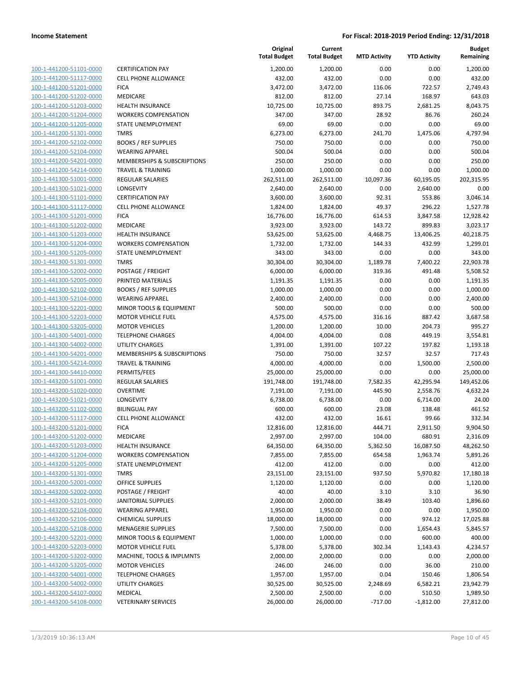| 100-1-441200-51101-0000         |
|---------------------------------|
| 100-1-441200-51117-0000         |
| 100-1-441200-51201-0000         |
| <u>100-1-441200-51202-0000</u>  |
| 100-1-441200-51203-0000         |
| -441200-51204-0000<br>$100 - 1$ |
| 100-1-441200-51205-0000         |
| 100-1-441200-51301-0000         |
| 100-1-441200-52102-0000         |
| 100-1-441200-52104-0000         |
| -441200-54201-0000<br>$100 - 1$ |
| 100-1-441200-54214-0000         |
| 100-1-441300-51001-0000         |
| <u>100-1-441300-51021-0000</u>  |
| 100-1-441300-51101-0000         |
| -441300-51117-0000<br>$100 - 1$ |
| 100-1-441300-51201-0000         |
| 100-1-441300-51202-0000         |
| 100-1-441300-51203-0000         |
| 100-1-441300-51204-0000         |
| -441300-51205-0000<br>$100 - 1$ |
| 100-1-441300-51301-0000         |
| 100-1-441300-52002-0000         |
| 100-1-441300-52005-0000         |
| 100-1-441300-52102-0000         |
| -441300-52104-0000<br>$100 - 1$ |
| 100-1-441300-52201-0000         |
| 100-1-441300-52203-0000         |
| 100-1-441300-53205-0000         |
| 100-1-441300-54001-0000         |
| -441300-54002-0000<br>$100 - 1$ |
| 100-1-441300-54201-0000         |
| 100-1-441300-54214-0000         |
| 100-1-441300-54410-0000         |
| 100-1-443200-51001-0000         |
| -443200-51020-0000<br>$100 - 1$ |
| 100-1-443200-51021-0000         |
| 100-1-443200-51102-0000         |
| 100-1-443200-51117-0000         |
| 100-1-443200-51201-0000         |
| -443200-51202-0000<br>$100 - 1$ |
| <u>100-1-443200-51203-0000</u>  |
| 100-1-443200-51204-0000         |
| <u>100-1-443200-51205-0000</u>  |
| 100-1-443200-51301-0000         |
| 100-1-443200-52001-0000         |
| 100-1-443200-52002-0000         |
| 100-1-443200-52101-0000         |
| <u>100-1-443200-52104-0000</u>  |
| 100-1-443200-52106-0000         |
| 100-1-443200-52108-0000         |
| 100-1-443200-52201-0000         |
| 100-1-443200-52203-0000         |
| <u>100-1-443200-53202-0000</u>  |
| 100-1-443200-53205-0000         |
| 100-1-443200-54001-0000         |
| 100-1-443200-54002-0000         |
| 100-1-443200-54107-0000         |
| <u>100-1-443200-54108-0000</u>  |
|                                 |

|                         |                              | Original<br><b>Total Budget</b> | Current<br><b>Total Budget</b> | <b>MTD Activity</b> | <b>YTD Activity</b> | <b>Budget</b><br>Remaining |
|-------------------------|------------------------------|---------------------------------|--------------------------------|---------------------|---------------------|----------------------------|
| 100-1-441200-51101-0000 | <b>CERTIFICATION PAY</b>     | 1,200.00                        | 1,200.00                       | 0.00                | 0.00                | 1,200.00                   |
| 100-1-441200-51117-0000 | <b>CELL PHONE ALLOWANCE</b>  | 432.00                          | 432.00                         | 0.00                | 0.00                | 432.00                     |
| 100-1-441200-51201-0000 | <b>FICA</b>                  | 3,472.00                        | 3,472.00                       | 116.06              | 722.57              | 2,749.43                   |
| 100-1-441200-51202-0000 | MEDICARE                     | 812.00                          | 812.00                         | 27.14               | 168.97              | 643.03                     |
| 100-1-441200-51203-0000 | <b>HEALTH INSURANCE</b>      | 10,725.00                       | 10,725.00                      | 893.75              | 2,681.25            | 8,043.75                   |
| 100-1-441200-51204-0000 | <b>WORKERS COMPENSATION</b>  | 347.00                          | 347.00                         | 28.92               | 86.76               | 260.24                     |
| 100-1-441200-51205-0000 | STATE UNEMPLOYMENT           | 69.00                           | 69.00                          | 0.00                | 0.00                | 69.00                      |
| 100-1-441200-51301-0000 | <b>TMRS</b>                  | 6,273.00                        | 6,273.00                       | 241.70              | 1,475.06            | 4,797.94                   |
| 100-1-441200-52102-0000 | <b>BOOKS / REF SUPPLIES</b>  | 750.00                          | 750.00                         | 0.00                | 0.00                | 750.00                     |
| 100-1-441200-52104-0000 | <b>WEARING APPAREL</b>       | 500.04                          | 500.04                         | 0.00                | 0.00                | 500.04                     |
| 100-1-441200-54201-0000 | MEMBERSHIPS & SUBSCRIPTIONS  | 250.00                          | 250.00                         | 0.00                | 0.00                | 250.00                     |
| 100-1-441200-54214-0000 | <b>TRAVEL &amp; TRAINING</b> | 1,000.00                        | 1,000.00                       | 0.00                | 0.00                | 1,000.00                   |
| 100-1-441300-51001-0000 | <b>REGULAR SALARIES</b>      | 262,511.00                      | 262,511.00                     | 10,097.36           | 60,195.05           | 202,315.95                 |
| 100-1-441300-51021-0000 | <b>LONGEVITY</b>             | 2,640.00                        | 2,640.00                       | 0.00                | 2,640.00            | 0.00                       |
| 100-1-441300-51101-0000 | <b>CERTIFICATION PAY</b>     | 3,600.00                        | 3,600.00                       | 92.31               | 553.86              | 3,046.14                   |
| 100-1-441300-51117-0000 | <b>CELL PHONE ALLOWANCE</b>  | 1,824.00                        | 1,824.00                       | 49.37               | 296.22              | 1,527.78                   |
| 100-1-441300-51201-0000 | <b>FICA</b>                  | 16,776.00                       | 16,776.00                      | 614.53              | 3,847.58            | 12,928.42                  |
| 100-1-441300-51202-0000 | MEDICARE                     | 3,923.00                        | 3,923.00                       | 143.72              | 899.83              | 3,023.17                   |
| 100-1-441300-51203-0000 | <b>HEALTH INSURANCE</b>      | 53,625.00                       | 53,625.00                      | 4,468.75            | 13,406.25           | 40,218.75                  |
| 100-1-441300-51204-0000 | <b>WORKERS COMPENSATION</b>  | 1,732.00                        | 1,732.00                       | 144.33              | 432.99              | 1,299.01                   |
| 100-1-441300-51205-0000 | STATE UNEMPLOYMENT           | 343.00                          | 343.00                         | 0.00                | 0.00                | 343.00                     |
| 100-1-441300-51301-0000 | <b>TMRS</b>                  | 30,304.00                       | 30,304.00                      | 1,189.78            | 7,400.22            | 22,903.78                  |
| 100-1-441300-52002-0000 | POSTAGE / FREIGHT            | 6,000.00                        | 6,000.00                       | 319.36              | 491.48              | 5,508.52                   |
| 100-1-441300-52005-0000 | PRINTED MATERIALS            | 1,191.35                        | 1,191.35                       | 0.00                | 0.00                | 1,191.35                   |
| 100-1-441300-52102-0000 | <b>BOOKS / REF SUPPLIES</b>  | 1,000.00                        | 1,000.00                       | 0.00                | 0.00                | 1,000.00                   |
| 100-1-441300-52104-0000 | <b>WEARING APPAREL</b>       | 2,400.00                        | 2,400.00                       | 0.00                | 0.00                | 2,400.00                   |
| 100-1-441300-52201-0000 | MINOR TOOLS & EQUIPMENT      | 500.00                          | 500.00                         | 0.00                | 0.00                | 500.00                     |
| 100-1-441300-52203-0000 | <b>MOTOR VEHICLE FUEL</b>    | 4,575.00                        | 4,575.00                       | 316.16              | 887.42              | 3,687.58                   |
| 100-1-441300-53205-0000 | <b>MOTOR VEHICLES</b>        | 1,200.00                        | 1,200.00                       | 10.00               | 204.73              | 995.27                     |
| 100-1-441300-54001-0000 | <b>TELEPHONE CHARGES</b>     | 4,004.00                        | 4,004.00                       | 0.08                | 449.19              | 3,554.81                   |
| 100-1-441300-54002-0000 | <b>UTILITY CHARGES</b>       | 1,391.00                        | 1,391.00                       | 107.22              | 197.82              | 1,193.18                   |
| 100-1-441300-54201-0000 | MEMBERSHIPS & SUBSCRIPTIONS  | 750.00                          | 750.00                         | 32.57               | 32.57               | 717.43                     |
| 100-1-441300-54214-0000 | <b>TRAVEL &amp; TRAINING</b> | 4,000.00                        | 4,000.00                       | 0.00                | 1,500.00            | 2,500.00                   |
| 100-1-441300-54410-0000 | PERMITS/FEES                 | 25,000.00                       | 25,000.00                      | 0.00                | 0.00                | 25,000.00                  |
| 100-1-443200-51001-0000 | <b>REGULAR SALARIES</b>      | 191,748.00                      | 191,748.00                     | 7,582.35            | 42,295.94           | 149,452.06                 |
| 100-1-443200-51020-0000 | <b>OVERTIME</b>              | 7,191.00                        | 7,191.00                       | 445.90              | 2,558.76            | 4,632.24                   |
| 100-1-443200-51021-0000 | LONGEVITY                    | 6,738.00                        | 6,738.00                       | 0.00                | 6,714.00            | 24.00                      |
| 100-1-443200-51102-0000 | <b>BILINGUAL PAY</b>         | 600.00                          | 600.00                         | 23.08               | 138.48              | 461.52                     |
| 100-1-443200-51117-0000 | <b>CELL PHONE ALLOWANCE</b>  | 432.00                          | 432.00                         | 16.61               | 99.66               | 332.34                     |
| 100-1-443200-51201-0000 | <b>FICA</b>                  | 12,816.00                       | 12,816.00                      | 444.71              | 2,911.50            | 9,904.50                   |
| 100-1-443200-51202-0000 | MEDICARE                     | 2,997.00                        | 2,997.00                       | 104.00              | 680.91              | 2,316.09                   |
| 100-1-443200-51203-0000 | HEALTH INSURANCE             | 64,350.00                       | 64,350.00                      | 5,362.50            | 16,087.50           | 48,262.50                  |
| 100-1-443200-51204-0000 | <b>WORKERS COMPENSATION</b>  | 7,855.00                        | 7,855.00                       | 654.58              | 1,963.74            | 5,891.26                   |
| 100-1-443200-51205-0000 | STATE UNEMPLOYMENT           | 412.00                          | 412.00                         | 0.00                | 0.00                | 412.00                     |
| 100-1-443200-51301-0000 | <b>TMRS</b>                  | 23,151.00                       | 23,151.00                      | 937.50              | 5,970.82            | 17,180.18                  |
| 100-1-443200-52001-0000 | <b>OFFICE SUPPLIES</b>       | 1,120.00                        | 1,120.00                       | 0.00                | 0.00                | 1,120.00                   |
| 100-1-443200-52002-0000 | POSTAGE / FREIGHT            | 40.00                           | 40.00                          | 3.10                | 3.10                | 36.90                      |
| 100-1-443200-52101-0000 | <b>JANITORIAL SUPPLIES</b>   | 2,000.00                        | 2,000.00                       | 38.49               | 103.40              | 1,896.60                   |
| 100-1-443200-52104-0000 | <b>WEARING APPAREL</b>       | 1,950.00                        | 1,950.00                       | 0.00                | 0.00                | 1,950.00                   |
| 100-1-443200-52106-0000 | <b>CHEMICAL SUPPLIES</b>     | 18,000.00                       | 18,000.00                      | 0.00                | 974.12              | 17,025.88                  |
| 100-1-443200-52108-0000 | <b>MENAGERIE SUPPLIES</b>    | 7,500.00                        | 7,500.00                       | 0.00                | 1,654.43            | 5,845.57                   |
| 100-1-443200-52201-0000 | MINOR TOOLS & EQUIPMENT      | 1,000.00                        | 1,000.00                       | 0.00                | 600.00              | 400.00                     |
| 100-1-443200-52203-0000 | <b>MOTOR VEHICLE FUEL</b>    | 5,378.00                        | 5,378.00                       | 302.34              | 1,143.43            | 4,234.57                   |
| 100-1-443200-53202-0000 | MACHINE, TOOLS & IMPLMNTS    | 2,000.00                        | 2,000.00                       | 0.00                | 0.00                | 2,000.00                   |
| 100-1-443200-53205-0000 | <b>MOTOR VEHICLES</b>        | 246.00                          | 246.00                         | 0.00                | 36.00               | 210.00                     |
| 100-1-443200-54001-0000 | <b>TELEPHONE CHARGES</b>     | 1,957.00                        | 1,957.00                       | 0.04                | 150.46              | 1,806.54                   |
| 100-1-443200-54002-0000 | UTILITY CHARGES              | 30,525.00                       | 30,525.00                      | 2,248.69            | 6,582.21            | 23,942.79                  |
| 100-1-443200-54107-0000 | MEDICAL                      | 2,500.00                        | 2,500.00                       | 0.00                | 510.50              | 1,989.50                   |
| 100-1-443200-54108-0000 | <b>VETERINARY SERVICES</b>   | 26,000.00                       | 26,000.00                      | $-717.00$           | $-1,812.00$         | 27,812.00                  |
|                         |                              |                                 |                                |                     |                     |                            |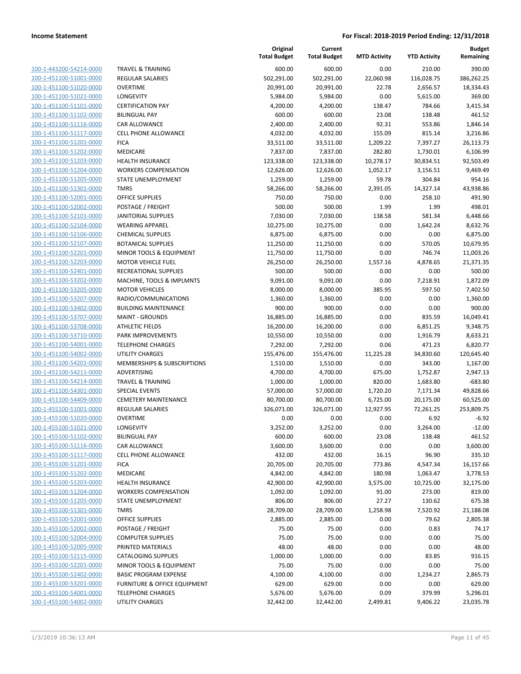| 100-1-443200-54214-0000        |
|--------------------------------|
| 100-1-451100-51001-0000        |
| 100-1-451100-51020-0000        |
| 100-1-451100-51021-0000        |
| 100-1-451100-51101-0000        |
| 100-1-451100-51102-0000        |
| 100-1-451100-51116-0000        |
| 100-1-451100-51117-0000        |
| 100-1-451100-51201-0000        |
| 100-1-451100-51202-0000        |
| 100-1-451100-51203-0000        |
| 100-1-451100-51204-0000        |
| 100-1-451100-51205-0000        |
| 100-1-451100-51301-0000        |
| 100-1-451100-52001-0000        |
|                                |
| 100-1-451100-52002-0000        |
| 100-1-451100-52101-0000        |
| 100-1-451100-52104-0000        |
| 100-1-451100-52106-0000        |
| 100-1-451100-52107-0000        |
| 100-1-451100-52201-0000        |
| 100-1-451100-52203-0000        |
| 100-1-451100-52401-0000        |
| 100-1-451100-53202-0000        |
| 100-1-451100-53205-0000        |
| 100-1-451100-53207-0000        |
| 100-1-451100-53402-0000        |
| 100-1-451100-53707-0000        |
| 100-1-451100-53708-0000        |
| 100-1-451100-53710-0000        |
| 100-1-451100-54001-0000        |
| 100-1-451100-54002-0000        |
| 100-1-451100-54201-0000        |
| 100-1-451100-54211-0000        |
| 100-1-451100-54214-0000        |
| 100-1-451100-54301-0000        |
| 100-1-451100-54409-0000        |
| 100-1-455100-51001-0000        |
|                                |
| 100-1-455100-51020-0000        |
| 100-1-455100-51021-0000        |
| 100-1-455100-51102-0000        |
| <u>100-1-455100-51116-0000</u> |
| <u>100-1-455100-51117-0000</u> |
| <u>100-1-455100-51201-0000</u> |
| <u>100-1-455100-51202-0000</u> |
| <u>100-1-455100-51203-0000</u> |
| 100-1-455100-51204-0000        |
| 100-1-455100-51205-0000        |
| <u>100-1-455100-51301-0000</u> |
| <u>100-1-455100-52001-0000</u> |
| 100-1-455100-52002-0000        |
| 100-1-455100-52004-0000        |
| 100-1-455100-52005-0000        |
| 100-1-455100-52115-0000        |
| <u>100-1-455100-52201-0000</u> |
| 100-1-455100-52402-0000        |
| 100-1-455100-53201-0000        |
| 100-1-455100-54001-0000        |
|                                |
| <u>100-1-455100-54002-0000</u> |

|                         |                              | Original<br><b>Total Budget</b> | Current<br><b>Total Budget</b> | <b>MTD Activity</b> | <b>YTD Activity</b> | <b>Budget</b><br>Remaining |
|-------------------------|------------------------------|---------------------------------|--------------------------------|---------------------|---------------------|----------------------------|
| 100-1-443200-54214-0000 | <b>TRAVEL &amp; TRAINING</b> | 600.00                          | 600.00                         | 0.00                | 210.00              | 390.00                     |
| 100-1-451100-51001-0000 | <b>REGULAR SALARIES</b>      | 502,291.00                      | 502,291.00                     | 22,060.98           | 116,028.75          | 386,262.25                 |
| 100-1-451100-51020-0000 | <b>OVERTIME</b>              | 20,991.00                       | 20,991.00                      | 22.78               | 2,656.57            | 18,334.43                  |
| 100-1-451100-51021-0000 | LONGEVITY                    | 5,984.00                        | 5,984.00                       | 0.00                | 5,615.00            | 369.00                     |
| 100-1-451100-51101-0000 | <b>CERTIFICATION PAY</b>     | 4,200.00                        | 4,200.00                       | 138.47              | 784.66              | 3,415.34                   |
| 100-1-451100-51102-0000 | <b>BILINGUAL PAY</b>         | 600.00                          | 600.00                         | 23.08               | 138.48              | 461.52                     |
| 100-1-451100-51116-0000 | CAR ALLOWANCE                | 2,400.00                        | 2,400.00                       | 92.31               | 553.86              | 1,846.14                   |
| 100-1-451100-51117-0000 | CELL PHONE ALLOWANCE         | 4,032.00                        | 4,032.00                       | 155.09              | 815.14              | 3,216.86                   |
| 100-1-451100-51201-0000 | <b>FICA</b>                  | 33,511.00                       | 33,511.00                      | 1,209.22            | 7,397.27            | 26,113.73                  |
| 100-1-451100-51202-0000 | MEDICARE                     | 7,837.00                        | 7,837.00                       | 282.80              | 1,730.01            | 6,106.99                   |
| 100-1-451100-51203-0000 | <b>HEALTH INSURANCE</b>      | 123,338.00                      | 123,338.00                     | 10,278.17           | 30,834.51           | 92,503.49                  |
| 100-1-451100-51204-0000 | <b>WORKERS COMPENSATION</b>  | 12,626.00                       | 12,626.00                      | 1,052.17            | 3,156.51            | 9,469.49                   |
| 100-1-451100-51205-0000 | STATE UNEMPLOYMENT           | 1,259.00                        | 1,259.00                       | 59.78               | 304.84              | 954.16                     |
| 100-1-451100-51301-0000 | <b>TMRS</b>                  | 58,266.00                       | 58,266.00                      | 2,391.05            | 14,327.14           | 43,938.86                  |
| 100-1-451100-52001-0000 | <b>OFFICE SUPPLIES</b>       | 750.00                          | 750.00                         | 0.00                | 258.10              | 491.90                     |
| 100-1-451100-52002-0000 | POSTAGE / FREIGHT            | 500.00                          | 500.00                         | 1.99                | 1.99                | 498.01                     |
| 100-1-451100-52101-0000 | <b>JANITORIAL SUPPLIES</b>   | 7,030.00                        | 7,030.00                       | 138.58              | 581.34              | 6,448.66                   |
| 100-1-451100-52104-0000 | <b>WEARING APPAREL</b>       | 10,275.00                       | 10,275.00                      | 0.00                | 1,642.24            | 8,632.76                   |
| 100-1-451100-52106-0000 | <b>CHEMICAL SUPPLIES</b>     | 6,875.00                        | 6,875.00                       | 0.00                | 0.00                | 6,875.00                   |
| 100-1-451100-52107-0000 | <b>BOTANICAL SUPPLIES</b>    | 11,250.00                       | 11,250.00                      | 0.00                | 570.05              | 10,679.95                  |
| 100-1-451100-52201-0000 | MINOR TOOLS & EQUIPMENT      | 11,750.00                       | 11,750.00                      | 0.00                | 746.74              | 11,003.26                  |
| 100-1-451100-52203-0000 | <b>MOTOR VEHICLE FUEL</b>    | 26,250.00                       | 26,250.00                      | 1,557.16            | 4,878.65            | 21,371.35                  |
| 100-1-451100-52401-0000 | RECREATIONAL SUPPLIES        | 500.00                          | 500.00                         | 0.00                | 0.00                | 500.00                     |
| 100-1-451100-53202-0000 | MACHINE, TOOLS & IMPLMNTS    | 9,091.00                        | 9,091.00                       | 0.00                | 7,218.91            | 1,872.09                   |
| 100-1-451100-53205-0000 | <b>MOTOR VEHICLES</b>        | 8,000.00                        | 8,000.00                       | 385.95              | 597.50              | 7,402.50                   |
| 100-1-451100-53207-0000 | RADIO/COMMUNICATIONS         | 1,360.00                        | 1,360.00                       | 0.00                | 0.00                | 1,360.00                   |
| 100-1-451100-53402-0000 | <b>BUILDING MAINTENANCE</b>  | 900.00                          | 900.00                         | 0.00                | 0.00                | 900.00                     |
| 100-1-451100-53707-0000 | <b>MAINT - GROUNDS</b>       | 16,885.00                       | 16,885.00                      | 0.00                | 835.59              | 16,049.41                  |
| 100-1-451100-53708-0000 | <b>ATHLETIC FIELDS</b>       | 16,200.00                       | 16,200.00                      | 0.00                | 6,851.25            | 9,348.75                   |
| 100-1-451100-53710-0000 | PARK IMPROVEMENTS            | 10,550.00                       | 10,550.00                      | 0.00                | 1,916.79            | 8,633.21                   |
| 100-1-451100-54001-0000 | <b>TELEPHONE CHARGES</b>     | 7,292.00                        | 7,292.00                       | 0.06                | 471.23              | 6,820.77                   |
| 100-1-451100-54002-0000 | <b>UTILITY CHARGES</b>       | 155,476.00                      | 155,476.00                     | 11,225.28           | 34,830.60           | 120,645.40                 |
| 100-1-451100-54201-0000 | MEMBERSHIPS & SUBSCRIPTIONS  | 1,510.00                        | 1,510.00                       | 0.00                | 343.00              | 1,167.00                   |
| 100-1-451100-54211-0000 | ADVERTISING                  | 4,700.00                        | 4,700.00                       | 675.00              | 1,752.87            | 2,947.13                   |
| 100-1-451100-54214-0000 | <b>TRAVEL &amp; TRAINING</b> | 1,000.00                        | 1,000.00                       | 820.00              | 1,683.80            | $-683.80$                  |
| 100-1-451100-54301-0000 | <b>SPECIAL EVENTS</b>        | 57,000.00                       | 57,000.00                      | 1,720.20            | 7,171.34            | 49,828.66                  |
| 100-1-451100-54409-0000 | <b>CEMETERY MAINTENANCE</b>  | 80,700.00                       | 80,700.00                      | 6,725.00            | 20,175.00           | 60,525.00                  |
| 100-1-455100-51001-0000 | <b>REGULAR SALARIES</b>      | 326,071.00                      | 326,071.00                     | 12,927.95           | 72,261.25           | 253,809.75                 |
| 100-1-455100-51020-0000 | <b>OVERTIME</b>              | 0.00                            | 0.00                           | 0.00                | 6.92                | $-6.92$                    |
| 100-1-455100-51021-0000 | LONGEVITY                    | 3,252.00                        | 3,252.00                       | 0.00                | 3,264.00            | $-12.00$                   |
| 100-1-455100-51102-0000 | <b>BILINGUAL PAY</b>         | 600.00                          | 600.00                         | 23.08               | 138.48              | 461.52                     |
| 100-1-455100-51116-0000 | <b>CAR ALLOWANCE</b>         | 3,600.00                        | 3,600.00                       | 0.00                | 0.00                | 3,600.00                   |
| 100-1-455100-51117-0000 | CELL PHONE ALLOWANCE         | 432.00                          | 432.00                         | 16.15               | 96.90               | 335.10                     |
| 100-1-455100-51201-0000 | <b>FICA</b>                  | 20,705.00                       | 20,705.00                      | 773.86              | 4,547.34            | 16,157.66                  |
| 100-1-455100-51202-0000 | <b>MEDICARE</b>              | 4,842.00                        | 4,842.00                       | 180.98              | 1,063.47            | 3,778.53                   |
| 100-1-455100-51203-0000 | <b>HEALTH INSURANCE</b>      | 42,900.00                       | 42,900.00                      | 3,575.00            | 10,725.00           | 32,175.00                  |
| 100-1-455100-51204-0000 | <b>WORKERS COMPENSATION</b>  | 1,092.00                        | 1,092.00                       | 91.00               | 273.00              | 819.00                     |
| 100-1-455100-51205-0000 | STATE UNEMPLOYMENT           | 806.00                          | 806.00                         | 27.27               | 130.62              | 675.38                     |
| 100-1-455100-51301-0000 | <b>TMRS</b>                  | 28,709.00                       | 28,709.00                      | 1,258.98            | 7,520.92            | 21,188.08                  |
| 100-1-455100-52001-0000 | <b>OFFICE SUPPLIES</b>       | 2,885.00                        | 2,885.00                       | 0.00                | 79.62               | 2,805.38                   |
| 100-1-455100-52002-0000 | POSTAGE / FREIGHT            | 75.00                           | 75.00                          | 0.00                | 0.83                | 74.17                      |
| 100-1-455100-52004-0000 | <b>COMPUTER SUPPLIES</b>     | 75.00                           | 75.00                          | 0.00                | 0.00                | 75.00                      |
| 100-1-455100-52005-0000 | PRINTED MATERIALS            | 48.00                           | 48.00                          | 0.00                | 0.00                | 48.00                      |
| 100-1-455100-52115-0000 | <b>CATALOGING SUPPLIES</b>   | 1,000.00                        | 1,000.00                       | 0.00                | 83.85               | 916.15                     |
| 100-1-455100-52201-0000 | MINOR TOOLS & EQUIPMENT      | 75.00                           | 75.00                          | 0.00                | 0.00                | 75.00                      |
| 100-1-455100-52402-0000 | <b>BASIC PROGRAM EXPENSE</b> | 4,100.00                        | 4,100.00                       | 0.00                | 1,234.27            | 2,865.73                   |
| 100-1-455100-53201-0000 | FURNITURE & OFFICE EQUIPMENT | 629.00                          | 629.00                         | 0.00                | 0.00                | 629.00                     |
| 100-1-455100-54001-0000 | <b>TELEPHONE CHARGES</b>     | 5,676.00                        | 5,676.00                       | 0.09                | 379.99              | 5,296.01                   |
| 100-1-455100-54002-0000 | UTILITY CHARGES              | 32,442.00                       | 32,442.00                      | 2,499.81            | 9,406.22            | 23,035.78                  |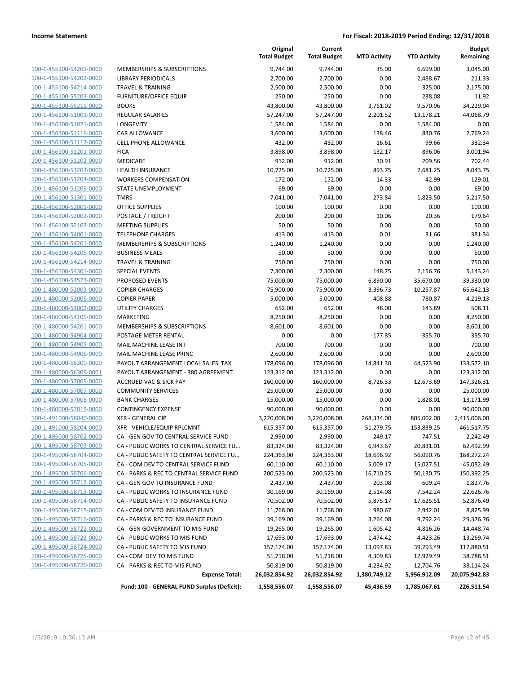| 100-1-455100-54201-0000                      |  |
|----------------------------------------------|--|
| 100-1-455100-54202-0000                      |  |
| 100-1-455100-54214-0000                      |  |
| <u>100-1-455100-55203-0000</u>               |  |
| 100-1-455100-55211-0000                      |  |
| 100-1-456100-51001-0000                      |  |
| 100-1-456100-51021-0000                      |  |
| <u>100-1-456100-51116-0000</u>               |  |
| 100-1-456100-51117-0000                      |  |
| 100-1-456100-51201-0000                      |  |
| 100-1-456100-51202-0000                      |  |
| 100-1-456100-51203-0000                      |  |
| <u>100-1-456100-51204-0000</u>               |  |
| <u>100-1-456100-51205-0000</u>               |  |
| 100-1-456100-51301-0000                      |  |
| 100-1-456100-52001-0000                      |  |
| 100-1-456100-52002-0000                      |  |
| <u>100-1-456100-52103-0000</u>               |  |
| <u>100-1-456100-54001-0000</u>               |  |
| 100-1-456100-54201-0000                      |  |
| 100-1-456100-54205-0000                      |  |
| 100-1-456100-54214-0000                      |  |
| <u>100-1-456100-54301-0000</u>               |  |
| <u>100-1-456100-54523-0000</u>               |  |
| 100-1-480000-52003-0000                      |  |
| 100-1-480000-52006-0000                      |  |
| 100-1-480000-54002-0000                      |  |
| <u>100-1-480000-54105-0000</u>               |  |
| <u>100-1-480000-54201-0000</u>               |  |
| 100-1-480000-54904-0000                      |  |
| 100-1-480000-54905-0000                      |  |
| 100-1-480000-54906-0000                      |  |
| <u>100-1-480000-56309-0000</u>               |  |
| 100-1-480000-56309-0001                      |  |
| 100-1-480000-57005-0000                      |  |
| 100-1-480000-57007-0000                      |  |
| 100-1-480000-57008-0000                      |  |
| <u>100-1-480000-57015-0000</u>               |  |
| <u>100-1-491000-58040-0000</u>               |  |
| 100-<br>-491000-58204-0000<br>$\overline{1}$ |  |
| 100-1-495000-58702-0000                      |  |
| 100-1-495000-58703-0000                      |  |
| <u>100-1-495000-58704-0000</u>               |  |
| <u>100-1-495000-58705-0000</u>               |  |
| 100-1-495000-58706-0000                      |  |
| 100-1-495000-58712-0000                      |  |
| 100-1-495000-58713-0000                      |  |
| <u>100-1-495000-58714-0000</u>               |  |
| 100-1-495000-58715-0000                      |  |
| 100-1-495000-58716-0000                      |  |
| 100-1-495000-58722-0000                      |  |
| 100-1-495000-58723-0000                      |  |
| <u>100-1-495000-58724-0000</u>               |  |
| <u>100-1-495000-58725-0000</u>               |  |
| 100-1-495000-58726-0000                      |  |
|                                              |  |

|                         |                                             | Original<br><b>Total Budget</b> | Current<br><b>Total Budget</b> | <b>MTD Activity</b> | <b>YTD Activity</b> | <b>Budget</b><br>Remaining |
|-------------------------|---------------------------------------------|---------------------------------|--------------------------------|---------------------|---------------------|----------------------------|
| 100-1-455100-54201-0000 | MEMBERSHIPS & SUBSCRIPTIONS                 | 9,744.00                        | 9,744.00                       | 35.00               | 6,699.00            | 3,045.00                   |
| 100-1-455100-54202-0000 | <b>LIBRARY PERIODICALS</b>                  | 2,700.00                        | 2,700.00                       | 0.00                | 2,488.67            | 211.33                     |
| 100-1-455100-54214-0000 | <b>TRAVEL &amp; TRAINING</b>                | 2,500.00                        | 2,500.00                       | 0.00                | 325.00              | 2,175.00                   |
| 100-1-455100-55203-0000 | <b>FURNITURE/OFFICE EQUIP</b>               | 250.00                          | 250.00                         | 0.00                | 238.08              | 11.92                      |
| 100-1-455100-55211-0000 | <b>BOOKS</b>                                | 43,800.00                       | 43,800.00                      | 3,761.02            | 9,570.96            | 34,229.04                  |
| 100-1-456100-51001-0000 | <b>REGULAR SALARIES</b>                     | 57,247.00                       | 57,247.00                      | 2,201.52            | 13,178.21           | 44,068.79                  |
| 100-1-456100-51021-0000 | <b>LONGEVITY</b>                            | 1,584.00                        | 1,584.00                       | 0.00                | 1,584.00            | 0.00                       |
| 100-1-456100-51116-0000 | <b>CAR ALLOWANCE</b>                        | 3,600.00                        | 3,600.00                       | 138.46              | 830.76              | 2,769.24                   |
| 100-1-456100-51117-0000 | <b>CELL PHONE ALLOWANCE</b>                 | 432.00                          | 432.00                         | 16.61               | 99.66               | 332.34                     |
| 100-1-456100-51201-0000 | <b>FICA</b>                                 | 3,898.00                        | 3,898.00                       | 132.17              | 896.06              | 3,001.94                   |
| 100-1-456100-51202-0000 | MEDICARE                                    | 912.00                          | 912.00                         | 30.91               | 209.56              | 702.44                     |
| 100-1-456100-51203-0000 | HEALTH INSURANCE                            | 10,725.00                       | 10,725.00                      | 893.75              | 2,681.25            | 8,043.75                   |
| 100-1-456100-51204-0000 | <b>WORKERS COMPENSATION</b>                 | 172.00                          | 172.00                         | 14.33               | 42.99               | 129.01                     |
| 100-1-456100-51205-0000 | STATE UNEMPLOYMENT                          | 69.00                           | 69.00                          | 0.00                | 0.00                | 69.00                      |
| 100-1-456100-51301-0000 | <b>TMRS</b>                                 | 7,041.00                        | 7,041.00                       | 273.84              | 1,823.50            | 5,217.50                   |
| 100-1-456100-52001-0000 | <b>OFFICE SUPPLIES</b>                      | 100.00                          | 100.00                         | 0.00                | 0.00                | 100.00                     |
| 100-1-456100-52002-0000 | POSTAGE / FREIGHT                           | 200.00                          | 200.00                         | 10.06               | 20.36               | 179.64                     |
| 100-1-456100-52103-0000 | <b>MEETING SUPPLIES</b>                     | 50.00                           | 50.00                          | 0.00                | 0.00                | 50.00                      |
| 100-1-456100-54001-0000 | <b>TELEPHONE CHARGES</b>                    | 413.00                          | 413.00                         | 0.01                | 31.66               | 381.34                     |
| 100-1-456100-54201-0000 | MEMBERSHIPS & SUBSCRIPTIONS                 | 1,240.00                        | 1,240.00                       | 0.00                | 0.00                | 1,240.00                   |
| 100-1-456100-54205-0000 | <b>BUSINESS MEALS</b>                       | 50.00                           | 50.00                          | 0.00                | 0.00                | 50.00                      |
| 100-1-456100-54214-0000 | <b>TRAVEL &amp; TRAINING</b>                | 750.00                          | 750.00                         | 0.00                | 0.00                | 750.00                     |
| 100-1-456100-54301-0000 | <b>SPECIAL EVENTS</b>                       | 7,300.00                        | 7,300.00                       | 148.75              | 2,156.76            | 5,143.24                   |
| 100-1-456100-54523-0000 | PROPOSED EVENTS                             | 75,000.00                       | 75,000.00                      | 6,890.00            | 35,670.00           | 39,330.00                  |
| 100-1-480000-52003-0000 | <b>COPIER CHARGES</b>                       | 75,900.00                       | 75,900.00                      | 3,396.73            | 10,257.87           | 65,642.13                  |
| 100-1-480000-52006-0000 | <b>COPIER PAPER</b>                         | 5,000.00                        | 5,000.00                       | 408.88              | 780.87              | 4,219.13                   |
| 100-1-480000-54002-0000 | <b>UTILITY CHARGES</b>                      | 652.00                          | 652.00                         | 48.00               | 143.89              | 508.11                     |
| 100-1-480000-54105-0000 | MARKETING                                   | 8,250.00                        | 8,250.00                       | 0.00                | 0.00                | 8,250.00                   |
| 100-1-480000-54201-0000 | MEMBERSHIPS & SUBSCRIPTIONS                 | 8,601.00                        | 8,601.00                       | 0.00                | 0.00                | 8,601.00                   |
| 100-1-480000-54904-0000 | POSTAGE METER RENTAL                        | 0.00                            | 0.00                           | $-177.85$           | $-355.70$           | 355.70                     |
| 100-1-480000-54905-0000 | MAIL MACHINE LEASE INT                      | 700.00                          | 700.00                         | 0.00                | 0.00                | 700.00                     |
| 100-1-480000-54906-0000 | MAIL MACHINE LEASE PRINC                    | 2,600.00                        | 2,600.00                       | 0.00                | 0.00                | 2,600.00                   |
| 100-1-480000-56309-0000 | PAYOUT ARRANGEMENT LOCAL SALES TAX          | 178,096.00                      | 178,096.00                     | 14,841.30           | 44,523.90           | 133,572.10                 |
| 100-1-480000-56309-0001 | PAYOUT ARRANGEMENT - 380 AGREEMENT          | 123,312.00                      | 123,312.00                     | 0.00                | 0.00                | 123,312.00                 |
| 100-1-480000-57005-0000 | ACCRUED VAC & SICK PAY                      | 160,000.00                      | 160,000.00                     | 8,726.33            | 12,673.69           | 147,326.31                 |
| 100-1-480000-57007-0000 | <b>COMMUNITY SERVICES</b>                   | 25,000.00                       | 25,000.00                      | 0.00                | 0.00                | 25,000.00                  |
| 100-1-480000-57008-0000 | <b>BANK CHARGES</b>                         | 15,000.00                       | 15,000.00                      | 0.00                | 1,828.01            | 13,171.99                  |
| 100-1-480000-57015-0000 | <b>CONTINGENCY EXPENSE</b>                  | 90,000.00                       | 90,000.00                      | 0.00                | 0.00                | 90,000.00                  |
| 100-1-491000-58040-0000 | <b>XFR - GENERAL CIP</b>                    | 3,220,008.00                    | 3,220,008.00                   | 268,334.00          | 805,002.00          | 2,415,006.00               |
| 100-1-491000-58204-0000 | XFR - VEHICLE/EQUIP RPLCMNT                 | 615,357.00                      | 615,357.00                     | 51,279.75           | 153,839.25          | 461,517.75                 |
| 100-1-495000-58702-0000 | CA - GEN GOV TO CENTRAL SERVICE FUND        | 2,990.00                        | 2,990.00                       | 249.17              | 747.51              | 2,242.49                   |
| 100-1-495000-58703-0000 | CA - PUBLIC WORKS TO CENTRAL SERVICE FU     | 83,324.00                       | 83,324.00                      | 6,943.67            | 20,831.01           | 62,492.99                  |
| 100-1-495000-58704-0000 | CA - PUBLIC SAFETY TO CENTRAL SERVICE FU    | 224,363.00                      | 224,363.00                     | 18,696.92           | 56,090.76           | 168,272.24                 |
| 100-1-495000-58705-0000 | CA - COM DEV TO CENTRAL SERVICE FUND        | 60,110.00                       | 60,110.00                      | 5,009.17            | 15,027.51           | 45,082.49                  |
| 100-1-495000-58706-0000 | CA - PARKS & REC TO CENTRAL SERVICE FUND    | 200,523.00                      | 200,523.00                     | 16,710.25           | 50,130.75           | 150,392.25                 |
| 100-1-495000-58712-0000 | CA - GEN GOV TO INSURANCE FUND              | 2,437.00                        | 2,437.00                       | 203.08              | 609.24              | 1,827.76                   |
| 100-1-495000-58713-0000 | CA - PUBLIC WORKS TO INSURANCE FUND         | 30,169.00                       | 30,169.00                      | 2,514.08            | 7,542.24            | 22,626.76                  |
| 100-1-495000-58714-0000 | CA - PUBLIC SAFETY TO INSURANCE FUND        | 70,502.00                       | 70,502.00                      | 5,875.17            | 17,625.51           | 52,876.49                  |
| 100-1-495000-58715-0000 | CA - COM DEV TO INSURANCE FUND              | 11,768.00                       | 11,768.00                      | 980.67              | 2,942.01            | 8,825.99                   |
| 100-1-495000-58716-0000 | CA - PARKS & REC TO INSURANCE FUND          | 39,169.00                       | 39,169.00                      | 3,264.08            | 9,792.24            | 29,376.76                  |
| 100-1-495000-58722-0000 | CA - GEN GOVERNMENT TO MIS FUND             | 19,265.00                       | 19,265.00                      | 1,605.42            | 4,816.26            | 14,448.74                  |
| 100-1-495000-58723-0000 | CA - PUBLIC WORKS TO MIS FUND               | 17,693.00                       | 17,693.00                      | 1,474.42            | 4,423.26            | 13,269.74                  |
| 100-1-495000-58724-0000 | CA - PUBLIC SAFETY TO MIS FUND              | 157,174.00                      | 157,174.00                     | 13,097.83           | 39,293.49           | 117,880.51                 |
| 100-1-495000-58725-0000 | CA - COM DEV TO MIS FUND                    | 51,718.00                       | 51,718.00                      | 4,309.83            | 12,929.49           | 38,788.51                  |
| 100-1-495000-58726-0000 | CA - PARKS & REC TO MIS FUND                | 50,819.00                       | 50,819.00                      | 4,234.92            | 12,704.76           | 38,114.24                  |
|                         | <b>Expense Total:</b>                       | 26,032,854.92                   | 26,032,854.92                  | 1,380,749.12        | 5,956,912.09        | 20,075,942.83              |
|                         |                                             |                                 |                                |                     |                     |                            |
|                         | Fund: 100 - GENERAL FUND Surplus (Deficit): | $-1,558,556.07$                 | -1,558,556.07                  | 45,436.59           | $-1,785,067.61$     | 226,511.54                 |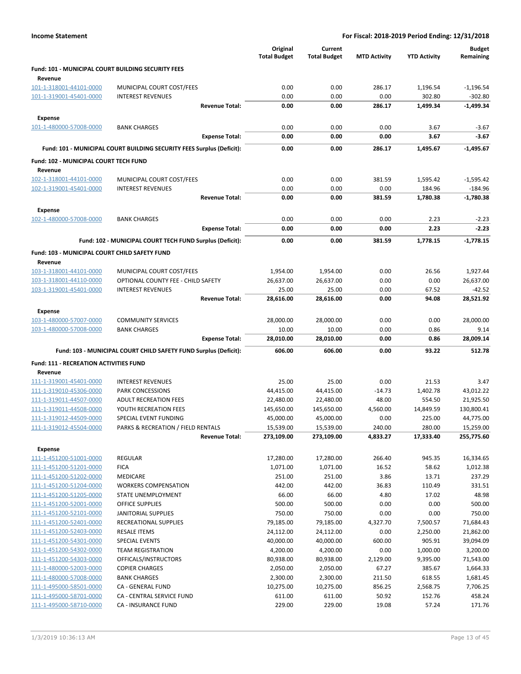|                                                           |                                                                       | Original<br><b>Total Budget</b> | Current<br><b>Total Budget</b> | <b>MTD Activity</b> | <b>YTD Activity</b>  | <b>Budget</b><br>Remaining |
|-----------------------------------------------------------|-----------------------------------------------------------------------|---------------------------------|--------------------------------|---------------------|----------------------|----------------------------|
| <b>Fund: 101 - MUNICIPAL COURT BUILDING SECURITY FEES</b> |                                                                       |                                 |                                |                     |                      |                            |
| Revenue                                                   |                                                                       |                                 |                                |                     |                      |                            |
| 101-1-318001-44101-0000                                   | MUNICIPAL COURT COST/FEES                                             | 0.00                            | 0.00                           | 286.17              | 1,196.54             | $-1,196.54$                |
| 101-1-319001-45401-0000                                   | <b>INTEREST REVENUES</b><br><b>Revenue Total:</b>                     | 0.00<br>0.00                    | 0.00<br>0.00                   | 0.00<br>286.17      | 302.80               | $-302.80$<br>$-1,499.34$   |
|                                                           |                                                                       |                                 |                                |                     | 1,499.34             |                            |
| <b>Expense</b>                                            |                                                                       |                                 |                                |                     |                      |                            |
| 101-1-480000-57008-0000                                   | <b>BANK CHARGES</b><br><b>Expense Total:</b>                          | 0.00<br>0.00                    | 0.00<br>0.00                   | 0.00<br>0.00        | 3.67<br>3.67         | $-3.67$<br>-3.67           |
|                                                           |                                                                       |                                 |                                |                     |                      |                            |
|                                                           | Fund: 101 - MUNICIPAL COURT BUILDING SECURITY FEES Surplus (Deficit): | 0.00                            | 0.00                           | 286.17              | 1,495.67             | $-1,495.67$                |
| Fund: 102 - MUNICIPAL COURT TECH FUND                     |                                                                       |                                 |                                |                     |                      |                            |
| Revenue                                                   |                                                                       |                                 |                                |                     |                      |                            |
| 102-1-318001-44101-0000                                   | MUNICIPAL COURT COST/FEES                                             | 0.00                            | 0.00                           | 381.59              | 1,595.42             | $-1,595.42$                |
| 102-1-319001-45401-0000                                   | <b>INTEREST REVENUES</b><br><b>Revenue Total:</b>                     | 0.00<br>0.00                    | 0.00<br>0.00                   | 0.00<br>381.59      | 184.96<br>1,780.38   | -184.96<br>$-1,780.38$     |
|                                                           |                                                                       |                                 |                                |                     |                      |                            |
| <b>Expense</b><br>102-1-480000-57008-0000                 | <b>BANK CHARGES</b>                                                   | 0.00                            | 0.00                           | 0.00                | 2.23                 | $-2.23$                    |
|                                                           | <b>Expense Total:</b>                                                 | 0.00                            | 0.00                           | 0.00                | 2.23                 | $-2.23$                    |
|                                                           |                                                                       |                                 |                                |                     |                      |                            |
|                                                           | Fund: 102 - MUNICIPAL COURT TECH FUND Surplus (Deficit):              | 0.00                            | 0.00                           | 381.59              | 1,778.15             | $-1,778.15$                |
| Fund: 103 - MUNICIPAL COURT CHILD SAFETY FUND             |                                                                       |                                 |                                |                     |                      |                            |
| Revenue                                                   |                                                                       |                                 |                                |                     |                      |                            |
| 103-1-318001-44101-0000<br>103-1-318001-44110-0000        | MUNICIPAL COURT COST/FEES<br>OPTIONAL COUNTY FEE - CHILD SAFETY       | 1,954.00<br>26,637.00           | 1,954.00<br>26,637.00          | 0.00<br>0.00        | 26.56<br>0.00        | 1,927.44<br>26,637.00      |
| 103-1-319001-45401-0000                                   | <b>INTEREST REVENUES</b>                                              | 25.00                           | 25.00                          | 0.00                | 67.52                | $-42.52$                   |
|                                                           | <b>Revenue Total:</b>                                                 | 28,616.00                       | 28,616.00                      | 0.00                | 94.08                | 28,521.92                  |
| <b>Expense</b>                                            |                                                                       |                                 |                                |                     |                      |                            |
| 103-1-480000-57007-0000                                   | <b>COMMUNITY SERVICES</b>                                             | 28,000.00                       | 28,000.00                      | 0.00                | 0.00                 | 28,000.00                  |
| 103-1-480000-57008-0000                                   | <b>BANK CHARGES</b>                                                   | 10.00                           | 10.00                          | 0.00                | 0.86                 | 9.14                       |
|                                                           | <b>Expense Total:</b>                                                 | 28,010.00                       | 28,010.00                      | 0.00                | 0.86                 | 28,009.14                  |
|                                                           | Fund: 103 - MUNICIPAL COURT CHILD SAFETY FUND Surplus (Deficit):      | 606.00                          | 606.00                         | 0.00                | 93.22                | 512.78                     |
| <b>Fund: 111 - RECREATION ACTIVITIES FUND</b>             |                                                                       |                                 |                                |                     |                      |                            |
| Revenue                                                   |                                                                       |                                 |                                |                     |                      |                            |
| 111-1-319001-45401-0000                                   | <b>INTEREST REVENUES</b>                                              | 25.00                           | 25.00                          | 0.00                | 21.53                | 3.47                       |
| 111-1-319010-45306-0000                                   | <b>PARK CONCESSIONS</b>                                               | 44,415.00                       | 44,415.00                      | $-14.73$            | 1,402.78             | 43,012.22                  |
| 111-1-319011-44507-0000                                   | <b>ADULT RECREATION FEES</b>                                          | 22,480.00                       | 22,480.00                      | 48.00               | 554.50               | 21,925.50                  |
| 111-1-319011-44508-0000                                   | YOUTH RECREATION FEES                                                 | 145,650.00                      | 145,650.00                     | 4,560.00            | 14,849.59            | 130,800.41                 |
| 111-1-319012-44509-0000                                   | SPECIAL EVENT FUNDING                                                 | 45,000.00                       | 45,000.00                      | 0.00                | 225.00               | 44,775.00                  |
| 111-1-319012-45504-0000                                   | PARKS & RECREATION / FIELD RENTALS<br><b>Revenue Total:</b>           | 15,539.00<br>273,109.00         | 15,539.00<br>273,109.00        | 240.00<br>4,833.27  | 280.00<br>17,333.40  | 15,259.00<br>255,775.60    |
|                                                           |                                                                       |                                 |                                |                     |                      |                            |
| <b>Expense</b>                                            |                                                                       |                                 |                                |                     |                      |                            |
| 111-1-451200-51001-0000<br>111-1-451200-51201-0000        | <b>REGULAR</b><br><b>FICA</b>                                         | 17,280.00<br>1,071.00           | 17,280.00<br>1,071.00          | 266.40<br>16.52     | 945.35<br>58.62      | 16,334.65<br>1,012.38      |
| 111-1-451200-51202-0000                                   | <b>MEDICARE</b>                                                       | 251.00                          | 251.00                         | 3.86                | 13.71                | 237.29                     |
| 111-1-451200-51204-0000                                   | <b>WORKERS COMPENSATION</b>                                           | 442.00                          | 442.00                         | 36.83               | 110.49               | 331.51                     |
| 111-1-451200-51205-0000                                   | STATE UNEMPLOYMENT                                                    | 66.00                           | 66.00                          | 4.80                | 17.02                | 48.98                      |
| 111-1-451200-52001-0000                                   | OFFICE SUPPLIES                                                       | 500.00                          | 500.00                         | 0.00                | 0.00                 | 500.00                     |
| 111-1-451200-52101-0000                                   | JANITORIAL SUPPLIES                                                   | 750.00                          | 750.00                         | 0.00                | 0.00                 | 750.00                     |
| 111-1-451200-52401-0000                                   | <b>RECREATIONAL SUPPLIES</b>                                          | 79,185.00                       | 79,185.00                      | 4,327.70            | 7,500.57             | 71,684.43                  |
| 111-1-451200-52403-0000                                   | <b>RESALE ITEMS</b>                                                   | 24,112.00                       | 24,112.00                      | 0.00                | 2,250.00             | 21,862.00                  |
| 111-1-451200-54301-0000                                   | SPECIAL EVENTS                                                        | 40,000.00                       | 40,000.00                      | 600.00              | 905.91               | 39,094.09                  |
| 111-1-451200-54302-0000<br>111-1-451200-54303-0000        | <b>TEAM REGISTRATION</b><br>OFFICALS/INSTRUCTORS                      | 4,200.00<br>80,938.00           | 4,200.00<br>80,938.00          | 0.00<br>2,129.00    | 1,000.00<br>9,395.00 | 3,200.00<br>71,543.00      |
| 111-1-480000-52003-0000                                   | <b>COPIER CHARGES</b>                                                 | 2,050.00                        | 2,050.00                       | 67.27               | 385.67               | 1,664.33                   |
| 111-1-480000-57008-0000                                   | <b>BANK CHARGES</b>                                                   | 2,300.00                        | 2,300.00                       | 211.50              | 618.55               | 1,681.45                   |
| 111-1-495000-58501-0000                                   | CA - GENERAL FUND                                                     | 10,275.00                       | 10,275.00                      | 856.25              | 2,568.75             | 7,706.25                   |
| 111-1-495000-58701-0000                                   | CA - CENTRAL SERVICE FUND                                             | 611.00                          | 611.00                         | 50.92               | 152.76               | 458.24                     |
| 111-1-495000-58710-0000                                   | CA - INSURANCE FUND                                                   | 229.00                          | 229.00                         | 19.08               | 57.24                | 171.76                     |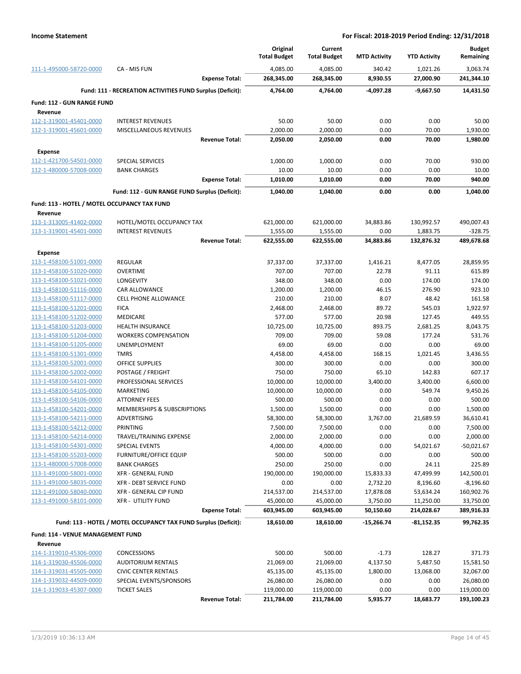|                                                    |                                                                 | Original              | Current               |                     |                     | <b>Budget</b>      |
|----------------------------------------------------|-----------------------------------------------------------------|-----------------------|-----------------------|---------------------|---------------------|--------------------|
|                                                    |                                                                 | <b>Total Budget</b>   | <b>Total Budget</b>   | <b>MTD Activity</b> | <b>YTD Activity</b> | Remaining          |
| 111-1-495000-58720-0000                            | CA - MIS FUN                                                    | 4,085.00              | 4,085.00              | 340.42              | 1,021.26            | 3,063.74           |
|                                                    | <b>Expense Total:</b>                                           | 268,345.00            | 268,345.00            | 8,930.55            | 27,000.90           | 241,344.10         |
|                                                    | Fund: 111 - RECREATION ACTIVITIES FUND Surplus (Deficit):       | 4,764.00              | 4,764.00              | $-4,097.28$         | $-9,667.50$         | 14,431.50          |
| Fund: 112 - GUN RANGE FUND                         |                                                                 |                       |                       |                     |                     |                    |
| Revenue                                            |                                                                 |                       |                       |                     |                     |                    |
| 112-1-319001-45401-0000                            | <b>INTEREST REVENUES</b>                                        | 50.00                 | 50.00                 | 0.00                | 0.00                | 50.00              |
| 112-1-319001-45601-0000                            | <b>MISCELLANEOUS REVENUES</b>                                   | 2,000.00              | 2,000.00              | 0.00                | 70.00               | 1,930.00           |
|                                                    | <b>Revenue Total:</b>                                           | 2,050.00              | 2,050.00              | 0.00                | 70.00               | 1,980.00           |
| <b>Expense</b>                                     |                                                                 |                       |                       |                     |                     |                    |
| 112-1-421700-54501-0000                            | SPECIAL SERVICES                                                | 1,000.00              | 1,000.00              | 0.00                | 70.00               | 930.00             |
| 112-1-480000-57008-0000                            | <b>BANK CHARGES</b>                                             | 10.00                 | 10.00                 | 0.00                | 0.00                | 10.00              |
|                                                    | <b>Expense Total:</b>                                           | 1,010.00              | 1,010.00              | 0.00                | 70.00               | 940.00             |
|                                                    | Fund: 112 - GUN RANGE FUND Surplus (Deficit):                   | 1,040.00              | 1,040.00              | 0.00                | 0.00                | 1,040.00           |
| Fund: 113 - HOTEL / MOTEL OCCUPANCY TAX FUND       |                                                                 |                       |                       |                     |                     |                    |
| Revenue                                            |                                                                 |                       |                       |                     |                     |                    |
| 113-1-313005-41402-0000                            | HOTEL/MOTEL OCCUPANCY TAX                                       | 621,000.00            | 621,000.00            | 34,883.86           | 130,992.57          | 490,007.43         |
| 113-1-319001-45401-0000                            | <b>INTEREST REVENUES</b>                                        | 1,555.00              | 1,555.00              | 0.00                | 1,883.75            | $-328.75$          |
|                                                    | <b>Revenue Total:</b>                                           | 622,555.00            | 622,555.00            | 34,883.86           | 132,876.32          | 489,678.68         |
| Expense                                            |                                                                 |                       |                       |                     |                     |                    |
| 113-1-458100-51001-0000                            | <b>REGULAR</b>                                                  | 37,337.00             | 37,337.00             | 1,416.21            | 8,477.05            | 28,859.95          |
| 113-1-458100-51020-0000                            | <b>OVERTIME</b>                                                 | 707.00                | 707.00                | 22.78               | 91.11               | 615.89             |
| 113-1-458100-51021-0000                            | LONGEVITY                                                       | 348.00                | 348.00                | 0.00                | 174.00              | 174.00             |
| 113-1-458100-51116-0000                            | CAR ALLOWANCE                                                   | 1,200.00              | 1,200.00              | 46.15               | 276.90              | 923.10             |
| 113-1-458100-51117-0000                            | <b>CELL PHONE ALLOWANCE</b>                                     | 210.00                | 210.00                | 8.07                | 48.42               | 161.58             |
| 113-1-458100-51201-0000                            | <b>FICA</b>                                                     | 2,468.00              | 2,468.00              | 89.72               | 545.03              | 1,922.97           |
| 113-1-458100-51202-0000                            | <b>MEDICARE</b>                                                 | 577.00                | 577.00                | 20.98               | 127.45              | 449.55             |
| 113-1-458100-51203-0000                            | <b>HEALTH INSURANCE</b>                                         | 10,725.00             | 10,725.00             | 893.75              | 2,681.25            | 8,043.75           |
| 113-1-458100-51204-0000                            | <b>WORKERS COMPENSATION</b>                                     | 709.00                | 709.00                | 59.08               | 177.24              | 531.76             |
| 113-1-458100-51205-0000                            | UNEMPLOYMENT                                                    | 69.00                 | 69.00                 | 0.00                | 0.00                | 69.00              |
| 113-1-458100-51301-0000                            | <b>TMRS</b>                                                     | 4,458.00              | 4,458.00              | 168.15              | 1,021.45            | 3,436.55           |
| 113-1-458100-52001-0000                            | <b>OFFICE SUPPLIES</b>                                          | 300.00                | 300.00                | 0.00                | 0.00                | 300.00             |
| 113-1-458100-52002-0000                            | POSTAGE / FREIGHT                                               | 750.00                | 750.00                | 65.10               | 142.83              | 607.17             |
| 113-1-458100-54101-0000                            | PROFESSIONAL SERVICES                                           | 10,000.00             | 10,000.00             | 3,400.00            | 3,400.00            | 6,600.00           |
| 113-1-458100-54105-0000                            | MARKETING                                                       | 10,000.00             | 10,000.00             | 0.00                | 549.74              | 9,450.26           |
| 113-1-458100-54106-0000<br>113-1-458100-54201-0000 | <b>ATTORNEY FEES</b><br>MEMBERSHIPS & SUBSCRIPTIONS             | 500.00                | 500.00                | 0.00                | 0.00                | 500.00<br>1,500.00 |
| 113-1-458100-54211-0000                            | ADVERTISING                                                     | 1,500.00<br>58,300.00 | 1,500.00<br>58,300.00 | 0.00<br>3,767.00    | 0.00<br>21,689.59   | 36,610.41          |
| 113-1-458100-54212-0000                            | PRINTING                                                        | 7,500.00              | 7,500.00              | 0.00                | 0.00                | 7,500.00           |
| 113-1-458100-54214-0000                            | TRAVEL/TRAINING EXPENSE                                         | 2,000.00              | 2,000.00              | 0.00                | 0.00                | 2,000.00           |
| 113-1-458100-54301-0000                            | SPECIAL EVENTS                                                  | 4,000.00              | 4,000.00              | 0.00                | 54,021.67           | $-50,021.67$       |
| 113-1-458100-55203-0000                            | <b>FURNITURE/OFFICE EQUIP</b>                                   | 500.00                | 500.00                | 0.00                | 0.00                | 500.00             |
| 113-1-480000-57008-0000                            | <b>BANK CHARGES</b>                                             | 250.00                | 250.00                | 0.00                | 24.11               | 225.89             |
| 113-1-491000-58001-0000                            | <b>XFR - GENERAL FUND</b>                                       | 190,000.00            | 190,000.00            | 15,833.33           | 47,499.99           | 142,500.01         |
| 113-1-491000-58035-0000                            | XFR - DEBT SERVICE FUND                                         | 0.00                  | 0.00                  | 2,732.20            | 8,196.60            | $-8,196.60$        |
| 113-1-491000-58040-0000                            | XFR - GENERAL CIP FUND                                          | 214,537.00            | 214,537.00            | 17,878.08           | 53,634.24           | 160,902.76         |
| 113-1-491000-58101-0000                            | <b>XFR - UTILITY FUND</b>                                       | 45,000.00             | 45,000.00             | 3,750.00            | 11,250.00           | 33,750.00          |
|                                                    | <b>Expense Total:</b>                                           | 603,945.00            | 603,945.00            | 50,150.60           | 214,028.67          | 389,916.33         |
|                                                    | Fund: 113 - HOTEL / MOTEL OCCUPANCY TAX FUND Surplus (Deficit): | 18,610.00             | 18,610.00             | $-15,266.74$        | $-81,152.35$        | 99,762.35          |
| Fund: 114 - VENUE MANAGEMENT FUND                  |                                                                 |                       |                       |                     |                     |                    |
| Revenue                                            |                                                                 |                       |                       |                     |                     |                    |
| 114-1-319010-45306-0000                            | <b>CONCESSIONS</b>                                              | 500.00                | 500.00                | $-1.73$             | 128.27              | 371.73             |
| 114-1-319030-45506-0000                            | <b>AUDITORIUM RENTALS</b>                                       | 21,069.00             | 21,069.00             | 4,137.50            | 5,487.50            | 15,581.50          |
| 114-1-319031-45505-0000                            | <b>CIVIC CENTER RENTALS</b>                                     | 45,135.00             | 45,135.00             | 1,800.00            | 13,068.00           | 32,067.00          |
| 114-1-319032-44509-0000                            | SPECIAL EVENTS/SPONSORS                                         | 26,080.00             | 26,080.00             | 0.00                | 0.00                | 26,080.00          |
| 114-1-319033-45307-0000                            | <b>TICKET SALES</b>                                             | 119,000.00            | 119,000.00            | 0.00                | 0.00                | 119,000.00         |
|                                                    | <b>Revenue Total:</b>                                           | 211,784.00            | 211,784.00            | 5,935.77            | 18,683.77           | 193,100.23         |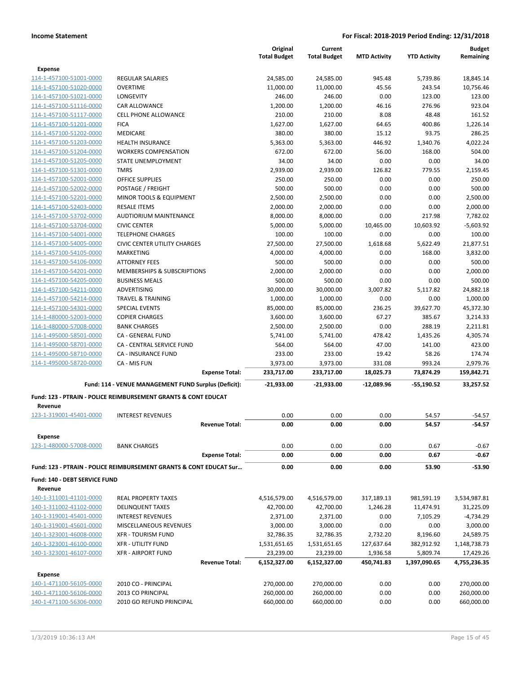|                               |                                                                    |                       | Original<br><b>Total Budget</b> | Current<br><b>Total Budget</b> | <b>MTD Activity</b> | <b>YTD Activity</b> | <b>Budget</b><br>Remaining |
|-------------------------------|--------------------------------------------------------------------|-----------------------|---------------------------------|--------------------------------|---------------------|---------------------|----------------------------|
| <b>Expense</b>                |                                                                    |                       |                                 |                                |                     |                     |                            |
| 114-1-457100-51001-0000       | <b>REGULAR SALARIES</b>                                            |                       | 24,585.00                       | 24,585.00                      | 945.48              | 5,739.86            | 18,845.14                  |
| 114-1-457100-51020-0000       | <b>OVERTIME</b>                                                    |                       | 11,000.00                       | 11,000.00                      | 45.56               | 243.54              | 10,756.46                  |
| 114-1-457100-51021-0000       | LONGEVITY                                                          |                       | 246.00                          | 246.00                         | 0.00                | 123.00              | 123.00                     |
| 114-1-457100-51116-0000       | <b>CAR ALLOWANCE</b>                                               |                       | 1,200.00                        | 1,200.00                       | 46.16               | 276.96              | 923.04                     |
| 114-1-457100-51117-0000       | <b>CELL PHONE ALLOWANCE</b>                                        |                       | 210.00                          | 210.00                         | 8.08                | 48.48               | 161.52                     |
| 114-1-457100-51201-0000       | <b>FICA</b>                                                        |                       | 1,627.00                        | 1,627.00                       | 64.65               | 400.86              | 1,226.14                   |
| 114-1-457100-51202-0000       | MEDICARE                                                           |                       | 380.00                          | 380.00                         | 15.12               | 93.75               | 286.25                     |
| 114-1-457100-51203-0000       | <b>HEALTH INSURANCE</b>                                            |                       | 5,363.00                        | 5,363.00                       | 446.92              | 1,340.76            | 4,022.24                   |
| 114-1-457100-51204-0000       | <b>WORKERS COMPENSATION</b>                                        |                       | 672.00                          | 672.00                         | 56.00               | 168.00              | 504.00                     |
| 114-1-457100-51205-0000       | STATE UNEMPLOYMENT                                                 |                       | 34.00                           | 34.00                          | 0.00                | 0.00                | 34.00                      |
| 114-1-457100-51301-0000       | TMRS                                                               |                       | 2,939.00                        | 2,939.00                       | 126.82              | 779.55              | 2,159.45                   |
| 114-1-457100-52001-0000       | <b>OFFICE SUPPLIES</b>                                             |                       | 250.00                          | 250.00                         | 0.00                | 0.00                | 250.00                     |
| 114-1-457100-52002-0000       | POSTAGE / FREIGHT                                                  |                       | 500.00                          | 500.00                         | 0.00                | 0.00                | 500.00                     |
| 114-1-457100-52201-0000       | MINOR TOOLS & EQUIPMENT                                            |                       | 2,500.00                        | 2,500.00                       | 0.00                | 0.00                | 2,500.00                   |
| 114-1-457100-52403-0000       | <b>RESALE ITEMS</b>                                                |                       | 2,000.00                        | 2,000.00                       | 0.00                | 0.00                | 2,000.00                   |
| 114-1-457100-53702-0000       | <b>AUDTIORIUM MAINTENANCE</b>                                      |                       | 8,000.00                        | 8,000.00                       | 0.00                | 217.98              | 7,782.02                   |
| 114-1-457100-53704-0000       | <b>CIVIC CENTER</b>                                                |                       | 5,000.00                        | 5,000.00                       | 10,465.00           | 10,603.92           | $-5,603.92$                |
| 114-1-457100-54001-0000       | <b>TELEPHONE CHARGES</b>                                           |                       | 100.00                          | 100.00                         | 0.00                | 0.00                | 100.00                     |
| 114-1-457100-54005-0000       | <b>CIVIC CENTER UTILITY CHARGES</b>                                |                       | 27,500.00                       | 27,500.00                      | 1,618.68            | 5,622.49            | 21,877.51                  |
| 114-1-457100-54105-0000       | <b>MARKETING</b>                                                   |                       | 4,000.00                        | 4,000.00                       | 0.00                | 168.00              | 3,832.00                   |
| 114-1-457100-54106-0000       | <b>ATTORNEY FEES</b>                                               |                       | 500.00                          | 500.00                         | 0.00                | 0.00                | 500.00                     |
| 114-1-457100-54201-0000       | <b>MEMBERSHIPS &amp; SUBSCRIPTIONS</b>                             |                       | 2,000.00                        | 2,000.00                       | 0.00                | 0.00                | 2,000.00                   |
| 114-1-457100-54205-0000       | <b>BUSINESS MEALS</b>                                              |                       | 500.00                          | 500.00                         | 0.00                | 0.00                | 500.00                     |
| 114-1-457100-54211-0000       | ADVERTISING                                                        |                       | 30,000.00                       | 30,000.00                      | 3,007.82            | 5,117.82            | 24,882.18                  |
| 114-1-457100-54214-0000       | <b>TRAVEL &amp; TRAINING</b>                                       |                       | 1,000.00                        | 1,000.00                       | 0.00                | 0.00                | 1,000.00                   |
| 114-1-457100-54301-0000       | <b>SPECIAL EVENTS</b>                                              |                       | 85,000.00                       | 85,000.00                      | 236.25              | 39,627.70           | 45,372.30                  |
| 114-1-480000-52003-0000       | <b>COPIER CHARGES</b>                                              |                       | 3,600.00                        | 3,600.00                       | 67.27               | 385.67              | 3,214.33                   |
| 114-1-480000-57008-0000       | <b>BANK CHARGES</b>                                                |                       | 2,500.00                        | 2,500.00                       | 0.00                | 288.19              | 2,211.81                   |
| 114-1-495000-58501-0000       | CA - GENERAL FUND                                                  |                       | 5,741.00                        | 5,741.00                       | 478.42              | 1,435.26            | 4,305.74                   |
| 114-1-495000-58701-0000       | CA - CENTRAL SERVICE FUND                                          |                       | 564.00                          | 564.00                         | 47.00               | 141.00              | 423.00                     |
| 114-1-495000-58710-0000       | <b>CA - INSURANCE FUND</b>                                         |                       | 233.00                          | 233.00                         | 19.42               | 58.26               | 174.74                     |
| 114-1-495000-58720-0000       | CA - MIS FUN                                                       |                       | 3,973.00                        | 3,973.00                       | 331.08              | 993.24              | 2,979.76                   |
|                               |                                                                    | <b>Expense Total:</b> | 233,717.00                      | 233,717.00                     | 18,025.73           | 73,874.29           | 159,842.71                 |
|                               | Fund: 114 - VENUE MANAGEMENT FUND Surplus (Deficit):               |                       | $-21,933.00$                    | -21,933.00                     | -12,089.96          | -55,190.52          | 33,257.52                  |
|                               | Fund: 123 - PTRAIN - POLICE REIMBURSEMENT GRANTS & CONT EDUCAT     |                       |                                 |                                |                     |                     |                            |
| Revenue                       |                                                                    |                       |                                 |                                |                     |                     |                            |
| 123-1-319001-45401-0000       | <b>INTEREST REVENUES</b>                                           |                       | 0.00                            | 0.00                           | 0.00                | 54.57               | $-54.57$                   |
|                               |                                                                    | <b>Revenue Total:</b> | 0.00                            | 0.00                           | 0.00                | 54.57               | $-54.57$                   |
| <b>Expense</b>                |                                                                    |                       |                                 |                                |                     |                     |                            |
| 123-1-480000-57008-0000       | <b>BANK CHARGES</b>                                                |                       | 0.00                            | 0.00                           | 0.00                | 0.67                | $-0.67$                    |
|                               |                                                                    | <b>Expense Total:</b> | 0.00                            | 0.00                           | 0.00                | 0.67                | $-0.67$                    |
|                               | Fund: 123 - PTRAIN - POLICE REIMBURSEMENT GRANTS & CONT EDUCAT Sur |                       | 0.00                            | 0.00                           | 0.00                | 53.90               | $-53.90$                   |
| Fund: 140 - DEBT SERVICE FUND |                                                                    |                       |                                 |                                |                     |                     |                            |
| Revenue                       |                                                                    |                       |                                 |                                |                     |                     |                            |
| 140-1-311001-41101-0000       | <b>REAL PROPERTY TAXES</b>                                         |                       | 4,516,579.00                    | 4,516,579.00                   | 317,189.13          | 981,591.19          | 3,534,987.81               |
| 140-1-311002-41102-0000       | <b>DELINQUENT TAXES</b>                                            |                       | 42,700.00                       | 42,700.00                      | 1,246.28            | 11,474.91           | 31,225.09                  |
| 140-1-319001-45401-0000       | <b>INTEREST REVENUES</b>                                           |                       | 2,371.00                        | 2,371.00                       | 0.00                | 7,105.29            | $-4,734.29$                |
| 140-1-319001-45601-0000       | MISCELLANEOUS REVENUES                                             |                       | 3,000.00                        | 3,000.00                       | 0.00                | 0.00                | 3,000.00                   |
| 140-1-323001-46008-0000       | <b>XFR - TOURISM FUND</b>                                          |                       | 32,786.35                       | 32,786.35                      | 2,732.20            | 8,196.60            | 24,589.75                  |
| 140-1-323001-46100-0000       | <b>XFR - UTILITY FUND</b>                                          |                       | 1,531,651.65                    | 1,531,651.65                   | 127,637.64          | 382,912.92          | 1,148,738.73               |
| 140-1-323001-46107-0000       | <b>XFR - AIRPORT FUND</b>                                          |                       | 23,239.00                       | 23,239.00                      | 1,936.58            | 5,809.74            | 17,429.26                  |
|                               |                                                                    | <b>Revenue Total:</b> | 6,152,327.00                    | 6,152,327.00                   | 450,741.83          | 1,397,090.65        | 4,755,236.35               |
| <b>Expense</b>                |                                                                    |                       |                                 |                                |                     |                     |                            |
| 140-1-471100-56105-0000       | 2010 CO - PRINCIPAL                                                |                       | 270,000.00                      | 270,000.00                     | 0.00                | 0.00                | 270,000.00                 |
| 140-1-471100-56106-0000       | 2013 CO PRINCIPAL                                                  |                       | 260,000.00                      | 260,000.00                     | 0.00                | 0.00                | 260,000.00                 |
| 140-1-471100-56306-0000       | 2010 GO REFUND PRINCIPAL                                           |                       | 660,000.00                      | 660,000.00                     | 0.00                | 0.00                | 660,000.00                 |
|                               |                                                                    |                       |                                 |                                |                     |                     |                            |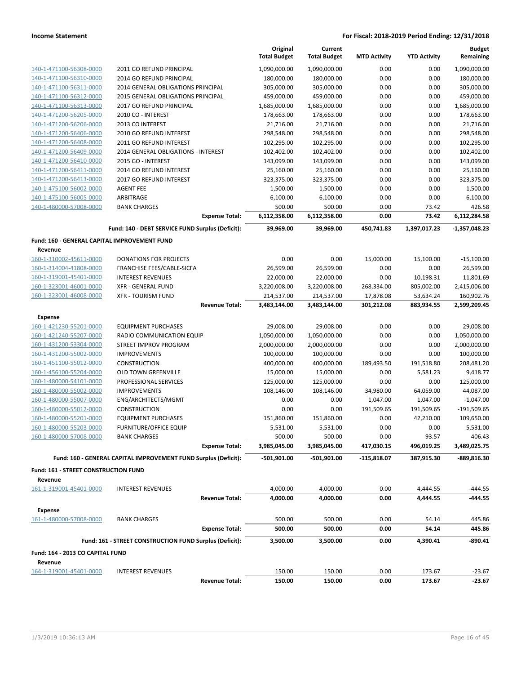|                                                    |                                                                 | Original<br><b>Total Budget</b> | Current<br><b>Total Budget</b> | <b>MTD Activity</b>     | <b>YTD Activity</b>     | <b>Budget</b><br>Remaining |
|----------------------------------------------------|-----------------------------------------------------------------|---------------------------------|--------------------------------|-------------------------|-------------------------|----------------------------|
| 140-1-471100-56308-0000                            | 2011 GO REFUND PRINCIPAL                                        | 1,090,000.00                    | 1,090,000.00                   | 0.00                    | 0.00                    | 1,090,000.00               |
| 140-1-471100-56310-0000                            | 2014 GO REFUND PRINCIPAL                                        | 180,000.00                      | 180,000.00                     | 0.00                    | 0.00                    | 180,000.00                 |
| 140-1-471100-56311-0000                            | 2014 GENERAL OBLIGATIONS PRINCIPAL                              | 305,000.00                      | 305,000.00                     | 0.00                    | 0.00                    | 305,000.00                 |
| 140-1-471100-56312-0000                            | 2015 GENERAL OBLIGATIONS PRINCIPAL                              | 459,000.00                      | 459,000.00                     | 0.00                    | 0.00                    | 459,000.00                 |
| 140-1-471100-56313-0000                            | 2017 GO REFUND PRINCIPAL                                        | 1,685,000.00                    | 1,685,000.00                   | 0.00                    | 0.00                    | 1,685,000.00               |
| 140-1-471200-56205-0000                            | 2010 CO - INTEREST                                              | 178,663.00                      | 178,663.00                     | 0.00                    | 0.00                    | 178,663.00                 |
| 140-1-471200-56206-0000                            | 2013 CO INTEREST                                                | 21,716.00                       | 21,716.00                      | 0.00                    | 0.00                    | 21,716.00                  |
| 140-1-471200-56406-0000                            | 2010 GO REFUND INTEREST                                         | 298,548.00                      | 298,548.00                     | 0.00                    | 0.00                    | 298,548.00                 |
| 140-1-471200-56408-0000                            | 2011 GO REFUND INTEREST                                         | 102,295.00                      | 102,295.00                     | 0.00                    | 0.00                    | 102,295.00                 |
| 140-1-471200-56409-0000                            | 2014 GENERAL OBLIGATIONS - INTEREST                             | 102,402.00                      | 102,402.00                     | 0.00                    | 0.00                    | 102,402.00                 |
| 140-1-471200-56410-0000                            | 2015 GO - INTEREST                                              | 143,099.00                      | 143,099.00                     | 0.00                    | 0.00                    | 143,099.00                 |
| 140-1-471200-56411-0000                            | 2014 GO REFUND INTEREST                                         | 25,160.00                       | 25,160.00                      | 0.00                    | 0.00                    | 25,160.00                  |
| 140-1-471200-56413-0000                            | 2017 GO REFUND INTEREST                                         | 323,375.00                      | 323,375.00                     | 0.00                    | 0.00                    | 323,375.00                 |
| 140-1-475100-56002-0000                            | <b>AGENT FEE</b>                                                | 1,500.00                        | 1,500.00                       | 0.00                    | 0.00                    | 1,500.00                   |
| 140-1-475100-56005-0000                            | ARBITRAGE                                                       | 6,100.00                        | 6,100.00                       | 0.00                    | 0.00                    | 6,100.00                   |
| 140-1-480000-57008-0000                            | <b>BANK CHARGES</b>                                             | 500.00                          | 500.00                         | 0.00                    | 73.42                   | 426.58                     |
|                                                    | <b>Expense Total:</b>                                           | 6,112,358.00                    | 6,112,358.00                   | 0.00                    | 73.42                   | 6,112,284.58               |
|                                                    | Fund: 140 - DEBT SERVICE FUND Surplus (Deficit):                | 39,969.00                       | 39.969.00                      | 450,741.83              | 1,397,017.23            | $-1,357,048.23$            |
| Fund: 160 - GENERAL CAPITAL IMPROVEMENT FUND       |                                                                 |                                 |                                |                         |                         |                            |
| Revenue                                            |                                                                 |                                 |                                |                         |                         |                            |
| 160-1-310002-45611-0000                            | <b>DONATIONS FOR PROJECTS</b>                                   | 0.00                            | 0.00                           | 15,000.00               | 15,100.00               | $-15,100.00$               |
| 160-1-314004-41808-0000                            | FRANCHISE FEES/CABLE-SICFA                                      | 26,599.00                       | 26,599.00                      | 0.00                    | 0.00                    | 26,599.00                  |
| 160-1-319001-45401-0000                            | <b>INTEREST REVENUES</b>                                        | 22,000.00                       | 22,000.00                      | 0.00<br>268,334.00      | 10,198.31               | 11,801.69                  |
| 160-1-323001-46001-0000<br>160-1-323001-46008-0000 | <b>XFR - GENERAL FUND</b><br><b>XFR - TOURISM FUND</b>          | 3,220,008.00                    | 3,220,008.00                   |                         | 805,002.00              | 2,415,006.00<br>160,902.76 |
|                                                    | <b>Revenue Total:</b>                                           | 214,537.00<br>3,483,144.00      | 214,537.00<br>3,483,144.00     | 17,878.08<br>301,212.08 | 53,634.24<br>883,934.55 | 2,599,209.45               |
|                                                    |                                                                 |                                 |                                |                         |                         |                            |
| <b>Expense</b>                                     |                                                                 |                                 |                                |                         |                         |                            |
| 160-1-421230-55201-0000                            | <b>EQUIPMENT PURCHASES</b>                                      | 29,008.00                       | 29,008.00                      | 0.00                    | 0.00                    | 29,008.00                  |
| 160-1-421240-55207-0000                            | RADIO COMMUNICATION EQUIP                                       | 1,050,000.00                    | 1,050,000.00                   | 0.00                    | 0.00                    | 1,050,000.00               |
| 160-1-431200-53304-0000                            | STREET IMPROV PROGRAM                                           | 2,000,000.00                    | 2,000,000.00                   | 0.00                    | 0.00                    | 2,000,000.00               |
| 160-1-431200-55002-0000                            | <b>IMPROVEMENTS</b>                                             | 100,000.00                      | 100,000.00                     | 0.00                    | 0.00                    | 100,000.00                 |
| 160-1-451100-55012-0000<br>160-1-456100-55204-0000 | <b>CONSTRUCTION</b><br><b>OLD TOWN GREENVILLE</b>               | 400,000.00<br>15,000.00         | 400,000.00<br>15,000.00        | 189,493.50<br>0.00      | 191,518.80              | 208,481.20<br>9,418.77     |
| 160-1-480000-54101-0000                            | PROFESSIONAL SERVICES                                           | 125,000.00                      | 125,000.00                     | 0.00                    | 5,581.23<br>0.00        | 125,000.00                 |
| 160-1-480000-55002-0000                            | <b>IMPROVEMENTS</b>                                             | 108,146.00                      | 108,146.00                     | 34,980.00               | 64,059.00               | 44,087.00                  |
| 160-1-480000-55007-0000                            | ENG/ARCHITECTS/MGMT                                             | 0.00                            | 0.00                           | 1,047.00                | 1,047.00                | $-1,047.00$                |
| 160-1-480000-55012-0000                            | CONSTRUCTION                                                    | 0.00                            | 0.00                           | 191,509.65              | 191,509.65              | $-191,509.65$              |
| 160-1-480000-55201-0000                            | <b>EQUIPMENT PURCHASES</b>                                      | 151,860.00                      | 151,860.00                     | 0.00                    | 42,210.00               | 109,650.00                 |
| 160-1-480000-55203-0000                            | FURNITURE/OFFICE EQUIP                                          | 5,531.00                        | 5,531.00                       | 0.00                    | 0.00                    | 5,531.00                   |
| 160-1-480000-57008-0000                            | <b>BANK CHARGES</b>                                             | 500.00                          | 500.00                         | 0.00                    | 93.57                   | 406.43                     |
|                                                    | <b>Expense Total:</b>                                           | 3,985,045.00                    | 3,985,045.00                   | 417,030.15              | 496,019.25              | 3,489,025.75               |
|                                                    | Fund: 160 - GENERAL CAPITAL IMPROVEMENT FUND Surplus (Deficit): | -501,901.00                     | $-501,901.00$                  | -115,818.07             | 387,915.30              | -889,816.30                |
| Fund: 161 - STREET CONSTRUCTION FUND               |                                                                 |                                 |                                |                         |                         |                            |
| Revenue                                            |                                                                 |                                 |                                |                         |                         |                            |
| 161-1-319001-45401-0000                            | <b>INTEREST REVENUES</b>                                        | 4,000.00                        | 4,000.00                       | 0.00                    | 4,444.55                | $-444.55$                  |
|                                                    | <b>Revenue Total:</b>                                           | 4,000.00                        | 4,000.00                       | 0.00                    | 4,444.55                | -444.55                    |
| <b>Expense</b>                                     |                                                                 |                                 |                                |                         |                         |                            |
| 161-1-480000-57008-0000                            | <b>BANK CHARGES</b>                                             | 500.00                          | 500.00                         | 0.00                    | 54.14                   | 445.86                     |
|                                                    | <b>Expense Total:</b>                                           | 500.00                          | 500.00                         | 0.00                    | 54.14                   | 445.86                     |
|                                                    | Fund: 161 - STREET CONSTRUCTION FUND Surplus (Deficit):         | 3,500.00                        | 3,500.00                       | 0.00                    | 4,390.41                | -890.41                    |
| Fund: 164 - 2013 CO CAPITAL FUND                   |                                                                 |                                 |                                |                         |                         |                            |
| Revenue                                            |                                                                 |                                 |                                |                         |                         |                            |
| 164-1-319001-45401-0000                            | <b>INTEREST REVENUES</b>                                        | 150.00                          | 150.00                         | 0.00                    | 173.67                  | $-23.67$                   |
|                                                    | <b>Revenue Total:</b>                                           | 150.00                          | 150.00                         | 0.00                    | 173.67                  | $-23.67$                   |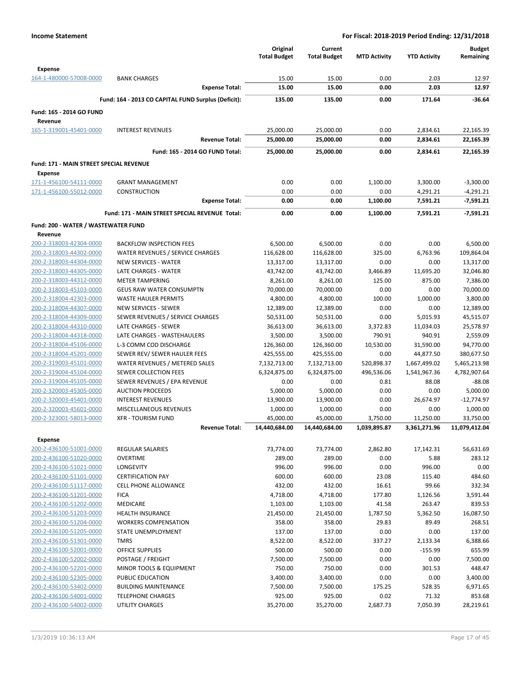|                                                    |                                                     | Original<br><b>Total Budget</b> | Current<br><b>Total Budget</b> | <b>MTD Activity</b>      | <b>YTD Activity</b>       | <b>Budget</b><br>Remaining |
|----------------------------------------------------|-----------------------------------------------------|---------------------------------|--------------------------------|--------------------------|---------------------------|----------------------------|
| <b>Expense</b>                                     |                                                     |                                 |                                |                          |                           |                            |
| 164-1-480000-57008-0000                            | <b>BANK CHARGES</b>                                 | 15.00                           | 15.00                          | 0.00                     | 2.03                      | 12.97                      |
|                                                    | <b>Expense Total:</b>                               | 15.00                           | 15.00                          | 0.00                     | 2.03                      | 12.97                      |
|                                                    | Fund: 164 - 2013 CO CAPITAL FUND Surplus (Deficit): | 135.00                          | 135.00                         | 0.00                     | 171.64                    | $-36.64$                   |
| Fund: 165 - 2014 GO FUND<br>Revenue                |                                                     |                                 |                                |                          |                           |                            |
| 165-1-319001-45401-0000                            | <b>INTEREST REVENUES</b>                            | 25,000.00                       | 25,000.00                      | 0.00                     | 2,834.61                  | 22,165.39                  |
|                                                    | <b>Revenue Total:</b>                               | 25,000.00                       | 25,000.00                      | 0.00                     | 2,834.61                  | 22,165.39                  |
|                                                    | Fund: 165 - 2014 GO FUND Total:                     | 25,000.00                       | 25,000.00                      | 0.00                     | 2,834.61                  | 22.165.39                  |
| <b>Fund: 171 - MAIN STREET SPECIAL REVENUE</b>     |                                                     |                                 |                                |                          |                           |                            |
| <b>Expense</b>                                     |                                                     |                                 |                                |                          |                           |                            |
| 171-1-456100-54111-0000                            | <b>GRANT MANAGEMENT</b>                             | 0.00                            | 0.00                           | 1,100.00                 | 3,300.00                  | $-3,300.00$                |
| 171-1-456100-55012-0000                            | <b>CONSTRUCTION</b>                                 | 0.00                            | 0.00                           | 0.00                     | 4,291.21                  | $-4,291.21$                |
|                                                    | <b>Expense Total:</b>                               | 0.00                            | 0.00                           | 1,100.00                 | 7,591.21                  | $-7,591.21$                |
|                                                    | Fund: 171 - MAIN STREET SPECIAL REVENUE Total:      | 0.00                            | 0.00                           | 1,100.00                 | 7.591.21                  | $-7,591.21$                |
| Fund: 200 - WATER / WASTEWATER FUND                |                                                     |                                 |                                |                          |                           |                            |
| Revenue                                            |                                                     |                                 |                                |                          |                           |                            |
| 200-2-318003-42304-0000                            | <b>BACKFLOW INSPECTION FEES</b>                     | 6,500.00                        | 6,500.00                       | 0.00                     | 0.00                      | 6,500.00                   |
| 200-2-318003-44302-0000                            | WATER REVENUES / SERVICE CHARGES                    | 116,628.00                      | 116,628.00                     | 325.00                   | 6,763.96                  | 109,864.04                 |
| 200-2-318003-44304-0000<br>200-2-318003-44305-0000 | <b>NEW SERVICES - WATER</b><br>LATE CHARGES - WATER | 13,317.00<br>43,742.00          | 13,317.00<br>43,742.00         | 0.00<br>3,466.89         | 0.00<br>11,695.20         | 13,317.00<br>32,046.80     |
| 200-2-318003-44312-0000                            | <b>METER TAMPERING</b>                              | 8,261.00                        | 8,261.00                       | 125.00                   | 875.00                    | 7,386.00                   |
| 200-2-318003-45103-0000                            | <b>GEUS RAW WATER CONSUMPTN</b>                     | 70,000.00                       | 70,000.00                      | 0.00                     | 0.00                      | 70,000.00                  |
| 200-2-318004-42303-0000                            | <b>WASTE HAULER PERMITS</b>                         | 4,800.00                        | 4,800.00                       | 100.00                   | 1,000.00                  | 3,800.00                   |
| 200-2-318004-44307-0000                            | <b>NEW SERVICES - SEWER</b>                         | 12,389.00                       | 12,389.00                      | 0.00                     | 0.00                      | 12,389.00                  |
| 200-2-318004-44309-0000                            | SEWER REVENUES / SERVICE CHARGES                    | 50,531.00                       | 50,531.00                      | 0.00                     | 5,015.93                  | 45,515.07                  |
| 200-2-318004-44310-0000                            | LATE CHARGES - SEWER                                | 36,613.00                       | 36,613.00                      | 3,372.83                 | 11,034.03                 | 25,578.97                  |
| 200-2-318004-44318-0000                            | LATE CHARGES - WASTEHAULERS                         | 3,500.00                        | 3,500.00                       | 790.91                   | 940.91                    | 2,559.09                   |
| 200-2-318004-45106-0000                            | L-3 COMM COD DISCHARGE                              | 126,360.00                      | 126,360.00                     | 10,530.00                | 31,590.00                 | 94,770.00                  |
| 200-2-318004-45201-0000                            | SEWER REV/ SEWER HAULER FEES                        | 425,555.00                      | 425,555.00                     | 0.00                     | 44,877.50                 | 380,677.50                 |
| 200-2-319003-45101-0000                            | WATER REVENUES / METERED SALES                      | 7,132,713.00                    | 7,132,713.00                   | 520,898.37               | 1,667,499.02              | 5,465,213.98               |
| 200-2-319004-45104-0000                            | <b>SEWER COLLECTION FEES</b>                        | 6,324,875.00                    | 6,324,875.00                   | 496,536.06               | 1,541,967.36              | 4,782,907.64               |
| 200-2-319004-45105-0000                            | SEWER REVENUES / EPA REVENUE                        | 0.00                            | 0.00                           | 0.81                     | 88.08                     | $-88.08$                   |
| 200-2-320003-45305-0000                            | <b>AUCTION PROCEEDS</b>                             | 5,000.00                        | 5,000.00                       | 0.00                     | 0.00                      | 5,000.00                   |
| 200-2-320003-45401-0000                            | <b>INTEREST REVENUES</b>                            | 13,900.00                       | 13,900.00                      | 0.00                     | 26,674.97                 | $-12,774.97$               |
| 200-2-320003-45601-0000                            | MISCELLANEOUS REVENUES                              | 1,000.00                        | 1,000.00                       | 0.00                     | 0.00                      | 1,000.00                   |
| 200-2-323001-58013-0000                            | <b>XFR - TOURISM FUND</b><br><b>Revenue Total:</b>  | 45,000.00<br>14,440,684.00      | 45,000.00<br>14,440,684.00     | 3,750.00<br>1,039,895.87 | 11,250.00<br>3,361,271.96 | 33,750.00<br>11,079,412.04 |
|                                                    |                                                     |                                 |                                |                          |                           |                            |
| <b>Expense</b><br>200-2-436100-51001-0000          | <b>REGULAR SALARIES</b>                             |                                 |                                |                          |                           |                            |
| 200-2-436100-51020-0000                            | <b>OVERTIME</b>                                     | 73,774.00<br>289.00             | 73,774.00<br>289.00            | 2,862.80<br>0.00         | 17,142.31<br>5.88         | 56,631.69<br>283.12        |
| 200-2-436100-51021-0000                            | LONGEVITY                                           | 996.00                          | 996.00                         | 0.00                     | 996.00                    | 0.00                       |
| 200-2-436100-51101-0000                            | <b>CERTIFICATION PAY</b>                            | 600.00                          | 600.00                         | 23.08                    | 115.40                    | 484.60                     |
| 200-2-436100-51117-0000                            | <b>CELL PHONE ALLOWANCE</b>                         | 432.00                          | 432.00                         | 16.61                    | 99.66                     | 332.34                     |
| 200-2-436100-51201-0000                            | <b>FICA</b>                                         | 4,718.00                        | 4,718.00                       | 177.80                   | 1,126.56                  | 3,591.44                   |
| 200-2-436100-51202-0000                            | MEDICARE                                            | 1,103.00                        | 1,103.00                       | 41.58                    | 263.47                    | 839.53                     |
| 200-2-436100-51203-0000                            | <b>HEALTH INSURANCE</b>                             | 21,450.00                       | 21,450.00                      | 1,787.50                 | 5,362.50                  | 16,087.50                  |
| 200-2-436100-51204-0000                            | <b>WORKERS COMPENSATION</b>                         | 358.00                          | 358.00                         | 29.83                    | 89.49                     | 268.51                     |
| 200-2-436100-51205-0000                            | <b>STATE UNEMPLOYMENT</b>                           | 137.00                          | 137.00                         | 0.00                     | 0.00                      | 137.00                     |
| 200-2-436100-51301-0000                            | <b>TMRS</b>                                         | 8,522.00                        | 8,522.00                       | 337.27                   | 2,133.34                  | 6,388.66                   |
| 200-2-436100-52001-0000                            | OFFICE SUPPLIES                                     | 500.00                          | 500.00                         | 0.00                     | $-155.99$                 | 655.99                     |
| 200-2-436100-52002-0000                            | POSTAGE / FREIGHT                                   | 7,500.00                        | 7,500.00                       | 0.00                     | 0.00                      | 7,500.00                   |
| 200-2-436100-52201-0000                            | MINOR TOOLS & EQUIPMENT                             | 750.00                          | 750.00                         | 0.00                     | 301.53                    | 448.47                     |
| 200-2-436100-52305-0000                            | PUBLIC EDUCATION                                    | 3,400.00                        | 3,400.00                       | 0.00                     | 0.00                      | 3,400.00                   |
| 200-2-436100-53402-0000                            | <b>BUILDING MAINTENANCE</b>                         | 7,500.00                        | 7,500.00                       | 175.25                   | 528.35                    | 6,971.65                   |
| 200-2-436100-54001-0000<br>200-2-436100-54002-0000 | <b>TELEPHONE CHARGES</b><br>UTILITY CHARGES         | 925.00<br>35,270.00             | 925.00<br>35,270.00            | 0.02<br>2,687.73         | 71.32<br>7,050.39         | 853.68<br>28,219.61        |
|                                                    |                                                     |                                 |                                |                          |                           |                            |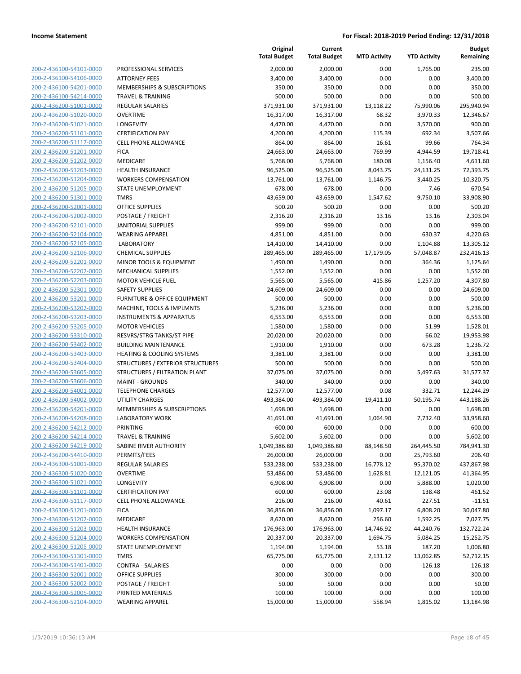**Budget Remaining**

**MTD Activity YTD Activity**

**Current**

**Original Total Budget**

|                         |                                         | <b>Total Budget</b> | <b>Total Budget</b> | <b>MTD Activity</b> | <b>YTD Activity</b> | Remaining  |
|-------------------------|-----------------------------------------|---------------------|---------------------|---------------------|---------------------|------------|
| 200-2-436100-54101-0000 | PROFESSIONAL SERVICES                   | 2,000.00            | 2,000.00            | 0.00                | 1,765.00            | 235.00     |
| 200-2-436100-54106-0000 | <b>ATTORNEY FEES</b>                    | 3,400.00            | 3,400.00            | 0.00                | 0.00                | 3,400.00   |
| 200-2-436100-54201-0000 | MEMBERSHIPS & SUBSCRIPTIONS             | 350.00              | 350.00              | 0.00                | 0.00                | 350.00     |
| 200-2-436100-54214-0000 | <b>TRAVEL &amp; TRAINING</b>            | 500.00              | 500.00              | 0.00                | 0.00                | 500.00     |
| 200-2-436200-51001-0000 | <b>REGULAR SALARIES</b>                 | 371,931.00          | 371,931.00          | 13,118.22           | 75,990.06           | 295,940.94 |
| 200-2-436200-51020-0000 | <b>OVERTIME</b>                         | 16,317.00           | 16,317.00           | 68.32               | 3,970.33            | 12,346.67  |
| 200-2-436200-51021-0000 | LONGEVITY                               | 4,470.00            | 4,470.00            | 0.00                | 3,570.00            | 900.00     |
| 200-2-436200-51101-0000 | <b>CERTIFICATION PAY</b>                | 4,200.00            | 4,200.00            | 115.39              | 692.34              | 3,507.66   |
| 200-2-436200-51117-0000 | <b>CELL PHONE ALLOWANCE</b>             | 864.00              | 864.00              | 16.61               | 99.66               | 764.34     |
| 200-2-436200-51201-0000 | <b>FICA</b>                             | 24,663.00           | 24,663.00           | 769.99              | 4,944.59            | 19,718.41  |
| 200-2-436200-51202-0000 | <b>MEDICARE</b>                         | 5,768.00            | 5,768.00            | 180.08              | 1,156.40            | 4,611.60   |
| 200-2-436200-51203-0000 | <b>HEALTH INSURANCE</b>                 | 96,525.00           | 96,525.00           | 8,043.75            | 24,131.25           | 72,393.75  |
| 200-2-436200-51204-0000 | <b>WORKERS COMPENSATION</b>             | 13,761.00           | 13,761.00           | 1,146.75            | 3,440.25            | 10,320.75  |
| 200-2-436200-51205-0000 | <b>STATE UNEMPLOYMENT</b>               | 678.00              | 678.00              | 0.00                | 7.46                | 670.54     |
| 200-2-436200-51301-0000 | <b>TMRS</b>                             | 43,659.00           | 43,659.00           | 1,547.62            | 9,750.10            | 33,908.90  |
| 200-2-436200-52001-0000 | OFFICE SUPPLIES                         | 500.20              | 500.20              | 0.00                | 0.00                | 500.20     |
| 200-2-436200-52002-0000 | POSTAGE / FREIGHT                       | 2,316.20            | 2,316.20            | 13.16               | 13.16               | 2,303.04   |
| 200-2-436200-52101-0000 | <b>JANITORIAL SUPPLIES</b>              | 999.00              | 999.00              | 0.00                | 0.00                | 999.00     |
| 200-2-436200-52104-0000 | <b>WEARING APPAREL</b>                  | 4,851.00            | 4,851.00            | 0.00                | 630.37              | 4,220.63   |
| 200-2-436200-52105-0000 | <b>LABORATORY</b>                       | 14,410.00           | 14,410.00           | 0.00                | 1,104.88            | 13,305.12  |
| 200-2-436200-52106-0000 | <b>CHEMICAL SUPPLIES</b>                | 289,465.00          | 289,465.00          | 17,179.05           | 57,048.87           | 232,416.13 |
| 200-2-436200-52201-0000 | MINOR TOOLS & EQUIPMENT                 | 1,490.00            | 1,490.00            | 0.00                | 364.36              | 1,125.64   |
| 200-2-436200-52202-0000 | <b>MECHANICAL SUPPLIES</b>              | 1,552.00            | 1,552.00            | 0.00                | 0.00                | 1,552.00   |
| 200-2-436200-52203-0000 | <b>MOTOR VEHICLE FUEL</b>               | 5,565.00            | 5,565.00            | 415.86              | 1,257.20            | 4,307.80   |
| 200-2-436200-52301-0000 | <b>SAFETY SUPPLIES</b>                  | 24,609.00           | 24,609.00           | 0.00                | 0.00                | 24,609.00  |
| 200-2-436200-53201-0000 | <b>FURNITURE &amp; OFFICE EQUIPMENT</b> | 500.00              | 500.00              | 0.00                | 0.00                | 500.00     |
| 200-2-436200-53202-0000 | MACHINE, TOOLS & IMPLMNTS               | 5,236.00            | 5,236.00            | 0.00                | 0.00                | 5,236.00   |
| 200-2-436200-53203-0000 | <b>INSTRUMENTS &amp; APPARATUS</b>      | 6,553.00            | 6,553.00            | 0.00                | 0.00                | 6,553.00   |
| 200-2-436200-53205-0000 | <b>MOTOR VEHICLES</b>                   | 1,580.00            | 1,580.00            | 0.00                | 51.99               | 1,528.01   |
| 200-2-436200-53310-0000 | RESVRS/STRG TANKS/ST PIPE               | 20,020.00           | 20,020.00           | 0.00                | 66.02               | 19,953.98  |
| 200-2-436200-53402-0000 | <b>BUILDING MAINTENANCE</b>             | 1,910.00            | 1,910.00            | 0.00                | 673.28              | 1,236.72   |
| 200-2-436200-53403-0000 | HEATING & COOLING SYSTEMS               | 3,381.00            | 3,381.00            | 0.00                | 0.00                | 3,381.00   |
| 200-2-436200-53404-0000 | STRUCTURES / EXTERIOR STRUCTURES        | 500.00              | 500.00              | 0.00                | 0.00                | 500.00     |
| 200-2-436200-53605-0000 | STRUCTURES / FILTRATION PLANT           | 37,075.00           | 37,075.00           | 0.00                | 5,497.63            | 31,577.37  |
| 200-2-436200-53606-0000 | <b>MAINT - GROUNDS</b>                  | 340.00              | 340.00              | 0.00                | 0.00                | 340.00     |
| 200-2-436200-54001-0000 | <b>TELEPHONE CHARGES</b>                | 12,577.00           | 12,577.00           | 0.08                | 332.71              | 12,244.29  |
| 200-2-436200-54002-0000 | <b>UTILITY CHARGES</b>                  | 493,384.00          | 493,384.00          | 19,411.10           | 50,195.74           | 443,188.26 |
| 200-2-436200-54201-0000 | MEMBERSHIPS & SUBSCRIPTIONS             | 1,698.00            | 1,698.00            | 0.00                | 0.00                | 1,698.00   |
| 200-2-436200-54208-0000 | <b>LABORATORY WORK</b>                  | 41,691.00           | 41,691.00           | 1,064.90            | 7,732.40            | 33,958.60  |
| 200-2-436200-54212-0000 | <b>PRINTING</b>                         | 600.00              | 600.00              | 0.00                | 0.00                | 600.00     |
| 200-2-436200-54214-0000 | TRAVEL & TRAINING                       | 5,602.00            | 5,602.00            | 0.00                | 0.00                | 5,602.00   |
| 200-2-436200-54219-0000 | SABINE RIVER AUTHORITY                  | 1,049,386.80        | 1,049,386.80        | 88,148.50           | 264,445.50          | 784,941.30 |
| 200-2-436200-54410-0000 | PERMITS/FEES                            | 26,000.00           | 26,000.00           | 0.00                | 25,793.60           | 206.40     |
| 200-2-436300-51001-0000 | REGULAR SALARIES                        | 533,238.00          | 533,238.00          | 16,778.12           | 95,370.02           | 437,867.98 |
| 200-2-436300-51020-0000 | <b>OVERTIME</b>                         | 53,486.00           | 53,486.00           | 1,628.81            | 12,121.05           | 41,364.95  |
| 200-2-436300-51021-0000 | LONGEVITY                               | 6,908.00            | 6,908.00            | 0.00                | 5,888.00            | 1,020.00   |
| 200-2-436300-51101-0000 | <b>CERTIFICATION PAY</b>                | 600.00              | 600.00              | 23.08               | 138.48              | 461.52     |
| 200-2-436300-51117-0000 | <b>CELL PHONE ALLOWANCE</b>             | 216.00              | 216.00              | 40.61               | 227.51              | $-11.51$   |
| 200-2-436300-51201-0000 | <b>FICA</b>                             | 36,856.00           | 36,856.00           | 1,097.17            | 6,808.20            | 30,047.80  |
| 200-2-436300-51202-0000 | MEDICARE                                | 8,620.00            | 8,620.00            | 256.60              | 1,592.25            | 7,027.75   |
| 200-2-436300-51203-0000 | <b>HEALTH INSURANCE</b>                 | 176,963.00          | 176,963.00          | 14,746.92           | 44,240.76           | 132,722.24 |
| 200-2-436300-51204-0000 | <b>WORKERS COMPENSATION</b>             | 20,337.00           | 20,337.00           | 1,694.75            | 5,084.25            | 15,252.75  |
| 200-2-436300-51205-0000 | STATE UNEMPLOYMENT                      | 1,194.00            | 1,194.00            | 53.18               | 187.20              | 1,006.80   |
| 200-2-436300-51301-0000 | <b>TMRS</b>                             | 65,775.00           | 65,775.00           | 2,131.12            | 13,062.85           | 52,712.15  |
| 200-2-436300-51401-0000 | <b>CONTRA - SALARIES</b>                | 0.00                | 0.00                | 0.00                | $-126.18$           | 126.18     |
| 200-2-436300-52001-0000 | OFFICE SUPPLIES                         | 300.00              | 300.00              | 0.00                | 0.00                | 300.00     |
| 200-2-436300-52002-0000 | POSTAGE / FREIGHT                       | 50.00               | 50.00               | 0.00                | 0.00                | 50.00      |
| 200-2-436300-52005-0000 | PRINTED MATERIALS                       | 100.00              | 100.00              | 0.00                | 0.00                | 100.00     |
| 200-2-436300-52104-0000 | <b>WEARING APPAREL</b>                  | 15,000.00           | 15,000.00           | 558.94              | 1,815.02            | 13,184.98  |
|                         |                                         |                     |                     |                     |                     |            |
|                         |                                         |                     |                     |                     |                     |            |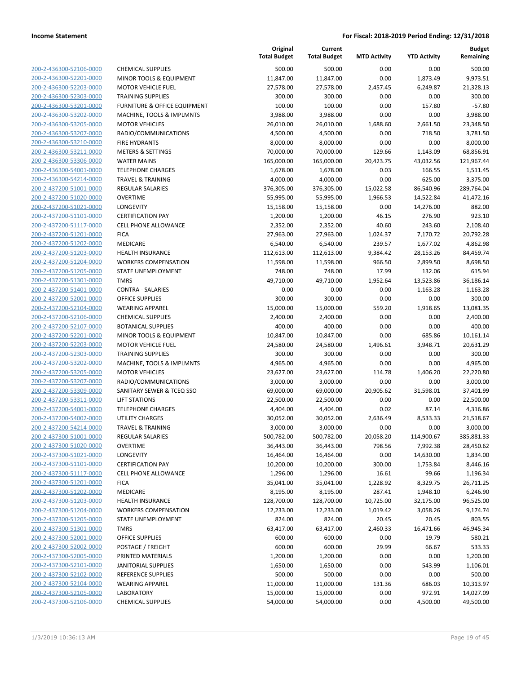| 200-2-436300-52106-0000        |
|--------------------------------|
| 200-2-436300-52201-0000        |
| 200-2-436300-52203-0000        |
| 200-2-436300-52303-0000        |
| 200-2-436300-53201-0000        |
|                                |
| 200-2-436300-53202-0000        |
| 200-2-436300-53205-0000        |
| 200-2-436300-53207-0000        |
| 200-2-436300-53210-0000        |
| 200-2-436300-53211-0000        |
| 200-2-436300-53306-0000        |
| 200-2-436300-54001-0000        |
|                                |
| 200-2-436300-54214-0000        |
| 200-2-437200-51001-0000        |
| 200-2-437200-51020-0000        |
| 200-2-437200-51021-0000        |
| 200-2-437200-51101-0000        |
| 200-2-437200-51117-0000        |
| 200-2-437200-51201-0000        |
| 200-2-437200-51202-0000        |
| 200-2-437200-51203-0000        |
| 200-2-437200-51204-0000        |
|                                |
| 200-2-437200-51205-0000        |
| 200-2-437200-51301-0000        |
| 200-2-437200-51401-0000        |
| 200-2-437200-52001-0000        |
| 200-2-437200-52104-0000        |
| 200-2-437200-52106-0000        |
| 200-2-437200-52107-0000        |
| 200-2-437200-52201-0000        |
| 200-2-437200-52203-0000        |
| 200-2-437200-52303-0000        |
| 200-2-437200-53202-0000        |
|                                |
| 200-2-437200-53205-0000        |
| 200-2-437200-53207-0000        |
| 200-2-437200-53309-0000        |
| 200-2-437200-53311-0000        |
| 200-2-437200-54001-0000        |
| 200-2-437200-54002-0000        |
| 200-2-437200-54214-0000        |
| 200-2-437300-51001-0000        |
| 200-2-437300-51020-0000        |
| 200-2-437300-51021-0000        |
|                                |
| <u>200-2-437300-51101-0000</u> |
| 200-2-437300-51117-0000        |
| 200-2-437300-51201-0000        |
| 200-2-437300-51202-0000        |
| <u>200-2-437300-51203-0000</u> |
| <u>200-2-437300-51204-0000</u> |
| 200-2-437300-51205-0000        |
| 200-2-437300-51301-0000        |
| 200-2-437300-52001-0000        |
|                                |
| 200-2-437300-52002-0000        |
| <u>200-2-437300-52005-0000</u> |
| 200-2-437300-52101-0000        |
| 200-2-437300-52102-0000        |
| 200-2-437300-52104-0000        |
| <u>200-2-437300-52105-0000</u> |
| 200-2-437300-52106-0000        |
|                                |

|                         |                                         | Original<br><b>Total Budget</b> | Current<br><b>Total Budget</b> | <b>MTD Activity</b> | <b>YTD Activity</b> | <b>Budget</b><br>Remaining |
|-------------------------|-----------------------------------------|---------------------------------|--------------------------------|---------------------|---------------------|----------------------------|
| 200-2-436300-52106-0000 | <b>CHEMICAL SUPPLIES</b>                | 500.00                          | 500.00                         | 0.00                | 0.00                | 500.00                     |
| 200-2-436300-52201-0000 | MINOR TOOLS & EQUIPMENT                 | 11,847.00                       | 11,847.00                      | 0.00                | 1,873.49            | 9,973.51                   |
| 200-2-436300-52203-0000 | <b>MOTOR VEHICLE FUEL</b>               | 27,578.00                       | 27,578.00                      | 2,457.45            | 6,249.87            | 21,328.13                  |
| 200-2-436300-52303-0000 | <b>TRAINING SUPPLIES</b>                | 300.00                          | 300.00                         | 0.00                | 0.00                | 300.00                     |
| 200-2-436300-53201-0000 | <b>FURNITURE &amp; OFFICE EQUIPMENT</b> | 100.00                          | 100.00                         | 0.00                | 157.80              | $-57.80$                   |
| 200-2-436300-53202-0000 | MACHINE, TOOLS & IMPLMNTS               | 3,988.00                        | 3,988.00                       | 0.00                | 0.00                | 3,988.00                   |
| 200-2-436300-53205-0000 | <b>MOTOR VEHICLES</b>                   | 26,010.00                       | 26,010.00                      | 1,688.60            | 2,661.50            | 23,348.50                  |
| 200-2-436300-53207-0000 | RADIO/COMMUNICATIONS                    | 4,500.00                        | 4,500.00                       | 0.00                | 718.50              | 3,781.50                   |
| 200-2-436300-53210-0000 | <b>FIRE HYDRANTS</b>                    | 8,000.00                        | 8,000.00                       | 0.00                | 0.00                | 8,000.00                   |
| 200-2-436300-53211-0000 | <b>METERS &amp; SETTINGS</b>            | 70,000.00                       | 70,000.00                      | 129.66              | 1,143.09            | 68,856.91                  |
| 200-2-436300-53306-0000 | <b>WATER MAINS</b>                      | 165,000.00                      | 165,000.00                     | 20,423.75           | 43,032.56           | 121,967.44                 |
| 200-2-436300-54001-0000 | <b>TELEPHONE CHARGES</b>                | 1,678.00                        | 1,678.00                       | 0.03                | 166.55              | 1,511.45                   |
| 200-2-436300-54214-0000 | <b>TRAVEL &amp; TRAINING</b>            | 4,000.00                        | 4,000.00                       | 0.00                | 625.00              | 3,375.00                   |
| 200-2-437200-51001-0000 | <b>REGULAR SALARIES</b>                 | 376,305.00                      | 376,305.00                     | 15,022.58           | 86,540.96           | 289,764.04                 |
| 200-2-437200-51020-0000 | <b>OVERTIME</b>                         | 55,995.00                       | 55,995.00                      | 1,966.53            | 14,522.84           | 41,472.16                  |
| 200-2-437200-51021-0000 | LONGEVITY                               | 15,158.00                       | 15,158.00                      | 0.00                | 14,276.00           | 882.00                     |
| 200-2-437200-51101-0000 | <b>CERTIFICATION PAY</b>                | 1,200.00                        | 1,200.00                       | 46.15               | 276.90              | 923.10                     |
| 200-2-437200-51117-0000 | CELL PHONE ALLOWANCE                    | 2,352.00                        | 2,352.00                       | 40.60               | 243.60              | 2,108.40                   |
| 200-2-437200-51201-0000 | <b>FICA</b>                             | 27,963.00                       | 27,963.00                      | 1,024.37            | 7,170.72            | 20,792.28                  |
| 200-2-437200-51202-0000 | MEDICARE                                | 6,540.00                        | 6,540.00                       | 239.57              | 1,677.02            | 4,862.98                   |
| 200-2-437200-51203-0000 | <b>HEALTH INSURANCE</b>                 | 112,613.00                      | 112,613.00                     | 9,384.42            | 28,153.26           | 84,459.74                  |
| 200-2-437200-51204-0000 | <b>WORKERS COMPENSATION</b>             | 11,598.00                       | 11,598.00                      | 966.50              | 2,899.50            | 8,698.50                   |
| 200-2-437200-51205-0000 | STATE UNEMPLOYMENT                      | 748.00                          | 748.00                         | 17.99               | 132.06              | 615.94                     |
| 200-2-437200-51301-0000 | <b>TMRS</b>                             | 49,710.00                       | 49,710.00                      | 1,952.64            | 13,523.86           | 36,186.14                  |
| 200-2-437200-51401-0000 | <b>CONTRA - SALARIES</b>                | 0.00                            | 0.00                           | 0.00                | $-1,163.28$         | 1,163.28                   |
| 200-2-437200-52001-0000 | <b>OFFICE SUPPLIES</b>                  | 300.00                          | 300.00                         | 0.00                | 0.00                | 300.00                     |
| 200-2-437200-52104-0000 | <b>WEARING APPAREL</b>                  | 15,000.00                       | 15,000.00                      | 559.20              | 1,918.65            | 13,081.35                  |
| 200-2-437200-52106-0000 | <b>CHEMICAL SUPPLIES</b>                | 2,400.00                        | 2,400.00                       | 0.00                | 0.00                | 2,400.00                   |
| 200-2-437200-52107-0000 | <b>BOTANICAL SUPPLIES</b>               | 400.00                          | 400.00                         | 0.00                | 0.00                | 400.00                     |
| 200-2-437200-52201-0000 | MINOR TOOLS & EQUIPMENT                 | 10,847.00                       | 10,847.00                      | 0.00                | 685.86              | 10,161.14                  |
| 200-2-437200-52203-0000 | <b>MOTOR VEHICLE FUEL</b>               | 24,580.00                       | 24,580.00                      | 1,496.61            | 3,948.71            | 20,631.29                  |
| 200-2-437200-52303-0000 | <b>TRAINING SUPPLIES</b>                | 300.00                          | 300.00                         | 0.00                | 0.00                | 300.00                     |
| 200-2-437200-53202-0000 | MACHINE, TOOLS & IMPLMNTS               | 4,965.00                        | 4,965.00                       | 0.00                | 0.00                | 4,965.00                   |
| 200-2-437200-53205-0000 | <b>MOTOR VEHICLES</b>                   | 23,627.00                       | 23,627.00                      | 114.78              | 1,406.20            | 22,220.80                  |
| 200-2-437200-53207-0000 | RADIO/COMMUNICATIONS                    | 3,000.00                        | 3,000.00                       | 0.00                | 0.00                | 3,000.00                   |
| 200-2-437200-53309-0000 | SANITARY SEWER & TCEQ SSO               | 69,000.00                       | 69,000.00                      | 20,905.62           | 31,598.01           | 37,401.99                  |
| 200-2-437200-53311-0000 | <b>LIFT STATIONS</b>                    | 22,500.00                       | 22,500.00                      | 0.00                | 0.00                | 22,500.00                  |
| 200-2-437200-54001-0000 | <b>TELEPHONE CHARGES</b>                | 4,404.00                        | 4,404.00                       | 0.02                | 87.14               | 4,316.86                   |
| 200-2-437200-54002-0000 | UTILITY CHARGES                         | 30,052.00                       | 30,052.00                      | 2,636.49            | 8,533.33            | 21,518.67                  |
| 200-2-437200-54214-0000 | TRAVEL & TRAINING                       | 3,000.00                        | 3,000.00                       | 0.00                | 0.00                | 3,000.00                   |
| 200-2-437300-51001-0000 | REGULAR SALARIES                        | 500,782.00                      | 500,782.00                     | 20,058.20           | 114,900.67          | 385,881.33                 |
| 200-2-437300-51020-0000 | <b>OVERTIME</b>                         | 36,443.00                       | 36,443.00                      | 798.56              | 7,992.38            | 28,450.62                  |
| 200-2-437300-51021-0000 | LONGEVITY                               | 16,464.00                       | 16,464.00                      | 0.00                | 14,630.00           | 1,834.00                   |
| 200-2-437300-51101-0000 | <b>CERTIFICATION PAY</b>                | 10,200.00                       | 10,200.00                      | 300.00              | 1,753.84            | 8,446.16                   |
| 200-2-437300-51117-0000 | <b>CELL PHONE ALLOWANCE</b>             | 1,296.00                        | 1,296.00                       | 16.61               | 99.66               | 1,196.34                   |
| 200-2-437300-51201-0000 | <b>FICA</b>                             | 35,041.00                       | 35,041.00                      | 1,228.92            | 8,329.75            | 26,711.25                  |
| 200-2-437300-51202-0000 | MEDICARE                                | 8,195.00                        | 8,195.00                       | 287.41              | 1,948.10            | 6,246.90                   |
| 200-2-437300-51203-0000 | <b>HEALTH INSURANCE</b>                 | 128,700.00                      | 128,700.00                     | 10,725.00           | 32,175.00           | 96,525.00                  |
| 200-2-437300-51204-0000 | <b>WORKERS COMPENSATION</b>             | 12,233.00                       | 12,233.00                      | 1,019.42            | 3,058.26            | 9,174.74                   |
| 200-2-437300-51205-0000 | STATE UNEMPLOYMENT                      | 824.00                          | 824.00                         | 20.45               | 20.45               | 803.55                     |
| 200-2-437300-51301-0000 | TMRS                                    | 63,417.00                       | 63,417.00                      | 2,460.33            | 16,471.66           | 46,945.34                  |
| 200-2-437300-52001-0000 | <b>OFFICE SUPPLIES</b>                  | 600.00                          | 600.00                         | 0.00                | 19.79               | 580.21                     |
| 200-2-437300-52002-0000 | POSTAGE / FREIGHT                       | 600.00                          | 600.00                         | 29.99               | 66.67               | 533.33                     |
| 200-2-437300-52005-0000 | PRINTED MATERIALS                       | 1,200.00                        | 1,200.00                       | 0.00                | 0.00                | 1,200.00                   |
| 200-2-437300-52101-0000 | <b>JANITORIAL SUPPLIES</b>              | 1,650.00                        | 1,650.00                       | 0.00                | 543.99              | 1,106.01                   |
| 200-2-437300-52102-0000 | REFERENCE SUPPLIES                      | 500.00                          | 500.00                         | 0.00                | 0.00                | 500.00                     |
| 200-2-437300-52104-0000 | <b>WEARING APPAREL</b>                  | 11,000.00                       | 11,000.00                      | 131.36              | 686.03              | 10,313.97                  |
| 200-2-437300-52105-0000 | LABORATORY                              | 15,000.00                       | 15,000.00                      | 0.00                | 972.91              | 14,027.09                  |
| 200-2-437300-52106-0000 | <b>CHEMICAL SUPPLIES</b>                | 54,000.00                       | 54,000.00                      | 0.00                | 4,500.00            | 49,500.00                  |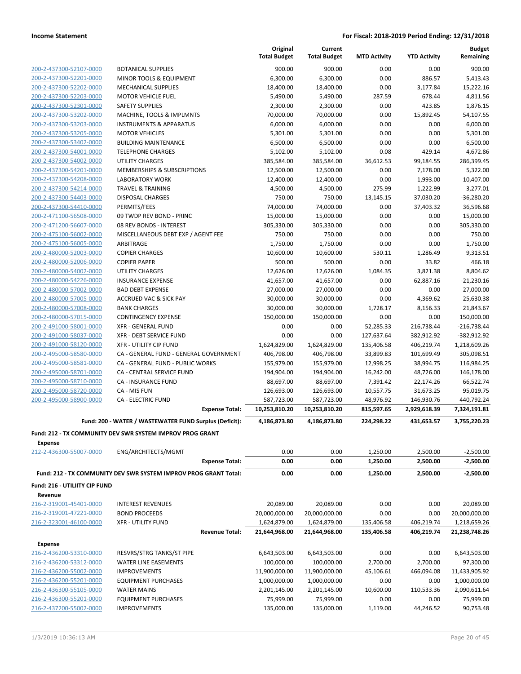|                                                    |                                                                  |                       | Original<br><b>Total Budget</b> | Current<br><b>Total Budget</b> | <b>MTD Activity</b> | <b>YTD Activity</b> | <b>Budget</b><br>Remaining |
|----------------------------------------------------|------------------------------------------------------------------|-----------------------|---------------------------------|--------------------------------|---------------------|---------------------|----------------------------|
| 200-2-437300-52107-0000                            | <b>BOTANICAL SUPPLIES</b>                                        |                       | 900.00                          | 900.00                         | 0.00                | 0.00                | 900.00                     |
| 200-2-437300-52201-0000                            | MINOR TOOLS & EQUIPMENT                                          |                       | 6,300.00                        | 6,300.00                       | 0.00                | 886.57              | 5,413.43                   |
| 200-2-437300-52202-0000                            | <b>MECHANICAL SUPPLIES</b>                                       |                       | 18,400.00                       | 18,400.00                      | 0.00                | 3,177.84            | 15,222.16                  |
| 200-2-437300-52203-0000                            | <b>MOTOR VEHICLE FUEL</b>                                        |                       | 5,490.00                        | 5,490.00                       | 287.59              | 678.44              | 4,811.56                   |
| 200-2-437300-52301-0000                            | <b>SAFETY SUPPLIES</b>                                           |                       | 2,300.00                        | 2,300.00                       | 0.00                | 423.85              | 1,876.15                   |
| 200-2-437300-53202-0000                            | MACHINE, TOOLS & IMPLMNTS                                        |                       | 70,000.00                       | 70,000.00                      | 0.00                | 15,892.45           | 54,107.55                  |
| 200-2-437300-53203-0000                            | <b>INSTRUMENTS &amp; APPARATUS</b>                               |                       | 6,000.00                        | 6,000.00                       | 0.00                | 0.00                | 6,000.00                   |
| 200-2-437300-53205-0000                            | <b>MOTOR VEHICLES</b>                                            |                       | 5,301.00                        | 5,301.00                       | 0.00                | 0.00                | 5,301.00                   |
| 200-2-437300-53402-0000                            | <b>BUILDING MAINTENANCE</b>                                      |                       | 6,500.00                        | 6,500.00                       | 0.00                | 0.00                | 6,500.00                   |
| 200-2-437300-54001-0000                            | <b>TELEPHONE CHARGES</b>                                         |                       | 5,102.00                        | 5,102.00                       | 0.08                | 429.14              | 4,672.86                   |
| 200-2-437300-54002-0000                            | <b>UTILITY CHARGES</b>                                           |                       | 385,584.00                      | 385,584.00                     | 36,612.53           | 99,184.55           | 286,399.45                 |
| 200-2-437300-54201-0000                            | MEMBERSHIPS & SUBSCRIPTIONS                                      |                       | 12,500.00                       | 12,500.00                      | 0.00                | 7,178.00            | 5,322.00                   |
| 200-2-437300-54208-0000                            | <b>LABORATORY WORK</b>                                           |                       | 12,400.00                       | 12,400.00                      | 0.00                | 1,993.00            | 10,407.00                  |
| 200-2-437300-54214-0000                            | <b>TRAVEL &amp; TRAINING</b>                                     |                       | 4,500.00                        | 4,500.00                       | 275.99              | 1,222.99            | 3,277.01                   |
| 200-2-437300-54403-0000                            | <b>DISPOSAL CHARGES</b>                                          |                       | 750.00                          | 750.00                         | 13,145.15           | 37,030.20           | $-36,280.20$               |
| 200-2-437300-54410-0000                            | PERMITS/FEES                                                     |                       | 74,000.00                       | 74,000.00                      | 0.00                | 37,403.32           | 36,596.68                  |
| 200-2-471100-56508-0000                            | 09 TWDP REV BOND - PRINC                                         |                       | 15,000.00                       | 15,000.00                      | 0.00                | 0.00                | 15,000.00                  |
| 200-2-471200-56607-0000                            | 08 REV BONDS - INTEREST                                          |                       | 305,330.00                      | 305,330.00                     | 0.00                | 0.00                | 305,330.00                 |
| 200-2-475100-56002-0000                            | MISCELLANEOUS DEBT EXP / AGENT FEE                               |                       | 750.00                          | 750.00                         | 0.00                | 0.00                | 750.00                     |
| 200-2-475100-56005-0000                            | ARBITRAGE                                                        |                       | 1,750.00<br>10,600.00           | 1,750.00                       | 0.00                | 0.00                | 1,750.00                   |
| 200-2-480000-52003-0000                            | <b>COPIER CHARGES</b>                                            |                       |                                 | 10,600.00                      | 530.11              | 1,286.49            | 9,313.51                   |
| 200-2-480000-52006-0000                            | <b>COPIER PAPER</b>                                              |                       | 500.00                          | 500.00                         | 0.00                | 33.82               | 466.18                     |
| 200-2-480000-54002-0000<br>200-2-480000-54226-0000 | <b>UTILITY CHARGES</b>                                           |                       | 12,626.00                       | 12,626.00                      | 1,084.35            | 3,821.38            | 8,804.62                   |
| 200-2-480000-57002-0000                            | <b>INSURANCE EXPENSE</b><br><b>BAD DEBT EXPENSE</b>              |                       | 41,657.00<br>27,000.00          | 41,657.00<br>27,000.00         | 0.00<br>0.00        | 62,887.16<br>0.00   | $-21,230.16$<br>27,000.00  |
| 200-2-480000-57005-0000                            | <b>ACCRUED VAC &amp; SICK PAY</b>                                |                       | 30,000.00                       | 30,000.00                      | 0.00                | 4,369.62            | 25,630.38                  |
| 200-2-480000-57008-0000                            | <b>BANK CHARGES</b>                                              |                       | 30,000.00                       | 30,000.00                      | 1,728.17            | 8,156.33            | 21,843.67                  |
| 200-2-480000-57015-0000                            | <b>CONTINGENCY EXPENSE</b>                                       |                       | 150,000.00                      | 150,000.00                     | 0.00                | 0.00                | 150,000.00                 |
| 200-2-491000-58001-0000                            | <b>XFR - GENERAL FUND</b>                                        |                       | 0.00                            | 0.00                           | 52,285.33           | 216,738.44          | $-216,738.44$              |
| 200-2-491000-58037-0000                            | <b>XFR - DEBT SERVICE FUND</b>                                   |                       | 0.00                            | 0.00                           | 127,637.64          | 382,912.92          | $-382,912.92$              |
| 200-2-491000-58120-0000                            | <b>XFR - UTILITY CIP FUND</b>                                    |                       | 1,624,829.00                    | 1,624,829.00                   | 135,406.58          | 406,219.74          | 1,218,609.26               |
| 200-2-495000-58580-0000                            | CA - GENERAL FUND - GENERAL GOVERNMENT                           |                       | 406,798.00                      | 406,798.00                     | 33,899.83           | 101,699.49          | 305,098.51                 |
| 200-2-495000-58581-0000                            | CA - GENERAL FUND - PUBLIC WORKS                                 |                       | 155,979.00                      | 155,979.00                     | 12,998.25           | 38,994.75           | 116,984.25                 |
| 200-2-495000-58701-0000                            | CA - CENTRAL SERVICE FUND                                        |                       | 194,904.00                      | 194,904.00                     | 16,242.00           | 48,726.00           | 146,178.00                 |
| 200-2-495000-58710-0000                            | <b>CA - INSURANCE FUND</b>                                       |                       | 88,697.00                       | 88,697.00                      | 7,391.42            | 22,174.26           | 66,522.74                  |
| 200-2-495000-58720-0000                            | CA - MIS FUN                                                     |                       | 126,693.00                      | 126,693.00                     | 10,557.75           | 31,673.25           | 95,019.75                  |
| 200-2-495000-58900-0000                            | <b>CA - ELECTRIC FUND</b>                                        |                       | 587,723.00                      | 587,723.00                     | 48,976.92           | 146,930.76          | 440,792.24                 |
|                                                    |                                                                  | <b>Expense Total:</b> | 10,253,810.20                   | 10,253,810.20                  | 815,597.65          | 2,929,618.39        | 7,324,191.81               |
|                                                    | Fund: 200 - WATER / WASTEWATER FUND Surplus (Deficit):           |                       | 4,186,873.80                    | 4,186,873.80                   | 224,298.22          | 431,653.57          | 3,755,220.23               |
|                                                    | Fund: 212 - TX COMMUNITY DEV SWR SYSTEM IMPROV PROG GRANT        |                       |                                 |                                |                     |                     |                            |
| <b>Expense</b>                                     |                                                                  |                       |                                 |                                |                     |                     |                            |
| 212-2-436300-55007-0000                            | ENG/ARCHITECTS/MGMT                                              |                       | 0.00                            | 0.00                           | 1,250.00            | 2,500.00            | $-2,500.00$                |
|                                                    |                                                                  | <b>Expense Total:</b> | 0.00                            | 0.00                           | 1,250.00            | 2,500.00            | $-2,500.00$                |
|                                                    | Fund: 212 - TX COMMUNITY DEV SWR SYSTEM IMPROV PROG GRANT Total: |                       | 0.00                            | 0.00                           | 1,250.00            | 2,500.00            | $-2,500.00$                |
| Fund: 216 - UTILIITY CIP FUND                      |                                                                  |                       |                                 |                                |                     |                     |                            |
| Revenue                                            |                                                                  |                       |                                 |                                |                     |                     |                            |
| 216-2-319001-45401-0000                            | <b>INTEREST REVENUES</b>                                         |                       | 20,089.00                       | 20,089.00                      | 0.00                | 0.00                | 20,089.00                  |
| 216-2-319001-47221-0000                            | <b>BOND PROCEEDS</b>                                             |                       | 20,000,000.00                   | 20,000,000.00                  | 0.00                | 0.00                | 20,000,000.00              |
| 216-2-323001-46100-0000                            | <b>XFR - UTILITY FUND</b>                                        |                       | 1,624,879.00                    | 1,624,879.00                   | 135,406.58          | 406,219.74          | 1,218,659.26               |
|                                                    |                                                                  | <b>Revenue Total:</b> | 21,644,968.00                   | 21,644,968.00                  | 135,406.58          | 406,219.74          | 21,238,748.26              |
| <b>Expense</b>                                     |                                                                  |                       |                                 |                                |                     |                     |                            |
| 216-2-436200-53310-0000                            | RESVRS/STRG TANKS/ST PIPE                                        |                       | 6,643,503.00                    | 6,643,503.00                   | 0.00                | 0.00                | 6,643,503.00               |
| 216-2-436200-53312-0000                            | WATER LINE EASEMENTS                                             |                       | 100,000.00                      | 100,000.00                     | 2,700.00            | 2,700.00            | 97,300.00                  |
| 216-2-436200-55002-0000                            | <b>IMPROVEMENTS</b>                                              |                       | 11,900,000.00                   | 11,900,000.00                  | 45,106.61           | 466,094.08          | 11,433,905.92              |
| 216-2-436200-55201-0000                            | <b>EQUIPMENT PURCHASES</b>                                       |                       | 1,000,000.00                    | 1,000,000.00                   | 0.00                | 0.00                | 1,000,000.00               |
| 216-2-436300-55105-0000                            | <b>WATER MAINS</b>                                               |                       | 2,201,145.00                    | 2,201,145.00                   | 10,600.00           | 110,533.36          | 2,090,611.64               |
| 216-2-436300-55201-0000                            | <b>EQUIPMENT PURCHASES</b>                                       |                       | 75,999.00                       | 75,999.00                      | 0.00                | 0.00                | 75,999.00                  |
| 216-2-437200-55002-0000                            | <b>IMPROVEMENTS</b>                                              |                       | 135,000.00                      | 135,000.00                     | 1,119.00            | 44,246.52           | 90,753.48                  |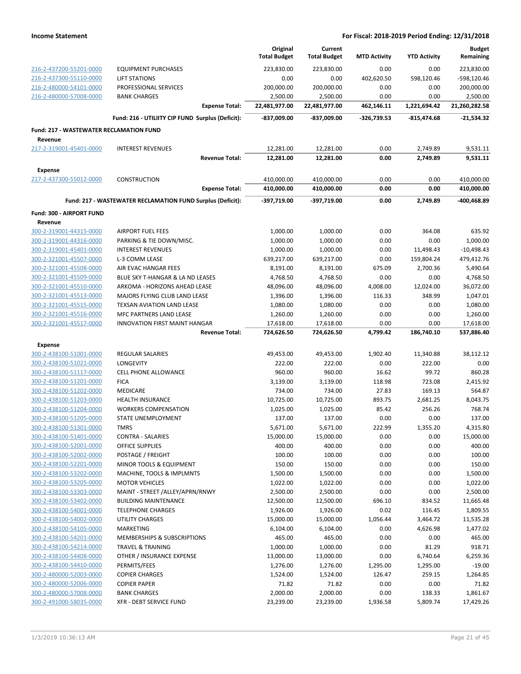|                                                |                                                            | Original<br><b>Total Budget</b> | Current<br><b>Total Budget</b> | <b>MTD Activity</b> | <b>YTD Activity</b> | <b>Budget</b><br>Remaining |
|------------------------------------------------|------------------------------------------------------------|---------------------------------|--------------------------------|---------------------|---------------------|----------------------------|
| 216-2-437200-55201-0000                        | <b>EQUIPMENT PURCHASES</b>                                 | 223,830.00                      | 223,830.00                     | 0.00                | 0.00                | 223,830.00                 |
| 216-2-437300-55110-0000                        | LIFT STATIONS                                              | 0.00                            | 0.00                           | 402,620.50          | 598,120.46          | -598,120.46                |
| 216-2-480000-54101-0000                        | PROFESSIONAL SERVICES                                      | 200,000.00                      | 200,000.00                     | 0.00                | 0.00                | 200,000.00                 |
| 216-2-480000-57008-0000                        | <b>BANK CHARGES</b>                                        | 2,500.00                        | 2,500.00                       | 0.00                | 0.00                | 2,500.00                   |
|                                                | <b>Expense Total:</b>                                      | 22,481,977.00                   | 22,481,977.00                  | 462,146.11          | 1,221,694.42        | 21,260,282.58              |
|                                                | Fund: 216 - UTILIITY CIP FUND Surplus (Deficit):           | -837,009.00                     | -837,009.00                    | -326,739.53         | $-815,474.68$       | $-21,534.32$               |
| <b>Fund: 217 - WASTEWATER RECLAMATION FUND</b> |                                                            |                                 |                                |                     |                     |                            |
| Revenue                                        |                                                            |                                 |                                |                     |                     |                            |
| 217-2-319001-45401-0000                        | <b>INTEREST REVENUES</b>                                   | 12,281.00                       | 12,281.00                      | 0.00                | 2,749.89            | 9,531.11                   |
|                                                | <b>Revenue Total:</b>                                      | 12,281.00                       | 12,281.00                      | 0.00                | 2,749.89            | 9,531.11                   |
| <b>Expense</b>                                 |                                                            |                                 |                                |                     |                     |                            |
| 217-2-437300-55012-0000                        | <b>CONSTRUCTION</b>                                        | 410,000.00                      | 410,000.00                     | 0.00                | 0.00                | 410,000.00                 |
|                                                | <b>Expense Total:</b>                                      | 410,000.00                      | 410,000.00                     | 0.00                | 0.00                | 410,000.00                 |
|                                                | Fund: 217 - WASTEWATER RECLAMATION FUND Surplus (Deficit): | -397,719.00                     | -397,719.00                    | 0.00                | 2,749.89            | -400,468.89                |
| Fund: 300 - AIRPORT FUND                       |                                                            |                                 |                                |                     |                     |                            |
| Revenue                                        |                                                            |                                 |                                |                     |                     |                            |
| 300-2-319001-44315-0000                        | <b>AIRPORT FUEL FEES</b>                                   | 1,000.00                        | 1,000.00                       | 0.00                | 364.08              | 635.92                     |
| 300-2-319001-44316-0000                        | PARKING & TIE DOWN/MISC.                                   | 1,000.00                        | 1,000.00                       | 0.00                | 0.00                | 1,000.00                   |
| 300-2-319001-45401-0000                        | <b>INTEREST REVENUES</b>                                   | 1,000.00                        | 1,000.00                       | 0.00                | 11,498.43           | $-10,498.43$               |
| 300-2-321001-45507-0000                        | L-3 COMM LEASE                                             | 639,217.00                      | 639,217.00                     | 0.00                | 159,804.24          | 479,412.76                 |
| 300-2-321001-45508-0000                        | AIR EVAC HANGAR FEES                                       | 8,191.00                        | 8,191.00                       | 675.09              | 2,700.36            | 5,490.64                   |
| 300-2-321001-45509-0000                        | BLUE SKY T-HANGAR & LA ND LEASES                           | 4,768.50                        | 4,768.50                       | 0.00                | 0.00                | 4,768.50                   |
| 300-2-321001-45510-0000                        | ARKOMA - HORIZONS AHEAD LEASE                              | 48,096.00                       | 48,096.00                      | 4,008.00            | 12,024.00           | 36,072.00                  |
| 300-2-321001-45513-0000                        | MAJORS FLYING CLUB LAND LEASE                              | 1,396.00                        | 1,396.00                       | 116.33              | 348.99              | 1,047.01                   |
| 300-2-321001-45515-0000                        | TEXSAN AVIATION LAND LEASE                                 | 1,080.00                        | 1,080.00                       | 0.00                | 0.00                | 1,080.00                   |
| 300-2-321001-45516-0000                        | MFC PARTNERS LAND LEASE                                    | 1,260.00                        | 1,260.00                       | 0.00                | 0.00                | 1,260.00                   |
| 300-2-321001-45517-0000                        | <b>INNOVATION FIRST MAINT HANGAR</b>                       | 17,618.00                       | 17,618.00                      | 0.00                | 0.00                | 17,618.00                  |
|                                                | <b>Revenue Total:</b>                                      | 724,626.50                      | 724,626.50                     | 4,799.42            | 186,740.10          | 537,886.40                 |
| <b>Expense</b>                                 |                                                            |                                 |                                |                     |                     |                            |
| 300-2-438100-51001-0000                        | <b>REGULAR SALARIES</b>                                    | 49,453.00                       | 49,453.00                      | 1,902.40            | 11,340.88           | 38,112.12                  |
| 300-2-438100-51021-0000                        | <b>LONGEVITY</b>                                           | 222.00                          | 222.00                         | 0.00                | 222.00              | 0.00                       |
| 300-2-438100-51117-0000                        | CELL PHONE ALLOWANCE                                       | 960.00                          | 960.00                         | 16.62               | 99.72               | 860.28                     |
| 300-2-438100-51201-0000                        | <b>FICA</b>                                                | 3,139.00                        | 3,139.00                       | 118.98              | 723.08              | 2,415.92                   |
| 300-2-438100-51202-0000                        | MEDICARE                                                   | 734.00                          | 734.00                         | 27.83               | 169.13              | 564.87                     |
| 300-2-438100-51203-0000                        | <b>HEALTH INSURANCE</b>                                    | 10,725.00                       | 10,725.00                      | 893.75              | 2,681.25            | 8,043.75                   |
| 300-2-438100-51204-0000                        | <b>WORKERS COMPENSATION</b>                                | 1,025.00                        | 1,025.00                       | 85.42               | 256.26              | 768.74                     |
| 300-2-438100-51205-0000                        | STATE UNEMPLOYMENT                                         | 137.00                          | 137.00                         | 0.00                | 0.00                | 137.00                     |
| 300-2-438100-51301-0000                        | <b>TMRS</b>                                                | 5,671.00                        | 5,671.00                       | 222.99              | 1,355.20            | 4,315.80                   |
| 300-2-438100-51401-0000                        | CONTRA - SALARIES                                          | 15,000.00                       | 15,000.00                      | 0.00                | 0.00                | 15,000.00                  |
| 300-2-438100-52001-0000                        | OFFICE SUPPLIES                                            | 400.00                          | 400.00                         | 0.00                | 0.00                | 400.00                     |
| 300-2-438100-52002-0000                        | POSTAGE / FREIGHT                                          | 100.00                          | 100.00                         | 0.00                | 0.00                | 100.00                     |
| 300-2-438100-52201-0000                        | MINOR TOOLS & EQUIPMENT                                    | 150.00                          | 150.00                         | 0.00                | 0.00                | 150.00                     |
| 300-2-438100-53202-0000                        | MACHINE, TOOLS & IMPLMNTS                                  | 1,500.00                        | 1,500.00                       | 0.00                | 0.00                | 1,500.00                   |
| 300-2-438100-53205-0000                        | <b>MOTOR VEHICLES</b>                                      | 1,022.00                        | 1,022.00                       | 0.00                | 0.00                | 1,022.00                   |
| 300-2-438100-53303-0000                        | MAINT - STREET /ALLEY/APRN/RNWY                            | 2,500.00                        | 2,500.00                       | 0.00                | 0.00                | 2,500.00                   |
| 300-2-438100-53402-0000                        | <b>BUILDING MAINTENANCE</b>                                | 12,500.00                       | 12,500.00                      | 696.10              | 834.52              | 11,665.48                  |
| 300-2-438100-54001-0000                        | <b>TELEPHONE CHARGES</b>                                   | 1,926.00                        | 1,926.00                       | 0.02                | 116.45              | 1,809.55                   |
| 300-2-438100-54002-0000                        | <b>UTILITY CHARGES</b>                                     | 15,000.00                       | 15,000.00                      | 1,056.44            | 3,464.72            | 11,535.28                  |
| 300-2-438100-54105-0000                        | <b>MARKETING</b>                                           | 6,104.00                        | 6,104.00                       | 0.00                | 4,626.98            | 1,477.02                   |
| 300-2-438100-54201-0000                        | MEMBERSHIPS & SUBSCRIPTIONS                                | 465.00                          | 465.00                         | 0.00                | 0.00                | 465.00                     |
| 300-2-438100-54214-0000                        | TRAVEL & TRAINING                                          | 1,000.00                        | 1,000.00                       | 0.00                | 81.29               | 918.71                     |
| 300-2-438100-54408-0000                        | OTHER / INSURANCE EXPENSE                                  | 13,000.00                       | 13,000.00                      | 0.00                | 6,740.64            | 6,259.36                   |
| 300-2-438100-54410-0000                        | PERMITS/FEES                                               | 1,276.00                        | 1,276.00                       | 1,295.00            | 1,295.00            | $-19.00$                   |
| 300-2-480000-52003-0000                        | <b>COPIER CHARGES</b>                                      | 1,524.00                        | 1,524.00                       | 126.47              | 259.15              | 1,264.85                   |
| 300-2-480000-52006-0000                        | <b>COPIER PAPER</b>                                        | 71.82                           | 71.82                          | 0.00                | 0.00                | 71.82                      |
| 300-2-480000-57008-0000                        | <b>BANK CHARGES</b>                                        | 2,000.00                        | 2,000.00                       | 0.00                | 138.33              | 1,861.67                   |
| 300-2-491000-58035-0000                        | XFR - DEBT SERVICE FUND                                    | 23,239.00                       | 23,239.00                      | 1,936.58            | 5,809.74            | 17,429.26                  |
|                                                |                                                            |                                 |                                |                     |                     |                            |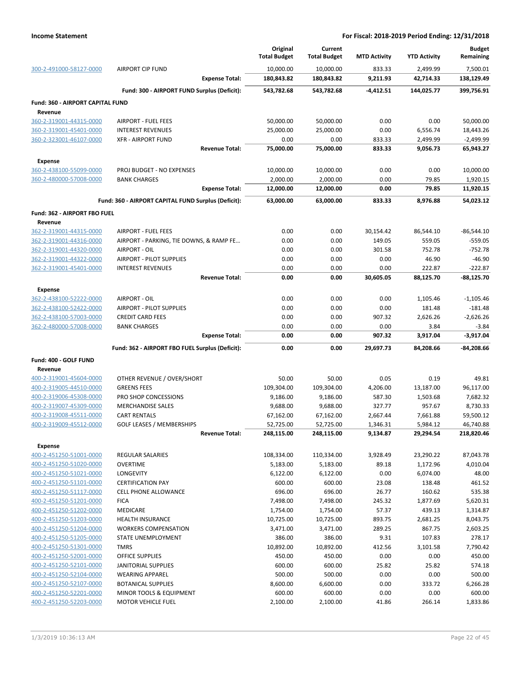|                                                    |                                                     |                       | Original<br><b>Total Budget</b> | Current<br><b>Total Budget</b> | <b>MTD Activity</b> | <b>YTD Activity</b> | <b>Budget</b><br>Remaining |
|----------------------------------------------------|-----------------------------------------------------|-----------------------|---------------------------------|--------------------------------|---------------------|---------------------|----------------------------|
| 300-2-491000-58127-0000                            | <b>AIRPORT CIP FUND</b>                             | 10,000.00             | 10,000.00                       | 833.33                         | 2,499.99            | 7,500.01            |                            |
|                                                    |                                                     | <b>Expense Total:</b> | 180,843.82                      | 180,843.82                     | 9,211.93            | 42,714.33           | 138,129.49                 |
|                                                    | Fund: 300 - AIRPORT FUND Surplus (Deficit):         |                       | 543,782.68                      | 543,782.68                     | $-4,412.51$         | 144,025.77          | 399,756.91                 |
| Fund: 360 - AIRPORT CAPITAL FUND                   |                                                     |                       |                                 |                                |                     |                     |                            |
| Revenue                                            |                                                     |                       |                                 |                                |                     |                     |                            |
| 360-2-319001-44315-0000                            | <b>AIRPORT - FUEL FEES</b>                          |                       | 50,000.00                       | 50,000.00                      | 0.00                | 0.00                | 50,000.00                  |
| 360-2-319001-45401-0000                            | <b>INTEREST REVENUES</b>                            |                       | 25,000.00                       | 25,000.00                      | 0.00                | 6,556.74            | 18,443.26                  |
| 360-2-323001-46107-0000                            | <b>XFR - AIRPORT FUND</b>                           |                       | 0.00                            | 0.00                           | 833.33              | 2,499.99            | $-2,499.99$                |
|                                                    |                                                     | <b>Revenue Total:</b> | 75,000.00                       | 75,000.00                      | 833.33              | 9,056.73            | 65,943.27                  |
| <b>Expense</b>                                     |                                                     |                       |                                 |                                |                     |                     |                            |
| 360-2-438100-55099-0000                            | PROJ BUDGET - NO EXPENSES                           |                       | 10,000.00                       | 10,000.00                      | 0.00                | 0.00                | 10,000.00                  |
| 360-2-480000-57008-0000                            | <b>BANK CHARGES</b>                                 | <b>Expense Total:</b> | 2,000.00<br>12,000.00           | 2,000.00<br>12,000.00          | 0.00<br>0.00        | 79.85<br>79.85      | 1,920.15<br>11,920.15      |
|                                                    |                                                     |                       |                                 |                                |                     |                     |                            |
|                                                    | Fund: 360 - AIRPORT CAPITAL FUND Surplus (Deficit): |                       | 63,000.00                       | 63,000.00                      | 833.33              | 8,976.88            | 54,023.12                  |
| Fund: 362 - AIRPORT FBO FUEL                       |                                                     |                       |                                 |                                |                     |                     |                            |
| Revenue                                            |                                                     |                       |                                 |                                |                     |                     |                            |
| 362-2-319001-44315-0000                            | <b>AIRPORT - FUEL FEES</b>                          |                       | 0.00                            | 0.00                           | 30,154.42           | 86,544.10           | $-86,544.10$               |
| 362-2-319001-44316-0000                            | AIRPORT - PARKING, TIE DOWNS, & RAMP FE             |                       | 0.00                            | 0.00                           | 149.05              | 559.05              | $-559.05$                  |
| 362-2-319001-44320-0000<br>362-2-319001-44322-0000 | AIRPORT - OIL<br><b>AIRPORT - PILOT SUPPLIES</b>    |                       | 0.00<br>0.00                    | 0.00<br>0.00                   | 301.58<br>0.00      | 752.78<br>46.90     | $-752.78$<br>$-46.90$      |
| 362-2-319001-45401-0000                            | <b>INTEREST REVENUES</b>                            |                       | 0.00                            | 0.00                           | 0.00                | 222.87              | $-222.87$                  |
|                                                    |                                                     | <b>Revenue Total:</b> | 0.00                            | 0.00                           | 30,605.05           | 88,125.70           | $-88,125.70$               |
|                                                    |                                                     |                       |                                 |                                |                     |                     |                            |
| <b>Expense</b><br>362-2-438100-52222-0000          | AIRPORT - OIL                                       |                       | 0.00                            | 0.00                           | 0.00                | 1,105.46            | $-1,105.46$                |
| 362-2-438100-52422-0000                            | <b>AIRPORT - PILOT SUPPLIES</b>                     |                       | 0.00                            | 0.00                           | 0.00                | 181.48              | $-181.48$                  |
| 362-2-438100-57003-0000                            | <b>CREDIT CARD FEES</b>                             |                       | 0.00                            | 0.00                           | 907.32              | 2,626.26            | $-2,626.26$                |
| 362-2-480000-57008-0000                            | <b>BANK CHARGES</b>                                 |                       | 0.00                            | 0.00                           | 0.00                | 3.84                | $-3.84$                    |
|                                                    |                                                     | <b>Expense Total:</b> | 0.00                            | 0.00                           | 907.32              | 3,917.04            | $-3,917.04$                |
|                                                    | Fund: 362 - AIRPORT FBO FUEL Surplus (Deficit):     |                       | 0.00                            | 0.00                           | 29,697.73           | 84,208.66           | $-84,208.66$               |
| Fund: 400 - GOLF FUND                              |                                                     |                       |                                 |                                |                     |                     |                            |
| Revenue                                            |                                                     |                       |                                 |                                |                     |                     |                            |
| 400-2-319001-45604-0000                            | OTHER REVENUE / OVER/SHORT                          |                       | 50.00                           | 50.00                          | 0.05                | 0.19                | 49.81                      |
| 400-2-319005-44510-0000                            | <b>GREENS FEES</b>                                  |                       | 109,304.00                      | 109,304.00                     | 4,206.00            | 13,187.00           | 96,117.00                  |
| 400-2-319006-45308-0000                            | PRO SHOP CONCESSIONS                                |                       | 9,186.00                        | 9,186.00                       | 587.30              | 1,503.68            | 7,682.32                   |
| 400-2-319007-45309-0000                            | <b>MERCHANDISE SALES</b>                            |                       | 9,688.00                        | 9,688.00                       | 327.77              | 957.67              | 8,730.33                   |
| 400-2-319008-45511-0000                            | <b>CART RENTALS</b>                                 |                       | 67,162.00                       | 67,162.00                      | 2,667.44            | 7,661.88            | 59,500.12                  |
| 400-2-319009-45512-0000                            | <b>GOLF LEASES / MEMBERSHIPS</b>                    |                       | 52,725.00                       | 52,725.00                      | 1,346.31            | 5,984.12            | 46,740.88                  |
|                                                    |                                                     | <b>Revenue Total:</b> | 248,115.00                      | 248,115.00                     | 9,134.87            | 29,294.54           | 218,820.46                 |
| <b>Expense</b>                                     |                                                     |                       |                                 |                                |                     |                     |                            |
| 400-2-451250-51001-0000                            | REGULAR SALARIES                                    |                       | 108,334.00                      | 110,334.00                     | 3,928.49            | 23,290.22           | 87,043.78                  |
| 400-2-451250-51020-0000                            | <b>OVERTIME</b>                                     |                       | 5,183.00                        | 5,183.00                       | 89.18               | 1,172.96            | 4,010.04                   |
| 400-2-451250-51021-0000                            | LONGEVITY                                           |                       | 6,122.00                        | 6,122.00                       | 0.00                | 6,074.00            | 48.00                      |
| 400-2-451250-51101-0000                            | <b>CERTIFICATION PAY</b>                            |                       | 600.00                          | 600.00                         | 23.08               | 138.48              | 461.52                     |
| 400-2-451250-51117-0000                            | <b>CELL PHONE ALLOWANCE</b>                         |                       | 696.00                          | 696.00                         | 26.77               | 160.62              | 535.38                     |
| 400-2-451250-51201-0000                            | <b>FICA</b>                                         |                       | 7,498.00                        | 7,498.00                       | 245.32              | 1,877.69            | 5,620.31                   |
| 400-2-451250-51202-0000                            | MEDICARE                                            |                       | 1,754.00                        | 1,754.00                       | 57.37               | 439.13              | 1,314.87                   |
| 400-2-451250-51203-0000                            | <b>HEALTH INSURANCE</b>                             |                       | 10,725.00                       | 10,725.00                      | 893.75              | 2,681.25            | 8,043.75                   |
| 400-2-451250-51204-0000                            | <b>WORKERS COMPENSATION</b>                         |                       | 3,471.00                        | 3,471.00                       | 289.25              | 867.75              | 2,603.25                   |
| 400-2-451250-51205-0000                            | STATE UNEMPLOYMENT                                  |                       | 386.00                          | 386.00                         | 9.31                | 107.83              | 278.17                     |
| 400-2-451250-51301-0000                            | <b>TMRS</b>                                         |                       | 10,892.00                       | 10,892.00                      | 412.56              | 3,101.58            | 7,790.42                   |
| 400-2-451250-52001-0000                            | OFFICE SUPPLIES                                     |                       | 450.00                          | 450.00                         | 0.00                | 0.00                | 450.00                     |
| 400-2-451250-52101-0000                            | JANITORIAL SUPPLIES                                 |                       | 600.00                          | 600.00                         | 25.82               | 25.82               | 574.18                     |
| 400-2-451250-52104-0000                            | <b>WEARING APPAREL</b><br><b>BOTANICAL SUPPLIES</b> |                       | 500.00                          | 500.00                         | 0.00                | 0.00                | 500.00                     |
| 400-2-451250-52107-0000<br>400-2-451250-52201-0000 | MINOR TOOLS & EQUIPMENT                             |                       | 8,600.00<br>600.00              | 6,600.00<br>600.00             | 0.00<br>0.00        | 333.72<br>0.00      | 6,266.28<br>600.00         |
| 400-2-451250-52203-0000                            | MOTOR VEHICLE FUEL                                  |                       | 2,100.00                        | 2,100.00                       | 41.86               | 266.14              | 1,833.86                   |
|                                                    |                                                     |                       |                                 |                                |                     |                     |                            |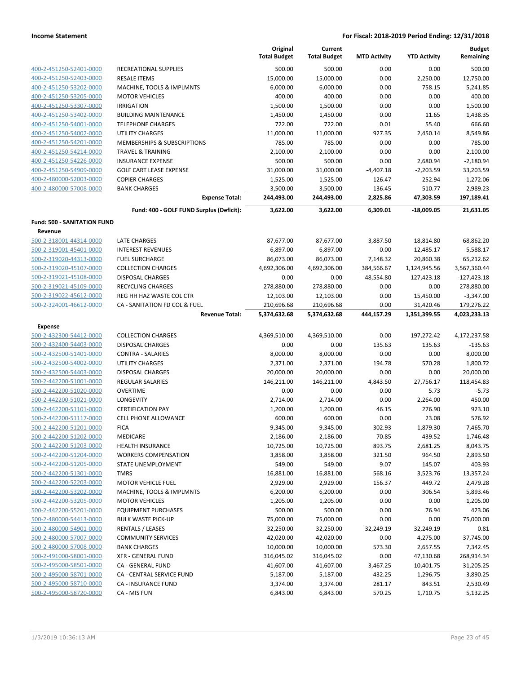|                             |                                          | Original<br><b>Total Budget</b> | Current<br><b>Total Budget</b> | <b>MTD Activity</b> | <b>YTD Activity</b> | <b>Budget</b><br>Remaining |
|-----------------------------|------------------------------------------|---------------------------------|--------------------------------|---------------------|---------------------|----------------------------|
| 400-2-451250-52401-0000     | RECREATIONAL SUPPLIES                    | 500.00                          | 500.00                         | 0.00                | 0.00                | 500.00                     |
| 400-2-451250-52403-0000     | <b>RESALE ITEMS</b>                      | 15,000.00                       | 15,000.00                      | 0.00                | 2,250.00            | 12,750.00                  |
| 400-2-451250-53202-0000     | MACHINE, TOOLS & IMPLMNTS                | 6,000.00                        | 6,000.00                       | 0.00                | 758.15              | 5,241.85                   |
| 400-2-451250-53205-0000     | <b>MOTOR VEHICLES</b>                    | 400.00                          | 400.00                         | 0.00                | 0.00                | 400.00                     |
| 400-2-451250-53307-0000     | <b>IRRIGATION</b>                        | 1,500.00                        | 1,500.00                       | 0.00                | 0.00                | 1,500.00                   |
| 400-2-451250-53402-0000     | <b>BUILDING MAINTENANCE</b>              | 1,450.00                        | 1,450.00                       | 0.00                | 11.65               | 1,438.35                   |
| 400-2-451250-54001-0000     | <b>TELEPHONE CHARGES</b>                 | 722.00                          | 722.00                         | 0.01                | 55.40               | 666.60                     |
| 400-2-451250-54002-0000     | <b>UTILITY CHARGES</b>                   | 11,000.00                       | 11,000.00                      | 927.35              | 2,450.14            | 8,549.86                   |
| 400-2-451250-54201-0000     | <b>MEMBERSHIPS &amp; SUBSCRIPTIONS</b>   | 785.00                          | 785.00                         | 0.00                | 0.00                | 785.00                     |
| 400-2-451250-54214-0000     | <b>TRAVEL &amp; TRAINING</b>             | 2,100.00                        | 2,100.00                       | 0.00                | 0.00                | 2,100.00                   |
| 400-2-451250-54226-0000     | <b>INSURANCE EXPENSE</b>                 | 500.00                          | 500.00                         | 0.00                | 2,680.94            | $-2,180.94$                |
| 400-2-451250-54909-0000     | <b>GOLF CART LEASE EXPENSE</b>           | 31,000.00                       | 31,000.00                      | $-4,407.18$         | $-2,203.59$         | 33,203.59                  |
| 400-2-480000-52003-0000     | <b>COPIER CHARGES</b>                    | 1,525.00                        | 1,525.00                       | 126.47              | 252.94              | 1,272.06                   |
| 400-2-480000-57008-0000     | <b>BANK CHARGES</b>                      | 3,500.00                        | 3,500.00                       | 136.45              | 510.77              | 2,989.23                   |
|                             | <b>Expense Total:</b>                    | 244,493.00                      | 244,493.00                     | 2,825.86            | 47,303.59           | 197,189.41                 |
|                             | Fund: 400 - GOLF FUND Surplus (Deficit): | 3,622.00                        | 3,622.00                       | 6,309.01            | $-18,009.05$        | 21,631.05                  |
| Fund: 500 - SANITATION FUND |                                          |                                 |                                |                     |                     |                            |
| Revenue                     |                                          |                                 |                                |                     |                     |                            |
| 500-2-318001-44314-0000     | LATE CHARGES                             | 87,677.00                       | 87,677.00                      | 3,887.50            | 18,814.80           | 68,862.20                  |
| 500-2-319001-45401-0000     | <b>INTEREST REVENUES</b>                 | 6,897.00                        | 6,897.00                       | 0.00                | 12,485.17           | $-5,588.17$                |
| 500-2-319020-44313-0000     | <b>FUEL SURCHARGE</b>                    | 86,073.00                       | 86,073.00                      | 7,148.32            | 20,860.38           | 65,212.62                  |
| 500-2-319020-45107-0000     | <b>COLLECTION CHARGES</b>                | 4,692,306.00                    | 4,692,306.00                   | 384,566.67          | 1,124,945.56        | 3,567,360.44               |
| 500-2-319021-45108-0000     | <b>DISPOSAL CHARGES</b>                  | 0.00                            | 0.00                           | 48,554.80           | 127,423.18          | $-127,423.18$              |
| 500-2-319021-45109-0000     | <b>RECYCLING CHARGES</b>                 | 278,880.00                      | 278,880.00                     | 0.00                | 0.00                | 278,880.00                 |
| 500-2-319022-45612-0000     | REG HH HAZ WASTE COL CTR                 | 12,103.00                       | 12,103.00                      | 0.00                | 15,450.00           | $-3,347.00$                |
| 500-2-324001-46612-0000     | CA - SANITATION FD COL & FUEL            | 210,696.68                      | 210,696.68                     | 0.00                | 31,420.46           | 179,276.22                 |
|                             | <b>Revenue Total:</b>                    | 5,374,632.68                    | 5,374,632.68                   | 444,157.29          | 1,351,399.55        | 4,023,233.13               |
| <b>Expense</b>              |                                          |                                 |                                |                     |                     |                            |
| 500-2-432300-54412-0000     | <b>COLLECTION CHARGES</b>                | 4,369,510.00                    | 4,369,510.00                   | 0.00                | 197,272.42          | 4,172,237.58               |
| 500-2-432400-54403-0000     | <b>DISPOSAL CHARGES</b>                  | 0.00                            | 0.00                           | 135.63              | 135.63              | $-135.63$                  |
| 500-2-432500-51401-0000     | <b>CONTRA - SALARIES</b>                 | 8,000.00                        | 8,000.00                       | 0.00                | 0.00                | 8,000.00                   |
| 500-2-432500-54002-0000     | <b>UTILITY CHARGES</b>                   | 2,371.00                        | 2,371.00                       | 194.78              | 570.28              | 1,800.72                   |
| 500-2-432500-54403-0000     | <b>DISPOSAL CHARGES</b>                  | 20,000.00                       | 20,000.00                      | 0.00                | 0.00                | 20,000.00                  |
| 500-2-442200-51001-0000     | REGULAR SALARIES                         | 146,211.00                      | 146,211.00                     | 4,843.50            | 27,756.17           | 118,454.83                 |
| 500-2-442200-51020-0000     | <b>OVERTIME</b>                          | 0.00                            | 0.00                           | 0.00                | 5.73                | $-5.73$                    |
| 500-2-442200-51021-0000     | LONGEVITY                                | 2,714.00                        | 2,714.00                       | 0.00                | 2,264.00            | 450.00                     |
| 500-2-442200-51101-0000     | <b>CERTIFICATION PAY</b>                 | 1,200.00                        | 1,200.00                       | 46.15               | 276.90              | 923.10                     |
| 500-2-442200-51117-0000     | <b>CELL PHONE ALLOWANCE</b>              | 600.00                          | 600.00                         | 0.00                | 23.08               | 576.92                     |
| 500-2-442200-51201-0000     | <b>FICA</b>                              | 9,345.00                        | 9,345.00                       | 302.93              | 1,879.30            | 7,465.70                   |
| 500-2-442200-51202-0000     | MEDICARE                                 | 2,186.00                        | 2,186.00                       | 70.85               | 439.52              | 1,746.48                   |
| 500-2-442200-51203-0000     | <b>HEALTH INSURANCE</b>                  | 10,725.00                       | 10,725.00                      | 893.75              | 2,681.25            | 8,043.75                   |
| 500-2-442200-51204-0000     | <b>WORKERS COMPENSATION</b>              | 3,858.00                        | 3,858.00                       | 321.50              | 964.50              | 2,893.50                   |
| 500-2-442200-51205-0000     | STATE UNEMPLOYMENT                       | 549.00                          | 549.00                         | 9.07                | 145.07              | 403.93                     |
| 500-2-442200-51301-0000     | <b>TMRS</b>                              | 16,881.00                       | 16,881.00                      | 568.16              | 3,523.76            | 13,357.24                  |
| 500-2-442200-52203-0000     | MOTOR VEHICLE FUEL                       | 2,929.00                        | 2,929.00                       | 156.37              | 449.72              | 2,479.28                   |
| 500-2-442200-53202-0000     | MACHINE, TOOLS & IMPLMNTS                | 6,200.00                        | 6,200.00                       | 0.00                | 306.54              | 5,893.46                   |
| 500-2-442200-53205-0000     | <b>MOTOR VEHICLES</b>                    | 1,205.00                        | 1,205.00                       | 0.00                | 0.00                | 1,205.00                   |
| 500-2-442200-55201-0000     | <b>EQUIPMENT PURCHASES</b>               | 500.00                          | 500.00                         | 0.00                | 76.94               | 423.06                     |
| 500-2-480000-54413-0000     | <b>BULK WASTE PICK-UP</b>                | 75,000.00                       | 75,000.00                      | 0.00                | 0.00                | 75,000.00                  |
| 500-2-480000-54901-0000     | <b>RENTALS / LEASES</b>                  | 32,250.00                       | 32,250.00                      | 32,249.19           | 32,249.19           | 0.81                       |
| 500-2-480000-57007-0000     | <b>COMMUNITY SERVICES</b>                | 42,020.00                       | 42,020.00                      | 0.00                | 4,275.00            | 37,745.00                  |
| 500-2-480000-57008-0000     | <b>BANK CHARGES</b>                      | 10,000.00                       | 10,000.00                      | 573.30              | 2,657.55            | 7,342.45                   |
| 500-2-491000-58001-0000     | <b>XFR - GENERAL FUND</b>                | 316,045.02                      | 316,045.02                     | 0.00                | 47,130.68           | 268,914.34                 |
| 500-2-495000-58501-0000     | CA - GENERAL FUND                        | 41,607.00                       | 41,607.00                      | 3,467.25            | 10,401.75           | 31,205.25                  |
| 500-2-495000-58701-0000     | CA - CENTRAL SERVICE FUND                | 5,187.00                        | 5,187.00                       | 432.25              | 1,296.75            | 3,890.25                   |
| 500-2-495000-58710-0000     | CA - INSURANCE FUND                      | 3,374.00                        | 3,374.00                       | 281.17              | 843.51              | 2,530.49                   |
| 500-2-495000-58720-0000     | CA - MIS FUN                             | 6,843.00                        | 6,843.00                       | 570.25              | 1,710.75            | 5,132.25                   |
|                             |                                          |                                 |                                |                     |                     |                            |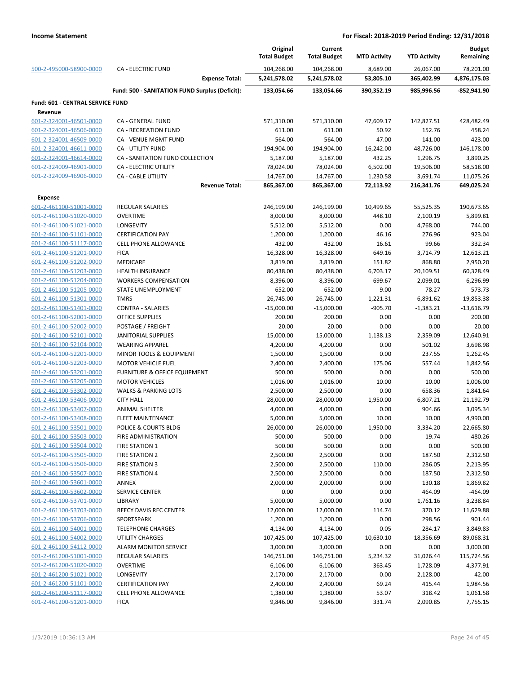|                                                    |                                                | Original<br><b>Total Budget</b> | Current<br><b>Total Budget</b> | <b>MTD Activity</b>   | <b>YTD Activity</b>    | <b>Budget</b><br>Remaining |
|----------------------------------------------------|------------------------------------------------|---------------------------------|--------------------------------|-----------------------|------------------------|----------------------------|
| 500-2-495000-58900-0000                            | <b>CA - ELECTRIC FUND</b>                      | 104,268.00                      | 104,268.00                     | 8,689.00              | 26,067.00              | 78,201.00                  |
|                                                    | <b>Expense Total:</b>                          | 5,241,578.02                    | 5,241,578.02                   | 53,805.10             | 365,402.99             | 4,876,175.03               |
|                                                    | Fund: 500 - SANITATION FUND Surplus (Deficit): | 133,054.66                      | 133,054.66                     | 390,352.19            | 985,996.56             | $-852,941.90$              |
| <b>Fund: 601 - CENTRAL SERVICE FUND</b>            |                                                |                                 |                                |                       |                        |                            |
| Revenue                                            |                                                |                                 |                                |                       |                        |                            |
| 601-2-324001-46501-0000                            | CA - GENERAL FUND                              | 571,310.00                      | 571,310.00                     | 47,609.17             | 142,827.51             | 428,482.49                 |
| 601-2-324001-46506-0000                            | CA - RECREATION FUND                           | 611.00                          | 611.00                         | 50.92                 | 152.76                 | 458.24                     |
| 601-2-324001-46509-0000                            | CA - VENUE MGMT FUND                           | 564.00                          | 564.00                         | 47.00                 | 141.00                 | 423.00                     |
| 601-2-324001-46611-0000                            | <b>CA - UTILITY FUND</b>                       | 194,904.00                      | 194,904.00                     | 16,242.00             | 48,726.00              | 146,178.00                 |
| 601-2-324001-46614-0000                            | CA - SANITATION FUND COLLECTION                | 5,187.00                        | 5,187.00                       | 432.25                | 1,296.75               | 3,890.25                   |
| 601-2-324009-46901-0000                            | CA - ELECTRIC UTILITY                          | 78,024.00                       | 78,024.00                      | 6,502.00              | 19,506.00              | 58,518.00                  |
| 601-2-324009-46906-0000                            | CA - CABLE UTILITY<br><b>Revenue Total:</b>    | 14,767.00<br>865,367.00         | 14,767.00<br>865,367.00        | 1,230.58<br>72,113.92 | 3,691.74<br>216,341.76 | 11,075.26<br>649,025.24    |
|                                                    |                                                |                                 |                                |                       |                        |                            |
| <b>Expense</b>                                     |                                                |                                 |                                |                       |                        |                            |
| 601-2-461100-51001-0000                            | <b>REGULAR SALARIES</b>                        | 246,199.00                      | 246,199.00                     | 10,499.65             | 55,525.35              | 190,673.65                 |
| 601-2-461100-51020-0000                            | <b>OVERTIME</b>                                | 8,000.00                        | 8,000.00                       | 448.10                | 2,100.19               | 5,899.81                   |
| 601-2-461100-51021-0000                            | LONGEVITY                                      | 5,512.00                        | 5,512.00                       | 0.00                  | 4,768.00               | 744.00                     |
| 601-2-461100-51101-0000<br>601-2-461100-51117-0000 | <b>CERTIFICATION PAY</b>                       | 1,200.00                        | 1,200.00                       | 46.16<br>16.61        | 276.96<br>99.66        | 923.04                     |
|                                                    | CELL PHONE ALLOWANCE<br><b>FICA</b>            | 432.00<br>16,328.00             | 432.00<br>16,328.00            |                       | 3,714.79               | 332.34<br>12,613.21        |
| 601-2-461100-51201-0000<br>601-2-461100-51202-0000 | MEDICARE                                       |                                 |                                | 649.16<br>151.82      | 868.80                 |                            |
|                                                    |                                                | 3,819.00                        | 3,819.00                       |                       |                        | 2,950.20                   |
| 601-2-461100-51203-0000                            | <b>HEALTH INSURANCE</b>                        | 80,438.00                       | 80,438.00                      | 6,703.17              | 20,109.51              | 60,328.49                  |
| 601-2-461100-51204-0000                            | <b>WORKERS COMPENSATION</b>                    | 8,396.00                        | 8,396.00                       | 699.67                | 2,099.01               | 6,296.99                   |
| 601-2-461100-51205-0000                            | STATE UNEMPLOYMENT                             | 652.00                          | 652.00                         | 9.00                  | 78.27                  | 573.73                     |
| 601-2-461100-51301-0000                            | <b>TMRS</b>                                    | 26,745.00                       | 26,745.00                      | 1,221.31              | 6,891.62               | 19,853.38                  |
| 601-2-461100-51401-0000                            | <b>CONTRA - SALARIES</b>                       | $-15,000.00$                    | $-15,000.00$                   | $-905.70$             | $-1,383.21$            | $-13,616.79$               |
| 601-2-461100-52001-0000                            | <b>OFFICE SUPPLIES</b>                         | 200.00                          | 200.00                         | 0.00                  | 0.00                   | 200.00                     |
| 601-2-461100-52002-0000                            | POSTAGE / FREIGHT                              | 20.00                           | 20.00                          | 0.00                  | 0.00                   | 20.00                      |
| 601-2-461100-52101-0000                            | <b>JANITORIAL SUPPLIES</b>                     | 15,000.00                       | 15,000.00                      | 1,138.13              | 2,359.09               | 12,640.91                  |
| 601-2-461100-52104-0000                            | <b>WEARING APPAREL</b>                         | 4,200.00                        | 4,200.00                       | 0.00                  | 501.02                 | 3,698.98                   |
| 601-2-461100-52201-0000                            | MINOR TOOLS & EQUIPMENT                        | 1,500.00                        | 1,500.00                       | 0.00                  | 237.55                 | 1,262.45                   |
| 601-2-461100-52203-0000                            | <b>MOTOR VEHICLE FUEL</b>                      | 2,400.00                        | 2,400.00                       | 175.06                | 557.44                 | 1,842.56                   |
| 601-2-461100-53201-0000                            | FURNITURE & OFFICE EQUIPMENT                   | 500.00                          | 500.00                         | 0.00                  | 0.00                   | 500.00                     |
| 601-2-461100-53205-0000                            | <b>MOTOR VEHICLES</b>                          | 1,016.00                        | 1,016.00                       | 10.00                 | 10.00                  | 1,006.00                   |
| 601-2-461100-53302-0000                            | <b>WALKS &amp; PARKING LOTS</b>                | 2,500.00                        | 2,500.00                       | 0.00                  | 658.36                 | 1,841.64                   |
| 601-2-461100-53406-0000                            | <b>CITY HALL</b>                               | 28,000.00                       | 28,000.00                      | 1,950.00              | 6,807.21               | 21,192.79                  |
| 601-2-461100-53407-0000                            | <b>ANIMAL SHELTER</b>                          | 4,000.00                        | 4,000.00                       | 0.00                  | 904.66                 | 3,095.34                   |
| 601-2-461100-53408-0000                            | <b>FLEET MAINTENANCE</b>                       | 5,000.00                        | 5,000.00                       | 10.00                 | 10.00                  | 4,990.00                   |
| 601-2-461100-53501-0000                            | POLICE & COURTS BLDG                           | 26,000.00                       | 26,000.00                      | 1,950.00              | 3,334.20               | 22,665.80                  |
| 601-2-461100-53503-0000                            | FIRE ADMINISTRATION                            | 500.00                          | 500.00                         | 0.00                  | 19.74                  | 480.26                     |
| 601-2-461100-53504-0000                            | FIRE STATION 1                                 | 500.00                          | 500.00                         | 0.00                  | 0.00                   | 500.00                     |
| 601-2-461100-53505-0000                            | FIRE STATION 2                                 | 2,500.00                        | 2,500.00                       | 0.00                  | 187.50                 | 2,312.50                   |
| 601-2-461100-53506-0000                            | <b>FIRE STATION 3</b>                          | 2,500.00                        | 2,500.00                       | 110.00                | 286.05                 | 2,213.95                   |
| 601-2-461100-53507-0000                            | <b>FIRE STATION 4</b>                          | 2,500.00                        | 2,500.00                       | 0.00                  | 187.50                 | 2,312.50                   |
| 601-2-461100-53601-0000                            | ANNEX                                          | 2,000.00                        | 2,000.00                       | 0.00                  | 130.18                 | 1,869.82                   |
| 601-2-461100-53602-0000                            | <b>SERVICE CENTER</b>                          | 0.00                            | 0.00                           | 0.00                  | 464.09                 | $-464.09$                  |
| 601-2-461100-53701-0000                            | LIBRARY                                        | 5,000.00                        | 5,000.00                       | 0.00                  | 1,761.16               | 3,238.84                   |
| 601-2-461100-53703-0000                            | <b>REECY DAVIS REC CENTER</b>                  | 12,000.00                       | 12,000.00                      | 114.74                | 370.12                 | 11,629.88                  |
| 601-2-461100-53706-0000                            | SPORTSPARK                                     | 1,200.00                        | 1,200.00                       | 0.00                  | 298.56                 | 901.44                     |
| 601-2-461100-54001-0000                            | <b>TELEPHONE CHARGES</b>                       | 4,134.00                        | 4,134.00                       | 0.05                  | 284.17                 | 3,849.83                   |
| 601-2-461100-54002-0000                            | UTILITY CHARGES                                | 107,425.00                      | 107,425.00                     | 10,630.10             | 18,356.69              | 89,068.31                  |
| 601-2-461100-54112-0000                            | <b>ALARM MONITOR SERVICE</b>                   | 3,000.00                        | 3,000.00                       | 0.00                  | 0.00                   | 3,000.00                   |
| 601-2-461200-51001-0000                            | <b>REGULAR SALARIES</b>                        | 146,751.00                      | 146,751.00                     | 5,234.32              | 31,026.44              | 115,724.56                 |
| 601-2-461200-51020-0000                            | <b>OVERTIME</b>                                | 6,106.00                        | 6,106.00                       | 363.45                | 1,728.09               | 4,377.91                   |
| 601-2-461200-51021-0000                            | LONGEVITY                                      | 2,170.00                        | 2,170.00                       | 0.00                  | 2,128.00               | 42.00                      |
| 601-2-461200-51101-0000                            | <b>CERTIFICATION PAY</b>                       | 2,400.00                        | 2,400.00                       | 69.24                 | 415.44                 | 1,984.56                   |
| 601-2-461200-51117-0000                            | <b>CELL PHONE ALLOWANCE</b>                    | 1,380.00                        | 1,380.00                       | 53.07                 | 318.42                 | 1,061.58                   |
| 601-2-461200-51201-0000                            | <b>FICA</b>                                    | 9,846.00                        | 9,846.00                       | 331.74                | 2,090.85               | 7,755.15                   |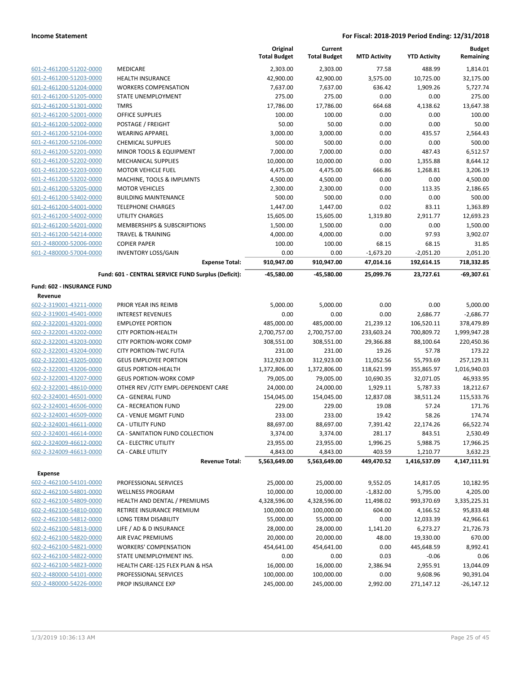|                                                    |                                                     | Original<br><b>Total Budget</b> | Current<br><b>Total Budget</b> | <b>MTD Activity</b>  | <b>YTD Activity</b>    | <b>Budget</b><br>Remaining |
|----------------------------------------------------|-----------------------------------------------------|---------------------------------|--------------------------------|----------------------|------------------------|----------------------------|
| 601-2-461200-51202-0000                            | MEDICARE                                            | 2,303.00                        | 2,303.00                       | 77.58                | 488.99                 | 1,814.01                   |
| 601-2-461200-51203-0000                            | <b>HEALTH INSURANCE</b>                             | 42,900.00                       | 42,900.00                      | 3,575.00             | 10,725.00              | 32,175.00                  |
| 601-2-461200-51204-0000                            | <b>WORKERS COMPENSATION</b>                         | 7,637.00                        | 7,637.00                       | 636.42               | 1,909.26               | 5,727.74                   |
| 601-2-461200-51205-0000                            | STATE UNEMPLOYMENT                                  | 275.00                          | 275.00                         | 0.00                 | 0.00                   | 275.00                     |
| 601-2-461200-51301-0000                            | <b>TMRS</b>                                         | 17,786.00                       | 17,786.00                      | 664.68               | 4,138.62               | 13,647.38                  |
| 601-2-461200-52001-0000                            | OFFICE SUPPLIES                                     | 100.00                          | 100.00                         | 0.00                 | 0.00                   | 100.00                     |
| 601-2-461200-52002-0000                            | POSTAGE / FREIGHT                                   | 50.00                           | 50.00                          | 0.00                 | 0.00                   | 50.00                      |
| 601-2-461200-52104-0000                            | <b>WEARING APPAREL</b>                              | 3,000.00                        | 3,000.00                       | 0.00                 | 435.57                 | 2,564.43                   |
| 601-2-461200-52106-0000                            | <b>CHEMICAL SUPPLIES</b>                            | 500.00                          | 500.00                         | 0.00                 | 0.00                   | 500.00                     |
| 601-2-461200-52201-0000                            | MINOR TOOLS & EQUIPMENT                             | 7,000.00                        | 7,000.00                       | 0.00                 | 487.43                 | 6,512.57                   |
| 601-2-461200-52202-0000                            | MECHANICAL SUPPLIES                                 | 10,000.00                       | 10,000.00                      | 0.00                 | 1,355.88               | 8,644.12                   |
| 601-2-461200-52203-0000                            | <b>MOTOR VEHICLE FUEL</b>                           | 4,475.00                        | 4,475.00                       | 666.86               | 1,268.81               | 3,206.19                   |
| 601-2-461200-53202-0000                            | MACHINE, TOOLS & IMPLMNTS                           | 4,500.00                        | 4,500.00                       | 0.00                 | 0.00                   | 4,500.00                   |
| 601-2-461200-53205-0000                            | <b>MOTOR VEHICLES</b>                               | 2,300.00                        | 2,300.00                       | 0.00                 | 113.35                 | 2,186.65                   |
| 601-2-461200-53402-0000                            | <b>BUILDING MAINTENANCE</b>                         | 500.00                          | 500.00                         | 0.00                 | 0.00                   | 500.00                     |
| 601-2-461200-54001-0000                            | <b>TELEPHONE CHARGES</b>                            | 1,447.00                        | 1,447.00                       | 0.02                 | 83.11                  | 1,363.89                   |
| 601-2-461200-54002-0000                            | <b>UTILITY CHARGES</b>                              | 15,605.00                       | 15,605.00                      | 1,319.80             | 2,911.77               | 12,693.23                  |
| 601-2-461200-54201-0000                            | <b>MEMBERSHIPS &amp; SUBSCRIPTIONS</b>              | 1,500.00                        | 1,500.00                       | 0.00                 | 0.00                   | 1,500.00                   |
| 601-2-461200-54214-0000                            | <b>TRAVEL &amp; TRAINING</b>                        | 4,000.00                        | 4,000.00                       | 0.00                 | 97.93                  | 3,902.07                   |
| 601-2-480000-52006-0000                            | <b>COPIER PAPER</b>                                 | 100.00                          | 100.00                         | 68.15                | 68.15                  | 31.85                      |
| 601-2-480000-57004-0000                            | <b>INVENTORY LOSS/GAIN</b>                          | 0.00                            | 0.00                           | $-1,673.20$          | $-2,051.20$            | 2,051.20                   |
|                                                    | <b>Expense Total:</b>                               | 910,947.00                      | 910,947.00                     | 47,014.16            | 192,614.15             | 718,332.85                 |
|                                                    | Fund: 601 - CENTRAL SERVICE FUND Surplus (Deficit): | $-45,580.00$                    | $-45,580.00$                   | 25,099.76            | 23,727.61              | $-69,307.61$               |
| Fund: 602 - INSURANCE FUND                         |                                                     |                                 |                                |                      |                        |                            |
| Revenue                                            |                                                     |                                 |                                |                      |                        |                            |
| 602-2-319001-43211-0000                            | PRIOR YEAR INS REIMB                                | 5,000.00                        | 5,000.00                       | 0.00                 | 0.00                   | 5,000.00                   |
| 602-2-319001-45401-0000                            | <b>INTEREST REVENUES</b>                            | 0.00                            | 0.00                           | 0.00                 | 2,686.77               | $-2,686.77$                |
| 602-2-322001-43201-0000                            | <b>EMPLOYEE PORTION</b>                             | 485,000.00                      | 485,000.00                     | 21,239.12            | 106,520.11             | 378,479.89                 |
| 602-2-322001-43202-0000                            | <b>CITY PORTION-HEALTH</b>                          | 2,700,757.00                    | 2,700,757.00                   | 233,603.24           | 700,809.72             | 1,999,947.28               |
| 602-2-322001-43203-0000                            | <b>CITY PORTION-WORK COMP</b>                       | 308,551.00                      | 308,551.00                     | 29,366.88            | 88,100.64              | 220,450.36                 |
| 602-2-322001-43204-0000                            | <b>CITY PORTION-TWC FUTA</b>                        | 231.00                          | 231.00                         | 19.26                | 57.78                  | 173.22                     |
| 602-2-322001-43205-0000                            | <b>GEUS EMPLOYEE PORTION</b>                        | 312,923.00                      | 312,923.00                     | 11,052.56            | 55,793.69              | 257,129.31                 |
| 602-2-322001-43206-0000                            | <b>GEUS PORTION-HEALTH</b>                          | 1,372,806.00                    | 1,372,806.00                   | 118,621.99           | 355,865.97             | 1,016,940.03               |
| 602-2-322001-43207-0000                            | <b>GEUS PORTION-WORK COMP</b>                       | 79,005.00                       | 79,005.00                      | 10,690.35            | 32,071.05              | 46,933.95                  |
| 602-2-322001-48610-0000                            | OTHER REV / CITY EMPL-DEPENDENT CARE                | 24,000.00                       | 24,000.00                      | 1,929.11             | 5,787.33               | 18,212.67                  |
| 602-2-324001-46501-0000                            | CA - GENERAL FUND                                   | 154,045.00                      | 154,045.00                     | 12,837.08            | 38,511.24              | 115,533.76                 |
| 602-2-324001-46506-0000                            | <b>CA - RECREATION FUND</b>                         | 229.00                          | 229.00                         | 19.08                | 57.24                  | 171.76                     |
| 602-2-324001-46509-0000                            | <b>CA - VENUE MGMT FUND</b>                         | 233.00                          | 233.00                         | 19.42                | 58.26                  | 174.74                     |
| 602-2-324001-46611-0000                            | <b>CA - UTILITY FUND</b>                            | 88,697.00                       | 88,697.00                      | 7,391.42             | 22,174.26              | 66,522.74                  |
| 602-2-324001-46614-0000                            | CA - SANITATION FUND COLLECTION                     | 3,374.00                        | 3,374.00                       | 281.17               | 843.51                 | 2,530.49                   |
| 602-2-324009-46612-0000                            | CA - ELECTRIC UTILITY                               | 23,955.00                       | 23,955.00                      | 1,996.25             | 5,988.75               | 17,966.25                  |
| 602-2-324009-46613-0000                            | <b>CA - CABLE UTILITY</b><br><b>Revenue Total:</b>  | 4,843.00<br>5,563,649.00        | 4,843.00<br>5,563,649.00       | 403.59<br>449,470.52 | 1,210.77               | 3,632.23<br>4,147,111.91   |
|                                                    |                                                     |                                 |                                |                      | 1,416,537.09           |                            |
| <b>Expense</b><br>602-2-462100-54101-0000          | PROFESSIONAL SERVICES                               | 25,000.00                       | 25,000.00                      | 9,552.05             | 14,817.05              | 10,182.95                  |
| 602-2-462100-54801-0000                            | <b>WELLNESS PROGRAM</b>                             | 10,000.00                       | 10,000.00                      | $-1,832.00$          | 5,795.00               | 4,205.00                   |
| 602-2-462100-54809-0000                            |                                                     |                                 | 4,328,596.00                   | 11,498.02            |                        |                            |
| 602-2-462100-54810-0000                            | HEALTH AND DENTAL / PREMIUMS                        | 4,328,596.00                    | 100,000.00                     |                      | 993,370.69<br>4,166.52 | 3,335,225.31               |
|                                                    | RETIREE INSURANCE PREMIUM                           | 100,000.00                      |                                | 604.00               |                        | 95,833.48                  |
| 602-2-462100-54812-0000                            | LONG TERM DISABILITY<br>LIFE / AD & D INSURANCE     | 55,000.00                       | 55,000.00                      | 0.00                 | 12,033.39              | 42,966.61                  |
| 602-2-462100-54813-0000<br>602-2-462100-54820-0000 | AIR EVAC PREMIUMS                                   | 28,000.00                       | 28,000.00                      | 1,141.20             | 6,273.27<br>19,330.00  | 21,726.73                  |
|                                                    |                                                     | 20,000.00                       | 20,000.00                      | 48.00                |                        | 670.00                     |
| 602-2-462100-54821-0000                            | <b>WORKERS' COMPENSATION</b>                        | 454,641.00                      | 454,641.00                     | 0.00                 | 445,648.59             | 8,992.41                   |
| 602-2-462100-54822-0000                            | STATE UNEMPLOYMENT INS.                             | 0.00                            | 0.00                           | 0.03                 | $-0.06$                | 0.06                       |
| 602-2-462100-54823-0000                            | HEALTH CARE-125 FLEX PLAN & HSA                     | 16,000.00                       | 16,000.00                      | 2,386.94             | 2,955.91               | 13,044.09                  |
| 602-2-480000-54101-0000                            | PROFESSIONAL SERVICES                               | 100,000.00                      | 100,000.00                     | 0.00                 | 9,608.96               | 90,391.04                  |
| 602-2-480000-54226-0000                            | PROP INSURANCE EXP                                  | 245,000.00                      | 245,000.00                     | 2,992.00             | 271,147.12             | $-26,147.12$               |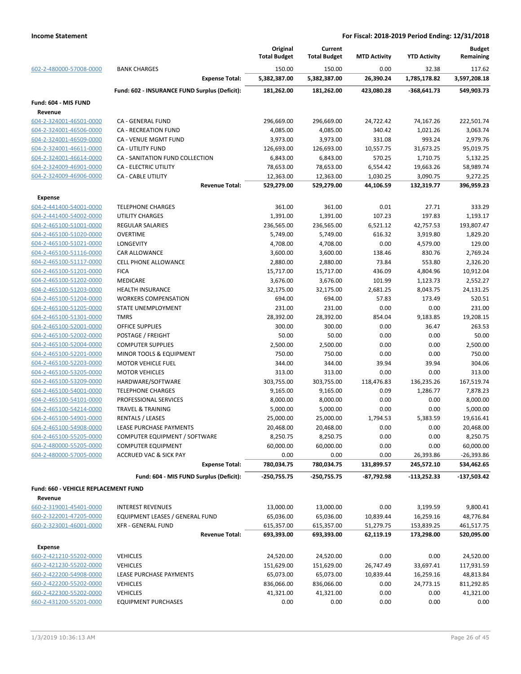|                                           |                                                    | Original<br><b>Total Budget</b> | Current<br><b>Total Budget</b> | <b>MTD Activity</b>    | <b>YTD Activity</b>      | <b>Budget</b><br>Remaining |
|-------------------------------------------|----------------------------------------------------|---------------------------------|--------------------------------|------------------------|--------------------------|----------------------------|
| 602-2-480000-57008-0000                   | <b>BANK CHARGES</b>                                | 150.00                          | 150.00                         | 0.00                   | 32.38                    | 117.62                     |
|                                           | <b>Expense Total:</b>                              | 5,382,387.00                    | 5,382,387.00                   | 26,390.24              | 1,785,178.82             | 3,597,208.18               |
|                                           | Fund: 602 - INSURANCE FUND Surplus (Deficit):      | 181,262.00                      | 181,262.00                     | 423,080.28             | $-368,641.73$            | 549,903.73                 |
| Fund: 604 - MIS FUND                      |                                                    |                                 |                                |                        |                          |                            |
| Revenue                                   |                                                    |                                 |                                |                        |                          |                            |
| 604-2-324001-46501-0000                   | CA - GENERAL FUND                                  | 296,669.00                      | 296,669.00                     | 24,722.42              | 74,167.26                | 222,501.74                 |
| 604-2-324001-46506-0000                   | CA - RECREATION FUND                               | 4,085.00                        | 4,085.00                       | 340.42                 | 1,021.26                 | 3,063.74                   |
| 604-2-324001-46509-0000                   | CA - VENUE MGMT FUND                               | 3,973.00                        | 3,973.00                       | 331.08                 | 993.24                   | 2,979.76                   |
| 604-2-324001-46611-0000                   | <b>CA - UTILITY FUND</b>                           | 126,693.00                      | 126,693.00                     | 10,557.75              | 31,673.25                | 95,019.75                  |
| 604-2-324001-46614-0000                   | CA - SANITATION FUND COLLECTION                    | 6,843.00                        | 6,843.00                       | 570.25                 | 1,710.75                 | 5,132.25                   |
| 604-2-324009-46901-0000                   | CA - ELECTRIC UTILITY                              | 78,653.00                       | 78,653.00                      | 6,554.42               | 19,663.26                | 58,989.74                  |
| 604-2-324009-46906-0000                   | <b>CA - CABLE UTILITY</b><br><b>Revenue Total:</b> | 12,363.00                       | 12,363.00                      | 1,030.25               | 3,090.75                 | 9,272.25                   |
|                                           |                                                    | 529,279.00                      | 529,279.00                     | 44,106.59              | 132,319.77               | 396,959.23                 |
| <b>Expense</b>                            |                                                    |                                 |                                |                        |                          |                            |
| 604-2-441400-54001-0000                   | <b>TELEPHONE CHARGES</b>                           | 361.00                          | 361.00                         | 0.01                   | 27.71                    | 333.29                     |
| 604-2-441400-54002-0000                   | <b>UTILITY CHARGES</b>                             | 1,391.00                        | 1,391.00                       | 107.23                 | 197.83                   | 1,193.17                   |
| 604-2-465100-51001-0000                   | <b>REGULAR SALARIES</b>                            | 236,565.00                      | 236,565.00                     | 6,521.12               | 42,757.53                | 193,807.47                 |
| 604-2-465100-51020-0000                   | <b>OVERTIME</b>                                    | 5,749.00                        | 5,749.00                       | 616.32                 | 3,919.80                 | 1,829.20                   |
| 604-2-465100-51021-0000                   | <b>LONGEVITY</b>                                   | 4,708.00                        | 4,708.00                       | 0.00                   | 4,579.00                 | 129.00                     |
| 604-2-465100-51116-0000                   | <b>CAR ALLOWANCE</b>                               | 3,600.00                        | 3,600.00                       | 138.46                 | 830.76                   | 2,769.24                   |
| 604-2-465100-51117-0000                   | <b>CELL PHONE ALLOWANCE</b>                        | 2,880.00                        | 2,880.00                       | 73.84                  | 553.80                   | 2,326.20                   |
| 604-2-465100-51201-0000                   | <b>FICA</b>                                        | 15,717.00                       | 15,717.00                      | 436.09                 | 4,804.96                 | 10,912.04                  |
| 604-2-465100-51202-0000                   | <b>MEDICARE</b>                                    | 3,676.00                        | 3,676.00                       | 101.99                 | 1,123.73                 | 2,552.27                   |
| 604-2-465100-51203-0000                   | <b>HEALTH INSURANCE</b>                            | 32,175.00                       | 32,175.00                      | 2,681.25               | 8,043.75                 | 24,131.25                  |
| 604-2-465100-51204-0000                   | <b>WORKERS COMPENSATION</b>                        | 694.00                          | 694.00                         | 57.83                  | 173.49                   | 520.51                     |
| 604-2-465100-51205-0000                   | STATE UNEMPLOYMENT                                 | 231.00                          | 231.00                         | 0.00                   | 0.00                     | 231.00                     |
| 604-2-465100-51301-0000                   | <b>TMRS</b>                                        | 28,392.00                       | 28,392.00                      | 854.04                 | 9,183.85                 | 19,208.15                  |
| 604-2-465100-52001-0000                   | <b>OFFICE SUPPLIES</b>                             | 300.00                          | 300.00                         | 0.00                   | 36.47                    | 263.53                     |
| 604-2-465100-52002-0000                   | POSTAGE / FREIGHT                                  | 50.00                           | 50.00                          | 0.00                   | 0.00                     | 50.00                      |
| 604-2-465100-52004-0000                   | <b>COMPUTER SUPPLIES</b>                           | 2,500.00                        | 2,500.00                       | 0.00                   | 0.00                     | 2,500.00                   |
| 604-2-465100-52201-0000                   | <b>MINOR TOOLS &amp; EQUIPMENT</b>                 | 750.00                          | 750.00                         | 0.00                   | 0.00                     | 750.00                     |
| 604-2-465100-52203-0000                   | <b>MOTOR VEHICLE FUEL</b>                          | 344.00                          | 344.00                         | 39.94                  | 39.94                    | 304.06                     |
| 604-2-465100-53205-0000                   | <b>MOTOR VEHICLES</b>                              | 313.00                          | 313.00                         | 0.00                   | 0.00                     | 313.00                     |
| 604-2-465100-53209-0000                   | HARDWARE/SOFTWARE                                  | 303,755.00                      | 303,755.00                     | 118,476.83             | 136,235.26               | 167,519.74                 |
| 604-2-465100-54001-0000                   | <b>TELEPHONE CHARGES</b>                           | 9,165.00                        | 9,165.00                       | 0.09                   | 1,286.77                 | 7,878.23                   |
| 604-2-465100-54101-0000                   | PROFESSIONAL SERVICES                              | 8,000.00                        | 8,000.00                       | 0.00                   | 0.00                     | 8,000.00                   |
| 604-2-465100-54214-0000                   | <b>TRAVEL &amp; TRAINING</b>                       | 5,000.00                        | 5,000.00                       | 0.00                   | 0.00                     | 5,000.00                   |
| 604-2-465100-54901-0000                   | RENTALS / LEASES                                   | 25,000.00                       | 25,000.00                      | 1,794.53               | 5,383.59                 | 19,616.41                  |
| 604-2-465100-54908-0000                   | LEASE PURCHASE PAYMENTS                            | 20,468.00                       | 20,468.00                      | 0.00                   | 0.00                     | 20,468.00                  |
| 604-2-465100-55205-0000                   | COMPUTER EQUIPMENT / SOFTWARE                      | 8,250.75                        | 8,250.75                       | 0.00                   | 0.00                     | 8,250.75                   |
| 604-2-480000-55205-0000                   | <b>COMPUTER EQUIPMENT</b>                          | 60,000.00                       | 60,000.00                      | 0.00                   | 0.00                     | 60,000.00                  |
| 604-2-480000-57005-0000                   | <b>ACCRUED VAC &amp; SICK PAY</b>                  | 0.00                            | 0.00                           | 0.00                   | 26,393.86                | $-26,393.86$               |
|                                           | <b>Expense Total:</b>                              | 780,034.75                      | 780,034.75                     | 131,899.57             | 245,572.10               | 534,462.65                 |
|                                           | Fund: 604 - MIS FUND Surplus (Deficit):            | -250,755.75                     | $-250,755.75$                  | -87,792.98             | $-113,252.33$            | -137,503.42                |
| Fund: 660 - VEHICLE REPLACEMENT FUND      |                                                    |                                 |                                |                        |                          |                            |
| Revenue                                   |                                                    |                                 |                                |                        |                          |                            |
| 660-2-319001-45401-0000                   | <b>INTEREST REVENUES</b>                           | 13,000.00                       | 13,000.00                      | 0.00                   | 3,199.59                 | 9,800.41                   |
| 660-2-322001-47205-0000                   | EQUIPMENT LEASES / GENERAL FUND                    | 65,036.00                       | 65,036.00                      | 10,839.44              | 16,259.16                | 48,776.84                  |
| 660-2-323001-46001-0000                   | <b>XFR - GENERAL FUND</b>                          |                                 | 615,357.00                     |                        |                          | 461,517.75                 |
|                                           | <b>Revenue Total:</b>                              | 615,357.00<br>693,393.00        | 693,393.00                     | 51,279.75<br>62,119.19 | 153,839.25<br>173,298.00 | 520,095.00                 |
|                                           |                                                    |                                 |                                |                        |                          |                            |
| <b>Expense</b><br>660-2-421210-55202-0000 |                                                    |                                 |                                | 0.00                   | 0.00                     |                            |
|                                           | <b>VEHICLES</b>                                    | 24,520.00                       | 24,520.00                      |                        |                          | 24,520.00                  |
| 660-2-421230-55202-0000                   | <b>VEHICLES</b>                                    | 151,629.00                      | 151,629.00                     | 26,747.49              | 33,697.41                | 117,931.59                 |
| 660-2-422200-54908-0000                   | LEASE PURCHASE PAYMENTS                            | 65,073.00                       | 65,073.00                      | 10,839.44              | 16,259.16                | 48,813.84                  |
| 660-2-422200-55202-0000                   | <b>VEHICLES</b>                                    | 836,066.00                      | 836,066.00                     | 0.00                   | 24,773.15                | 811,292.85                 |
| 660-2-422300-55202-0000                   | <b>VEHICLES</b>                                    | 41,321.00                       | 41,321.00                      | 0.00                   | 0.00                     | 41,321.00                  |
| 660-2-431200-55201-0000                   | <b>EQUIPMENT PURCHASES</b>                         | 0.00                            | 0.00                           | 0.00                   | 0.00                     | 0.00                       |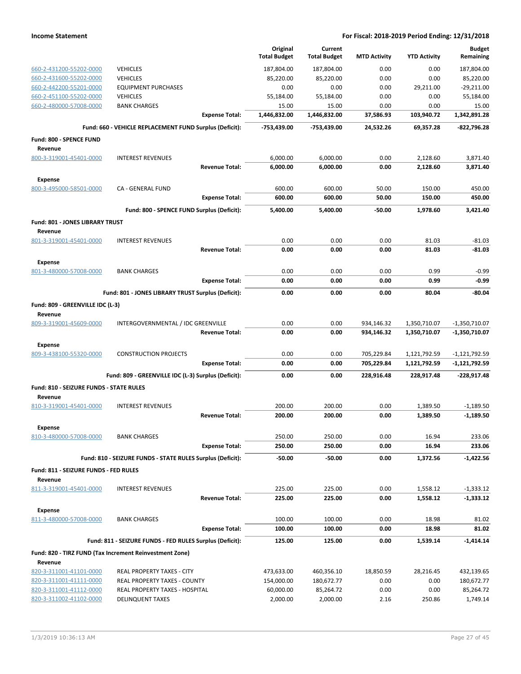|                                                    |                                                            | Original<br><b>Total Budget</b> | Current<br><b>Total Budget</b> | <b>MTD Activity</b> | <b>YTD Activity</b> | <b>Budget</b><br>Remaining |
|----------------------------------------------------|------------------------------------------------------------|---------------------------------|--------------------------------|---------------------|---------------------|----------------------------|
|                                                    |                                                            |                                 |                                |                     |                     |                            |
| 660-2-431200-55202-0000                            | <b>VEHICLES</b>                                            | 187,804.00                      | 187,804.00                     | 0.00                | 0.00                | 187,804.00                 |
| 660-2-431600-55202-0000                            | <b>VEHICLES</b>                                            | 85,220.00                       | 85,220.00                      | 0.00                | 0.00                | 85,220.00                  |
| 660-2-442200-55201-0000                            | <b>EQUIPMENT PURCHASES</b>                                 | 0.00                            | 0.00                           | 0.00                | 29,211.00           | $-29,211.00$               |
| 660-2-451100-55202-0000<br>660-2-480000-57008-0000 | <b>VEHICLES</b><br><b>BANK CHARGES</b>                     | 55,184.00<br>15.00              | 55,184.00<br>15.00             | 0.00<br>0.00        | 0.00<br>0.00        | 55,184.00<br>15.00         |
|                                                    | <b>Expense Total:</b>                                      | 1,446,832.00                    | 1,446,832.00                   | 37,586.93           | 103,940.72          | 1,342,891.28               |
|                                                    |                                                            |                                 |                                |                     |                     |                            |
|                                                    | Fund: 660 - VEHICLE REPLACEMENT FUND Surplus (Deficit):    | -753,439.00                     | -753,439.00                    | 24,532.26           | 69,357.28           | -822,796.28                |
| Fund: 800 - SPENCE FUND                            |                                                            |                                 |                                |                     |                     |                            |
| Revenue                                            |                                                            |                                 |                                |                     |                     |                            |
| 800-3-319001-45401-0000                            | <b>INTEREST REVENUES</b>                                   | 6,000.00                        | 6,000.00                       | 0.00                | 2,128.60            | 3,871.40                   |
|                                                    | <b>Revenue Total:</b>                                      | 6,000.00                        | 6,000.00                       | 0.00                | 2,128.60            | 3,871.40                   |
| Expense                                            |                                                            |                                 |                                |                     |                     |                            |
| 800-3-495000-58501-0000                            | <b>CA - GENERAL FUND</b>                                   | 600.00                          | 600.00                         | 50.00               | 150.00              | 450.00                     |
|                                                    | <b>Expense Total:</b>                                      | 600.00                          | 600.00                         | 50.00               | 150.00              | 450.00                     |
|                                                    | Fund: 800 - SPENCE FUND Surplus (Deficit):                 | 5,400.00                        | 5,400.00                       | $-50.00$            | 1,978.60            | 3,421.40                   |
| Fund: 801 - JONES LIBRARY TRUST                    |                                                            |                                 |                                |                     |                     |                            |
| Revenue                                            |                                                            |                                 |                                |                     |                     |                            |
| 801-3-319001-45401-0000                            | <b>INTEREST REVENUES</b>                                   | 0.00                            | 0.00                           | 0.00                | 81.03               | $-81.03$                   |
|                                                    | <b>Revenue Total:</b>                                      | 0.00                            | 0.00                           | 0.00                | 81.03               | $-81.03$                   |
|                                                    |                                                            |                                 |                                |                     |                     |                            |
| <b>Expense</b>                                     |                                                            |                                 |                                |                     |                     |                            |
| 801-3-480000-57008-0000                            | <b>BANK CHARGES</b>                                        | 0.00                            | 0.00<br>0.00                   | 0.00                | 0.99                | $-0.99$<br>$-0.99$         |
|                                                    | <b>Expense Total:</b>                                      | 0.00                            |                                | 0.00                | 0.99                |                            |
|                                                    | Fund: 801 - JONES LIBRARY TRUST Surplus (Deficit):         | 0.00                            | 0.00                           | 0.00                | 80.04               | $-80.04$                   |
| Fund: 809 - GREENVILLE IDC (L-3)                   |                                                            |                                 |                                |                     |                     |                            |
| Revenue                                            |                                                            |                                 |                                |                     |                     |                            |
| 809-3-319001-45609-0000                            | INTERGOVERNMENTAL / IDC GREENVILLE                         | 0.00                            | 0.00                           | 934,146.32          | 1,350,710.07        | $-1,350,710.07$            |
|                                                    | <b>Revenue Total:</b>                                      | 0.00                            | 0.00                           | 934,146.32          | 1,350,710.07        | -1,350,710.07              |
| <b>Expense</b>                                     |                                                            |                                 |                                |                     |                     |                            |
| 809-3-438100-55320-0000                            | <b>CONSTRUCTION PROJECTS</b>                               | 0.00                            | 0.00                           | 705,229.84          | 1,121,792.59        | $-1,121,792.59$            |
|                                                    | <b>Expense Total:</b>                                      | 0.00                            | 0.00                           | 705,229.84          | 1,121,792.59        | $-1,121,792.59$            |
|                                                    | Fund: 809 - GREENVILLE IDC (L-3) Surplus (Deficit):        | 0.00                            | 0.00                           | 228,916.48          | 228,917.48          | $-228,917.48$              |
|                                                    |                                                            |                                 |                                |                     |                     |                            |
| Fund: 810 - SEIZURE FUNDS - STATE RULES            |                                                            |                                 |                                |                     |                     |                            |
| Revenue<br>810-3-319001-45401-0000                 | <b>INTEREST REVENUES</b>                                   | 200.00                          | 200.00                         | 0.00                | 1,389.50            | $-1,189.50$                |
|                                                    | <b>Revenue Total:</b>                                      | 200.00                          | 200.00                         | 0.00                | 1,389.50            | $-1,189.50$                |
|                                                    |                                                            |                                 |                                |                     |                     |                            |
| <b>Expense</b>                                     |                                                            |                                 |                                |                     |                     |                            |
| 810-3-480000-57008-0000                            | <b>BANK CHARGES</b>                                        | 250.00                          | 250.00                         | 0.00                | 16.94               | 233.06                     |
|                                                    | <b>Expense Total:</b>                                      | 250.00                          | 250.00                         | 0.00                | 16.94               | 233.06                     |
|                                                    | Fund: 810 - SEIZURE FUNDS - STATE RULES Surplus (Deficit): | $-50.00$                        | $-50.00$                       | 0.00                | 1,372.56            | -1,422.56                  |
| Fund: 811 - SEIZURE FUNDS - FED RULES              |                                                            |                                 |                                |                     |                     |                            |
| Revenue                                            |                                                            |                                 |                                |                     |                     |                            |
| 811-3-319001-45401-0000                            | <b>INTEREST REVENUES</b>                                   | 225.00                          | 225.00                         | 0.00                | 1,558.12            | $-1,333.12$                |
|                                                    | <b>Revenue Total:</b>                                      | 225.00                          | 225.00                         | 0.00                | 1,558.12            | -1,333.12                  |
| <b>Expense</b>                                     |                                                            |                                 |                                |                     |                     |                            |
| 811-3-480000-57008-0000                            | <b>BANK CHARGES</b>                                        | 100.00                          | 100.00                         | 0.00                | 18.98               | 81.02                      |
|                                                    | <b>Expense Total:</b>                                      | 100.00                          | 100.00                         | 0.00                | 18.98               | 81.02                      |
|                                                    | Fund: 811 - SEIZURE FUNDS - FED RULES Surplus (Deficit):   | 125.00                          | 125.00                         | 0.00                | 1,539.14            | $-1,414.14$                |
|                                                    |                                                            |                                 |                                |                     |                     |                            |
| Revenue                                            | Fund: 820 - TIRZ FUND (Tax Increment Reinvestment Zone)    |                                 |                                |                     |                     |                            |
| 820-3-311001-41101-0000                            | REAL PROPERTY TAXES - CITY                                 | 473,633.00                      | 460,356.10                     | 18,850.59           | 28,216.45           | 432,139.65                 |
| 820-3-311001-41111-0000                            | REAL PROPERTY TAXES - COUNTY                               | 154,000.00                      | 180,672.77                     | 0.00                | 0.00                | 180,672.77                 |
| 820-3-311001-41112-0000                            | REAL PROPERTY TAXES - HOSPITAL                             | 60,000.00                       | 85,264.72                      | 0.00                | 0.00                | 85,264.72                  |
| 820-3-311002-41102-0000                            | <b>DELINQUENT TAXES</b>                                    | 2,000.00                        | 2,000.00                       | 2.16                | 250.86              | 1,749.14                   |
|                                                    |                                                            |                                 |                                |                     |                     |                            |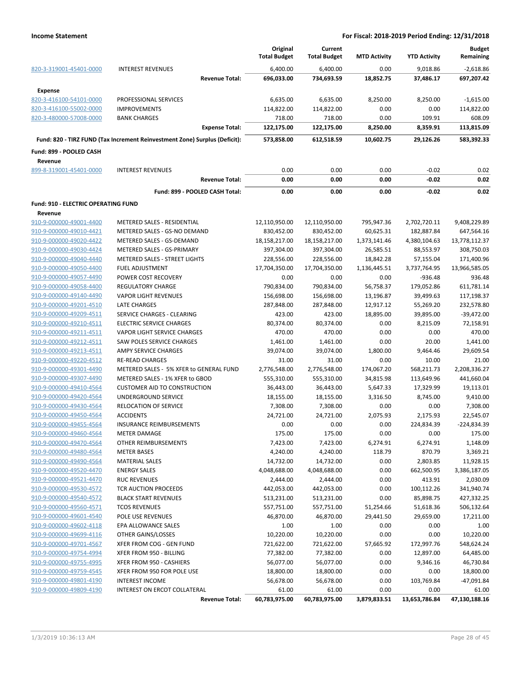|                                            |                                                                            | Original<br><b>Total Budget</b> | Current<br><b>Total Budget</b> | <b>MTD Activity</b> | <b>YTD Activity</b> | <b>Budget</b><br>Remaining |
|--------------------------------------------|----------------------------------------------------------------------------|---------------------------------|--------------------------------|---------------------|---------------------|----------------------------|
| 820-3-319001-45401-0000                    | <b>INTEREST REVENUES</b>                                                   | 6,400.00                        | 6,400.00                       | 0.00                | 9,018.86            | $-2,618.86$                |
|                                            | <b>Revenue Total:</b>                                                      | 696,033.00                      | 734,693.59                     | 18,852.75           | 37,486.17           | 697,207.42                 |
| <b>Expense</b>                             |                                                                            |                                 |                                |                     |                     |                            |
| 820-3-416100-54101-0000                    | PROFESSIONAL SERVICES                                                      | 6,635.00                        | 6,635.00                       | 8,250.00            | 8,250.00            | $-1,615.00$                |
| 820-3-416100-55002-0000                    | <b>IMPROVEMENTS</b>                                                        | 114,822.00                      | 114,822.00                     | 0.00                | 0.00                | 114,822.00                 |
| 820-3-480000-57008-0000                    | <b>BANK CHARGES</b>                                                        | 718.00                          | 718.00                         | 0.00                | 109.91              | 608.09                     |
|                                            | <b>Expense Total:</b>                                                      | 122,175.00                      | 122,175.00                     | 8,250.00            | 8,359.91            | 113,815.09                 |
|                                            | Fund: 820 - TIRZ FUND (Tax Increment Reinvestment Zone) Surplus (Deficit): | 573,858.00                      | 612,518.59                     | 10,602.75           | 29,126.26           | 583,392.33                 |
| Fund: 899 - POOLED CASH                    |                                                                            |                                 |                                |                     |                     |                            |
| Revenue                                    |                                                                            |                                 |                                |                     |                     |                            |
| 899-8-319001-45401-0000                    | <b>INTEREST REVENUES</b>                                                   | 0.00                            | 0.00                           | 0.00                | $-0.02$             | 0.02                       |
|                                            | <b>Revenue Total:</b>                                                      | 0.00                            | 0.00                           | 0.00                | $-0.02$             | 0.02                       |
|                                            | Fund: 899 - POOLED CASH Total:                                             | 0.00                            | 0.00                           | 0.00                | $-0.02$             | 0.02                       |
| <b>Fund: 910 - ELECTRIC OPERATING FUND</b> |                                                                            |                                 |                                |                     |                     |                            |
| Revenue                                    |                                                                            |                                 |                                |                     |                     |                            |
| 910-9-000000-49001-4400                    | METERED SALES - RESIDENTIAL                                                | 12,110,950.00                   | 12,110,950.00                  | 795,947.36          | 2,702,720.11        | 9,408,229.89               |
| 910-9-000000-49010-4421                    | METERED SALES - GS-NO DEMAND                                               | 830,452.00                      | 830,452.00                     | 60,625.31           | 182,887.84          | 647,564.16                 |
| 910-9-000000-49020-4422                    | METERED SALES - GS-DEMAND                                                  | 18,158,217.00                   | 18,158,217.00                  | 1,373,141.46        | 4,380,104.63        | 13,778,112.37              |
| 910-9-000000-49030-4424                    | METERED SALES - GS-PRIMARY                                                 | 397,304.00                      | 397,304.00                     | 26,585.51           | 88,553.97           | 308,750.03                 |
| 910-9-000000-49040-4440                    | METERED SALES - STREET LIGHTS                                              | 228,556.00                      | 228,556.00                     | 18,842.28           | 57,155.04           | 171,400.96                 |
| 910-9-000000-49050-4400                    | <b>FUEL ADJUSTMENT</b>                                                     | 17,704,350.00                   | 17,704,350.00                  | 1,136,445.51        | 3,737,764.95        | 13,966,585.05              |
| 910-9-000000-49057-4490                    | POWER COST RECOVERY                                                        | 0.00                            | 0.00                           | 0.00                | $-936.48$           | 936.48                     |
| 910-9-000000-49058-4400                    | <b>REGULATORY CHARGE</b>                                                   | 790,834.00                      | 790,834.00                     | 56,758.37           | 179,052.86          | 611,781.14                 |
| 910-9-000000-49140-4490                    | <b>VAPOR LIGHT REVENUES</b>                                                | 156,698.00                      | 156,698.00                     | 13,196.87           | 39,499.63           | 117,198.37                 |
| 910-9-000000-49201-4510                    | <b>LATE CHARGES</b>                                                        | 287,848.00                      | 287,848.00                     | 12,917.12           | 55,269.20           | 232,578.80                 |
| 910-9-000000-49209-4511                    | SERVICE CHARGES - CLEARING                                                 | 423.00                          | 423.00                         | 18,895.00           | 39,895.00           | $-39,472.00$               |
| 910-9-000000-49210-4511                    | <b>ELECTRIC SERVICE CHARGES</b>                                            | 80,374.00                       | 80,374.00                      | 0.00                | 8,215.09            | 72,158.91                  |
| 910-9-000000-49211-4511                    | <b>VAPOR LIGHT SERVICE CHARGES</b>                                         | 470.00                          | 470.00                         | 0.00                | 0.00                | 470.00                     |
| 910-9-000000-49212-4511                    | SAW POLES SERVICE CHARGES                                                  | 1,461.00                        | 1,461.00                       | 0.00                | 20.00               | 1,441.00                   |
| 910-9-000000-49213-4511                    | AMPY SERVICE CHARGES                                                       | 39,074.00                       | 39,074.00                      | 1,800.00            | 9,464.46            | 29,609.54                  |
| 910-9-000000-49220-4512                    | <b>RE-READ CHARGES</b>                                                     | 31.00                           | 31.00                          | 0.00                | 10.00               | 21.00                      |
| 910-9-000000-49301-4490                    | METERED SALES - 5% XFER to GENERAL FUND                                    | 2,776,548.00                    | 2,776,548.00                   | 174,067.20          | 568,211.73          | 2,208,336.27               |
| 910-9-000000-49307-4490                    | METERED SALES - 1% XFER to GBOD                                            | 555,310.00                      | 555,310.00                     | 34,815.98           | 113,649.96          | 441,660.04                 |
| 910-9-000000-49410-4564                    | <b>CUSTOMER AID TO CONSTRUCTION</b>                                        | 36,443.00                       | 36,443.00                      | 5,647.33            | 17,329.99           | 19,113.01                  |
| 910-9-000000-49420-4564                    | UNDERGROUND SERVICE                                                        | 18,155.00                       | 18,155.00                      | 3,316.50            | 8,745.00            | 9,410.00                   |
| 910-9-000000-49430-4564                    | RELOCATION OF SERVICE                                                      | 7,308.00                        | 7,308.00                       | 0.00                | 0.00                | 7,308.00                   |
| 910-9-000000-49450-4564                    | <b>ACCIDENTS</b>                                                           | 24,721.00                       | 24,721.00                      | 2,075.93            | 2,175.93            | 22,545.07                  |
| 910-9-000000-49455-4564                    | INSURANCE REIMBURSEMENTS                                                   | 0.00                            | 0.00                           | 0.00                | 224,834.39          | -224,834.39                |
| 910-9-000000-49460-4564                    | METER DAMAGE                                                               | 175.00                          | 175.00                         | 0.00                | 0.00                | 175.00                     |
| 910-9-000000-49470-4564                    | OTHER REIMBURSEMENTS                                                       | 7,423.00                        | 7,423.00                       | 6,274.91            | 6,274.91            | 1,148.09                   |
| 910-9-000000-49480-4564                    | <b>METER BASES</b>                                                         | 4,240.00                        | 4,240.00                       | 118.79              | 870.79              | 3,369.21                   |
| 910-9-000000-49490-4564                    | <b>MATERIAL SALES</b>                                                      | 14,732.00                       | 14,732.00                      | 0.00                | 2,803.85            | 11,928.15                  |
| 910-9-000000-49520-4470                    | <b>ENERGY SALES</b>                                                        | 4,048,688.00                    | 4,048,688.00                   | 0.00                | 662,500.95          | 3,386,187.05               |
| 910-9-000000-49521-4470                    | <b>RUC REVENUES</b>                                                        | 2,444.00                        | 2,444.00                       | 0.00                | 413.91              | 2,030.09                   |
| 910-9-000000-49530-4572                    | TCR AUCTION PROCEEDS                                                       | 442,053.00                      | 442,053.00                     | 0.00                | 100,112.26          | 341,940.74                 |
| 910-9-000000-49540-4572                    | <b>BLACK START REVENUES</b>                                                | 513,231.00                      | 513,231.00                     | 0.00                | 85,898.75           | 427,332.25                 |
| 910-9-000000-49560-4571                    | <b>TCOS REVENUES</b>                                                       | 557,751.00                      | 557,751.00                     | 51,254.66           | 51,618.36           | 506,132.64                 |
| 910-9-000000-49601-4540                    | <b>POLE USE REVENUES</b>                                                   | 46,870.00                       | 46,870.00                      | 29,441.50           | 29,659.00           | 17,211.00                  |
| 910-9-000000-49602-4118                    | EPA ALLOWANCE SALES                                                        | 1.00                            | 1.00                           | 0.00                | 0.00                | 1.00                       |
| 910-9-000000-49699-4116                    | OTHER GAINS/LOSSES                                                         | 10,220.00                       | 10,220.00                      | 0.00                | 0.00                | 10,220.00                  |
| 910-9-000000-49701-4567                    | XFER FROM COG - GEN FUND                                                   | 721,622.00                      | 721,622.00                     | 57,665.92           | 172,997.76          | 548,624.24                 |
| 910-9-000000-49754-4994                    | XFER FROM 950 - BILLING                                                    | 77,382.00                       | 77,382.00                      | 0.00                | 12,897.00           | 64,485.00                  |
| 910-9-000000-49755-4995                    | XFER FROM 950 - CASHIERS                                                   | 56,077.00                       | 56,077.00                      | 0.00                | 9,346.16            | 46,730.84                  |
| 910-9-000000-49759-4545                    | XFER FROM 950 FOR POLE USE                                                 | 18,800.00                       | 18,800.00                      | 0.00                | 0.00                | 18,800.00                  |
| 910-9-000000-49801-4190                    | <b>INTEREST INCOME</b>                                                     | 56,678.00                       | 56,678.00                      | 0.00                |                     | -47,091.84                 |
| 910-9-000000-49809-4190                    | INTEREST ON ERCOT COLLATERAL                                               | 61.00                           | 61.00                          | 0.00                | 103,769.84<br>0.00  | 61.00                      |
|                                            | <b>Revenue Total:</b>                                                      | 60,783,975.00                   | 60,783,975.00                  | 3,879,833.51        | 13,653,786.84       | 47,130,188.16              |
|                                            |                                                                            |                                 |                                |                     |                     |                            |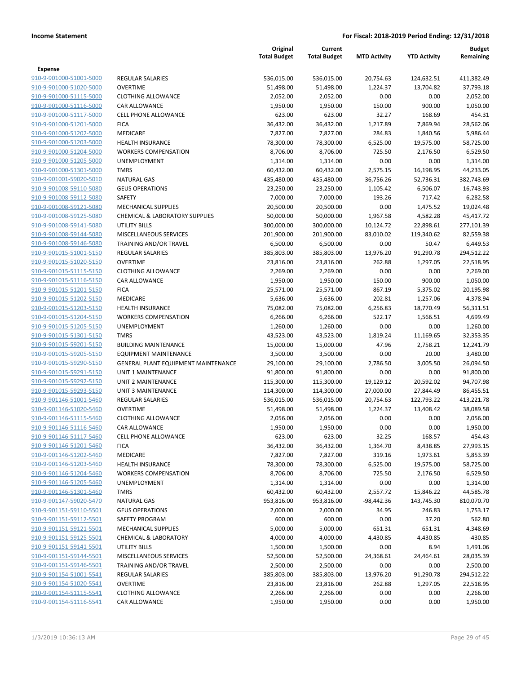|                                                    |                                            | Original<br><b>Total Budget</b> | Current<br><b>Total Budget</b> | <b>MTD Activity</b> | <b>YTD Activity</b> | Budget<br>Remaining   |
|----------------------------------------------------|--------------------------------------------|---------------------------------|--------------------------------|---------------------|---------------------|-----------------------|
| <b>Expense</b>                                     |                                            |                                 |                                |                     |                     |                       |
| 910-9-901000-51001-5000                            | <b>REGULAR SALARIES</b>                    | 536,015.00                      | 536,015.00                     | 20,754.63           | 124,632.51          | 411,382.49            |
| 910-9-901000-51020-5000                            | <b>OVERTIME</b>                            | 51,498.00                       | 51,498.00                      | 1,224.37            | 13,704.82           | 37,793.18             |
| 910-9-901000-51115-5000                            | <b>CLOTHING ALLOWANCE</b>                  | 2,052.00                        | 2,052.00                       | 0.00                | 0.00                | 2,052.00              |
| 910-9-901000-51116-5000                            | CAR ALLOWANCE                              | 1,950.00                        | 1,950.00                       | 150.00              | 900.00              | 1,050.00              |
| 910-9-901000-51117-5000                            | <b>CELL PHONE ALLOWANCE</b>                | 623.00                          | 623.00                         | 32.27               | 168.69              | 454.31                |
| 910-9-901000-51201-5000                            | <b>FICA</b>                                | 36,432.00                       | 36,432.00                      | 1,217.89            | 7,869.94            | 28,562.06             |
| 910-9-901000-51202-5000                            | MEDICARE                                   | 7,827.00                        | 7,827.00                       | 284.83              | 1,840.56            | 5,986.44              |
| 910-9-901000-51203-5000                            | <b>HEALTH INSURANCE</b>                    | 78,300.00                       | 78,300.00                      | 6,525.00            | 19,575.00           | 58,725.00             |
| 910-9-901000-51204-5000                            | <b>WORKERS COMPENSATION</b>                | 8,706.00                        | 8,706.00                       | 725.50              | 2,176.50            | 6,529.50              |
| 910-9-901000-51205-5000                            | <b>UNEMPLOYMENT</b>                        | 1,314.00                        | 1,314.00                       | 0.00                | 0.00                | 1,314.00              |
| 910-9-901000-51301-5000                            | <b>TMRS</b>                                | 60,432.00                       | 60,432.00                      | 2,575.15            | 16,198.95           | 44,233.05             |
| 910-9-901001-59020-5010                            | <b>NATURAL GAS</b>                         | 435,480.00                      | 435,480.00                     | 36,756.26           | 52,736.31           | 382,743.69            |
| 910-9-901008-59110-5080                            | <b>GEUS OPERATIONS</b>                     | 23,250.00                       | 23,250.00                      | 1,105.42            | 6,506.07            | 16,743.93             |
| 910-9-901008-59112-5080                            | <b>SAFETY</b>                              | 7,000.00                        | 7,000.00                       | 193.26              | 717.42              | 6,282.58              |
| 910-9-901008-59121-5080                            | <b>MECHANICAL SUPPLIES</b>                 | 20,500.00                       | 20,500.00                      | 0.00                | 1,475.52            | 19,024.48             |
| 910-9-901008-59125-5080                            | <b>CHEMICAL &amp; LABORATORY SUPPLIES</b>  | 50,000.00                       | 50,000.00                      | 1,967.58            | 4,582.28            | 45,417.72             |
| 910-9-901008-59141-5080                            | UTILITY BILLS                              | 300,000.00                      | 300,000.00                     | 10,124.72           | 22,898.61           | 277,101.39            |
| 910-9-901008-59144-5080                            | <b>MISCELLANEOUS SERVICES</b>              | 201,900.00                      | 201,900.00                     | 83,010.02           | 119,340.62          | 82,559.38             |
| 910-9-901008-59146-5080                            | TRAINING AND/OR TRAVEL                     | 6,500.00                        | 6,500.00                       | 0.00                | 50.47               | 6,449.53              |
| 910-9-901015-51001-5150                            | <b>REGULAR SALARIES</b>                    | 385,803.00                      | 385,803.00                     | 13,976.20           | 91,290.78           | 294,512.22            |
| 910-9-901015-51020-5150                            | <b>OVERTIME</b>                            | 23,816.00                       | 23,816.00                      | 262.88              | 1,297.05            | 22,518.95             |
| 910-9-901015-51115-5150                            | <b>CLOTHING ALLOWANCE</b>                  | 2,269.00                        | 2,269.00                       | 0.00                | 0.00                | 2,269.00              |
| 910-9-901015-51116-5150                            | CAR ALLOWANCE                              | 1,950.00                        | 1,950.00                       | 150.00              | 900.00              | 1,050.00              |
| 910-9-901015-51201-5150                            | <b>FICA</b>                                | 25,571.00                       | 25,571.00                      | 867.19              | 5,375.02            | 20,195.98             |
| 910-9-901015-51202-5150                            | MEDICARE                                   | 5,636.00                        | 5,636.00                       | 202.81              | 1,257.06            | 4,378.94              |
| 910-9-901015-51203-5150                            | <b>HEALTH INSURANCE</b>                    | 75,082.00                       | 75,082.00                      | 6,256.83            | 18,770.49           | 56,311.51             |
| 910-9-901015-51204-5150                            | <b>WORKERS COMPENSATION</b>                | 6,266.00                        | 6,266.00                       | 522.17              | 1,566.51            | 4,699.49              |
| 910-9-901015-51205-5150<br>910-9-901015-51301-5150 | UNEMPLOYMENT<br><b>TMRS</b>                | 1,260.00<br>43,523.00           | 1,260.00<br>43,523.00          | 0.00<br>1,819.24    | 0.00<br>11,169.65   | 1,260.00<br>32,353.35 |
| 910-9-901015-59201-5150                            | <b>BUILDING MAINTENANCE</b>                | 15,000.00                       | 15,000.00                      | 47.96               | 2,758.21            | 12,241.79             |
| 910-9-901015-59205-5150                            | EQUIPMENT MAINTENANCE                      | 3,500.00                        | 3,500.00                       | 0.00                | 20.00               | 3,480.00              |
| 910-9-901015-59290-5150                            | <b>GENERAL PLANT EQUIPMENT MAINTENANCE</b> | 29,100.00                       | 29,100.00                      | 2,786.50            | 3,005.50            | 26,094.50             |
| 910-9-901015-59291-5150                            | <b>UNIT 1 MAINTENANCE</b>                  | 91,800.00                       | 91,800.00                      | 0.00                | 0.00                | 91,800.00             |
| 910-9-901015-59292-5150                            | <b>UNIT 2 MAINTENANCE</b>                  | 115,300.00                      | 115,300.00                     | 19,129.12           | 20,592.02           | 94,707.98             |
| 910-9-901015-59293-5150                            | <b>UNIT 3 MAINTENANCE</b>                  | 114,300.00                      | 114,300.00                     | 27,000.00           | 27,844.49           | 86,455.51             |
| 910-9-901146-51001-5460                            | <b>REGULAR SALARIES</b>                    | 536,015.00                      | 536,015.00                     | 20,754.63           | 122,793.22          | 413,221.78            |
| 910-9-901146-51020-5460                            | <b>OVERTIME</b>                            | 51,498.00                       | 51,498.00                      | 1,224.37            | 13,408.42           | 38,089.58             |
| 910-9-901146-51115-5460                            | <b>CLOTHING ALLOWANCE</b>                  | 2,056.00                        | 2,056.00                       | 0.00                | 0.00                | 2,056.00              |
| 910-9-901146-51116-5460                            | CAR ALLOWANCE                              | 1,950.00                        | 1,950.00                       | 0.00                | 0.00                | 1,950.00              |
| 910-9-901146-51117-5460                            | <b>CELL PHONE ALLOWANCE</b>                | 623.00                          | 623.00                         | 32.25               | 168.57              | 454.43                |
| 910-9-901146-51201-5460                            | <b>FICA</b>                                | 36,432.00                       | 36,432.00                      | 1,364.70            | 8,438.85            | 27,993.15             |
| 910-9-901146-51202-5460                            | MEDICARE                                   | 7,827.00                        | 7,827.00                       | 319.16              | 1,973.61            | 5,853.39              |
| 910-9-901146-51203-5460                            | <b>HEALTH INSURANCE</b>                    | 78,300.00                       | 78,300.00                      | 6,525.00            | 19,575.00           | 58,725.00             |
| 910-9-901146-51204-5460                            | <b>WORKERS COMPENSATION</b>                | 8,706.00                        | 8,706.00                       | 725.50              | 2,176.50            | 6,529.50              |
| 910-9-901146-51205-5460                            | <b>UNEMPLOYMENT</b>                        | 1,314.00                        | 1,314.00                       | 0.00                | 0.00                | 1,314.00              |
| 910-9-901146-51301-5460                            | <b>TMRS</b>                                | 60,432.00                       | 60,432.00                      | 2,557.72            | 15,846.22           | 44,585.78             |
| 910-9-901147-59020-5470                            | <b>NATURAL GAS</b>                         | 953,816.00                      | 953,816.00                     | $-98,442.36$        | 143,745.30          | 810,070.70            |
| 910-9-901151-59110-5501                            | <b>GEUS OPERATIONS</b>                     | 2,000.00                        | 2,000.00                       | 34.95               | 246.83              | 1,753.17              |
| 910-9-901151-59112-5501                            | SAFETY PROGRAM                             | 600.00                          | 600.00                         | 0.00                | 37.20               | 562.80                |
| 910-9-901151-59121-5501                            | <b>MECHANICAL SUPPLIES</b>                 | 5,000.00                        | 5,000.00                       | 651.31              | 651.31              | 4,348.69              |
| 910-9-901151-59125-5501                            | <b>CHEMICAL &amp; LABORATORY</b>           | 4,000.00                        | 4,000.00                       | 4,430.85            | 4,430.85            | $-430.85$             |
| 910-9-901151-59141-5501                            | UTILITY BILLS                              | 1,500.00                        | 1,500.00                       | 0.00                | 8.94                | 1,491.06              |
| 910-9-901151-59144-5501                            | MISCELLANEOUS SERVICES                     | 52,500.00                       | 52,500.00                      | 24,368.61           | 24,464.61           | 28,035.39             |
| 910-9-901151-59146-5501                            | TRAINING AND/OR TRAVEL                     | 2,500.00                        | 2,500.00                       | 0.00                | 0.00                | 2,500.00              |
| 910-9-901154-51001-5541                            | REGULAR SALARIES                           | 385,803.00                      | 385,803.00                     | 13,976.20           | 91,290.78           | 294,512.22            |
| 910-9-901154-51020-5541                            | <b>OVERTIME</b>                            | 23,816.00                       | 23,816.00                      | 262.88              | 1,297.05            | 22,518.95             |
| 910-9-901154-51115-5541                            | <b>CLOTHING ALLOWANCE</b>                  | 2,266.00                        | 2,266.00                       | 0.00                | 0.00                | 2,266.00              |
| 910-9-901154-51116-5541                            | CAR ALLOWANCE                              | 1,950.00                        | 1,950.00                       | 0.00                | 0.00                | 1,950.00              |
|                                                    |                                            |                                 |                                |                     |                     |                       |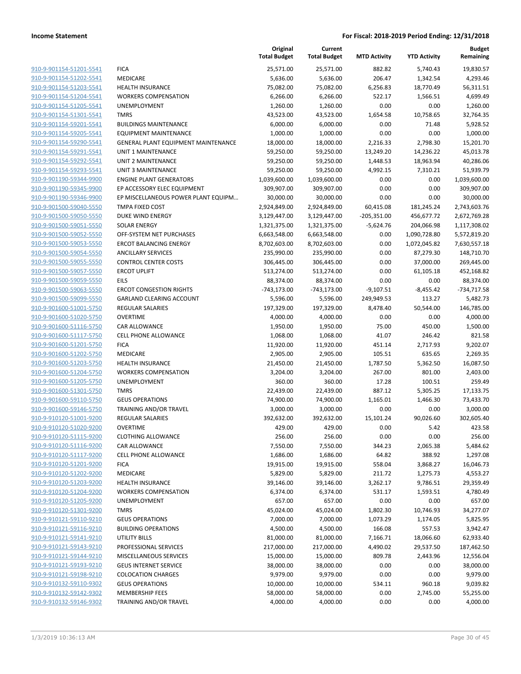|                                                    |                                                           | Original<br><b>Total Budget</b> | Current<br><b>Total Budget</b> | <b>MTD Activity</b> | <b>YTD Activity</b>          | <b>Budget</b><br>Remaining |
|----------------------------------------------------|-----------------------------------------------------------|---------------------------------|--------------------------------|---------------------|------------------------------|----------------------------|
| 910-9-901154-51201-5541                            | <b>FICA</b>                                               | 25,571.00                       | 25,571.00                      | 882.82              | 5,740.43                     | 19,830.57                  |
| 910-9-901154-51202-5541                            | MEDICARE                                                  | 5,636.00                        | 5,636.00                       | 206.47              | 1,342.54                     | 4,293.46                   |
| 910-9-901154-51203-5541                            | <b>HEALTH INSURANCE</b>                                   | 75,082.00                       | 75,082.00                      | 6,256.83            | 18,770.49                    | 56,311.51                  |
| 910-9-901154-51204-5541                            | <b>WORKERS COMPENSATION</b>                               | 6,266.00                        | 6,266.00                       | 522.17              | 1,566.51                     | 4,699.49                   |
| 910-9-901154-51205-5541                            | UNEMPLOYMENT                                              | 1,260.00                        | 1,260.00                       | 0.00                | 0.00                         | 1,260.00                   |
| 910-9-901154-51301-5541                            | <b>TMRS</b>                                               | 43,523.00                       | 43,523.00                      | 1,654.58            | 10,758.65                    | 32,764.35                  |
| 910-9-901154-59201-5541                            | <b>BUILDINGS MAINTENANCE</b>                              | 6,000.00                        | 6,000.00                       | 0.00                | 71.48                        | 5,928.52                   |
| 910-9-901154-59205-5541                            | <b>EQUIPMENT MAINTENANCE</b>                              | 1,000.00                        | 1,000.00                       | 0.00                | 0.00                         | 1,000.00                   |
| 910-9-901154-59290-5541                            | GENERAL PLANT EQUIPMENT MAINTENANCE                       | 18,000.00                       | 18,000.00                      | 2,216.33            | 2,798.30                     | 15,201.70                  |
| 910-9-901154-59291-5541                            | <b>UNIT 1 MAINTENANCE</b>                                 | 59,250.00                       | 59,250.00                      | 13,249.20           | 14,236.22                    | 45,013.78                  |
| 910-9-901154-59292-5541                            | UNIT 2 MAINTENANCE                                        | 59,250.00                       | 59,250.00                      | 1,448.53            | 18,963.94                    | 40,286.06                  |
| 910-9-901154-59293-5541                            | <b>UNIT 3 MAINTENANCE</b>                                 | 59,250.00                       | 59,250.00                      | 4,992.15            | 7,310.21                     | 51,939.79                  |
| 910-9-901190-59344-9900                            | <b>ENGINE PLANT GENERATORS</b>                            | 1,039,600.00                    | 1,039,600.00                   | 0.00                | 0.00                         | 1,039,600.00               |
| 910-9-901190-59345-9900                            | EP ACCESSORY ELEC EQUIPMENT                               | 309,907.00                      | 309,907.00                     | 0.00                | 0.00                         | 309,907.00                 |
| 910-9-901190-59346-9900                            | EP MISCELLANEOUS POWER PLANT EQUIPM                       | 30,000.00                       | 30,000.00                      | 0.00                | 0.00                         | 30,000.00                  |
| 910-9-901500-59040-5550<br>910-9-901500-59050-5550 | TMPA FIXED COST                                           | 2,924,849.00                    | 2,924,849.00                   | 60,415.08           | 181,245.24                   | 2,743,603.76               |
| 910-9-901500-59051-5550                            | DUKE WIND ENERGY                                          | 3,129,447.00                    | 3,129,447.00                   | $-205,351.00$       | 456,677.72                   | 2,672,769.28               |
| 910-9-901500-59052-5550                            | <b>SOLAR ENERGY</b>                                       | 1,321,375.00                    | 1,321,375.00                   | $-5,624.76$         | 204,066.98                   | 1,117,308.02               |
|                                                    | OFF-SYSTEM NET PURCHASES<br><b>ERCOT BALANCING ENERGY</b> | 6,663,548.00                    | 6,663,548.00                   | 0.00                | 1,090,728.80<br>1,072,045.82 | 5,572,819.20               |
| 910-9-901500-59053-5550                            | <b>ANCILLARY SERVICES</b>                                 | 8,702,603.00                    | 8,702,603.00<br>235,990.00     | 0.00<br>0.00        |                              | 7,630,557.18<br>148,710.70 |
| 910-9-901500-59054-5550<br>910-9-901500-59055-5550 | <b>CONTROL CENTER COSTS</b>                               | 235,990.00                      |                                | 0.00                | 87,279.30                    |                            |
| 910-9-901500-59057-5550                            |                                                           | 306,445.00                      | 306,445.00                     |                     | 37,000.00                    | 269,445.00<br>452,168.82   |
| 910-9-901500-59059-5550                            | <b>ERCOT UPLIFT</b>                                       | 513,274.00                      | 513,274.00                     | 0.00                | 61,105.18                    |                            |
| 910-9-901500-59063-5550                            | <b>EILS</b><br><b>ERCOT CONGESTION RIGHTS</b>             | 88,374.00<br>$-743,173.00$      | 88,374.00<br>$-743,173.00$     | 0.00<br>$-9,107.51$ | 0.00<br>$-8,455.42$          | 88,374.00<br>-734,717.58   |
| 910-9-901500-59099-5550                            | <b>GARLAND CLEARING ACCOUNT</b>                           | 5,596.00                        | 5,596.00                       | 249,949.53          | 113.27                       | 5,482.73                   |
| 910-9-901600-51001-5750                            | <b>REGULAR SALARIES</b>                                   | 197,329.00                      | 197,329.00                     | 8,478.40            | 50,544.00                    | 146,785.00                 |
| 910-9-901600-51020-5750                            | <b>OVERTIME</b>                                           | 4,000.00                        | 4,000.00                       | 0.00                | 0.00                         | 4,000.00                   |
| 910-9-901600-51116-5750                            | CAR ALLOWANCE                                             | 1,950.00                        | 1,950.00                       | 75.00               | 450.00                       | 1,500.00                   |
| 910-9-901600-51117-5750                            | <b>CELL PHONE ALLOWANCE</b>                               | 1,068.00                        | 1,068.00                       | 41.07               | 246.42                       | 821.58                     |
| 910-9-901600-51201-5750                            | <b>FICA</b>                                               | 11,920.00                       | 11,920.00                      | 451.14              | 2,717.93                     | 9,202.07                   |
| 910-9-901600-51202-5750                            | MEDICARE                                                  | 2,905.00                        | 2,905.00                       | 105.51              | 635.65                       | 2,269.35                   |
| 910-9-901600-51203-5750                            | <b>HEALTH INSURANCE</b>                                   | 21,450.00                       | 21,450.00                      | 1,787.50            | 5,362.50                     | 16,087.50                  |
| 910-9-901600-51204-5750                            | <b>WORKERS COMPENSATION</b>                               | 3,204.00                        | 3,204.00                       | 267.00              | 801.00                       | 2,403.00                   |
| 910-9-901600-51205-5750                            | UNEMPLOYMENT                                              | 360.00                          | 360.00                         | 17.28               | 100.51                       | 259.49                     |
| 910-9-901600-51301-5750                            | <b>TMRS</b>                                               | 22,439.00                       | 22,439.00                      | 887.12              | 5,305.25                     | 17,133.75                  |
| 910-9-901600-59110-5750                            | <b>GEUS OPERATIONS</b>                                    | 74,900.00                       | 74,900.00                      | 1,165.01            | 1,466.30                     | 73,433.70                  |
| 910-9-901600-59146-5750                            | TRAINING AND/OR TRAVEL                                    | 3,000.00                        | 3,000.00                       | 0.00                | 0.00                         | 3,000.00                   |
| 910-9-910120-51001-9200                            | <b>REGULAR SALARIES</b>                                   | 392,632.00                      | 392,632.00                     | 15,101.24           | 90,026.60                    | 302,605.40                 |
| 910-9-910120-51020-9200                            | <b>OVERTIME</b>                                           | 429.00                          | 429.00                         | 0.00                | 5.42                         | 423.58                     |
| 910-9-910120-51115-9200                            | <b>CLOTHING ALLOWANCE</b>                                 | 256.00                          | 256.00                         | 0.00                | 0.00                         | 256.00                     |
| 910-9-910120-51116-9200                            | CAR ALLOWANCE                                             | 7,550.00                        | 7,550.00                       | 344.23              | 2,065.38                     | 5,484.62                   |
| 910-9-910120-51117-9200                            | <b>CELL PHONE ALLOWANCE</b>                               | 1,686.00                        | 1,686.00                       | 64.82               | 388.92                       | 1,297.08                   |
| 910-9-910120-51201-9200                            | <b>FICA</b>                                               | 19,915.00                       | 19,915.00                      | 558.04              | 3,868.27                     | 16,046.73                  |
| 910-9-910120-51202-9200                            | <b>MEDICARE</b>                                           | 5,829.00                        | 5,829.00                       | 211.72              | 1,275.73                     | 4,553.27                   |
| 910-9-910120-51203-9200                            | <b>HEALTH INSURANCE</b>                                   | 39,146.00                       | 39,146.00                      | 3,262.17            | 9,786.51                     | 29,359.49                  |
| 910-9-910120-51204-9200                            | <b>WORKERS COMPENSATION</b>                               | 6,374.00                        | 6,374.00                       | 531.17              | 1,593.51                     | 4,780.49                   |
| 910-9-910120-51205-9200                            | UNEMPLOYMENT                                              | 657.00                          | 657.00                         | 0.00                | 0.00                         | 657.00                     |
| 910-9-910120-51301-9200                            | <b>TMRS</b>                                               | 45,024.00                       | 45,024.00                      | 1,802.30            | 10,746.93                    | 34,277.07                  |
| 910-9-910121-59110-9210                            | <b>GEUS OPERATIONS</b>                                    | 7,000.00                        | 7,000.00                       | 1,073.29            | 1,174.05                     | 5,825.95                   |
| 910-9-910121-59116-9210                            | <b>BUILDING OPERATIONS</b>                                | 4,500.00                        | 4,500.00                       | 166.08              | 557.53                       | 3,942.47                   |
| 910-9-910121-59141-9210                            | UTILITY BILLS                                             | 81,000.00                       | 81,000.00                      | 7,166.71            | 18,066.60                    | 62,933.40                  |
| 910-9-910121-59143-9210                            | PROFESSIONAL SERVICES                                     | 217,000.00                      | 217,000.00                     | 4,490.02            | 29,537.50                    | 187,462.50                 |
| 910-9-910121-59144-9210                            | MISCELLANEOUS SERVICES                                    | 15,000.00                       | 15,000.00                      | 809.78              | 2,443.96                     | 12,556.04                  |
| 910-9-910121-59193-9210                            | <b>GEUS INTERNET SERVICE</b>                              | 38,000.00                       | 38,000.00                      | 0.00                | 0.00                         | 38,000.00                  |
| 910-9-910121-59198-9210                            | <b>COLOCATION CHARGES</b>                                 | 9,979.00                        | 9,979.00                       | 0.00                | 0.00                         | 9,979.00                   |
| 910-9-910132-59110-9302                            | <b>GEUS OPERATIONS</b>                                    | 10,000.00                       | 10,000.00                      | 534.11              | 960.18                       | 9,039.82                   |
| 910-9-910132-59142-9302                            | <b>MEMBERSHIP FEES</b>                                    | 58,000.00                       | 58,000.00                      | 0.00                | 2,745.00                     | 55,255.00                  |
| 910-9-910132-59146-9302                            | TRAINING AND/OR TRAVEL                                    | 4,000.00                        | 4,000.00                       | 0.00                | 0.00                         | 4,000.00                   |
|                                                    |                                                           |                                 |                                |                     |                              |                            |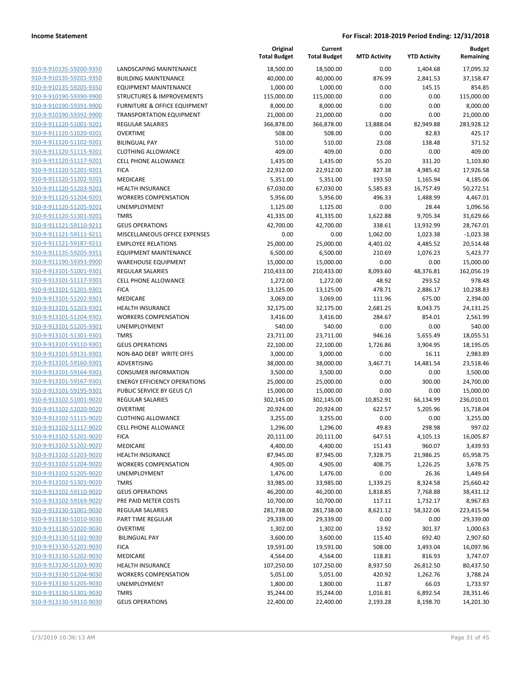|                                                    |                                         | Original<br><b>Total Budget</b> | Current<br><b>Total Budget</b> | <b>MTD Activity</b> | <b>YTD Activity</b> | <b>Budget</b><br>Remaining |
|----------------------------------------------------|-----------------------------------------|---------------------------------|--------------------------------|---------------------|---------------------|----------------------------|
| 910-9-910135-59200-9350                            | <b>LANDSCAPING MAINTENANCE</b>          | 18,500.00                       | 18,500.00                      | 0.00                | 1,404.68            | 17,095.32                  |
| 910-9-910135-59201-9350                            | <b>BUILDING MAINTENANCE</b>             | 40,000.00                       | 40,000.00                      | 876.99              | 2,841.53            | 37,158.47                  |
| 910-9-910135-59205-9350                            | <b>EQUIPMENT MAINTENANCE</b>            | 1,000.00                        | 1,000.00                       | 0.00                | 145.15              | 854.85                     |
| 910-9-910190-59390-9900                            | STRUCTURES & IMPROVEMENTS               | 115,000.00                      | 115,000.00                     | 0.00                | 0.00                | 115,000.00                 |
| 910-9-910190-59391-9900                            | <b>FURNITURE &amp; OFFICE EQUIPMENT</b> | 8,000.00                        | 8,000.00                       | 0.00                | 0.00                | 8,000.00                   |
| 910-9-910190-59392-9900                            | <b>TRANSPORTATION EQUIPMENT</b>         | 21,000.00                       | 21,000.00                      | 0.00                | 0.00                | 21,000.00                  |
| 910-9-911120-51001-9201                            | <b>REGULAR SALARIES</b>                 | 366,878.00                      | 366,878.00                     | 13,888.04           | 82,949.88           | 283,928.12                 |
| 910-9-911120-51020-9201                            | <b>OVERTIME</b>                         | 508.00                          | 508.00                         | 0.00                | 82.83               | 425.17                     |
| 910-9-911120-51102-9201                            | <b>BILINGUAL PAY</b>                    | 510.00                          | 510.00                         | 23.08               | 138.48              | 371.52                     |
| 910-9-911120-51115-9201                            | <b>CLOTHING ALLOWANCE</b>               | 409.00                          | 409.00                         | 0.00                | 0.00                | 409.00                     |
| 910-9-911120-51117-9201                            | <b>CELL PHONE ALLOWANCE</b>             | 1,435.00                        | 1,435.00                       | 55.20               | 331.20              | 1,103.80                   |
| 910-9-911120-51201-9201                            | <b>FICA</b>                             | 22,912.00                       | 22,912.00                      | 827.38              | 4,985.42            | 17,926.58                  |
| 910-9-911120-51202-9201                            | MEDICARE                                | 5,351.00                        | 5,351.00                       | 193.50              | 1,165.94            | 4,185.06                   |
| 910-9-911120-51203-9201                            | <b>HEALTH INSURANCE</b>                 | 67,030.00                       | 67,030.00                      | 5,585.83            | 16,757.49           | 50,272.51                  |
| 910-9-911120-51204-9201                            | <b>WORKERS COMPENSATION</b>             | 5,956.00                        | 5,956.00                       | 496.33              | 1,488.99            | 4,467.01                   |
| 910-9-911120-51205-9201                            | <b>UNEMPLOYMENT</b>                     | 1,125.00                        | 1,125.00                       | 0.00                | 28.44               | 1,096.56                   |
| 910-9-911120-51301-9201                            | <b>TMRS</b>                             | 41,335.00                       | 41,335.00                      | 1,622.88            | 9,705.34            | 31,629.66                  |
| 910-9-911121-59110-9211                            | <b>GEUS OPERATIONS</b>                  | 42,700.00                       | 42,700.00                      | 338.61              | 13,932.99           | 28,767.01                  |
| 910-9-911121-59111-9211                            | MISCELLANEOUS OFFICE EXPENSES           | 0.00                            | 0.00                           | 1,062.00            | 1,023.38            | $-1,023.38$                |
| 910-9-911121-59187-9211                            | <b>EMPLOYEE RELATIONS</b>               | 25,000.00                       | 25,000.00                      | 4,401.02            | 4,485.52            | 20,514.48                  |
| 910-9-911135-59205-9351                            | <b>EQUIPMENT MAINTENANCE</b>            | 6,500.00                        | 6,500.00                       | 210.69              | 1,076.23            | 5,423.77                   |
| 910-9-911190-59393-9900                            | <b>WAREHOUSE EQUIPMENT</b>              | 15,000.00                       | 15,000.00                      | 0.00                | 0.00                | 15,000.00                  |
| 910-9-913101-51001-9301                            | <b>REGULAR SALARIES</b>                 | 210,433.00                      | 210,433.00                     | 8,093.60            | 48,376.81           | 162,056.19                 |
| 910-9-913101-51117-9301                            | <b>CELL PHONE ALLOWANCE</b>             | 1,272.00                        | 1,272.00                       | 48.92               | 293.52              | 978.48                     |
| 910-9-913101-51201-9301                            | <b>FICA</b>                             | 13,125.00                       | 13,125.00                      | 478.71              | 2,886.17            | 10,238.83                  |
| 910-9-913101-51202-9301                            | MEDICARE<br><b>HEALTH INSURANCE</b>     | 3,069.00                        | 3,069.00                       | 111.96              | 675.00              | 2,394.00                   |
| 910-9-913101-51203-9301<br>910-9-913101-51204-9301 | <b>WORKERS COMPENSATION</b>             | 32,175.00<br>3,416.00           | 32,175.00<br>3,416.00          | 2,681.25<br>284.67  | 8,043.75<br>854.01  | 24,131.25<br>2,561.99      |
| 910-9-913101-51205-9301                            | UNEMPLOYMENT                            | 540.00                          | 540.00                         | 0.00                | 0.00                | 540.00                     |
| 910-9-913101-51301-9301                            | <b>TMRS</b>                             | 23,711.00                       | 23,711.00                      | 946.16              | 5,655.49            | 18,055.51                  |
| 910-9-913101-59110-9301                            | <b>GEUS OPERATIONS</b>                  | 22,100.00                       | 22,100.00                      | 1,726.86            | 3,904.95            | 18,195.05                  |
| 910-9-913101-59131-9301                            | NON-BAD DEBT WRITE OFFS                 | 3,000.00                        | 3,000.00                       | 0.00                | 16.11               | 2,983.89                   |
| 910-9-913101-59160-9301                            | ADVERTISING                             | 38,000.00                       | 38,000.00                      | 3,467.71            | 14,481.54           | 23,518.46                  |
| 910-9-913101-59164-9301                            | <b>CONSUMER INFORMATION</b>             | 3,500.00                        | 3,500.00                       | 0.00                | 0.00                | 3,500.00                   |
| 910-9-913101-59167-9301                            | <b>ENERGY EFFICIENCY OPERATIONS</b>     | 25,000.00                       | 25,000.00                      | 0.00                | 300.00              | 24,700.00                  |
| 910-9-913101-59195-9301                            | PUBLIC SERVICE BY GEUS C/I              | 15,000.00                       | 15,000.00                      | 0.00                | 0.00                | 15,000.00                  |
| 910-9-913102-51001-9020                            | <b>REGULAR SALARIES</b>                 | 302,145.00                      | 302,145.00                     | 10,852.91           | 66,134.99           | 236,010.01                 |
| 910-9-913102-51020-9020                            | <b>OVERTIME</b>                         | 20,924.00                       | 20,924.00                      | 622.57              | 5,205.96            | 15,718.04                  |
| 910-9-913102-51115-9020                            | <b>CLOTHING ALLOWANCE</b>               | 3,255.00                        | 3,255.00                       | 0.00                | 0.00                | 3,255.00                   |
| 910-9-913102-51117-9020                            | CELL PHONE ALLOWANCE                    | 1,296.00                        | 1,296.00                       | 49.83               | 298.98              | 997.02                     |
| 910-9-913102-51201-9020                            | <b>FICA</b>                             | 20,111.00                       | 20,111.00                      | 647.51              | 4,105.13            | 16,005.87                  |
| 910-9-913102-51202-9020                            | MEDICARE                                | 4,400.00                        | 4,400.00                       | 151.43              | 960.07              | 3,439.93                   |
| 910-9-913102-51203-9020                            | <b>HEALTH INSURANCE</b>                 | 87,945.00                       | 87,945.00                      | 7,328.75            | 21,986.25           | 65,958.75                  |
| 910-9-913102-51204-9020                            | <b>WORKERS COMPENSATION</b>             | 4,905.00                        | 4,905.00                       | 408.75              | 1,226.25            | 3,678.75                   |
| 910-9-913102-51205-9020                            | UNEMPLOYMENT                            | 1,476.00                        | 1,476.00                       | 0.00                | 26.36               | 1,449.64                   |
| 910-9-913102-51301-9020                            | <b>TMRS</b>                             | 33,985.00                       | 33,985.00                      | 1,339.25            | 8,324.58            | 25,660.42                  |
| 910-9-913102-59110-9020                            | <b>GEUS OPERATIONS</b>                  | 46,200.00                       | 46,200.00                      | 1,818.85            | 7,768.88            | 38,431.12                  |
| 910-9-913102-59169-9020                            | PRE PAID METER COSTS                    | 10,700.00                       | 10,700.00                      | 117.11              | 1,732.17            | 8,967.83                   |
| 910-9-913130-51001-9030                            | REGULAR SALARIES                        | 281,738.00                      | 281,738.00                     | 8,621.12            | 58,322.06           | 223,415.94                 |
| 910-9-913130-51010-9030                            | PART TIME REGULAR                       | 29,339.00                       | 29,339.00                      | 0.00                | 0.00                | 29,339.00                  |
| 910-9-913130-51020-9030                            | <b>OVERTIME</b>                         | 1,302.00                        | 1,302.00                       | 13.92               | 301.37              | 1,000.63                   |
| 910-9-913130-51102-9030                            | <b>BILINGUAL PAY</b>                    | 3,600.00                        | 3,600.00                       | 115.40              | 692.40              | 2,907.60                   |
| 910-9-913130-51201-9030                            | <b>FICA</b>                             | 19,591.00                       | 19,591.00                      | 508.00              | 3,493.04            | 16,097.96                  |
| 910-9-913130-51202-9030                            | MEDICARE                                | 4,564.00                        | 4,564.00                       | 118.81              | 816.93              | 3,747.07                   |
| 910-9-913130-51203-9030                            | <b>HEALTH INSURANCE</b>                 | 107,250.00                      | 107,250.00                     | 8,937.50            | 26,812.50           | 80,437.50                  |
| 910-9-913130-51204-9030                            | <b>WORKERS COMPENSATION</b>             | 5,051.00                        | 5,051.00                       | 420.92              | 1,262.76            | 3,788.24                   |
| 910-9-913130-51205-9030                            | UNEMPLOYMENT                            | 1,800.00                        | 1,800.00                       | 11.87               | 66.03               | 1,733.97                   |
| 910-9-913130-51301-9030                            | <b>TMRS</b>                             | 35,244.00                       | 35,244.00                      | 1,016.81            | 6,892.54            | 28,351.46                  |
| 910-9-913130-59110-9030                            | <b>GEUS OPERATIONS</b>                  | 22,400.00                       | 22,400.00                      | 2,193.28            | 8,198.70            | 14,201.30                  |
|                                                    |                                         |                                 |                                |                     |                     |                            |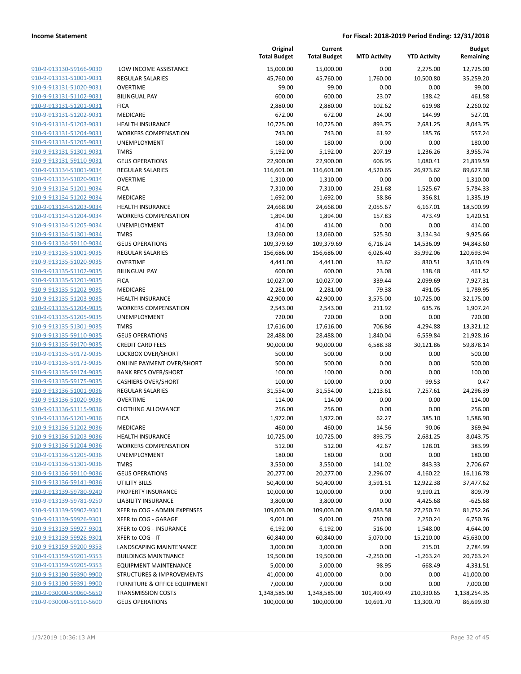| 910-9-913130-59166-9030        |
|--------------------------------|
| 910-9-913131-51001-9031        |
| 910-9-913131-51020-9031        |
| <u>910-9-913131-51102-9031</u> |
| 910-9-913131-51201-9031        |
| 910-9-913131-51202-9031        |
| 910-9-913131-51203-9031        |
| 910-9-913131-51204-9031        |
| 910-9-913131-51205-9031        |
| 910-9-913131-51301-9031        |
|                                |
| 910-9-913131-59110-9031        |
| 910-9-913134-51001-9034        |
| 910-9-913134-51020-9034        |
| 910-9-913134-51201-9034        |
| 910-9-913134-51202-9034        |
| 910-9-913134-51203-9034        |
| 910-9-913134-51204-9034        |
| <u>910-9-913134-51205-9034</u> |
| 910-9-913134-51301-9034        |
| 910-9-913134-59110-9034        |
| 910-9-913135-51001-9035        |
| 910-9-913135-51020-9035        |
| 910-9-913135-51102-9035        |
|                                |
| <u>910-9-913135-51201-9035</u> |
| 910-9-913135-51202-9035        |
| 910-9-913135-51203-9035        |
| 910-9-913135-51204-9035        |
| <u>910-9-913135-51205-9035</u> |
| 910-9-913135-51301-9035        |
| 910-9-913135-59110-9035        |
| 910-9-913135-59170-9035        |
| 910-9-913135-59172-9035        |
| <u>910-9-913135-59173-9035</u> |
| <u>910-9-913135-59174-9035</u> |
| 910-9-913135-59175-9035        |
| 910-9-913136-51001-9036        |
| 910-9-913136-51020-9036        |
| 910-9-913136-51115-9036        |
| 910-9-913136-51201-9036        |
| 910-9-913136-51202-9036        |
|                                |
| 910-9-913136-51203-9036        |
| 910-9-913136-51204-9036        |
| <u>910-9-913136-51205-9036</u> |
| 910-9-913136-51301-9036        |
| <u>910-9-913136-59110-9036</u> |
| <u>910-9-913136-59141-9036</u> |
| 910-9-913139-59780-9240        |
| 910-9-913139-59781-9250        |
| <u>910-9-913139-59902-9301</u> |
| <u>910-9-913139-59926-9301</u> |
| 910-9-913139-59927-9301        |
| 910-9-913139-59928-9301        |
| <u>910-9-913159-59200-9353</u> |
| 910-9-913159-59201-9353        |
| 910-9-913159-59205-9353        |
|                                |
| <u>910-9-913190-59390-9900</u> |
| <u>910-9-913190-59391-9900</u> |
| <u>910-9-930000-59060-5650</u> |
| 910-9-930000-59110-5600        |

| LOW INCOME ASSISTANCE                |
|--------------------------------------|
| REGULAR SALARIES                     |
| <b>OVERTIME</b>                      |
| <b>BILINGUAL PAY</b>                 |
| <b>FICA</b>                          |
| MEDICARE                             |
| HEALTH INSURANCE                     |
| <b>WORKERS COMPENSATION</b>          |
| UNEMPLOYMENT                         |
| <b>TMRS</b>                          |
| GEUS OPERATIONS                      |
| REGULAR SALARIES                     |
| <b>OVERTIME</b>                      |
| <b>FICA</b>                          |
| MEDICARE                             |
| HEALTH INSURANCE                     |
| WORKERS COMPENSATION                 |
| UNEMPLOYMENT                         |
| TMRS                                 |
| <b>GEUS OPERATIONS</b>               |
| <b>REGULAR SALARIES</b>              |
| OVERTIME                             |
| <b>BILINGUAL PAY</b>                 |
| <b>FICA</b>                          |
| MEDICARE<br><b>HEALTH INSURANCE</b>  |
|                                      |
| WORKERS COMPENSATION<br>UNEMPLOYMENT |
| TMRS                                 |
| <b>GEUS OPERATIONS</b>               |
| CREDIT CARD FEES                     |
| LOCKBOX OVER/SHORT                   |
| ONLINE PAYMENT OVER/SHORT            |
| <b>BANK RECS OVER/SHORT</b>          |
| <b>CASHIERS OVER/SHORT</b>           |
| REGULAR SALARIES                     |
| OVERTIME                             |
| CLOTHING ALLOWANCE                   |
| <b>FICA</b>                          |
| <b>MEDICARE</b>                      |
| <b>HEALTH INSURANCE</b>              |
| WORKERS COMPENSATION                 |
| UNEMPLOYMENT                         |
| <b>TMRS</b>                          |
| <b>GEUS OPERATIONS</b>               |
| UTILITY BILLS                        |
| PROPERTY INSURANCE                   |
| <b>LIABILITY INSURANCE</b>           |
| XFER to COG - ADMIN EXPENSES         |
| XFER to COG - GARAGE                 |
| XFER to COG - INSURANCE              |
| XFER to COG - IT                     |
| <b>LANDSCAPING MAINTENANCE</b>       |
| <b>BUILDINGS MAINTNANCE</b>          |
| <b>EQUIPMENT MAINTENANCE</b>         |
| STRUCTURES & IMPROVEMENTS            |
| FURNITURE & OFFICE EQUIPMENT         |
| <b>TRANSMISSION COSTS</b>            |
|                                      |

|                                                    |                                       | Original<br><b>Total Budget</b> | Current<br><b>Total Budget</b> | <b>MTD Activity</b>  | <b>YTD Activity</b>   | <b>Budget</b><br>Remaining |
|----------------------------------------------------|---------------------------------------|---------------------------------|--------------------------------|----------------------|-----------------------|----------------------------|
| 910-9-913130-59166-9030                            | LOW INCOME ASSISTANCE                 | 15,000.00                       | 15,000.00                      | 0.00                 | 2,275.00              | 12,725.00                  |
| 910-9-913131-51001-9031                            | <b>REGULAR SALARIES</b>               | 45,760.00                       | 45,760.00                      | 1,760.00             | 10,500.80             | 35,259.20                  |
| 910-9-913131-51020-9031                            | <b>OVERTIME</b>                       | 99.00                           | 99.00                          | 0.00                 | 0.00                  | 99.00                      |
| 910-9-913131-51102-9031                            | <b>BILINGUAL PAY</b>                  | 600.00                          | 600.00                         | 23.07                | 138.42                | 461.58                     |
| 910-9-913131-51201-9031                            | <b>FICA</b>                           | 2,880.00                        | 2,880.00                       | 102.62               | 619.98                | 2,260.02                   |
| 910-9-913131-51202-9031                            | MEDICARE                              | 672.00                          | 672.00                         | 24.00                | 144.99                | 527.01                     |
| 910-9-913131-51203-9031                            | <b>HEALTH INSURANCE</b>               | 10,725.00                       | 10,725.00                      | 893.75               | 2,681.25              | 8,043.75                   |
| 910-9-913131-51204-9031                            | <b>WORKERS COMPENSATION</b>           | 743.00                          | 743.00                         | 61.92                | 185.76                | 557.24                     |
| 910-9-913131-51205-9031                            | UNEMPLOYMENT                          | 180.00                          | 180.00                         | 0.00                 | 0.00                  | 180.00                     |
| 910-9-913131-51301-9031                            | <b>TMRS</b>                           | 5,192.00                        | 5,192.00                       | 207.19               | 1,236.26              | 3,955.74                   |
| 910-9-913131-59110-9031                            | <b>GEUS OPERATIONS</b>                | 22,900.00                       | 22,900.00                      | 606.95               | 1,080.41              | 21,819.59                  |
| 910-9-913134-51001-9034                            | <b>REGULAR SALARIES</b>               | 116,601.00                      | 116,601.00                     | 4,520.65             | 26,973.62             | 89,627.38                  |
| 910-9-913134-51020-9034                            | <b>OVERTIME</b>                       | 1,310.00                        | 1,310.00                       | 0.00                 | 0.00                  | 1,310.00                   |
| 910-9-913134-51201-9034                            | <b>FICA</b>                           | 7,310.00                        | 7,310.00                       | 251.68               | 1,525.67              | 5,784.33                   |
| 910-9-913134-51202-9034                            | MEDICARE                              | 1,692.00                        | 1,692.00                       | 58.86                | 356.81                | 1,335.19                   |
| 910-9-913134-51203-9034                            | <b>HEALTH INSURANCE</b>               | 24,668.00                       | 24,668.00                      | 2,055.67             | 6,167.01              | 18,500.99                  |
| 910-9-913134-51204-9034                            | <b>WORKERS COMPENSATION</b>           | 1,894.00                        | 1,894.00                       | 157.83               | 473.49                | 1,420.51                   |
| 910-9-913134-51205-9034                            | UNEMPLOYMENT                          | 414.00                          | 414.00                         | 0.00                 | 0.00                  | 414.00                     |
| 910-9-913134-51301-9034                            | <b>TMRS</b>                           | 13,060.00                       | 13,060.00                      | 525.30               | 3,134.34              | 9,925.66                   |
| 910-9-913134-59110-9034                            | <b>GEUS OPERATIONS</b>                | 109,379.69                      | 109,379.69                     | 6,716.24             | 14,536.09             | 94,843.60                  |
| 910-9-913135-51001-9035                            | REGULAR SALARIES                      | 156,686.00                      | 156,686.00                     | 6,026.40             | 35,992.06             | 120,693.94                 |
| 910-9-913135-51020-9035                            | <b>OVERTIME</b>                       | 4,441.00                        | 4,441.00                       | 33.62                | 830.51                | 3,610.49                   |
| 910-9-913135-51102-9035                            | <b>BILINGUAL PAY</b>                  | 600.00                          | 600.00                         | 23.08                | 138.48                | 461.52                     |
| 910-9-913135-51201-9035                            | <b>FICA</b>                           | 10,027.00                       | 10,027.00                      | 339.44               | 2,099.69              | 7,927.31                   |
| 910-9-913135-51202-9035                            | MEDICARE                              | 2,281.00                        | 2,281.00                       | 79.38                | 491.05                | 1,789.95                   |
| 910-9-913135-51203-9035                            | <b>HEALTH INSURANCE</b>               | 42,900.00                       | 42,900.00                      | 3,575.00             | 10,725.00             | 32,175.00                  |
| 910-9-913135-51204-9035                            | <b>WORKERS COMPENSATION</b>           | 2,543.00                        | 2,543.00                       | 211.92               | 635.76                | 1,907.24                   |
| 910-9-913135-51205-9035                            | UNEMPLOYMENT                          | 720.00                          | 720.00                         | 0.00                 | 0.00                  | 720.00                     |
| 910-9-913135-51301-9035<br>910-9-913135-59110-9035 | <b>TMRS</b><br><b>GEUS OPERATIONS</b> | 17,616.00                       | 17,616.00                      | 706.86               | 4,294.88              | 13,321.12                  |
| 910-9-913135-59170-9035                            | <b>CREDIT CARD FEES</b>               | 28,488.00<br>90,000.00          | 28,488.00<br>90,000.00         | 1,840.04<br>6,588.38 | 6,559.84<br>30,121.86 | 21,928.16<br>59,878.14     |
| 910-9-913135-59172-9035                            | LOCKBOX OVER/SHORT                    | 500.00                          | 500.00                         | 0.00                 | 0.00                  | 500.00                     |
| 910-9-913135-59173-9035                            | <b>ONLINE PAYMENT OVER/SHORT</b>      | 500.00                          | 500.00                         | 0.00                 | 0.00                  | 500.00                     |
| 910-9-913135-59174-9035                            | <b>BANK RECS OVER/SHORT</b>           | 100.00                          | 100.00                         | 0.00                 | 0.00                  | 100.00                     |
| 910-9-913135-59175-9035                            | <b>CASHIERS OVER/SHORT</b>            | 100.00                          | 100.00                         | 0.00                 | 99.53                 | 0.47                       |
| 910-9-913136-51001-9036                            | <b>REGULAR SALARIES</b>               | 31,554.00                       | 31,554.00                      | 1,213.61             | 7,257.61              | 24,296.39                  |
| 910-9-913136-51020-9036                            | <b>OVERTIME</b>                       | 114.00                          | 114.00                         | 0.00                 | 0.00                  | 114.00                     |
| 910-9-913136-51115-9036                            | <b>CLOTHING ALLOWANCE</b>             | 256.00                          | 256.00                         | 0.00                 | 0.00                  | 256.00                     |
| 910-9-913136-51201-9036                            | <b>FICA</b>                           | 1,972.00                        | 1,972.00                       | 62.27                | 385.10                | 1,586.90                   |
| 910-9-913136-51202-9036                            | <b>MEDICARE</b>                       | 460.00                          | 460.00                         | 14.56                | 90.06                 | 369.94                     |
| 910-9-913136-51203-9036                            | <b>HEALTH INSURANCE</b>               | 10,725.00                       | 10,725.00                      | 893.75               | 2,681.25              | 8,043.75                   |
| 910-9-913136-51204-9036                            | <b>WORKERS COMPENSATION</b>           | 512.00                          | 512.00                         | 42.67                | 128.01                | 383.99                     |
| 910-9-913136-51205-9036                            | UNEMPLOYMENT                          | 180.00                          | 180.00                         | 0.00                 | 0.00                  | 180.00                     |
| 910-9-913136-51301-9036                            | <b>TMRS</b>                           | 3,550.00                        | 3,550.00                       | 141.02               | 843.33                | 2,706.67                   |
| 910-9-913136-59110-9036                            | <b>GEUS OPERATIONS</b>                | 20,277.00                       | 20,277.00                      | 2,296.07             | 4,160.22              | 16,116.78                  |
| 910-9-913136-59141-9036                            | <b>UTILITY BILLS</b>                  | 50,400.00                       | 50,400.00                      | 3,591.51             | 12,922.38             | 37,477.62                  |
| 910-9-913139-59780-9240                            | PROPERTY INSURANCE                    | 10,000.00                       | 10,000.00                      | 0.00                 | 9,190.21              | 809.79                     |
| 910-9-913139-59781-9250                            | <b>LIABILITY INSURANCE</b>            | 3,800.00                        | 3,800.00                       | 0.00                 | 4,425.68              | $-625.68$                  |
| 910-9-913139-59902-9301                            | XFER to COG - ADMIN EXPENSES          | 109,003.00                      | 109,003.00                     | 9,083.58             | 27,250.74             | 81,752.26                  |
| 910-9-913139-59926-9301                            | XFER to COG - GARAGE                  | 9,001.00                        | 9,001.00                       | 750.08               | 2,250.24              | 6,750.76                   |
| 910-9-913139-59927-9301                            | XFER to COG - INSURANCE               | 6,192.00                        | 6,192.00                       | 516.00               | 1,548.00              | 4,644.00                   |
| 910-9-913139-59928-9301                            | XFER to COG - IT                      | 60,840.00                       | 60,840.00                      | 5,070.00             | 15,210.00             | 45,630.00                  |
| 910-9-913159-59200-9353                            | LANDSCAPING MAINTENANCE               | 3,000.00                        | 3,000.00                       | 0.00                 | 215.01                | 2,784.99                   |
| 910-9-913159-59201-9353                            | <b>BUILDINGS MAINTNANCE</b>           | 19,500.00                       | 19,500.00                      | $-2,250.00$          | $-1,263.24$           | 20,763.24                  |
| 910-9-913159-59205-9353                            | <b>EQUIPMENT MAINTENANCE</b>          | 5,000.00                        | 5,000.00                       | 98.95                | 668.49                | 4,331.51                   |
| 910-9-913190-59390-9900                            | STRUCTURES & IMPROVEMENTS             | 41,000.00                       | 41,000.00                      | 0.00                 | 0.00                  | 41,000.00                  |
| 910-9-913190-59391-9900                            | FURNITURE & OFFICE EQUIPMENT          | 7,000.00                        | 7,000.00                       | 0.00                 | 0.00                  | 7,000.00                   |
| 910-9-930000-59060-5650                            | <b>TRANSMISSION COSTS</b>             | 1,348,585.00                    | 1,348,585.00                   | 101,490.49           | 210,330.65            | 1,138,254.35               |
| 910-9-930000-59110-5600                            | <b>GEUS OPERATIONS</b>                | 100,000.00                      | 100,000.00                     | 10,691.70            | 13,300.70             | 86,699.30                  |
|                                                    |                                       |                                 |                                |                      |                       |                            |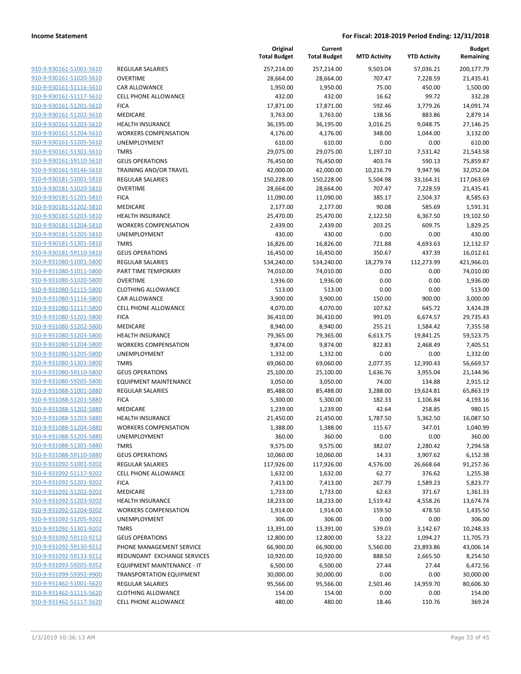**Budget Remaining**

**MTD Activity YTD Activity**

**Current**

**Original**

|                         |                                 | <b>Total Budget</b> | <b>Total Budget</b> | <b>MTD Activity</b> | <b>YTD Activity</b> | Remaining  |
|-------------------------|---------------------------------|---------------------|---------------------|---------------------|---------------------|------------|
| 910-9-930161-51001-5610 | REGULAR SALARIES                | 257,214.00          | 257,214.00          | 9,503.04            | 57,036.21           | 200,177.79 |
| 910-9-930161-51020-5610 | <b>OVERTIME</b>                 | 28,664.00           | 28,664.00           | 707.47              | 7,228.59            | 21,435.41  |
| 910-9-930161-51116-5610 | CAR ALLOWANCE                   | 1,950.00            | 1,950.00            | 75.00               | 450.00              | 1,500.00   |
| 910-9-930161-51117-5610 | <b>CELL PHONE ALLOWANCE</b>     | 432.00              | 432.00              | 16.62               | 99.72               | 332.28     |
| 910-9-930161-51201-5610 | <b>FICA</b>                     | 17,871.00           | 17,871.00           | 592.46              | 3,779.26            | 14,091.74  |
| 910-9-930161-51202-5610 | MEDICARE                        | 3,763.00            | 3,763.00            | 138.56              | 883.86              | 2,879.14   |
| 910-9-930161-51203-5610 | <b>HEALTH INSURANCE</b>         | 36,195.00           | 36,195.00           | 3,016.25            | 9,048.75            | 27,146.25  |
| 910-9-930161-51204-5610 | <b>WORKERS COMPENSATION</b>     | 4,176.00            | 4,176.00            | 348.00              | 1,044.00            | 3,132.00   |
| 910-9-930161-51205-5610 | <b>UNEMPLOYMENT</b>             | 610.00              | 610.00              | 0.00                | 0.00                | 610.00     |
| 910-9-930161-51301-5610 | <b>TMRS</b>                     | 29,075.00           | 29,075.00           | 1,197.10            | 7,531.42            | 21,543.58  |
| 910-9-930161-59110-5610 | <b>GEUS OPERATIONS</b>          | 76,450.00           | 76,450.00           | 403.74              | 590.13              | 75,859.87  |
| 910-9-930161-59146-5610 | TRAINING AND/OR TRAVEL          | 42,000.00           | 42,000.00           | 10,216.79           | 9,947.96            | 32,052.04  |
| 910-9-930181-51001-5810 | REGULAR SALARIES                | 150,228.00          | 150,228.00          | 5,504.98            | 33,164.31           | 117,063.69 |
| 910-9-930181-51020-5810 | <b>OVERTIME</b>                 | 28,664.00           | 28,664.00           | 707.47              | 7,228.59            | 21,435.41  |
| 910-9-930181-51201-5810 | <b>FICA</b>                     | 11,090.00           | 11,090.00           | 385.17              | 2,504.37            | 8,585.63   |
| 910-9-930181-51202-5810 | MEDICARE                        | 2,177.00            | 2,177.00            | 90.08               | 585.69              | 1,591.31   |
| 910-9-930181-51203-5810 | <b>HEALTH INSURANCE</b>         | 25,470.00           | 25,470.00           | 2,122.50            | 6,367.50            | 19,102.50  |
| 910-9-930181-51204-5810 | <b>WORKERS COMPENSATION</b>     | 2,439.00            | 2,439.00            | 203.25              | 609.75              | 1,829.25   |
| 910-9-930181-51205-5810 | UNEMPLOYMENT                    | 430.00              | 430.00              | 0.00                | 0.00                | 430.00     |
| 910-9-930181-51301-5810 | <b>TMRS</b>                     | 16,826.00           | 16,826.00           | 721.88              | 4,693.63            | 12,132.37  |
| 910-9-930181-59110-5810 | <b>GEUS OPERATIONS</b>          | 16,450.00           | 16,450.00           | 350.67              | 437.39              | 16,012.61  |
| 910-9-931080-51001-5800 | <b>REGULAR SALARIES</b>         | 534,240.00          | 534,240.00          | 18,279.74           | 112,273.99          | 421,966.01 |
| 910-9-931080-51011-5800 | PART TIME TEMPORARY             | 74,010.00           | 74,010.00           | 0.00                | 0.00                | 74,010.00  |
| 910-9-931080-51020-5800 | <b>OVERTIME</b>                 | 1,936.00            | 1,936.00            | 0.00                | 0.00                | 1,936.00   |
| 910-9-931080-51115-5800 | <b>CLOTHING ALLOWANCE</b>       | 513.00              | 513.00              | 0.00                | 0.00                | 513.00     |
| 910-9-931080-51116-5800 | CAR ALLOWANCE                   | 3,900.00            | 3,900.00            | 150.00              | 900.00              | 3,000.00   |
| 910-9-931080-51117-5800 | <b>CELL PHONE ALLOWANCE</b>     | 4,070.00            | 4,070.00            | 107.62              | 645.72              | 3,424.28   |
| 910-9-931080-51201-5800 | <b>FICA</b>                     | 36,410.00           | 36,410.00           | 991.05              | 6,674.57            | 29,735.43  |
| 910-9-931080-51202-5800 | MEDICARE                        | 8,940.00            | 8,940.00            | 255.21              | 1,584.42            | 7,355.58   |
| 910-9-931080-51203-5800 | <b>HEALTH INSURANCE</b>         | 79,365.00           | 79,365.00           | 6,613.75            | 19,841.25           | 59,523.75  |
| 910-9-931080-51204-5800 | <b>WORKERS COMPENSATION</b>     | 9,874.00            | 9,874.00            | 822.83              | 2,468.49            | 7,405.51   |
| 910-9-931080-51205-5800 | UNEMPLOYMENT                    | 1,332.00            | 1,332.00            | 0.00                | 0.00                | 1,332.00   |
| 910-9-931080-51301-5800 | <b>TMRS</b>                     | 69,060.00           | 69,060.00           | 2,077.35            | 12,390.43           | 56,669.57  |
| 910-9-931080-59110-5800 | <b>GEUS OPERATIONS</b>          | 25,100.00           | 25,100.00           | 1,636.76            | 3,955.04            | 21,144.96  |
| 910-9-931080-59205-5800 | <b>EQUIPMENT MAINTENANCE</b>    | 3,050.00            | 3,050.00            | 74.00               | 134.88              | 2,915.12   |
| 910-9-931088-51001-5880 | REGULAR SALARIES                | 85,488.00           | 85,488.00           | 3,288.00            | 19,624.81           | 65,863.19  |
| 910-9-931088-51201-5880 | <b>FICA</b>                     | 5,300.00            | 5,300.00            | 182.33              | 1,106.84            | 4,193.16   |
| 910-9-931088-51202-5880 | MEDICARE                        | 1,239.00            | 1,239.00            | 42.64               | 258.85              | 980.15     |
| 910-9-931088-51203-5880 | <b>HEALTH INSURANCE</b>         | 21,450.00           | 21,450.00           | 1,787.50            | 5,362.50            | 16,087.50  |
| 910-9-931088-51204-5880 | <b>WORKERS COMPENSATION</b>     | 1,388.00            | 1,388.00            | 115.67              | 347.01              | 1,040.99   |
| 910-9-931088-51205-5880 | UNEMPLOYMENT                    | 360.00              | 360.00              | 0.00                | 0.00                | 360.00     |
| 910-9-931088-51301-5880 | <b>TMRS</b>                     | 9,575.00            | 9,575.00            | 382.07              | 2,280.42            | 7,294.58   |
| 910-9-931088-59110-5880 | <b>GEUS OPERATIONS</b>          | 10,060.00           | 10,060.00           | 14.33               | 3,907.62            | 6,152.38   |
| 910-9-931092-51001-9202 | <b>REGULAR SALARIES</b>         | 117,926.00          | 117,926.00          | 4,576.00            | 26,668.64           | 91,257.36  |
| 910-9-931092-51117-9202 | <b>CELL PHONE ALLOWANCE</b>     | 1,632.00            | 1,632.00            | 62.77               | 376.62              | 1,255.38   |
| 910-9-931092-51201-9202 | <b>FICA</b>                     | 7,413.00            | 7,413.00            | 267.79              | 1,589.23            | 5,823.77   |
| 910-9-931092-51202-9202 | MEDICARE                        | 1,733.00            | 1,733.00            | 62.63               | 371.67              | 1,361.33   |
| 910-9-931092-51203-9202 | <b>HEALTH INSURANCE</b>         | 18,233.00           | 18,233.00           | 1,519.42            | 4,558.26            | 13,674.74  |
| 910-9-931092-51204-9202 | <b>WORKERS COMPENSATION</b>     | 1,914.00            | 1,914.00            | 159.50              | 478.50              | 1,435.50   |
| 910-9-931092-51205-9202 | UNEMPLOYMENT                    | 306.00              | 306.00              | 0.00                | 0.00                | 306.00     |
| 910-9-931092-51301-9202 | <b>TMRS</b>                     | 13,391.00           | 13,391.00           | 539.03              | 3,142.67            | 10,248.33  |
| 910-9-931092-59110-9212 | <b>GEUS OPERATIONS</b>          | 12,800.00           | 12,800.00           | 53.22               | 1,094.27            | 11,705.73  |
| 910-9-931092-59130-9212 | PHONE MANAGEMENT SERVICE        | 66,900.00           | 66,900.00           | 5,560.00            | 23,893.86           | 43,006.14  |
| 910-9-931092-59133-9212 | REDUNDANT EXCHANGE SERVICES     | 10,920.00           | 10,920.00           | 888.50              | 2,665.50            | 8,254.50   |
| 910-9-931093-59205-9352 | EQUIPMENT MAINTENANCE - IT      | 6,500.00            | 6,500.00            | 27.44               | 27.44               | 6,472.56   |
| 910-9-931099-59392-9900 | <b>TRANSPORTATION EQUIPMENT</b> | 30,000.00           | 30,000.00           | 0.00                | 0.00                | 30,000.00  |
| 910-9-931462-51001-5620 | <b>REGULAR SALARIES</b>         | 95,566.00           | 95,566.00           | 2,501.46            | 14,959.70           | 80,606.30  |
| 910-9-931462-51115-5620 | <b>CLOTHING ALLOWANCE</b>       | 154.00              | 154.00              | 0.00                | 0.00                | 154.00     |
| 910-9-931462-51117-5620 | CELL PHONE ALLOWANCE            | 480.00              | 480.00              | 18.46               | 110.76              | 369.24     |
|                         |                                 |                     |                     |                     |                     |            |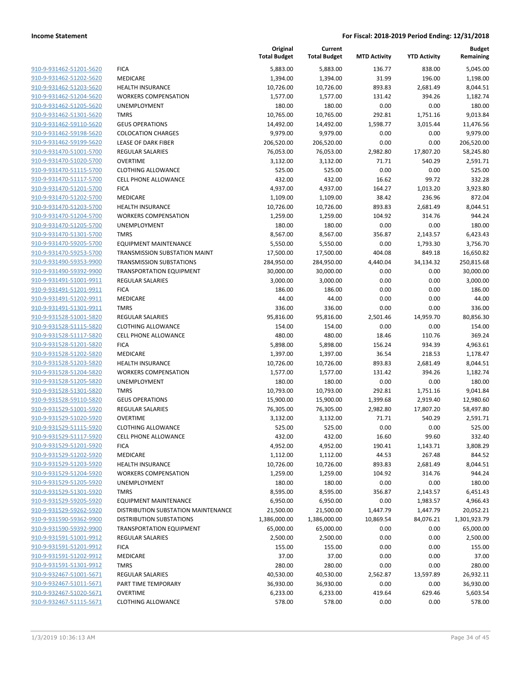|                                                    |                                     | Original<br><b>Total Budget</b> | Current<br><b>Total Budget</b> | <b>MTD Activity</b> | <b>YTD Activity</b> | <b>Budget</b><br>Remaining |
|----------------------------------------------------|-------------------------------------|---------------------------------|--------------------------------|---------------------|---------------------|----------------------------|
| 910-9-931462-51201-5620                            | <b>FICA</b>                         | 5,883.00                        | 5,883.00                       | 136.77              | 838.00              | 5,045.00                   |
| 910-9-931462-51202-5620                            | <b>MEDICARE</b>                     | 1,394.00                        | 1,394.00                       | 31.99               | 196.00              | 1,198.00                   |
| 910-9-931462-51203-5620                            | <b>HEALTH INSURANCE</b>             | 10,726.00                       | 10,726.00                      | 893.83              | 2,681.49            | 8,044.51                   |
| 910-9-931462-51204-5620                            | <b>WORKERS COMPENSATION</b>         | 1,577.00                        | 1,577.00                       | 131.42              | 394.26              | 1,182.74                   |
| 910-9-931462-51205-5620                            | <b>UNEMPLOYMENT</b>                 | 180.00                          | 180.00                         | 0.00                | 0.00                | 180.00                     |
| 910-9-931462-51301-5620                            | <b>TMRS</b>                         | 10,765.00                       | 10,765.00                      | 292.81              | 1,751.16            | 9,013.84                   |
| 910-9-931462-59110-5620                            | <b>GEUS OPERATIONS</b>              | 14,492.00                       | 14,492.00                      | 1,598.77            | 3,015.44            | 11,476.56                  |
| 910-9-931462-59198-5620                            | <b>COLOCATION CHARGES</b>           | 9,979.00                        | 9,979.00                       | 0.00                | 0.00                | 9,979.00                   |
| 910-9-931462-59199-5620                            | <b>LEASE OF DARK FIBER</b>          | 206,520.00                      | 206,520.00                     | 0.00                | 0.00                | 206,520.00                 |
| 910-9-931470-51001-5700                            | <b>REGULAR SALARIES</b>             | 76,053.00                       | 76,053.00                      | 2,982.80            | 17,807.20           | 58,245.80                  |
| 910-9-931470-51020-5700                            | <b>OVERTIME</b>                     | 3,132.00                        | 3,132.00                       | 71.71               | 540.29              | 2,591.71                   |
| 910-9-931470-51115-5700                            | <b>CLOTHING ALLOWANCE</b>           | 525.00                          | 525.00                         | 0.00                | 0.00                | 525.00                     |
| 910-9-931470-51117-5700                            | <b>CELL PHONE ALLOWANCE</b>         | 432.00                          | 432.00                         | 16.62               | 99.72               | 332.28                     |
| 910-9-931470-51201-5700                            | <b>FICA</b>                         | 4,937.00                        | 4,937.00                       | 164.27              | 1,013.20            | 3,923.80                   |
| 910-9-931470-51202-5700                            | <b>MEDICARE</b>                     | 1,109.00                        | 1,109.00                       | 38.42               | 236.96              | 872.04                     |
| 910-9-931470-51203-5700                            | HEALTH INSURANCE                    | 10,726.00                       | 10,726.00                      | 893.83              | 2,681.49            | 8,044.51                   |
| 910-9-931470-51204-5700                            | <b>WORKERS COMPENSATION</b>         | 1,259.00                        | 1,259.00                       | 104.92              | 314.76              | 944.24                     |
| 910-9-931470-51205-5700                            | UNEMPLOYMENT                        | 180.00                          | 180.00                         | 0.00                | 0.00                | 180.00                     |
| 910-9-931470-51301-5700                            | <b>TMRS</b>                         | 8,567.00                        | 8,567.00                       | 356.87              | 2,143.57            | 6,423.43                   |
| 910-9-931470-59205-5700                            | <b>EQUIPMENT MAINTENANCE</b>        | 5,550.00                        | 5,550.00                       | 0.00                | 1,793.30            | 3,756.70                   |
| 910-9-931470-59253-5700                            | TRANSMISSION SUBSTATION MAINT       | 17,500.00                       | 17,500.00                      | 404.08              | 849.18              | 16,650.82                  |
| 910-9-931490-59353-9900                            | <b>TRANSMISSION SUBSTATIONS</b>     | 284,950.00                      | 284,950.00                     | 4,440.04            | 34,134.32           | 250,815.68                 |
| 910-9-931490-59392-9900                            | <b>TRANSPORTATION EQUIPMENT</b>     | 30,000.00                       | 30,000.00                      | 0.00                | 0.00                | 30,000.00                  |
| 910-9-931491-51001-9911                            | <b>REGULAR SALARIES</b>             | 3,000.00                        | 3,000.00                       | 0.00                | 0.00                | 3,000.00                   |
| 910-9-931491-51201-9911                            | <b>FICA</b>                         | 186.00                          | 186.00                         | 0.00                | 0.00                | 186.00                     |
| 910-9-931491-51202-9911                            | MEDICARE                            | 44.00                           | 44.00                          | 0.00                | 0.00                | 44.00                      |
| 910-9-931491-51301-9911                            | <b>TMRS</b>                         | 336.00                          | 336.00                         | 0.00                | 0.00                | 336.00                     |
| 910-9-931528-51001-5820                            | <b>REGULAR SALARIES</b>             | 95,816.00                       | 95,816.00                      | 2,501.46            | 14,959.70           | 80,856.30                  |
| 910-9-931528-51115-5820                            | <b>CLOTHING ALLOWANCE</b>           | 154.00                          | 154.00                         | 0.00                | 0.00                | 154.00<br>369.24           |
| 910-9-931528-51117-5820<br>910-9-931528-51201-5820 | <b>CELL PHONE ALLOWANCE</b>         | 480.00                          | 480.00                         | 18.46               | 110.76              |                            |
| 910-9-931528-51202-5820                            | <b>FICA</b><br>MEDICARE             | 5,898.00<br>1,397.00            | 5,898.00<br>1,397.00           | 156.24<br>36.54     | 934.39<br>218.53    | 4,963.61<br>1,178.47       |
| 910-9-931528-51203-5820                            | <b>HEALTH INSURANCE</b>             | 10,726.00                       | 10,726.00                      | 893.83              | 2,681.49            | 8,044.51                   |
| 910-9-931528-51204-5820                            | <b>WORKERS COMPENSATION</b>         | 1,577.00                        | 1,577.00                       | 131.42              | 394.26              | 1,182.74                   |
| 910-9-931528-51205-5820                            | <b>UNEMPLOYMENT</b>                 | 180.00                          | 180.00                         | 0.00                | 0.00                | 180.00                     |
| 910-9-931528-51301-5820                            | <b>TMRS</b>                         | 10,793.00                       | 10,793.00                      | 292.81              | 1,751.16            | 9,041.84                   |
| 910-9-931528-59110-5820                            | <b>GEUS OPERATIONS</b>              | 15,900.00                       | 15,900.00                      | 1,399.68            | 2,919.40            | 12,980.60                  |
| 910-9-931529-51001-5920                            | <b>REGULAR SALARIES</b>             | 76,305.00                       | 76,305.00                      | 2,982.80            | 17,807.20           | 58,497.80                  |
| 910-9-931529-51020-5920                            | <b>OVERTIME</b>                     | 3,132.00                        | 3,132.00                       | 71.71               | 540.29              | 2,591.71                   |
| 910-9-931529-51115-5920                            | <b>CLOTHING ALLOWANCE</b>           | 525.00                          | 525.00                         | 0.00                | 0.00                | 525.00                     |
| 910-9-931529-51117-5920                            | <b>CELL PHONE ALLOWANCE</b>         | 432.00                          | 432.00                         | 16.60               | 99.60               | 332.40                     |
| 910-9-931529-51201-5920                            | <b>FICA</b>                         | 4,952.00                        | 4,952.00                       | 190.41              | 1,143.71            | 3,808.29                   |
| 910-9-931529-51202-5920                            | <b>MEDICARE</b>                     | 1,112.00                        | 1,112.00                       | 44.53               | 267.48              | 844.52                     |
| 910-9-931529-51203-5920                            | <b>HEALTH INSURANCE</b>             | 10,726.00                       | 10,726.00                      | 893.83              | 2,681.49            | 8,044.51                   |
| 910-9-931529-51204-5920                            | <b>WORKERS COMPENSATION</b>         | 1,259.00                        | 1,259.00                       | 104.92              | 314.76              | 944.24                     |
| 910-9-931529-51205-5920                            | <b>UNEMPLOYMENT</b>                 | 180.00                          | 180.00                         | 0.00                | 0.00                | 180.00                     |
| 910-9-931529-51301-5920                            | <b>TMRS</b>                         | 8,595.00                        | 8,595.00                       | 356.87              | 2,143.57            | 6,451.43                   |
| 910-9-931529-59205-5920                            | <b>EQUIPMENT MAINTENANCE</b>        | 6,950.00                        | 6,950.00                       | 0.00                | 1,983.57            | 4,966.43                   |
| 910-9-931529-59262-5920                            | DISTRIBUTION SUBSTATION MAINTENANCE | 21,500.00                       | 21,500.00                      | 1,447.79            | 1,447.79            | 20,052.21                  |
| 910-9-931590-59362-9900                            | <b>DISTRIBUTION SUBSTATIONS</b>     | 1,386,000.00                    | 1,386,000.00                   | 10,869.54           | 84,076.21           | 1,301,923.79               |
| 910-9-931590-59392-9900                            | <b>TRANSPORTATION EQUIPMENT</b>     | 65,000.00                       | 65,000.00                      | 0.00                | 0.00                | 65,000.00                  |
| 910-9-931591-51001-9912                            | <b>REGULAR SALARIES</b>             | 2,500.00                        | 2,500.00                       | 0.00                | 0.00                | 2,500.00                   |
| 910-9-931591-51201-9912                            | <b>FICA</b>                         | 155.00                          | 155.00                         | 0.00                | 0.00                | 155.00                     |
| 910-9-931591-51202-9912                            | <b>MEDICARE</b>                     | 37.00                           | 37.00                          | 0.00                | 0.00                | 37.00                      |
| 910-9-931591-51301-9912                            | <b>TMRS</b>                         | 280.00                          | 280.00                         | 0.00                | 0.00                | 280.00                     |
| 910-9-932467-51001-5671                            | REGULAR SALARIES                    | 40,530.00                       | 40,530.00                      | 2,562.87            | 13,597.89           | 26,932.11                  |
| 910-9-932467-51011-5671                            | PART TIME TEMPORARY                 | 36,930.00                       | 36,930.00                      | 0.00                | 0.00                | 36,930.00                  |
| 910-9-932467-51020-5671                            | <b>OVERTIME</b>                     | 6,233.00                        | 6,233.00                       | 419.64              | 629.46              | 5,603.54                   |
| 910-9-932467-51115-5671                            | <b>CLOTHING ALLOWANCE</b>           | 578.00                          | 578.00                         | 0.00                | 0.00                | 578.00                     |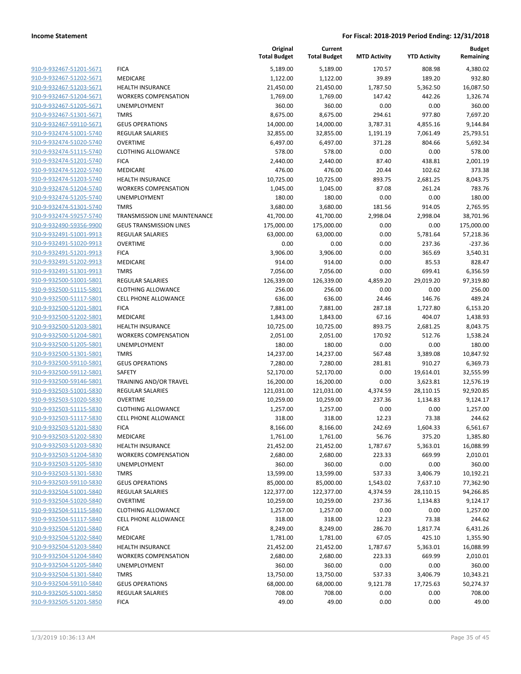|                                                    |                                      | Original<br><b>Total Budget</b> | Current<br><b>Total Budget</b> | <b>MTD Activity</b> | <b>YTD Activity</b> | <b>Budget</b><br>Remaining |
|----------------------------------------------------|--------------------------------------|---------------------------------|--------------------------------|---------------------|---------------------|----------------------------|
| 910-9-932467-51201-5671                            | <b>FICA</b>                          | 5,189.00                        | 5,189.00                       | 170.57              | 808.98              | 4,380.02                   |
| 910-9-932467-51202-5671                            | MEDICARE                             | 1,122.00                        | 1,122.00                       | 39.89               | 189.20              | 932.80                     |
| 910-9-932467-51203-5671                            | <b>HEALTH INSURANCE</b>              | 21,450.00                       | 21,450.00                      | 1,787.50            | 5,362.50            | 16,087.50                  |
| 910-9-932467-51204-5671                            | <b>WORKERS COMPENSATION</b>          | 1,769.00                        | 1,769.00                       | 147.42              | 442.26              | 1,326.74                   |
| 910-9-932467-51205-5671                            | UNEMPLOYMENT                         | 360.00                          | 360.00                         | 0.00                | 0.00                | 360.00                     |
| 910-9-932467-51301-5671                            | <b>TMRS</b>                          | 8,675.00                        | 8,675.00                       | 294.61              | 977.80              | 7,697.20                   |
| 910-9-932467-59110-5671                            | <b>GEUS OPERATIONS</b>               | 14,000.00                       | 14,000.00                      | 3,787.31            | 4,855.16            | 9,144.84                   |
| 910-9-932474-51001-5740                            | <b>REGULAR SALARIES</b>              | 32,855.00                       | 32,855.00                      | 1,191.19            | 7,061.49            | 25,793.51                  |
| 910-9-932474-51020-5740                            | <b>OVERTIME</b>                      | 6,497.00                        | 6,497.00                       | 371.28              | 804.66              | 5,692.34                   |
| 910-9-932474-51115-5740                            | <b>CLOTHING ALLOWANCE</b>            | 578.00                          | 578.00                         | 0.00                | 0.00                | 578.00                     |
| 910-9-932474-51201-5740                            | <b>FICA</b>                          | 2,440.00                        | 2,440.00                       | 87.40               | 438.81              | 2,001.19                   |
| 910-9-932474-51202-5740                            | MEDICARE                             | 476.00                          | 476.00                         | 20.44               | 102.62              | 373.38                     |
| 910-9-932474-51203-5740                            | <b>HEALTH INSURANCE</b>              | 10,725.00                       | 10,725.00                      | 893.75              | 2,681.25            | 8,043.75                   |
| 910-9-932474-51204-5740                            | <b>WORKERS COMPENSATION</b>          | 1,045.00                        | 1,045.00                       | 87.08               | 261.24              | 783.76                     |
| 910-9-932474-51205-5740                            | UNEMPLOYMENT                         | 180.00                          | 180.00                         | 0.00                | 0.00                | 180.00                     |
| 910-9-932474-51301-5740                            | <b>TMRS</b>                          | 3,680.00                        | 3,680.00                       | 181.56              | 914.05              | 2,765.95                   |
| 910-9-932474-59257-5740                            | <b>TRANSMISSION LINE MAINTENANCE</b> | 41,700.00                       | 41,700.00                      | 2,998.04            | 2,998.04            | 38,701.96                  |
| 910-9-932490-59356-9900                            | <b>GEUS TRANSMISSION LINES</b>       | 175,000.00                      | 175,000.00                     | 0.00                | 0.00                | 175,000.00                 |
| 910-9-932491-51001-9913                            | REGULAR SALARIES                     | 63,000.00                       | 63,000.00                      | 0.00                | 5,781.64            | 57,218.36                  |
| 910-9-932491-51020-9913                            | <b>OVERTIME</b>                      | 0.00                            | 0.00                           | 0.00                | 237.36              | $-237.36$                  |
| 910-9-932491-51201-9913                            | <b>FICA</b>                          | 3,906.00                        | 3,906.00                       | 0.00                | 365.69              | 3,540.31                   |
| 910-9-932491-51202-9913                            | <b>MEDICARE</b>                      | 914.00                          | 914.00                         | 0.00                | 85.53               | 828.47                     |
| 910-9-932491-51301-9913                            | <b>TMRS</b>                          | 7,056.00                        | 7,056.00                       | 0.00                | 699.41              | 6,356.59                   |
| 910-9-932500-51001-5801                            | <b>REGULAR SALARIES</b>              | 126,339.00                      | 126,339.00                     | 4,859.20            | 29,019.20           | 97,319.80                  |
| 910-9-932500-51115-5801                            | <b>CLOTHING ALLOWANCE</b>            | 256.00                          | 256.00                         | 0.00                | 0.00                | 256.00                     |
| 910-9-932500-51117-5801                            | <b>CELL PHONE ALLOWANCE</b>          | 636.00                          | 636.00                         | 24.46               | 146.76              | 489.24                     |
| 910-9-932500-51201-5801                            | <b>FICA</b>                          | 7,881.00                        | 7,881.00                       | 287.18              | 1,727.80            | 6,153.20                   |
| 910-9-932500-51202-5801                            | MEDICARE                             | 1,843.00                        | 1,843.00                       | 67.16               | 404.07              | 1,438.93                   |
| 910-9-932500-51203-5801                            | <b>HEALTH INSURANCE</b>              | 10,725.00                       | 10,725.00                      | 893.75              | 2,681.25            | 8,043.75                   |
| 910-9-932500-51204-5801                            | <b>WORKERS COMPENSATION</b>          | 2,051.00                        | 2,051.00                       | 170.92              | 512.76              | 1,538.24                   |
| 910-9-932500-51205-5801                            | UNEMPLOYMENT                         | 180.00                          | 180.00                         | 0.00                | 0.00                | 180.00                     |
| 910-9-932500-51301-5801                            | <b>TMRS</b>                          | 14,237.00                       | 14,237.00                      | 567.48              | 3,389.08            | 10,847.92                  |
| 910-9-932500-59110-5801                            | <b>GEUS OPERATIONS</b>               | 7,280.00                        | 7,280.00                       | 281.81              | 910.27              | 6,369.73                   |
| 910-9-932500-59112-5801                            | <b>SAFETY</b>                        | 52,170.00                       | 52,170.00                      | 0.00                | 19,614.01           | 32,555.99                  |
| 910-9-932500-59146-5801                            | TRAINING AND/OR TRAVEL               | 16,200.00                       | 16,200.00                      | 0.00                | 3,623.81            | 12,576.19                  |
| 910-9-932503-51001-5830                            | REGULAR SALARIES                     | 121,031.00                      | 121,031.00                     | 4,374.59            | 28,110.15           | 92,920.85                  |
| 910-9-932503-51020-5830                            | <b>OVERTIME</b>                      | 10,259.00                       | 10,259.00                      | 237.36              | 1,134.83            | 9,124.17                   |
| 910-9-932503-51115-5830                            | <b>CLOTHING ALLOWANCE</b>            | 1,257.00                        | 1,257.00                       | 0.00                | 0.00                | 1,257.00                   |
| 910-9-932503-51117-5830                            | <b>CELL PHONE ALLOWANCE</b>          | 318.00                          | 318.00                         | 12.23               | 73.38               | 244.62                     |
| 910-9-932503-51201-5830                            | <b>FICA</b>                          | 8,166.00                        | 8,166.00                       | 242.69              | 1,604.33            | 6,561.67                   |
| 910-9-932503-51202-5830<br>910-9-932503-51203-5830 | MEDICARE<br><b>HEALTH INSURANCE</b>  | 1,761.00                        | 1,761.00                       | 56.76               | 375.20              | 1,385.80                   |
| 910-9-932503-51204-5830                            | <b>WORKERS COMPENSATION</b>          | 21,452.00<br>2,680.00           | 21,452.00<br>2,680.00          | 1,787.67<br>223.33  | 5,363.01<br>669.99  | 16,088.99<br>2,010.01      |
| 910-9-932503-51205-5830                            | UNEMPLOYMENT                         | 360.00                          | 360.00                         | 0.00                | 0.00                | 360.00                     |
| 910-9-932503-51301-5830                            | <b>TMRS</b>                          | 13,599.00                       | 13,599.00                      | 537.33              | 3,406.79            | 10,192.21                  |
| 910-9-932503-59110-5830                            | <b>GEUS OPERATIONS</b>               | 85,000.00                       | 85,000.00                      | 1,543.02            | 7,637.10            | 77,362.90                  |
| 910-9-932504-51001-5840                            | <b>REGULAR SALARIES</b>              | 122,377.00                      | 122,377.00                     | 4,374.59            | 28,110.15           | 94,266.85                  |
| 910-9-932504-51020-5840                            | <b>OVERTIME</b>                      | 10,259.00                       | 10,259.00                      | 237.36              | 1,134.83            | 9,124.17                   |
| 910-9-932504-51115-5840                            | <b>CLOTHING ALLOWANCE</b>            | 1,257.00                        | 1,257.00                       | 0.00                | 0.00                | 1,257.00                   |
| 910-9-932504-51117-5840                            | <b>CELL PHONE ALLOWANCE</b>          | 318.00                          | 318.00                         | 12.23               | 73.38               | 244.62                     |
| 910-9-932504-51201-5840                            | <b>FICA</b>                          | 8,249.00                        | 8,249.00                       | 286.70              | 1,817.74            | 6,431.26                   |
| 910-9-932504-51202-5840                            | MEDICARE                             | 1,781.00                        | 1,781.00                       | 67.05               | 425.10              | 1,355.90                   |
| 910-9-932504-51203-5840                            | <b>HEALTH INSURANCE</b>              | 21,452.00                       | 21,452.00                      | 1,787.67            | 5,363.01            | 16,088.99                  |
| 910-9-932504-51204-5840                            | <b>WORKERS COMPENSATION</b>          | 2,680.00                        | 2,680.00                       | 223.33              | 669.99              | 2,010.01                   |
| 910-9-932504-51205-5840                            | UNEMPLOYMENT                         | 360.00                          | 360.00                         | 0.00                | 0.00                | 360.00                     |
| 910-9-932504-51301-5840                            | <b>TMRS</b>                          | 13,750.00                       | 13,750.00                      | 537.33              | 3,406.79            | 10,343.21                  |
| 910-9-932504-59110-5840                            | <b>GEUS OPERATIONS</b>               | 68,000.00                       | 68,000.00                      | 9,121.78            | 17,725.63           | 50,274.37                  |
| 910-9-932505-51001-5850                            | <b>REGULAR SALARIES</b>              | 708.00                          | 708.00                         | 0.00                | 0.00                | 708.00                     |
| 910-9-932505-51201-5850                            | <b>FICA</b>                          | 49.00                           | 49.00                          | 0.00                | 0.00                | 49.00                      |
|                                                    |                                      |                                 |                                |                     |                     |                            |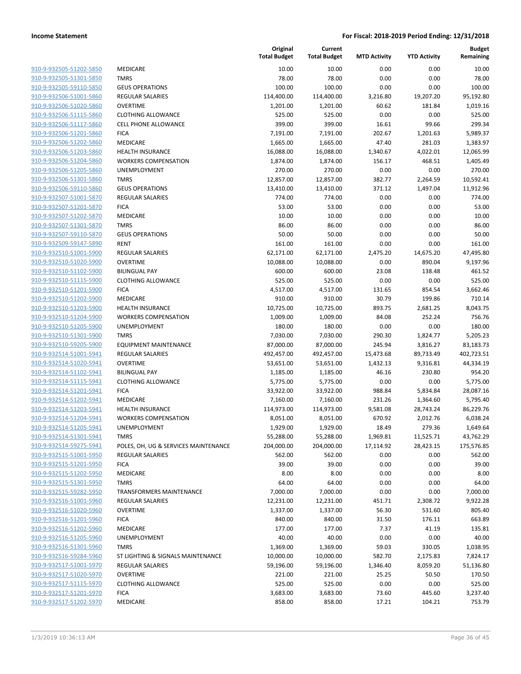| <u>910-9-932505-51202-5850</u> |
|--------------------------------|
| 910-9-932505-51301-5850        |
| 910-9-932505-59110-5850        |
| 910-9-932506-51001-5860        |
| 910-9-932506-51020-5860        |
| <u>910-9-932506-51115-5860</u> |
| 910-9-932506-51117-5860        |
| 910-9-932506-51201-5860        |
| 910-9-932506-51202-5860        |
| 910-9-932506-51203-5860        |
| 910-9-932506-51204-5860        |
| 910-9-932506-51205-5860        |
| 910-9-932506-51301-5860        |
| 910-9-932506-59110-5860        |
|                                |
| 910-9-932507-51001-5870        |
| <u>910-9-932507-51201-5870</u> |
| 910-9-932507-51202-5870        |
| 910-9-932507-51301-5870        |
| 910-9-932507-59110-5870        |
| 910-9-932509-59147-5890        |
| <u>910-9-932510-51001-5900</u> |
| 910-9-932510-51020-5900        |
| 910-9-932510-51102-5900        |
| 910-9-932510-51115-5900        |
| 910-9-932510-51201-5900        |
| <u>910-9-932510-51202-5900</u> |
| 910-9-932510-51203-5900        |
| 910-9-932510-51204-5900        |
| 910-9-932510-51205-5900        |
| 910-9-932510-51301-5900        |
| <u>910-9-932510-59205-5900</u> |
| 910-9-932514-51001-5941        |
| 910-9-932514-51020-5941        |
| 910-9-932514-51102-5941        |
| 910-9-932514-51115-5941        |
|                                |
| <u>910-9-932514-51201-5941</u> |
| 910-9-932514-51202-5941        |
| 910-9-932514-51203-5941        |
| 910-9-932514-51204-5941        |
| 910-9-932514-51205-5941        |
| <u>910-9-932514-51301-5941</u> |
| 910-9-932514-59275-5941        |
| 910-9-932515-51001-5950        |
| 910-9-932515-51201-5950        |
| 910-9-932515-51202-5950        |
| 910-9-932515-51301-5950        |
| 910-9-932515-59282-5950        |
| 910-9-932516-51001-5960        |
| 910-9-932516-51020-5960        |
| 910-9-932516-51201-5960        |
| <u>910-9-932516-51202-5960</u> |
| 910-9-932516-51205-5960        |
| 910-9-932516-51301-5960        |
| 910-9-932516-59284-5960        |
| 910-9-932517-51001-5970        |
| 910-9-932517-51020-5970        |
|                                |
| 910-9-932517-51115-5970        |
| 910-9-932517-51201-5970        |
| 910-9-932517-51202-5970        |

|                         |                                      | Original<br><b>Total Budget</b> | Current<br><b>Total Budget</b> | <b>MTD Activity</b> | <b>YTD Activity</b> | <b>Budget</b><br>Remaining |
|-------------------------|--------------------------------------|---------------------------------|--------------------------------|---------------------|---------------------|----------------------------|
| 910-9-932505-51202-5850 | <b>MEDICARE</b>                      | 10.00                           | 10.00                          | 0.00                | 0.00                | 10.00                      |
| 910-9-932505-51301-5850 | <b>TMRS</b>                          | 78.00                           | 78.00                          | 0.00                | 0.00                | 78.00                      |
| 910-9-932505-59110-5850 | <b>GEUS OPERATIONS</b>               | 100.00                          | 100.00                         | 0.00                | 0.00                | 100.00                     |
| 910-9-932506-51001-5860 | REGULAR SALARIES                     | 114,400.00                      | 114,400.00                     | 3,216.80            | 19,207.20           | 95,192.80                  |
| 910-9-932506-51020-5860 | <b>OVERTIME</b>                      | 1,201.00                        | 1,201.00                       | 60.62               | 181.84              | 1,019.16                   |
| 910-9-932506-51115-5860 | <b>CLOTHING ALLOWANCE</b>            | 525.00                          | 525.00                         | 0.00                | 0.00                | 525.00                     |
| 910-9-932506-51117-5860 | <b>CELL PHONE ALLOWANCE</b>          | 399.00                          | 399.00                         | 16.61               | 99.66               | 299.34                     |
| 910-9-932506-51201-5860 | <b>FICA</b>                          | 7,191.00                        | 7,191.00                       | 202.67              | 1,201.63            | 5,989.37                   |
| 910-9-932506-51202-5860 | <b>MEDICARE</b>                      | 1,665.00                        | 1,665.00                       | 47.40               | 281.03              | 1,383.97                   |
| 910-9-932506-51203-5860 | <b>HEALTH INSURANCE</b>              | 16,088.00                       | 16,088.00                      | 1,340.67            | 4,022.01            | 12,065.99                  |
| 910-9-932506-51204-5860 | <b>WORKERS COMPENSATION</b>          | 1,874.00                        | 1,874.00                       | 156.17              | 468.51              | 1,405.49                   |
| 910-9-932506-51205-5860 | UNEMPLOYMENT                         | 270.00                          | 270.00                         | 0.00                | 0.00                | 270.00                     |
| 910-9-932506-51301-5860 | <b>TMRS</b>                          | 12,857.00                       | 12,857.00                      | 382.77              | 2,264.59            | 10,592.41                  |
| 910-9-932506-59110-5860 | <b>GEUS OPERATIONS</b>               | 13,410.00                       | 13,410.00                      | 371.12              | 1,497.04            | 11,912.96                  |
| 910-9-932507-51001-5870 | REGULAR SALARIES                     | 774.00                          | 774.00                         | 0.00                | 0.00                | 774.00                     |
| 910-9-932507-51201-5870 | <b>FICA</b>                          | 53.00                           | 53.00                          | 0.00                | 0.00                | 53.00                      |
| 910-9-932507-51202-5870 | MEDICARE                             | 10.00                           | 10.00                          | 0.00                | 0.00                | 10.00                      |
| 910-9-932507-51301-5870 | <b>TMRS</b>                          | 86.00                           | 86.00                          | 0.00                | 0.00                | 86.00                      |
| 910-9-932507-59110-5870 | <b>GEUS OPERATIONS</b>               | 50.00                           | 50.00                          | 0.00                | 0.00                | 50.00                      |
| 910-9-932509-59147-5890 | <b>RENT</b>                          | 161.00                          | 161.00                         | 0.00                | 0.00                | 161.00                     |
| 910-9-932510-51001-5900 | <b>REGULAR SALARIES</b>              | 62,171.00                       | 62,171.00                      | 2,475.20            | 14,675.20           | 47,495.80                  |
| 910-9-932510-51020-5900 | <b>OVERTIME</b>                      | 10,088.00                       | 10,088.00                      | 0.00                | 890.04              | 9,197.96                   |
| 910-9-932510-51102-5900 | <b>BILINGUAL PAY</b>                 | 600.00                          | 600.00                         | 23.08               | 138.48              | 461.52                     |
| 910-9-932510-51115-5900 | <b>CLOTHING ALLOWANCE</b>            | 525.00                          | 525.00                         | 0.00                | 0.00                | 525.00                     |
| 910-9-932510-51201-5900 | <b>FICA</b>                          | 4,517.00                        | 4,517.00                       | 131.65              | 854.54              | 3,662.46                   |
| 910-9-932510-51202-5900 | MEDICARE                             | 910.00                          | 910.00                         | 30.79               | 199.86              | 710.14                     |
| 910-9-932510-51203-5900 | <b>HEALTH INSURANCE</b>              | 10,725.00                       | 10,725.00                      | 893.75              | 2,681.25            | 8,043.75                   |
| 910-9-932510-51204-5900 | <b>WORKERS COMPENSATION</b>          | 1,009.00                        | 1,009.00                       | 84.08               | 252.24              | 756.76                     |
| 910-9-932510-51205-5900 | UNEMPLOYMENT                         | 180.00                          | 180.00                         | 0.00                | 0.00                | 180.00                     |
| 910-9-932510-51301-5900 | <b>TMRS</b>                          | 7,030.00                        | 7,030.00                       | 290.30              | 1,824.77            | 5,205.23                   |
| 910-9-932510-59205-5900 | <b>EQUIPMENT MAINTENANCE</b>         | 87,000.00                       | 87,000.00                      | 245.94              | 3,816.27            | 83,183.73                  |
| 910-9-932514-51001-5941 | <b>REGULAR SALARIES</b>              | 492,457.00                      | 492,457.00                     | 15,473.68           | 89,733.49           | 402,723.51                 |
| 910-9-932514-51020-5941 | <b>OVERTIME</b>                      | 53,651.00                       | 53,651.00                      | 1,432.13            | 9,316.81            | 44,334.19                  |
| 910-9-932514-51102-5941 | <b>BILINGUAL PAY</b>                 | 1,185.00                        | 1,185.00                       | 46.16               | 230.80              | 954.20                     |
| 910-9-932514-51115-5941 | <b>CLOTHING ALLOWANCE</b>            | 5,775.00                        | 5,775.00                       | 0.00                | 0.00                | 5,775.00                   |
| 910-9-932514-51201-5941 | <b>FICA</b>                          | 33,922.00                       | 33,922.00                      | 988.84              | 5,834.84            | 28,087.16                  |
| 910-9-932514-51202-5941 | <b>MEDICARE</b>                      | 7,160.00                        | 7,160.00                       | 231.26              | 1,364.60            | 5,795.40                   |
| 910-9-932514-51203-5941 | <b>HEALTH INSURANCE</b>              | 114,973.00                      | 114,973.00                     | 9,581.08            | 28,743.24           | 86,229.76                  |
| 910-9-932514-51204-5941 | <b>WORKERS COMPENSATION</b>          | 8,051.00                        | 8,051.00                       | 670.92              | 2,012.76            | 6,038.24                   |
| 910-9-932514-51205-5941 | UNEMPLOYMENT                         | 1,929.00                        | 1,929.00                       | 18.49               | 279.36              | 1,649.64                   |
| 910-9-932514-51301-5941 | <b>TMRS</b>                          | 55,288.00                       | 55,288.00                      | 1,969.81            | 11,525.71           | 43,762.29                  |
| 910-9-932514-59275-5941 | POLES, OH, UG & SERVICES MAINTENANCE | 204,000.00                      | 204,000.00                     | 17,114.92           | 28,423.15           | 175,576.85                 |
| 910-9-932515-51001-5950 | <b>REGULAR SALARIES</b>              | 562.00                          | 562.00                         | 0.00                | 0.00                | 562.00                     |
| 910-9-932515-51201-5950 | <b>FICA</b>                          | 39.00                           | 39.00                          | 0.00                | 0.00                | 39.00                      |
| 910-9-932515-51202-5950 | MEDICARE                             | 8.00                            | 8.00                           | 0.00                | 0.00                | 8.00                       |
| 910-9-932515-51301-5950 | <b>TMRS</b>                          | 64.00                           | 64.00                          | 0.00                | 0.00                | 64.00                      |
| 910-9-932515-59282-5950 | TRANSFORMERS MAINTENANCE             | 7,000.00                        | 7,000.00                       | 0.00                | 0.00                | 7,000.00                   |
| 910-9-932516-51001-5960 | <b>REGULAR SALARIES</b>              | 12,231.00                       | 12,231.00                      | 451.71              | 2,308.72            | 9,922.28                   |
| 910-9-932516-51020-5960 | <b>OVERTIME</b>                      | 1,337.00                        | 1,337.00                       | 56.30               | 531.60              | 805.40                     |
| 910-9-932516-51201-5960 | <b>FICA</b>                          | 840.00                          | 840.00                         | 31.50               | 176.11              | 663.89                     |
| 910-9-932516-51202-5960 | MEDICARE                             | 177.00                          | 177.00                         | 7.37                | 41.19               | 135.81                     |
| 910-9-932516-51205-5960 | UNEMPLOYMENT                         | 40.00                           | 40.00                          | 0.00                | 0.00                | 40.00                      |
| 910-9-932516-51301-5960 | <b>TMRS</b>                          | 1,369.00                        | 1,369.00                       | 59.03               | 330.05              | 1,038.95                   |
| 910-9-932516-59284-5960 | ST LIGHTING & SIGNALS MAINTENANCE    | 10,000.00                       | 10,000.00                      | 582.70              | 2,175.83            | 7,824.17                   |
| 910-9-932517-51001-5970 | REGULAR SALARIES                     | 59,196.00                       | 59,196.00                      | 1,346.40            | 8,059.20            | 51,136.80                  |
| 910-9-932517-51020-5970 | <b>OVERTIME</b>                      | 221.00                          | 221.00                         | 25.25               | 50.50               | 170.50                     |
| 910-9-932517-51115-5970 | <b>CLOTHING ALLOWANCE</b>            | 525.00                          | 525.00                         | 0.00                | 0.00                | 525.00                     |
| 910-9-932517-51201-5970 | <b>FICA</b>                          | 3,683.00                        | 3,683.00                       | 73.60               | 445.60              | 3,237.40                   |
| 910-9-932517-51202-5970 | MEDICARE                             | 858.00                          | 858.00                         | 17.21               | 104.21              | 753.79                     |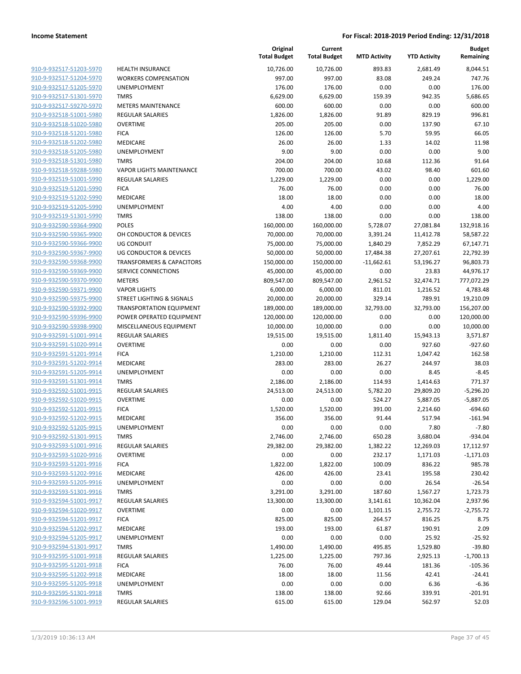| 910-9-932517-51203-5970                            | <b>HEALTH I</b>       |
|----------------------------------------------------|-----------------------|
| 910-9-932517-51204-5970                            | <b>WORKER</b>         |
| 910-9-932517-51205-5970                            | <b>UNEMPL</b>         |
| 910-9-932517-51301-5970                            | <b>TMRS</b>           |
| 910-9-932517-59270-5970                            | <b>METERS</b>         |
| 910-9-932518-51001-5980                            | REGULAR               |
| 910-9-932518-51020-5980                            | OVERTIM               |
| 910-9-932518-51201-5980                            | <b>FICA</b>           |
| 910-9-932518-51202-5980                            | <b>MEDICAR</b>        |
| 910-9-932518-51205-5980                            | <b>UNEMPL</b>         |
| 910-9-932518-51301-5980                            | <b>TMRS</b>           |
| 910-9-932518-59288-5980                            | VAPOR LI              |
| 910-9-932519-51001-5990                            | REGULAR               |
| 910-9-932519-51201-5990                            | <b>FICA</b>           |
| 910-9-932519-51202-5990                            | <b>MEDICAR</b>        |
| 910-9-932519-51205-5990                            | <b>UNEMPL</b>         |
| 910-9-932519-51301-5990                            | TMRS                  |
| 910-9-932590-59364-9900                            | <b>POLES</b>          |
| 910-9-932590-59365-9900                            | OH COND               |
| 910-9-932590-59366-9900                            | UG COND               |
| 910-9-932590-59367-9900                            | UG COND               |
| 910-9-932590-59368-9900                            | <b>TRANSFO</b>        |
| 910-9-932590-59369-9900                            | <b>SERVICE</b>        |
| 910-9-932590-59370-9900                            | METERS                |
| 910-9-932590-59371-9900                            | <b>VAPOR LI</b>       |
| 910-9-932590-59375-9900                            | STREET LI             |
| 910-9-932590-59392-9900                            | <b>TRANSPC</b>        |
| 910-9-932590-59396-9900                            | POWER C               |
| 910-9-932590-59398-9900                            | <b>MISCELLA</b>       |
| 910-9-932591-51001-9914                            | REGULAR               |
| 910-9-932591-51020-9914                            | OVERTIM               |
| 910-9-932591-51201-9914                            | <b>FICA</b>           |
| 910-9-932591-51202-9914                            | <b>MEDICAR</b>        |
| 910-9-932591-51205-9914                            | <b>UNEMPL</b>         |
| 910-9-932591-51301-9914                            | TMRS                  |
| 910-9-932592-51001-9915                            | <b>REGULAR</b>        |
| 910-9-932592-51020-9915                            | OVERTIM               |
| 910-9-932592-51201-9915                            | <b>FICA</b>           |
| 910-9-932592-51202-9915                            | MEDICAR               |
| 910-9-932592-51205-9915                            | <b>UNEMPL</b>         |
| 910-9-932592-51301-9915                            | <b>TMRS</b>           |
| 910-9-932593-51001-9916                            | REGULAR               |
| 910-9-932593-51020-9916                            | <b>OVERTIM</b>        |
| 910-9-932593-51201-9916                            | <b>FICA</b>           |
| 910-9-932593-51202-9916                            | <b>MEDICAR</b>        |
| 910-9-932593-51205-9916                            | <b>UNEMPL</b>         |
| 910-9-932593-51301-9916                            | TMRS                  |
| 910-9-932594-51001-9917                            | REGULAR               |
| 910-9-932594-51020-9917                            | <b>OVERTIM</b>        |
| 910-9-932594-51201-9917                            | <b>FICA</b>           |
| 910-9-932594-51202-9917                            | <b>MEDICAR</b>        |
| 910-9-932594-51205-9917                            | <b>UNEMPL</b>         |
| 910-9-932594-51301-9917                            | TMRS                  |
| 910-9-932595-51001-9918                            | REGULAR               |
| 910-9-932595-51201-9918                            | <b>FICA</b>           |
| 910-9-932595-51202-9918                            | <b>MEDICAR</b>        |
| 910-9-932595-51205-9918<br>910-9-932595-51301-9918 | <b>UNEMPL</b><br>TMRS |
| 910-9-932596-51001-9919                            | REGULAR               |
|                                                    |                       |

|                         |                                      | Original<br><b>Total Budget</b> | Current<br><b>Total Budget</b> | <b>MTD Activity</b> | <b>YTD Activity</b> | <b>Budget</b><br>Remaining |
|-------------------------|--------------------------------------|---------------------------------|--------------------------------|---------------------|---------------------|----------------------------|
| 910-9-932517-51203-5970 | <b>HEALTH INSURANCE</b>              | 10,726.00                       | 10,726.00                      | 893.83              | 2,681.49            | 8,044.51                   |
| 910-9-932517-51204-5970 | <b>WORKERS COMPENSATION</b>          | 997.00                          | 997.00                         | 83.08               | 249.24              | 747.76                     |
| 910-9-932517-51205-5970 | UNEMPLOYMENT                         | 176.00                          | 176.00                         | 0.00                | 0.00                | 176.00                     |
| 910-9-932517-51301-5970 | <b>TMRS</b>                          | 6,629.00                        | 6,629.00                       | 159.39              | 942.35              | 5,686.65                   |
| 910-9-932517-59270-5970 | <b>METERS MAINTENANCE</b>            | 600.00                          | 600.00                         | 0.00                | 0.00                | 600.00                     |
| 910-9-932518-51001-5980 | <b>REGULAR SALARIES</b>              | 1,826.00                        | 1,826.00                       | 91.89               | 829.19              | 996.81                     |
| 910-9-932518-51020-5980 | <b>OVERTIME</b>                      | 205.00                          | 205.00                         | 0.00                | 137.90              | 67.10                      |
| 910-9-932518-51201-5980 | <b>FICA</b>                          | 126.00                          | 126.00                         | 5.70                | 59.95               | 66.05                      |
| 910-9-932518-51202-5980 | MEDICARE                             | 26.00                           | 26.00                          | 1.33                | 14.02               | 11.98                      |
| 910-9-932518-51205-5980 | UNEMPLOYMENT                         | 9.00                            | 9.00                           | 0.00                | 0.00                | 9.00                       |
| 910-9-932518-51301-5980 | <b>TMRS</b>                          | 204.00                          | 204.00                         | 10.68               | 112.36              | 91.64                      |
| 910-9-932518-59288-5980 | <b>VAPOR LIGHTS MAINTENANCE</b>      | 700.00                          | 700.00                         | 43.02               | 98.40               | 601.60                     |
| 910-9-932519-51001-5990 | <b>REGULAR SALARIES</b>              | 1,229.00                        | 1,229.00                       | 0.00                | 0.00                | 1,229.00                   |
| 910-9-932519-51201-5990 | <b>FICA</b>                          | 76.00                           | 76.00                          | 0.00                | 0.00                | 76.00                      |
| 910-9-932519-51202-5990 | MEDICARE                             | 18.00                           | 18.00                          | 0.00                | 0.00                | 18.00                      |
| 910-9-932519-51205-5990 | UNEMPLOYMENT                         | 4.00                            | 4.00                           | 0.00                | 0.00                | 4.00                       |
| 910-9-932519-51301-5990 | <b>TMRS</b>                          | 138.00                          | 138.00                         | 0.00                | 0.00                | 138.00                     |
| 910-9-932590-59364-9900 | <b>POLES</b>                         | 160,000.00                      | 160,000.00                     | 5,728.07            | 27,081.84           | 132,918.16                 |
| 910-9-932590-59365-9900 | OH CONDUCTOR & DEVICES               | 70,000.00                       | 70,000.00                      | 3,391.24            | 11,412.78           | 58,587.22                  |
| 910-9-932590-59366-9900 | <b>UG CONDUIT</b>                    | 75,000.00                       | 75,000.00                      | 1,840.29            | 7,852.29            | 67,147.71                  |
| 910-9-932590-59367-9900 | <b>UG CONDUCTOR &amp; DEVICES</b>    | 50,000.00                       | 50,000.00                      | 17,484.38           | 27,207.61           | 22,792.39                  |
| 910-9-932590-59368-9900 | <b>TRANSFORMERS &amp; CAPACITORS</b> | 150,000.00                      | 150,000.00                     | $-11,662.61$        | 53,196.27           | 96,803.73                  |
| 910-9-932590-59369-9900 | <b>SERVICE CONNECTIONS</b>           | 45,000.00                       | 45,000.00                      | 0.00                | 23.83               | 44,976.17                  |
| 910-9-932590-59370-9900 | <b>METERS</b>                        | 809,547.00                      | 809,547.00                     | 2,961.52            | 32,474.71           | 777,072.29                 |
| 910-9-932590-59371-9900 | <b>VAPOR LIGHTS</b>                  | 6,000.00                        | 6,000.00                       | 811.01              | 1,216.52            | 4,783.48                   |
| 910-9-932590-59375-9900 | <b>STREET LIGHTING &amp; SIGNALS</b> | 20,000.00                       | 20,000.00                      | 329.14              | 789.91              | 19,210.09                  |
| 910-9-932590-59392-9900 | TRANSPORTATION EQUIPMENT             | 189,000.00                      | 189,000.00                     | 32,793.00           | 32,793.00           | 156,207.00                 |
| 910-9-932590-59396-9900 | POWER OPERATED EQUIPMENT             | 120,000.00                      | 120,000.00                     | 0.00                | 0.00                | 120,000.00                 |
| 910-9-932590-59398-9900 | MISCELLANEOUS EQUIPMENT              | 10,000.00                       | 10,000.00                      | 0.00                | 0.00                | 10,000.00                  |
| 910-9-932591-51001-9914 | <b>REGULAR SALARIES</b>              | 19,515.00                       | 19,515.00                      | 1,811.40            | 15,943.13           | 3,571.87                   |
| 910-9-932591-51020-9914 | <b>OVERTIME</b>                      | 0.00                            | 0.00                           | 0.00                | 927.60              | $-927.60$                  |
| 910-9-932591-51201-9914 | <b>FICA</b>                          | 1,210.00                        | 1,210.00                       | 112.31              | 1,047.42            | 162.58                     |
| 910-9-932591-51202-9914 | MEDICARE                             | 283.00                          | 283.00                         | 26.27               | 244.97              | 38.03                      |
| 910-9-932591-51205-9914 | UNEMPLOYMENT                         | 0.00                            | 0.00                           | 0.00                | 8.45                | $-8.45$                    |
| 910-9-932591-51301-9914 | <b>TMRS</b>                          | 2,186.00                        | 2,186.00                       | 114.93              | 1,414.63            | 771.37                     |
| 910-9-932592-51001-9915 | <b>REGULAR SALARIES</b>              | 24,513.00                       | 24,513.00                      | 5,782.20            | 29,809.20           | $-5,296.20$                |
| 910-9-932592-51020-9915 | <b>OVERTIME</b>                      | 0.00                            | 0.00                           | 524.27              | 5,887.05            | $-5,887.05$                |
| 910-9-932592-51201-9915 | <b>FICA</b>                          | 1,520.00                        | 1,520.00                       | 391.00              | 2,214.60            | $-694.60$                  |
| 910-9-932592-51202-9915 | MEDICARE                             | 356.00                          | 356.00                         | 91.44               | 517.94              | $-161.94$                  |
| 910-9-932592-51205-9915 | UNEMPLOYMENT                         | 0.00                            | 0.00                           | 0.00                | 7.80                | $-7.80$                    |
| 910-9-932592-51301-9915 | <b>TMRS</b>                          | 2,746.00                        | 2,746.00                       | 650.28              | 3,680.04            | $-934.04$                  |
| 910-9-932593-51001-9916 | <b>REGULAR SALARIES</b>              | 29,382.00                       | 29,382.00                      | 1,382.22            | 12,269.03           | 17,112.97                  |
| 910-9-932593-51020-9916 | <b>OVERTIME</b>                      | 0.00                            | 0.00                           | 232.17              | 1,171.03            | $-1,171.03$                |
| 910-9-932593-51201-9916 | <b>FICA</b>                          | 1,822.00                        | 1,822.00                       | 100.09              | 836.22              | 985.78                     |
| 910-9-932593-51202-9916 | MEDICARE                             | 426.00                          | 426.00                         | 23.41               | 195.58              | 230.42                     |
| 910-9-932593-51205-9916 | UNEMPLOYMENT                         | 0.00                            | 0.00                           | 0.00                | 26.54               | $-26.54$                   |
| 910-9-932593-51301-9916 | <b>TMRS</b>                          | 3,291.00                        | 3,291.00                       | 187.60              | 1,567.27            | 1,723.73                   |
| 910-9-932594-51001-9917 | <b>REGULAR SALARIES</b>              | 13,300.00                       | 13,300.00                      | 3,141.61            | 10,362.04           | 2,937.96                   |
| 910-9-932594-51020-9917 | <b>OVERTIME</b>                      | 0.00                            | 0.00                           | 1,101.15            | 2,755.72            | $-2,755.72$                |
| 910-9-932594-51201-9917 | <b>FICA</b>                          | 825.00                          | 825.00                         | 264.57              | 816.25              | 8.75                       |
| 910-9-932594-51202-9917 | MEDICARE                             | 193.00                          | 193.00                         | 61.87               | 190.91              | 2.09                       |
| 910-9-932594-51205-9917 | UNEMPLOYMENT                         | 0.00                            | 0.00                           | 0.00                | 25.92               | $-25.92$                   |
| 910-9-932594-51301-9917 | <b>TMRS</b>                          | 1,490.00                        | 1,490.00                       | 495.85              | 1,529.80            | $-39.80$                   |
| 910-9-932595-51001-9918 | <b>REGULAR SALARIES</b>              | 1,225.00                        | 1,225.00                       | 797.36              | 2,925.13            | $-1,700.13$                |
| 910-9-932595-51201-9918 | <b>FICA</b>                          | 76.00                           | 76.00                          | 49.44               | 181.36              | $-105.36$                  |
| 910-9-932595-51202-9918 | MEDICARE                             | 18.00                           | 18.00                          | 11.56               | 42.41               | $-24.41$                   |
| 910-9-932595-51205-9918 | UNEMPLOYMENT                         | 0.00                            | 0.00                           | 0.00                | 6.36                | $-6.36$                    |
| 910-9-932595-51301-9918 | <b>TMRS</b>                          | 138.00                          | 138.00                         | 92.66               | 339.91              | $-201.91$                  |
| 910-9-932596-51001-9919 | REGULAR SALARIES                     | 615.00                          | 615.00                         | 129.04              | 562.97              | 52.03                      |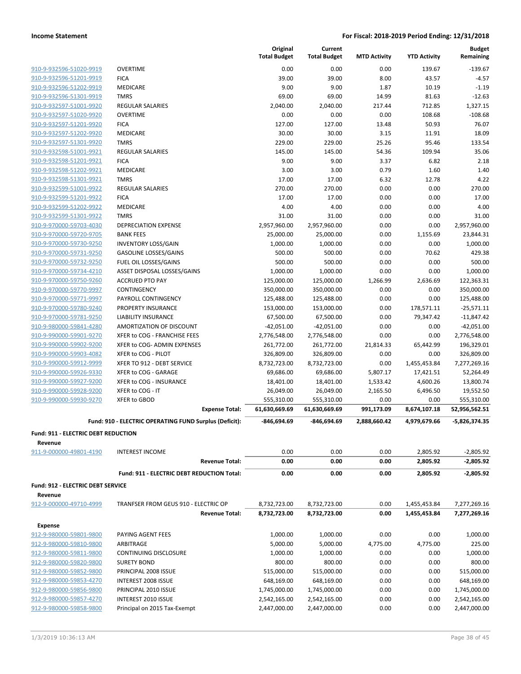|                                     |                                                        | Original<br><b>Total Budget</b> | Current<br><b>Total Budget</b> | <b>MTD Activity</b> | <b>YTD Activity</b> | <b>Budget</b><br>Remaining |
|-------------------------------------|--------------------------------------------------------|---------------------------------|--------------------------------|---------------------|---------------------|----------------------------|
| 910-9-932596-51020-9919             | <b>OVERTIME</b>                                        | 0.00                            | 0.00                           | 0.00                | 139.67              | $-139.67$                  |
| 910-9-932596-51201-9919             | <b>FICA</b>                                            | 39.00                           | 39.00                          | 8.00                | 43.57               | $-4.57$                    |
| 910-9-932596-51202-9919             | MEDICARE                                               | 9.00                            | 9.00                           | 1.87                | 10.19               | $-1.19$                    |
| 910-9-932596-51301-9919             | <b>TMRS</b>                                            | 69.00                           | 69.00                          | 14.99               | 81.63               | $-12.63$                   |
| 910-9-932597-51001-9920             | <b>REGULAR SALARIES</b>                                | 2,040.00                        | 2,040.00                       | 217.44              | 712.85              | 1,327.15                   |
| 910-9-932597-51020-9920             | <b>OVERTIME</b>                                        | 0.00                            | 0.00                           | 0.00                | 108.68              | $-108.68$                  |
| 910-9-932597-51201-9920             | <b>FICA</b>                                            | 127.00                          | 127.00                         | 13.48               | 50.93               | 76.07                      |
| 910-9-932597-51202-9920             | MEDICARE                                               | 30.00                           | 30.00                          | 3.15                | 11.91               | 18.09                      |
| 910-9-932597-51301-9920             | <b>TMRS</b>                                            | 229.00                          | 229.00                         | 25.26               | 95.46               | 133.54                     |
| 910-9-932598-51001-9921             | <b>REGULAR SALARIES</b>                                | 145.00                          | 145.00                         | 54.36               | 109.94              | 35.06                      |
| 910-9-932598-51201-9921             | <b>FICA</b>                                            | 9.00                            | 9.00                           | 3.37                | 6.82                | 2.18                       |
| 910-9-932598-51202-9921             | MEDICARE                                               | 3.00                            | 3.00                           | 0.79                | 1.60                | 1.40                       |
| 910-9-932598-51301-9921             | <b>TMRS</b>                                            | 17.00                           | 17.00                          | 6.32                | 12.78               | 4.22                       |
| 910-9-932599-51001-9922             | <b>REGULAR SALARIES</b>                                | 270.00                          | 270.00                         | 0.00                | 0.00                | 270.00                     |
| 910-9-932599-51201-9922             | <b>FICA</b>                                            | 17.00                           | 17.00                          | 0.00                | 0.00                | 17.00                      |
| 910-9-932599-51202-9922             | MEDICARE                                               | 4.00                            | 4.00                           | 0.00                | 0.00                | 4.00                       |
| 910-9-932599-51301-9922             | <b>TMRS</b>                                            | 31.00                           | 31.00                          | 0.00                | 0.00                | 31.00                      |
| 910-9-970000-59703-4030             | <b>DEPRECIATION EXPENSE</b>                            | 2,957,960.00                    | 2,957,960.00                   | 0.00                | 0.00                | 2,957,960.00               |
| 910-9-970000-59720-9705             | <b>BANK FEES</b>                                       | 25,000.00                       | 25,000.00                      | 0.00                | 1,155.69            | 23,844.31                  |
| 910-9-970000-59730-9250             | <b>INVENTORY LOSS/GAIN</b>                             | 1,000.00                        | 1,000.00                       | 0.00                | 0.00                | 1,000.00                   |
| 910-9-970000-59731-9250             | <b>GASOLINE LOSSES/GAINS</b>                           | 500.00                          | 500.00                         | 0.00                | 70.62               | 429.38                     |
| 910-9-970000-59732-9250             | FUEL OIL LOSSES/GAINS                                  | 500.00                          | 500.00                         | 0.00                | 0.00                | 500.00                     |
| 910-9-970000-59734-4210             | ASSET DISPOSAL LOSSES/GAINS                            | 1,000.00                        | 1,000.00                       | 0.00                | 0.00                | 1,000.00                   |
| 910-9-970000-59750-9260             | <b>ACCRUED PTO PAY</b>                                 | 125,000.00                      | 125,000.00                     | 1,266.99            | 2,636.69            | 122,363.31                 |
| 910-9-970000-59770-9997             | CONTINGENCY                                            | 350,000.00                      | 350,000.00                     | 0.00                | 0.00                | 350,000.00                 |
| 910-9-970000-59771-9997             | PAYROLL CONTINGENCY                                    | 125,488.00                      | 125,488.00                     | 0.00                | 0.00                | 125,488.00                 |
| 910-9-970000-59780-9240             | PROPERTY INSURANCE                                     | 153,000.00                      | 153,000.00                     | 0.00                | 178,571.11          | $-25,571.11$               |
| 910-9-970000-59781-9250             | <b>LIABILITY INSURANCE</b>                             | 67,500.00                       | 67,500.00                      | 0.00                | 79,347.42           | $-11,847.42$               |
| 910-9-980000-59841-4280             | AMORTIZATION OF DISCOUNT                               | $-42,051.00$                    | $-42,051.00$                   | 0.00                | 0.00                | $-42,051.00$               |
| 910-9-990000-59901-9270             | XFER to COG - FRANCHISE FEES                           | 2,776,548.00                    | 2,776,548.00                   | 0.00                | 0.00                | 2,776,548.00               |
| 910-9-990000-59902-9200             | XFER to COG- ADMIN EXPENSES                            | 261,772.00                      | 261,772.00                     | 21,814.33           | 65,442.99           | 196,329.01                 |
| 910-9-990000-59903-4082             | XFER to COG - PILOT                                    | 326,809.00                      | 326,809.00                     | 0.00                | 0.00                | 326,809.00                 |
| 910-9-990000-59912-9999             | XFER TO 912 - DEBT SERVICE                             | 8,732,723.00                    | 8,732,723.00                   | 0.00                | 1,455,453.84        | 7,277,269.16               |
| 910-9-990000-59926-9330             | XFER to COG - GARAGE                                   | 69,686.00                       | 69,686.00                      | 5,807.17            | 17,421.51           | 52,264.49                  |
| 910-9-990000-59927-9200             | XFER to COG - INSURANCE                                | 18,401.00                       | 18,401.00                      | 1,533.42            | 4,600.26            | 13,800.74                  |
| 910-9-990000-59928-9200             | XFER to COG - IT                                       | 26,049.00                       | 26,049.00                      | 2,165.50            | 6,496.50            | 19,552.50                  |
| 910-9-990000-59930-9270             | XFER to GBOD                                           | 555,310.00                      | 555,310.00                     | 0.00                | 0.00                | 555,310.00                 |
|                                     | <b>Expense Total:</b>                                  | 61,630,669.69                   | 61,630,669.69                  | 991,173.09          | 8,674,107.18        | 52,956,562.51              |
|                                     | Fund: 910 - ELECTRIC OPERATING FUND Surplus (Deficit): | -846,694.69                     | -846,694.69                    | 2,888,660.42        | 4,979,679.66        | $-5,826,374.35$            |
| Fund: 911 - ELECTRIC DEBT REDUCTION |                                                        |                                 |                                |                     |                     |                            |
| Revenue                             |                                                        |                                 |                                |                     |                     |                            |
| 911-9-000000-49801-4190             | <b>INTEREST INCOME</b>                                 | 0.00                            | 0.00                           | 0.00                | 2,805.92            | $-2,805.92$                |
|                                     | <b>Revenue Total:</b>                                  | 0.00                            | 0.00                           | 0.00                | 2,805.92            | $-2,805.92$                |
|                                     | Fund: 911 - ELECTRIC DEBT REDUCTION Total:             | 0.00                            | 0.00                           | 0.00                | 2,805.92            | $-2,805.92$                |
| Fund: 912 - ELECTRIC DEBT SERVICE   |                                                        |                                 |                                |                     |                     |                            |
| Revenue                             |                                                        |                                 |                                |                     |                     |                            |
| 912-9-000000-49710-4999             | TRANFSER FROM GEUS 910 - ELECTRIC OP                   | 8,732,723.00                    | 8,732,723.00                   | 0.00                | 1,455,453.84        | 7,277,269.16               |
|                                     | <b>Revenue Total:</b>                                  | 8,732,723.00                    | 8,732,723.00                   | 0.00                | 1,455,453.84        | 7,277,269.16               |
| <b>Expense</b>                      |                                                        |                                 |                                |                     |                     |                            |
| 912-9-980000-59801-9800             | PAYING AGENT FEES                                      | 1,000.00                        | 1,000.00                       | 0.00                | 0.00                | 1,000.00                   |
| 912-9-980000-59810-9800             | ARBITRAGE                                              | 5,000.00                        | 5,000.00                       | 4,775.00            | 4,775.00            | 225.00                     |
| 912-9-980000-59811-9800             | CONTINUING DISCLOSURE                                  | 1,000.00                        | 1,000.00                       | 0.00                | 0.00                | 1,000.00                   |
| 912-9-980000-59820-9800             | <b>SURETY BOND</b>                                     | 800.00                          | 800.00                         | 0.00                | 0.00                | 800.00                     |
| 912-9-980000-59852-9800             | PRINCIPAL 2008 ISSUE                                   | 515,000.00                      | 515,000.00                     | 0.00                | 0.00                | 515,000.00                 |
| 912-9-980000-59853-4270             | INTEREST 2008 ISSUE                                    | 648,169.00                      | 648,169.00                     | 0.00                | 0.00                | 648,169.00                 |
| 912-9-980000-59856-9800             | PRINCIPAL 2010 ISSUE                                   | 1,745,000.00                    | 1,745,000.00                   | 0.00                | 0.00                | 1,745,000.00               |
| 912-9-980000-59857-4270             | <b>INTEREST 2010 ISSUE</b>                             | 2,542,165.00                    | 2,542,165.00                   | 0.00                | 0.00                | 2,542,165.00               |
| 912-9-980000-59858-9800             | Principal on 2015 Tax-Exempt                           | 2,447,000.00                    | 2,447,000.00                   | 0.00                | 0.00                | 2,447,000.00               |
|                                     |                                                        |                                 |                                |                     |                     |                            |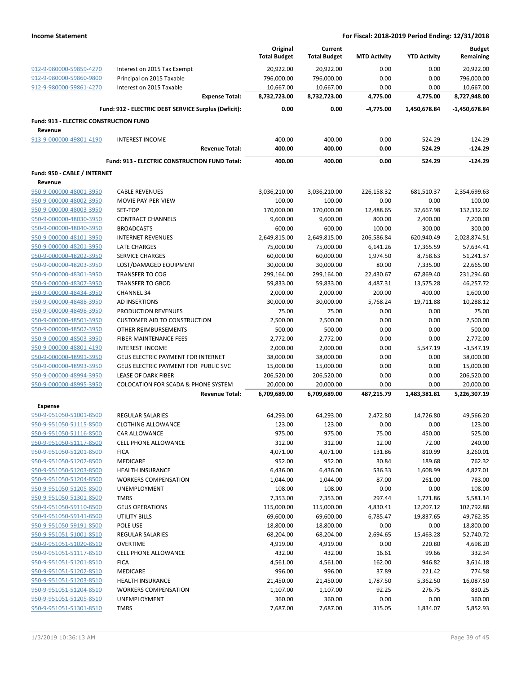|                                        |                                                      | Original<br><b>Total Budget</b> | Current<br><b>Total Budget</b> | <b>MTD Activity</b> | <b>YTD Activity</b>  | <b>Budget</b><br>Remaining |
|----------------------------------------|------------------------------------------------------|---------------------------------|--------------------------------|---------------------|----------------------|----------------------------|
| 912-9-980000-59859-4270                | Interest on 2015 Tax Exempt                          | 20,922.00                       | 20,922.00                      | 0.00                | 0.00                 | 20,922.00                  |
| 912-9-980000-59860-9800                | Principal on 2015 Taxable                            | 796,000.00                      | 796,000.00                     | 0.00                | 0.00                 | 796,000.00                 |
| 912-9-980000-59861-4270                | Interest on 2015 Taxable                             | 10,667.00                       | 10,667.00                      | 0.00                | 0.00                 | 10,667.00                  |
|                                        | <b>Expense Total:</b>                                | 8,732,723.00                    | 8,732,723.00                   | 4,775.00            | 4,775.00             | 8,727,948.00               |
|                                        | Fund: 912 - ELECTRIC DEBT SERVICE Surplus (Deficit): | 0.00                            | 0.00                           | $-4,775.00$         | 1,450,678.84         | -1,450,678.84              |
| Fund: 913 - ELECTRIC CONSTRUCTION FUND |                                                      |                                 |                                |                     |                      |                            |
| Revenue                                |                                                      |                                 |                                |                     |                      |                            |
| 913-9-000000-49801-4190                | <b>INTEREST INCOME</b>                               | 400.00                          | 400.00                         | 0.00                | 524.29               | $-124.29$<br>$-124.29$     |
|                                        | <b>Revenue Total:</b>                                | 400.00                          | 400.00                         | 0.00                | 524.29               |                            |
|                                        | Fund: 913 - ELECTRIC CONSTRUCTION FUND Total:        | 400.00                          | 400.00                         | 0.00                | 524.29               | $-124.29$                  |
| Fund: 950 - CABLE / INTERNET           |                                                      |                                 |                                |                     |                      |                            |
| Revenue<br>950-9-000000-48001-3950     | <b>CABLE REVENUES</b>                                | 3,036,210.00                    | 3,036,210.00                   | 226,158.32          | 681,510.37           | 2,354,699.63               |
| 950-9-000000-48002-3950                | MOVIE PAY-PER-VIEW                                   | 100.00                          | 100.00                         | 0.00                | 0.00                 | 100.00                     |
| 950-9-000000-48003-3950                | SET-TOP                                              | 170,000.00                      | 170,000.00                     | 12,488.65           | 37,667.98            | 132,332.02                 |
| 950-9-000000-48030-3950                | <b>CONTRACT CHANNELS</b>                             | 9,600.00                        | 9,600.00                       | 800.00              | 2,400.00             | 7,200.00                   |
| 950-9-000000-48040-3950                | <b>BROADCASTS</b>                                    | 600.00                          | 600.00                         | 100.00              | 300.00               | 300.00                     |
| 950-9-000000-48101-3950                | <b>INTERNET REVENUES</b>                             | 2,649,815.00                    | 2,649,815.00                   | 206,586.84          | 620,940.49           | 2,028,874.51               |
| 950-9-000000-48201-3950                | LATE CHARGES                                         | 75,000.00                       | 75,000.00                      | 6,141.26            | 17,365.59            | 57,634.41                  |
| 950-9-000000-48202-3950                | <b>SERVICE CHARGES</b>                               | 60,000.00                       | 60,000.00                      | 1,974.50            | 8,758.63             | 51,241.37                  |
| 950-9-000000-48203-3950                | LOST/DAMAGED EQUIPMENT                               | 30,000.00                       | 30,000.00                      | 80.00               | 7,335.00             | 22,665.00                  |
| 950-9-000000-48301-3950                | <b>TRANSFER TO COG</b>                               | 299,164.00                      | 299,164.00                     | 22,430.67           | 67,869.40            | 231,294.60                 |
|                                        | <b>TRANSFER TO GBOD</b>                              |                                 |                                |                     |                      |                            |
| 950-9-000000-48307-3950                |                                                      | 59,833.00                       | 59,833.00                      | 4,487.31            | 13,575.28            | 46,257.72                  |
| 950-9-000000-48434-3950                | <b>CHANNEL 34</b>                                    | 2,000.00                        | 2,000.00                       | 200.00              | 400.00               | 1,600.00                   |
| 950-9-000000-48488-3950                | AD INSERTIONS                                        | 30,000.00                       | 30,000.00                      | 5,768.24            | 19,711.88            | 10,288.12                  |
| 950-9-000000-48498-3950                | PRODUCTION REVENUES                                  | 75.00                           | 75.00                          | 0.00                | 0.00                 | 75.00                      |
| 950-9-000000-48501-3950                | <b>CUSTOMER AID TO CONSTRUCTION</b>                  | 2,500.00                        | 2,500.00                       | 0.00                | 0.00                 | 2,500.00                   |
| 950-9-000000-48502-3950                | OTHER REIMBURSEMENTS                                 | 500.00                          | 500.00                         | 0.00                | 0.00                 | 500.00                     |
| 950-9-000000-48503-3950                | FIBER MAINTENANCE FEES                               | 2,772.00                        | 2,772.00                       | 0.00                | 0.00                 | 2,772.00                   |
| 950-9-000000-48801-4190                | INTEREST INCOME                                      | 2,000.00                        | 2,000.00                       | 0.00                | 5,547.19             | $-3,547.19$                |
| 950-9-000000-48991-3950                | GEUS ELECTRIC PAYMENT FOR INTERNET                   | 38,000.00                       | 38,000.00                      | 0.00                | 0.00                 | 38,000.00                  |
| 950-9-000000-48993-3950                | GEUS ELECTRIC PAYMENT FOR PUBLIC SVC                 | 15,000.00                       | 15,000.00                      | 0.00                | 0.00                 | 15,000.00                  |
| 950-9-000000-48994-3950                | <b>LEASE OF DARK FIBER</b>                           | 206,520.00                      | 206,520.00                     | 0.00                | 0.00                 | 206,520.00                 |
| 950-9-000000-48995-3950                | <b>COLOCATION FOR SCADA &amp; PHONE SYSTEM</b>       | 20,000.00                       | 20,000.00<br>6,709,689.00      | 0.00<br>487,215.79  | 0.00<br>1,483,381.81 | 20,000.00                  |
|                                        | <b>Revenue Total:</b>                                | 6,709,689.00                    |                                |                     |                      | 5,226,307.19               |
| <b>Expense</b>                         | <b>REGULAR SALARIES</b>                              |                                 |                                |                     |                      |                            |
| 950-9-951050-51001-8500                |                                                      | 64,293.00                       | 64,293.00                      | 2,472.80            | 14,726.80            | 49,566.20<br>123.00        |
| 950-9-951050-51115-8500                | <b>CLOTHING ALLOWANCE</b>                            | 123.00                          | 123.00                         | 0.00                | 0.00                 |                            |
| 950-9-951050-51116-8500                | <b>CAR ALLOWANCE</b>                                 | 975.00                          | 975.00                         | 75.00               | 450.00               | 525.00                     |
| 950-9-951050-51117-8500                | CELL PHONE ALLOWANCE                                 | 312.00                          | 312.00                         | 12.00               | 72.00                | 240.00                     |
| 950-9-951050-51201-8500                | <b>FICA</b>                                          | 4,071.00                        | 4,071.00                       | 131.86              | 810.99               | 3,260.01                   |
| 950-9-951050-51202-8500                | <b>MEDICARE</b>                                      | 952.00                          | 952.00                         | 30.84               | 189.68               | 762.32                     |
| 950-9-951050-51203-8500                | <b>HEALTH INSURANCE</b>                              | 6,436.00                        | 6,436.00                       | 536.33              | 1,608.99             | 4,827.01                   |
| 950-9-951050-51204-8500                | <b>WORKERS COMPENSATION</b>                          | 1,044.00                        | 1,044.00                       | 87.00               | 261.00               | 783.00                     |
| 950-9-951050-51205-8500                | UNEMPLOYMENT                                         | 108.00                          | 108.00                         | 0.00                | 0.00                 | 108.00                     |
| 950-9-951050-51301-8500                | <b>TMRS</b>                                          | 7,353.00                        | 7,353.00                       | 297.44              | 1,771.86             | 5,581.14                   |
| 950-9-951050-59110-8500                | <b>GEUS OPERATIONS</b>                               | 115,000.00                      | 115,000.00                     | 4,830.41            | 12,207.12            | 102,792.88                 |
| 950-9-951050-59141-8500                | <b>UTILITY BILLS</b>                                 | 69,600.00                       | 69,600.00                      | 6,785.47            | 19,837.65            | 49,762.35                  |
| 950-9-951050-59191-8500                | POLE USE                                             | 18,800.00                       | 18,800.00                      | 0.00                | 0.00                 | 18,800.00                  |
| 950-9-951051-51001-8510                | <b>REGULAR SALARIES</b>                              | 68,204.00                       | 68,204.00                      | 2,694.65            | 15,463.28            | 52,740.72                  |
| 950-9-951051-51020-8510                | <b>OVERTIME</b>                                      | 4,919.00                        | 4,919.00                       | 0.00                | 220.80               | 4,698.20                   |
| 950-9-951051-51117-8510                | <b>CELL PHONE ALLOWANCE</b>                          | 432.00                          | 432.00                         | 16.61               | 99.66                | 332.34                     |
| 950-9-951051-51201-8510                | <b>FICA</b>                                          | 4,561.00                        | 4,561.00                       | 162.00              | 946.82               | 3,614.18                   |
| 950-9-951051-51202-8510                | MEDICARE                                             | 996.00                          | 996.00                         | 37.89               | 221.42               | 774.58                     |
| 950-9-951051-51203-8510                | <b>HEALTH INSURANCE</b>                              | 21,450.00                       | 21,450.00                      | 1,787.50            | 5,362.50             | 16,087.50                  |
| 950-9-951051-51204-8510                | <b>WORKERS COMPENSATION</b>                          | 1,107.00                        | 1,107.00                       | 92.25               | 276.75               | 830.25                     |
| 950-9-951051-51205-8510                | UNEMPLOYMENT                                         | 360.00                          | 360.00                         | 0.00                | 0.00                 | 360.00                     |
| 950-9-951051-51301-8510                | <b>TMRS</b>                                          | 7,687.00                        | 7,687.00                       | 315.05              | 1,834.07             | 5,852.93                   |
|                                        |                                                      |                                 |                                |                     |                      |                            |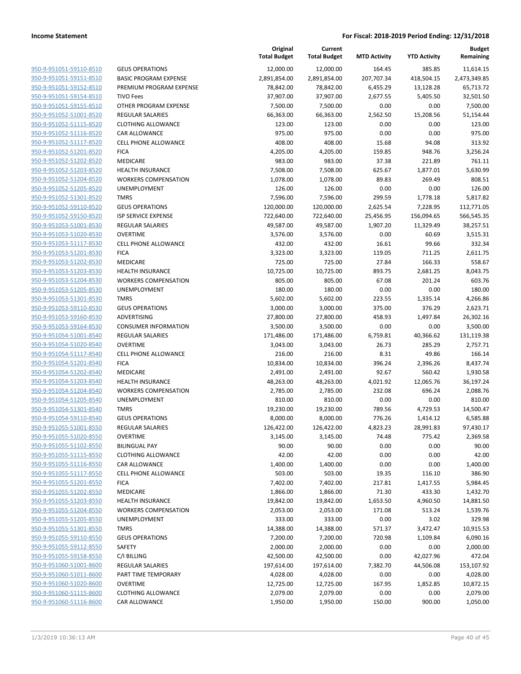|                                                    |                                                        | Original<br><b>Total Budget</b> | Current<br><b>Total Budget</b> | <b>MTD Activity</b> | <b>YTD Activity</b> | <b>Budget</b><br>Remaining |
|----------------------------------------------------|--------------------------------------------------------|---------------------------------|--------------------------------|---------------------|---------------------|----------------------------|
| 950-9-951051-59110-8510                            | <b>GEUS OPERATIONS</b>                                 | 12,000.00                       | 12,000.00                      | 164.45              | 385.85              | 11,614.15                  |
| 950-9-951051-59151-8510                            | <b>BASIC PROGRAM EXPENSE</b>                           | 2,891,854.00                    | 2,891,854.00                   | 207,707.34          | 418,504.15          | 2,473,349.85               |
| 950-9-951051-59152-8510                            | PREMIUM PROGRAM EXPENSE                                | 78,842.00                       | 78,842.00                      | 6,455.29            | 13,128.28           | 65,713.72                  |
| 950-9-951051-59154-8510                            | <b>TIVO Fees</b>                                       | 37,907.00                       | 37,907.00                      | 2,677.55            | 5,405.50            | 32,501.50                  |
| 950-9-951051-59155-8510                            | OTHER PROGRAM EXPENSE                                  | 7,500.00                        | 7,500.00                       | 0.00                | 0.00                | 7,500.00                   |
| 950-9-951052-51001-8520                            | <b>REGULAR SALARIES</b>                                | 66,363.00                       | 66,363.00                      | 2,562.50            | 15,208.56           | 51,154.44                  |
| 950-9-951052-51115-8520                            | <b>CLOTHING ALLOWANCE</b>                              | 123.00                          | 123.00                         | 0.00                | 0.00                | 123.00                     |
| 950-9-951052-51116-8520                            | CAR ALLOWANCE                                          | 975.00                          | 975.00                         | 0.00                | 0.00                | 975.00                     |
| 950-9-951052-51117-8520                            | <b>CELL PHONE ALLOWANCE</b>                            | 408.00                          | 408.00                         | 15.68               | 94.08               | 313.92                     |
| 950-9-951052-51201-8520                            | <b>FICA</b>                                            | 4,205.00                        | 4,205.00                       | 159.85              | 948.76              | 3,256.24                   |
| 950-9-951052-51202-8520                            | <b>MEDICARE</b>                                        | 983.00                          | 983.00                         | 37.38               | 221.89              | 761.11                     |
| 950-9-951052-51203-8520                            | <b>HEALTH INSURANCE</b>                                | 7,508.00                        | 7,508.00                       | 625.67              | 1,877.01            | 5,630.99                   |
| 950-9-951052-51204-8520                            | <b>WORKERS COMPENSATION</b>                            | 1,078.00                        | 1,078.00                       | 89.83               | 269.49              | 808.51                     |
| 950-9-951052-51205-8520                            | UNEMPLOYMENT                                           | 126.00                          | 126.00                         | 0.00                | 0.00                | 126.00                     |
| 950-9-951052-51301-8520                            | <b>TMRS</b>                                            | 7,596.00                        | 7,596.00                       | 299.59              | 1,778.18            | 5,817.82                   |
| 950-9-951052-59110-8520                            | <b>GEUS OPERATIONS</b>                                 | 120,000.00                      | 120,000.00                     | 2,625.54            | 7,228.95            | 112,771.05                 |
| 950-9-951052-59150-8520                            | ISP SERVICE EXPENSE                                    | 722,640.00                      | 722,640.00                     | 25,456.95           | 156,094.65          | 566,545.35                 |
| 950-9-951053-51001-8530                            | <b>REGULAR SALARIES</b>                                | 49,587.00                       | 49,587.00                      | 1,907.20            | 11,329.49           | 38,257.51                  |
| 950-9-951053-51020-8530                            | <b>OVERTIME</b>                                        | 3,576.00                        | 3,576.00                       | 0.00                | 60.69               | 3,515.31                   |
| 950-9-951053-51117-8530                            | <b>CELL PHONE ALLOWANCE</b>                            | 432.00                          | 432.00                         | 16.61               | 99.66               | 332.34                     |
| 950-9-951053-51201-8530                            | <b>FICA</b>                                            | 3,323.00                        | 3,323.00                       | 119.05              | 711.25              | 2,611.75                   |
| 950-9-951053-51202-8530                            | MEDICARE                                               | 725.00                          | 725.00                         | 27.84               | 166.33              | 558.67                     |
| 950-9-951053-51203-8530                            | <b>HEALTH INSURANCE</b><br><b>WORKERS COMPENSATION</b> | 10,725.00                       | 10,725.00                      | 893.75              | 2,681.25            | 8,043.75                   |
| 950-9-951053-51204-8530<br>950-9-951053-51205-8530 |                                                        | 805.00                          | 805.00                         | 67.08               | 201.24              | 603.76<br>180.00           |
| 950-9-951053-51301-8530                            | <b>UNEMPLOYMENT</b><br><b>TMRS</b>                     | 180.00<br>5,602.00              | 180.00<br>5,602.00             | 0.00<br>223.55      | 0.00                | 4,266.86                   |
| 950-9-951053-59110-8530                            | <b>GEUS OPERATIONS</b>                                 | 3,000.00                        | 3,000.00                       | 375.00              | 1,335.14<br>376.29  | 2,623.71                   |
| 950-9-951053-59160-8530                            | ADVERTISING                                            | 27,800.00                       | 27,800.00                      | 458.93              | 1,497.84            | 26,302.16                  |
| 950-9-951053-59164-8530                            | <b>CONSUMER INFORMATION</b>                            | 3,500.00                        | 3,500.00                       | 0.00                | 0.00                | 3,500.00                   |
| 950-9-951054-51001-8540                            | <b>REGULAR SALARIES</b>                                | 171,486.00                      | 171,486.00                     | 6,759.81            | 40,366.62           | 131,119.38                 |
| 950-9-951054-51020-8540                            | <b>OVERTIME</b>                                        | 3,043.00                        | 3,043.00                       | 26.73               | 285.29              | 2,757.71                   |
| 950-9-951054-51117-8540                            | <b>CELL PHONE ALLOWANCE</b>                            | 216.00                          | 216.00                         | 8.31                | 49.86               | 166.14                     |
| 950-9-951054-51201-8540                            | <b>FICA</b>                                            | 10,834.00                       | 10,834.00                      | 396.24              | 2,396.26            | 8,437.74                   |
| 950-9-951054-51202-8540                            | MEDICARE                                               | 2,491.00                        | 2,491.00                       | 92.67               | 560.42              | 1,930.58                   |
| 950-9-951054-51203-8540                            | <b>HEALTH INSURANCE</b>                                | 48,263.00                       | 48,263.00                      | 4,021.92            | 12,065.76           | 36,197.24                  |
| 950-9-951054-51204-8540                            | <b>WORKERS COMPENSATION</b>                            | 2,785.00                        | 2,785.00                       | 232.08              | 696.24              | 2,088.76                   |
| 950-9-951054-51205-8540                            | UNEMPLOYMENT                                           | 810.00                          | 810.00                         | 0.00                | 0.00                | 810.00                     |
| 950-9-951054-51301-8540                            | <b>TMRS</b>                                            | 19,230.00                       | 19,230.00                      | 789.56              | 4,729.53            | 14,500.47                  |
| 950-9-951054-59110-8540                            | <b>GEUS OPERATIONS</b>                                 | 8,000.00                        | 8,000.00                       | 776.26              | 1,414.12            | 6,585.88                   |
| 950-9-951055-51001-8550                            | <b>REGULAR SALARIES</b>                                | 126,422.00                      | 126,422.00                     | 4,823.23            | 28,991.83           | 97,430.17                  |
| 950-9-951055-51020-8550                            | <b>OVERTIME</b>                                        | 3,145.00                        | 3,145.00                       | 74.48               | 775.42              | 2,369.58                   |
| 950-9-951055-51102-8550                            | <b>BILINGUAL PAY</b>                                   | 90.00                           | 90.00                          | 0.00                | 0.00                | 90.00                      |
| 950-9-951055-51115-8550                            | <b>CLOTHING ALLOWANCE</b>                              | 42.00                           | 42.00                          | 0.00                | 0.00                | 42.00                      |
| 950-9-951055-51116-8550                            | <b>CAR ALLOWANCE</b>                                   | 1,400.00                        | 1,400.00                       | 0.00                | 0.00                | 1,400.00                   |
| 950-9-951055-51117-8550                            | <b>CELL PHONE ALLOWANCE</b>                            | 503.00                          | 503.00                         | 19.35               | 116.10              | 386.90                     |
| 950-9-951055-51201-8550                            | <b>FICA</b>                                            | 7,402.00                        | 7,402.00                       | 217.81              | 1,417.55            | 5,984.45                   |
| 950-9-951055-51202-8550                            | MEDICARE                                               | 1,866.00                        | 1,866.00                       | 71.30               | 433.30              | 1,432.70                   |
| 950-9-951055-51203-8550                            | <b>HEALTH INSURANCE</b>                                | 19,842.00                       | 19,842.00                      | 1,653.50            | 4,960.50            | 14,881.50                  |
| 950-9-951055-51204-8550                            | <b>WORKERS COMPENSATION</b>                            | 2,053.00                        | 2,053.00                       | 171.08              | 513.24              | 1,539.76                   |
| 950-9-951055-51205-8550                            | <b>UNEMPLOYMENT</b>                                    | 333.00                          | 333.00                         | 0.00                | 3.02                | 329.98                     |
| 950-9-951055-51301-8550                            | <b>TMRS</b>                                            | 14,388.00                       | 14,388.00                      | 571.37              | 3,472.47            | 10,915.53                  |
| 950-9-951055-59110-8550                            | <b>GEUS OPERATIONS</b>                                 | 7,200.00                        | 7,200.00                       | 720.98              | 1,109.84            | 6,090.16                   |
| 950-9-951055-59112-8550                            | SAFETY                                                 | 2,000.00                        | 2,000.00                       | 0.00                | 0.00                | 2,000.00                   |
| 950-9-951055-59158-8550                            | C/I BILLING                                            | 42,500.00                       | 42,500.00                      | 0.00                | 42,027.96           | 472.04                     |
| 950-9-951060-51001-8600                            | REGULAR SALARIES                                       | 197,614.00                      | 197,614.00                     | 7,382.70            | 44,506.08           | 153,107.92                 |
| 950-9-951060-51011-8600                            | PART TIME TEMPORARY                                    | 4,028.00                        | 4,028.00                       | 0.00                | 0.00                | 4,028.00                   |
| 950-9-951060-51020-8600                            | <b>OVERTIME</b>                                        | 12,725.00                       | 12,725.00                      | 167.95              | 1,852.85            | 10,872.15                  |
| 950-9-951060-51115-8600                            | <b>CLOTHING ALLOWANCE</b>                              | 2,079.00                        | 2,079.00                       | 0.00                | 0.00                | 2,079.00                   |
| 950-9-951060-51116-8600                            | CAR ALLOWANCE                                          | 1,950.00                        | 1,950.00                       | 150.00              | 900.00              | 1,050.00                   |
|                                                    |                                                        |                                 |                                |                     |                     |                            |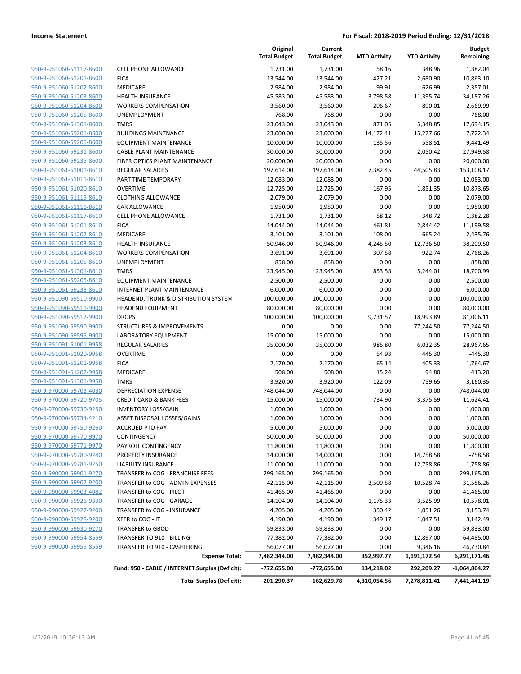|                                |                                                 | Original<br><b>Total Budget</b> | Current<br><b>Total Budget</b> | <b>MTD Activity</b> | <b>YTD Activity</b> | <b>Budget</b><br>Remaining |
|--------------------------------|-------------------------------------------------|---------------------------------|--------------------------------|---------------------|---------------------|----------------------------|
| 950-9-951060-51117-8600        | <b>CELL PHONE ALLOWANCE</b>                     | 1,731.00                        | 1,731.00                       | 58.16               | 348.96              | 1,382.04                   |
| 950-9-951060-51201-8600        | <b>FICA</b>                                     | 13,544.00                       | 13,544.00                      | 427.21              | 2,680.90            | 10,863.10                  |
| 950-9-951060-51202-8600        | <b>MEDICARE</b>                                 | 2,984.00                        | 2,984.00                       | 99.91               | 626.99              | 2,357.01                   |
| 950-9-951060-51203-8600        | <b>HEALTH INSURANCE</b>                         | 45,583.00                       | 45,583.00                      | 3,798.58            | 11,395.74           | 34,187.26                  |
| 950-9-951060-51204-8600        | <b>WORKERS COMPENSATION</b>                     | 3,560.00                        | 3,560.00                       | 296.67              | 890.01              | 2,669.99                   |
| 950-9-951060-51205-8600        | UNEMPLOYMENT                                    | 768.00                          | 768.00                         | 0.00                | 0.00                | 768.00                     |
| 950-9-951060-51301-8600        | <b>TMRS</b>                                     | 23,043.00                       | 23,043.00                      | 871.05              | 5,348.85            | 17,694.15                  |
| 950-9-951060-59201-8600        | <b>BUILDINGS MAINTNANCE</b>                     | 23,000.00                       | 23,000.00                      | 14,172.41           | 15,277.66           | 7,722.34                   |
| 950-9-951060-59205-8600        | <b>EQUIPMENT MAINTENANCE</b>                    | 10,000.00                       | 10,000.00                      | 135.56              | 558.51              | 9,441.49                   |
| 950-9-951060-59231-8600        | <b>CABLE PLANT MAINTENANCE</b>                  | 30,000.00                       | 30,000.00                      | 0.00                | 2,050.42            | 27,949.58                  |
| 950-9-951060-59235-8600        | FIBER OPTICS PLANT MAINTENANCE                  | 20,000.00                       | 20,000.00                      | 0.00                | 0.00                | 20,000.00                  |
| 950-9-951061-51001-8610        | <b>REGULAR SALARIES</b>                         | 197,614.00                      | 197,614.00                     | 7,382.45            | 44,505.83           | 153,108.17                 |
| 950-9-951061-51011-8610        | PART TIME TEMPORARY                             | 12,083.00                       | 12,083.00                      | 0.00                | 0.00                | 12,083.00                  |
| 950-9-951061-51020-8610        | <b>OVERTIME</b>                                 |                                 |                                |                     |                     |                            |
| 950-9-951061-51115-8610        | <b>CLOTHING ALLOWANCE</b>                       | 12,725.00<br>2,079.00           | 12,725.00<br>2,079.00          | 167.95<br>0.00      | 1,851.35<br>0.00    | 10,873.65<br>2,079.00      |
| 950-9-951061-51116-8610        | CAR ALLOWANCE                                   |                                 |                                |                     |                     |                            |
|                                | <b>CELL PHONE ALLOWANCE</b>                     | 1,950.00                        | 1,950.00                       | 0.00                | 0.00                | 1,950.00                   |
| 950-9-951061-51117-8610        |                                                 | 1,731.00                        | 1,731.00                       | 58.12               | 348.72              | 1,382.28                   |
| 950-9-951061-51201-8610        | <b>FICA</b>                                     | 14,044.00                       | 14,044.00                      | 461.81              | 2,844.42            | 11,199.58                  |
| 950-9-951061-51202-8610        | <b>MEDICARE</b>                                 | 3,101.00                        | 3,101.00                       | 108.00              | 665.24              | 2,435.76                   |
| 950-9-951061-51203-8610        | <b>HEALTH INSURANCE</b>                         | 50,946.00                       | 50,946.00                      | 4,245.50            | 12,736.50           | 38,209.50                  |
| 950-9-951061-51204-8610        | <b>WORKERS COMPENSATION</b>                     | 3,691.00                        | 3,691.00                       | 307.58              | 922.74              | 2,768.26                   |
| 950-9-951061-51205-8610        | UNEMPLOYMENT                                    | 858.00                          | 858.00                         | 0.00                | 0.00                | 858.00                     |
| 950-9-951061-51301-8610        | <b>TMRS</b>                                     | 23,945.00                       | 23,945.00                      | 853.58              | 5,244.01            | 18,700.99                  |
| 950-9-951061-59205-8610        | <b>EQUIPMENT MAINTENANCE</b>                    | 2,500.00                        | 2,500.00                       | 0.00                | 0.00                | 2,500.00                   |
| 950-9-951061-59233-8610        | INTERNET PLANT MAINTENANCE                      | 6,000.00                        | 6,000.00                       | 0.00                | 0.00                | 6,000.00                   |
| 950-9-951090-59510-9900        | HEADEND, TRUNK & DISTRIBUTION SYSTEM            | 100,000.00                      | 100,000.00                     | 0.00                | 0.00                | 100,000.00                 |
| 950-9-951090-59511-9900        | <b>HEADEND EQUIPMENT</b>                        | 80,000.00                       | 80,000.00                      | 0.00                | 0.00                | 80,000.00                  |
| 950-9-951090-59512-9900        | <b>DROPS</b>                                    | 100,000.00                      | 100,000.00                     | 9,731.57            | 18,993.89           | 81,006.11                  |
| 950-9-951090-59590-9900        | <b>STRUCTURES &amp; IMPROVEMENTS</b>            | 0.00                            | 0.00                           | 0.00                | 77,244.50           | $-77,244.50$               |
| 950-9-951090-59595-9900        | LABORATORY EQUIPMENT                            | 15,000.00                       | 15,000.00                      | 0.00                | 0.00                | 15,000.00                  |
| 950-9-951091-51001-9958        | <b>REGULAR SALARIES</b>                         | 35,000.00                       | 35,000.00                      | 985.80              | 6,032.35            | 28,967.65                  |
| 950-9-951091-51020-9958        | <b>OVERTIME</b>                                 | 0.00                            | 0.00                           | 54.93               | 445.30              | $-445.30$                  |
| 950-9-951091-51201-9958        | <b>FICA</b>                                     | 2,170.00                        | 2,170.00                       | 65.14               | 405.33              | 1,764.67                   |
| 950-9-951091-51202-9958        | <b>MEDICARE</b>                                 | 508.00                          | 508.00                         | 15.24               | 94.80               | 413.20                     |
| 950-9-951091-51301-9958        | <b>TMRS</b>                                     | 3,920.00                        | 3,920.00                       | 122.09              | 759.65              | 3,160.35                   |
| 950-9-970000-59703-4030        | <b>DEPRECIATION EXPENSE</b>                     | 748,044.00                      | 748,044.00                     | 0.00                | 0.00                | 748,044.00                 |
| 950-9-970000-59720-9705        | <b>CREDIT CARD &amp; BANK FEES</b>              | 15,000.00                       | 15,000.00                      | 734.90              | 3,375.59            | 11,624.41                  |
| 950-9-970000-59730-9250        | <b>INVENTORY LOSS/GAIN</b>                      | 1,000.00                        | 1,000.00                       | 0.00                | 0.00                | 1,000.00                   |
| 950-9-970000-59734-4210        | ASSET DISPOSAL LOSSES/GAINS                     | 1,000.00                        | 1,000.00                       | 0.00                | 0.00                | 1,000.00                   |
| <u>950-9-970000-59750-9260</u> | <b>ACCRUED PTO PAY</b>                          | 5,000.00                        | 5,000.00                       | 0.00                | 0.00                | 5,000.00                   |
| 950-9-970000-59770-9970        | CONTINGENCY                                     | 50,000.00                       | 50,000.00                      | 0.00                | 0.00                | 50,000.00                  |
| 950-9-970000-59771-9970        | PAYROLL CONTINGENCY                             | 11,800.00                       | 11,800.00                      | 0.00                | 0.00                | 11,800.00                  |
| 950-9-970000-59780-9240        | PROPERTY INSURANCE                              | 14,000.00                       | 14,000.00                      | 0.00                | 14,758.58           | $-758.58$                  |
| 950-9-970000-59781-9250        | LIABILITY INSURANCE                             | 11,000.00                       | 11,000.00                      | 0.00                | 12,758.86           | $-1,758.86$                |
| 950-9-990000-59901-9270        | TRANSFER to COG - FRANCHISE FEES                | 299,165.00                      | 299,165.00                     | 0.00                | 0.00                | 299,165.00                 |
| 950-9-990000-59902-9200        | TRANSFER to COG - ADMIN EXPENSES                | 42,115.00                       | 42,115.00                      | 3,509.58            | 10,528.74           | 31,586.26                  |
| 950-9-990000-59903-4082        | TRANSFER to COG - PILOT                         | 41,465.00                       | 41,465.00                      | 0.00                | 0.00                | 41,465.00                  |
| 950-9-990000-59926-9330        | TRANSFER to COG - GARAGE                        | 14,104.00                       | 14,104.00                      | 1,175.33            | 3,525.99            | 10,578.01                  |
| 950-9-990000-59927-9200        | TRANSFER to COG - INSURANCE                     | 4,205.00                        | 4,205.00                       | 350.42              | 1,051.26            | 3,153.74                   |
| 950-9-990000-59928-9200        | XFER to COG - IT                                | 4,190.00                        | 4,190.00                       | 349.17              | 1,047.51            | 3,142.49                   |
| 950-9-990000-59930-9270        | TRANSFER to GBOD                                | 59,833.00                       | 59,833.00                      | 0.00                | 0.00                | 59,833.00                  |
| 950-9-990000-59954-8559        | TRANSFER TO 910 - BILLING                       | 77,382.00                       | 77,382.00                      | 0.00                | 12,897.00           | 64,485.00                  |
| 950-9-990000-59955-8559        | TRANSFER TO 910 - CASHIERING                    | 56,077.00                       | 56,077.00                      | 0.00                | 9,346.16            | 46,730.84                  |
|                                | <b>Expense Total:</b>                           | 7,482,344.00                    | 7,482,344.00                   | 352,997.77          | 1,191,172.54        | 6,291,171.46               |
|                                | Fund: 950 - CABLE / INTERNET Surplus (Deficit): | -772,655.00                     | -772,655.00                    | 134,218.02          | 292,209.27          | -1,064,864.27              |
|                                | <b>Total Surplus (Deficit):</b>                 | -201,290.37                     | $-162,629.78$                  | 4,310,054.56        | 7,278,811.41        | -7,441,441.19              |
|                                |                                                 |                                 |                                |                     |                     |                            |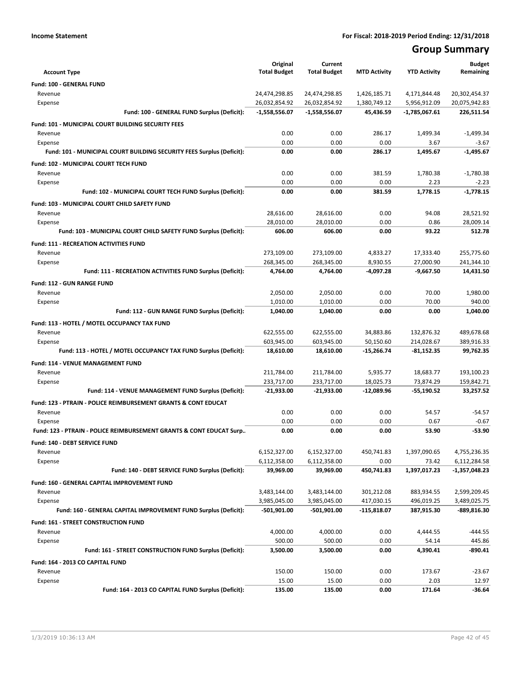## **Group Summary**

| <b>Account Type</b>                                                       | Original<br><b>Total Budget</b> | Current<br><b>Total Budget</b> | <b>MTD Activity</b> | <b>YTD Activity</b> | <b>Budget</b><br>Remaining |
|---------------------------------------------------------------------------|---------------------------------|--------------------------------|---------------------|---------------------|----------------------------|
| Fund: 100 - GENERAL FUND                                                  |                                 |                                |                     |                     |                            |
| Revenue                                                                   | 24,474,298.85                   | 24,474,298.85                  | 1,426,185.71        | 4,171,844.48        | 20,302,454.37              |
| Expense                                                                   | 26,032,854.92                   | 26,032,854.92                  | 1,380,749.12        | 5,956,912.09        | 20,075,942.83              |
| Fund: 100 - GENERAL FUND Surplus (Deficit):                               | $-1,558,556.07$                 | -1,558,556.07                  | 45,436.59           | $-1,785,067.61$     | 226,511.54                 |
| <b>Fund: 101 - MUNICIPAL COURT BUILDING SECURITY FEES</b>                 |                                 |                                |                     |                     |                            |
| Revenue                                                                   | 0.00                            | 0.00                           | 286.17              | 1,499.34            | $-1,499.34$                |
| Expense                                                                   | 0.00                            | 0.00                           | 0.00                | 3.67                | $-3.67$                    |
| Fund: 101 - MUNICIPAL COURT BUILDING SECURITY FEES Surplus (Deficit):     | 0.00                            | 0.00                           | 286.17              | 1,495.67            | $-1,495.67$                |
| Fund: 102 - MUNICIPAL COURT TECH FUND                                     |                                 |                                |                     |                     |                            |
| Revenue                                                                   | 0.00                            | 0.00                           | 381.59              | 1,780.38            | $-1,780.38$                |
| Expense                                                                   | 0.00                            | 0.00                           | 0.00                | 2.23                | $-2.23$                    |
| Fund: 102 - MUNICIPAL COURT TECH FUND Surplus (Deficit):                  | 0.00                            | 0.00                           | 381.59              | 1,778.15            | $-1,778.15$                |
| <b>Fund: 103 - MUNICIPAL COURT CHILD SAFETY FUND</b>                      |                                 |                                |                     |                     |                            |
| Revenue                                                                   | 28,616.00                       | 28,616.00                      | 0.00                | 94.08               | 28,521.92                  |
| Expense                                                                   | 28,010.00                       | 28,010.00                      | 0.00                | 0.86                | 28,009.14                  |
| Fund: 103 - MUNICIPAL COURT CHILD SAFETY FUND Surplus (Deficit):          | 606.00                          | 606.00                         | 0.00                | 93.22               | 512.78                     |
| <b>Fund: 111 - RECREATION ACTIVITIES FUND</b>                             |                                 |                                |                     |                     |                            |
| Revenue                                                                   | 273,109.00                      | 273,109.00                     | 4,833.27            | 17,333.40           | 255,775.60                 |
| Expense                                                                   | 268,345.00                      | 268.345.00                     | 8,930.55            | 27,000.90           | 241,344.10                 |
| Fund: 111 - RECREATION ACTIVITIES FUND Surplus (Deficit):                 | 4,764.00                        | 4,764.00                       | -4,097.28           | $-9,667.50$         | 14,431.50                  |
| Fund: 112 - GUN RANGE FUND                                                |                                 |                                |                     |                     |                            |
| Revenue                                                                   | 2,050.00                        | 2,050.00                       | 0.00                | 70.00               | 1,980.00                   |
| Expense                                                                   | 1,010.00                        | 1,010.00                       | 0.00                | 70.00               | 940.00                     |
| Fund: 112 - GUN RANGE FUND Surplus (Deficit):                             | 1,040.00                        | 1,040.00                       | 0.00                | 0.00                | 1,040.00                   |
| Fund: 113 - HOTEL / MOTEL OCCUPANCY TAX FUND                              |                                 |                                |                     |                     |                            |
| Revenue                                                                   | 622,555.00                      | 622,555.00                     | 34,883.86           | 132,876.32          | 489,678.68                 |
| Expense                                                                   | 603,945.00                      | 603,945.00                     | 50,150.60           | 214,028.67          | 389,916.33                 |
| Fund: 113 - HOTEL / MOTEL OCCUPANCY TAX FUND Surplus (Deficit):           | 18,610.00                       | 18,610.00                      | -15,266.74          | $-81,152.35$        | 99,762.35                  |
| Fund: 114 - VENUE MANAGEMENT FUND                                         |                                 |                                |                     |                     |                            |
| Revenue                                                                   | 211,784.00                      | 211,784.00                     | 5,935.77            | 18,683.77           | 193,100.23                 |
| Expense                                                                   | 233,717.00                      | 233,717.00                     | 18,025.73           | 73,874.29           | 159,842.71                 |
| Fund: 114 - VENUE MANAGEMENT FUND Surplus (Deficit):                      | $-21,933.00$                    | $-21,933.00$                   | $-12,089.96$        | -55,190.52          | 33,257.52                  |
| <b>Fund: 123 - PTRAIN - POLICE REIMBURSEMENT GRANTS &amp; CONT EDUCAT</b> |                                 |                                |                     |                     |                            |
| Revenue                                                                   | 0.00                            | 0.00                           | 0.00                | 54.57               | $-54.57$                   |
| Expense                                                                   | 0.00                            | 0.00                           | 0.00                | 0.67                | $-0.67$                    |
| Fund: 123 - PTRAIN - POLICE REIMBURSEMENT GRANTS & CONT EDUCAT Surp       | 0.00                            | 0.00                           | 0.00                | 53.90               | $-53.90$                   |
| Fund: 140 - DEBT SERVICE FUND                                             |                                 |                                |                     |                     |                            |
| Revenue                                                                   | 6,152,327.00                    | 6,152,327.00                   | 450,741.83          | 1,397,090.65        | 4,755,236.35               |
| Expense                                                                   | 6,112,358.00                    | 6,112,358.00                   | 0.00                | 73.42               | 6,112,284.58               |
| Fund: 140 - DEBT SERVICE FUND Surplus (Deficit):                          | 39,969.00                       | 39,969.00                      | 450,741.83          | 1,397,017.23        | -1,357,048.23              |
| Fund: 160 - GENERAL CAPITAL IMPROVEMENT FUND                              |                                 |                                |                     |                     |                            |
| Revenue                                                                   | 3,483,144.00                    | 3,483,144.00                   | 301,212.08          | 883,934.55          | 2,599,209.45               |
| Expense                                                                   | 3,985,045.00                    | 3,985,045.00                   | 417,030.15          | 496,019.25          | 3,489,025.75               |
| Fund: 160 - GENERAL CAPITAL IMPROVEMENT FUND Surplus (Deficit):           | $-501,901.00$                   | -501,901.00                    | -115,818.07         | 387,915.30          | -889,816.30                |
| Fund: 161 - STREET CONSTRUCTION FUND                                      |                                 |                                |                     |                     |                            |
| Revenue                                                                   | 4,000.00                        | 4,000.00                       | 0.00                | 4,444.55            | $-444.55$                  |
| Expense                                                                   | 500.00                          | 500.00                         | 0.00                | 54.14               | 445.86                     |
| Fund: 161 - STREET CONSTRUCTION FUND Surplus (Deficit):                   | 3,500.00                        | 3,500.00                       | 0.00                | 4,390.41            | $-890.41$                  |
| Fund: 164 - 2013 CO CAPITAL FUND                                          |                                 |                                |                     |                     |                            |
| Revenue                                                                   | 150.00                          | 150.00                         | 0.00                | 173.67              | $-23.67$                   |
| Expense                                                                   | 15.00                           | 15.00                          | 0.00                | 2.03                | 12.97                      |
| Fund: 164 - 2013 CO CAPITAL FUND Surplus (Deficit):                       | 135.00                          | 135.00                         | 0.00                | 171.64              | $-36.64$                   |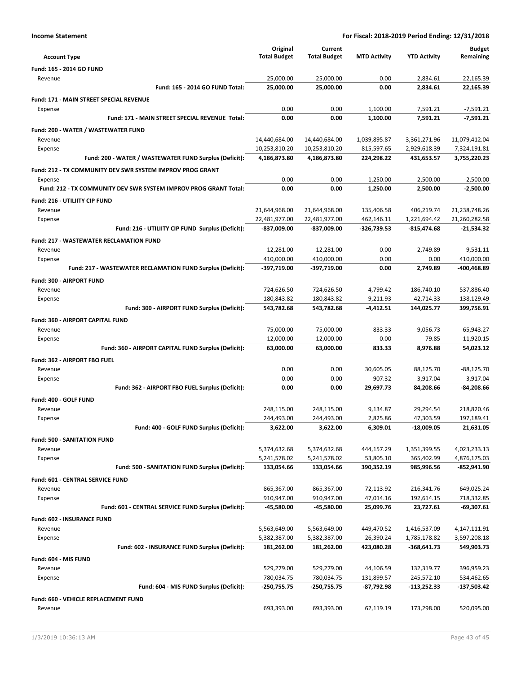| For Fiscal: 2018-2019 Period Ending: 12/31/2018 |  |  |
|-------------------------------------------------|--|--|
|-------------------------------------------------|--|--|

| <b>Income Statement</b>                                          |                               |                               | For Fiscal: 2018-2019 Period Ending: 12/31/2018 |                            |                              |
|------------------------------------------------------------------|-------------------------------|-------------------------------|-------------------------------------------------|----------------------------|------------------------------|
|                                                                  | Original                      | Current                       |                                                 |                            | <b>Budget</b>                |
| <b>Account Type</b>                                              | <b>Total Budget</b>           | <b>Total Budget</b>           | <b>MTD Activity</b>                             | <b>YTD Activity</b>        | Remaining                    |
| Fund: 165 - 2014 GO FUND                                         |                               |                               |                                                 |                            |                              |
| Revenue                                                          | 25,000.00                     | 25,000.00                     | 0.00                                            | 2,834.61                   | 22,165.39                    |
| Fund: 165 - 2014 GO FUND Total:                                  | 25,000.00                     | 25,000.00                     | 0.00                                            | 2,834.61                   | 22,165.39                    |
| Fund: 171 - MAIN STREET SPECIAL REVENUE                          |                               |                               |                                                 |                            |                              |
| Expense                                                          | 0.00                          | 0.00                          | 1,100.00                                        | 7,591.21                   | $-7,591.21$                  |
| Fund: 171 - MAIN STREET SPECIAL REVENUE Total:                   | 0.00                          | 0.00                          | 1,100.00                                        | 7,591.21                   | -7,591.21                    |
|                                                                  |                               |                               |                                                 |                            |                              |
| Fund: 200 - WATER / WASTEWATER FUND                              |                               |                               |                                                 |                            |                              |
| Revenue                                                          | 14,440,684.00                 | 14,440,684.00                 | 1,039,895.87                                    | 3,361,271.96               | 11,079,412.04                |
| Expense                                                          | 10,253,810.20<br>4,186,873.80 | 10,253,810.20<br>4,186,873.80 | 815,597.65<br>224,298.22                        | 2,929,618.39<br>431,653.57 | 7,324,191.81<br>3,755,220.23 |
| Fund: 200 - WATER / WASTEWATER FUND Surplus (Deficit):           |                               |                               |                                                 |                            |                              |
| Fund: 212 - TX COMMUNITY DEV SWR SYSTEM IMPROV PROG GRANT        |                               |                               |                                                 |                            |                              |
| Expense                                                          | 0.00                          | 0.00                          | 1,250.00                                        | 2,500.00                   | $-2,500.00$                  |
| Fund: 212 - TX COMMUNITY DEV SWR SYSTEM IMPROV PROG GRANT Total: | 0.00                          | 0.00                          | 1,250.00                                        | 2,500.00                   | $-2,500.00$                  |
| Fund: 216 - UTILIITY CIP FUND                                    |                               |                               |                                                 |                            |                              |
| Revenue                                                          | 21,644,968.00                 | 21,644,968.00                 | 135,406.58                                      | 406,219.74                 | 21,238,748.26                |
| Expense                                                          | 22,481,977.00                 | 22,481,977.00                 | 462,146.11                                      | 1,221,694.42               | 21,260,282.58                |
| Fund: 216 - UTILIITY CIP FUND Surplus (Deficit):                 | -837,009.00                   | -837,009.00                   | -326,739.53                                     | -815,474.68                | -21,534.32                   |
| <b>Fund: 217 - WASTEWATER RECLAMATION FUND</b>                   |                               |                               |                                                 |                            |                              |
| Revenue                                                          | 12,281.00                     | 12,281.00                     | 0.00                                            | 2,749.89                   | 9,531.11                     |
| Expense                                                          | 410,000.00                    | 410,000.00                    | 0.00                                            | 0.00                       | 410,000.00                   |
| Fund: 217 - WASTEWATER RECLAMATION FUND Surplus (Deficit):       | -397,719.00                   | -397,719.00                   | 0.00                                            | 2,749.89                   | -400,468.89                  |
| Fund: 300 - AIRPORT FUND                                         |                               |                               |                                                 |                            |                              |
| Revenue                                                          | 724,626.50                    | 724,626.50                    | 4,799.42                                        | 186,740.10                 | 537,886.40                   |
| Expense                                                          | 180,843.82                    | 180,843.82                    | 9,211.93                                        | 42,714.33                  | 138,129.49                   |
| Fund: 300 - AIRPORT FUND Surplus (Deficit):                      | 543,782.68                    | 543,782.68                    | -4,412.51                                       | 144,025.77                 | 399,756.91                   |
|                                                                  |                               |                               |                                                 |                            |                              |
| Fund: 360 - AIRPORT CAPITAL FUND                                 |                               |                               |                                                 |                            |                              |
| Revenue                                                          | 75,000.00                     | 75,000.00                     | 833.33                                          | 9,056.73                   | 65,943.27                    |
| Expense                                                          | 12,000.00                     | 12,000.00                     | 0.00                                            | 79.85                      | 11,920.15                    |
| Fund: 360 - AIRPORT CAPITAL FUND Surplus (Deficit):              | 63,000.00                     | 63,000.00                     | 833.33                                          | 8,976.88                   | 54,023.12                    |
| Fund: 362 - AIRPORT FBO FUEL                                     |                               |                               |                                                 |                            |                              |
| Revenue                                                          | 0.00                          | 0.00                          | 30,605.05                                       | 88,125.70                  | -88,125.70                   |
| Expense                                                          | 0.00                          | 0.00                          | 907.32                                          | 3,917.04                   | $-3,917.04$                  |
| Fund: 362 - AIRPORT FBO FUEL Surplus (Deficit):                  | 0.00                          | 0.00                          | 29,697.73                                       | 84,208.66                  | -84,208.66                   |
| Fund: 400 - GOLF FUND                                            |                               |                               |                                                 |                            |                              |
| Revenue                                                          | 248,115.00                    | 248,115.00                    | 9,134.87                                        | 29,294.54                  | 218,820.46                   |
| Expense                                                          | 244,493.00                    | 244,493.00                    | 2,825.86                                        | 47,303.59                  | 197,189.41                   |
| Fund: 400 - GOLF FUND Surplus (Deficit):                         | 3,622.00                      | 3,622.00                      | 6,309.01                                        | $-18,009.05$               | 21,631.05                    |
| <b>Fund: 500 - SANITATION FUND</b>                               |                               |                               |                                                 |                            |                              |
| Revenue                                                          | 5,374,632.68                  | 5,374,632.68                  | 444,157.29                                      | 1,351,399.55               | 4,023,233.13                 |
| Expense                                                          | 5,241,578.02                  | 5,241,578.02                  | 53,805.10                                       | 365,402.99                 | 4,876,175.03                 |
| Fund: 500 - SANITATION FUND Surplus (Deficit):                   | 133,054.66                    | 133,054.66                    | 390,352.19                                      | 985,996.56                 | -852,941.90                  |
|                                                                  |                               |                               |                                                 |                            |                              |
| Fund: 601 - CENTRAL SERVICE FUND                                 |                               |                               |                                                 |                            |                              |
| Revenue                                                          | 865,367.00                    | 865,367.00                    | 72,113.92                                       | 216,341.76                 | 649,025.24                   |
| Expense                                                          | 910,947.00                    | 910,947.00                    | 47,014.16                                       | 192,614.15                 | 718,332.85                   |
| Fund: 601 - CENTRAL SERVICE FUND Surplus (Deficit):              | -45,580.00                    | -45,580.00                    | 25,099.76                                       | 23,727.61                  | -69,307.61                   |
| Fund: 602 - INSURANCE FUND                                       |                               |                               |                                                 |                            |                              |
| Revenue                                                          | 5,563,649.00                  | 5,563,649.00                  | 449,470.52                                      | 1,416,537.09               | 4,147,111.91                 |
| Expense                                                          | 5,382,387.00                  | 5,382,387.00                  | 26,390.24                                       | 1,785,178.82               | 3,597,208.18                 |
| Fund: 602 - INSURANCE FUND Surplus (Deficit):                    | 181,262.00                    | 181,262.00                    | 423,080.28                                      | $-368,641.73$              | 549,903.73                   |
| Fund: 604 - MIS FUND                                             |                               |                               |                                                 |                            |                              |
| Revenue                                                          | 529,279.00                    | 529,279.00                    | 44,106.59                                       | 132,319.77                 | 396,959.23                   |
| Expense                                                          | 780,034.75                    | 780,034.75                    | 131,899.57                                      | 245,572.10                 | 534,462.65                   |
| Fund: 604 - MIS FUND Surplus (Deficit):                          | -250,755.75                   | -250,755.75                   | -87,792.98                                      | $-113,252.33$              | -137,503.42                  |
| Fund: 660 - VEHICLE REPLACEMENT FUND                             |                               |                               |                                                 |                            |                              |
| Revenue                                                          | 693,393.00                    | 693,393.00                    | 62,119.19                                       | 173,298.00                 | 520,095.00                   |
|                                                                  |                               |                               |                                                 |                            |                              |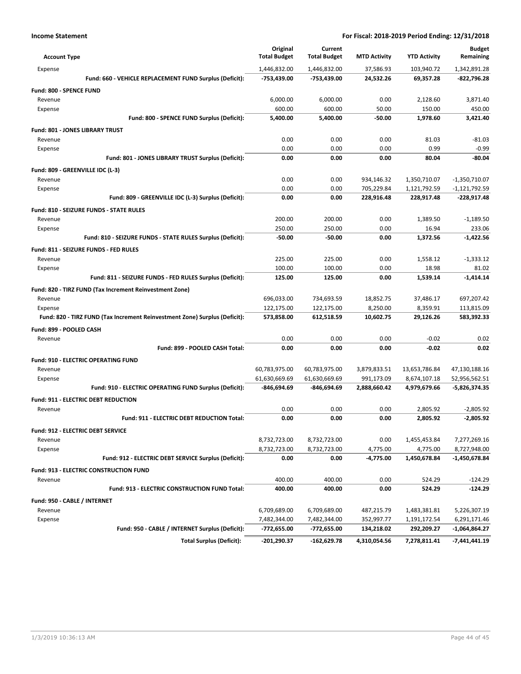| <b>Account Type</b>                                                        | Original<br><b>Total Budget</b> | Current<br><b>Total Budget</b> | <b>MTD Activity</b> | <b>YTD Activity</b> | <b>Budget</b><br>Remaining |
|----------------------------------------------------------------------------|---------------------------------|--------------------------------|---------------------|---------------------|----------------------------|
| Expense                                                                    | 1,446,832.00                    | 1,446,832.00                   | 37,586.93           | 103,940.72          | 1,342,891.28               |
| Fund: 660 - VEHICLE REPLACEMENT FUND Surplus (Deficit):                    | -753,439.00                     | -753,439.00                    | 24,532.26           | 69,357.28           | -822,796.28                |
| <b>Fund: 800 - SPENCE FUND</b>                                             |                                 |                                |                     |                     |                            |
| Revenue                                                                    | 6.000.00                        | 6,000.00                       | 0.00                | 2,128.60            | 3,871.40                   |
| Expense                                                                    | 600.00                          | 600.00                         | 50.00               | 150.00              | 450.00                     |
| Fund: 800 - SPENCE FUND Surplus (Deficit):                                 | 5,400.00                        | 5,400.00                       | $-50.00$            | 1,978.60            | 3,421.40                   |
| <b>Fund: 801 - JONES LIBRARY TRUST</b>                                     |                                 |                                |                     |                     |                            |
| Revenue                                                                    | 0.00                            | 0.00                           | 0.00                | 81.03               | -81.03                     |
| Expense                                                                    | 0.00                            | 0.00                           | 0.00                | 0.99                | $-0.99$                    |
| Fund: 801 - JONES LIBRARY TRUST Surplus (Deficit):                         | 0.00                            | 0.00                           | 0.00                | 80.04               | $-80.04$                   |
| Fund: 809 - GREENVILLE IDC (L-3)                                           |                                 |                                |                     |                     |                            |
| Revenue                                                                    | 0.00                            | 0.00                           | 934,146.32          | 1,350,710.07        | $-1,350,710.07$            |
| Expense                                                                    | 0.00                            | 0.00                           | 705,229.84          | 1,121,792.59        | $-1,121,792.59$            |
| Fund: 809 - GREENVILLE IDC (L-3) Surplus (Deficit):                        | 0.00                            | 0.00                           | 228,916.48          | 228,917.48          | -228,917.48                |
| Fund: 810 - SEIZURE FUNDS - STATE RULES                                    |                                 |                                |                     |                     |                            |
| Revenue                                                                    | 200.00                          | 200.00                         | 0.00                | 1,389.50            | $-1,189.50$                |
| Expense                                                                    | 250.00                          | 250.00                         | 0.00                | 16.94               | 233.06                     |
| Fund: 810 - SEIZURE FUNDS - STATE RULES Surplus (Deficit):                 | $-50.00$                        | $-50.00$                       | 0.00                | 1,372.56            | $-1,422.56$                |
| Fund: 811 - SEIZURE FUNDS - FED RULES                                      |                                 |                                |                     |                     |                            |
| Revenue                                                                    | 225.00                          | 225.00                         | 0.00                | 1,558.12            | $-1,333.12$                |
| Expense                                                                    | 100.00                          | 100.00                         | 0.00                | 18.98               | 81.02                      |
| Fund: 811 - SEIZURE FUNDS - FED RULES Surplus (Deficit):                   | 125.00                          | 125.00                         | 0.00                | 1,539.14            | $-1,414.14$                |
| Fund: 820 - TIRZ FUND (Tax Increment Reinvestment Zone)                    |                                 |                                |                     |                     |                            |
| Revenue                                                                    | 696,033.00                      | 734,693.59                     | 18,852.75           | 37,486.17           | 697,207.42                 |
| Expense                                                                    | 122,175.00                      | 122,175.00                     | 8,250.00            | 8,359.91            | 113,815.09                 |
| Fund: 820 - TIRZ FUND (Tax Increment Reinvestment Zone) Surplus (Deficit): | 573,858.00                      | 612,518.59                     | 10,602.75           | 29,126.26           | 583,392.33                 |
| Fund: 899 - POOLED CASH                                                    |                                 |                                |                     |                     |                            |
| Revenue                                                                    | 0.00                            | 0.00                           | 0.00                | $-0.02$             | 0.02                       |
| Fund: 899 - POOLED CASH Total:                                             | 0.00                            | 0.00                           | 0.00                | $-0.02$             | 0.02                       |
| <b>Fund: 910 - ELECTRIC OPERATING FUND</b>                                 |                                 |                                |                     |                     |                            |
| Revenue                                                                    | 60,783,975.00                   | 60,783,975.00                  | 3,879,833.51        | 13,653,786.84       | 47,130,188.16              |
| Expense                                                                    | 61,630,669.69                   | 61,630,669.69                  | 991,173.09          | 8,674,107.18        | 52,956,562.51              |
| Fund: 910 - ELECTRIC OPERATING FUND Surplus (Deficit):                     | -846,694.69                     | -846,694.69                    | 2,888,660.42        | 4,979,679.66        | -5,826,374.35              |
| <b>Fund: 911 - ELECTRIC DEBT REDUCTION</b>                                 |                                 |                                |                     |                     |                            |
| Revenue                                                                    | 0.00                            | 0.00                           | 0.00                | 2,805.92            | $-2,805.92$                |
| Fund: 911 - ELECTRIC DEBT REDUCTION Total:                                 | 0.00                            | 0.00                           | 0.00                | 2,805.92            | $-2,805.92$                |
| Fund: 912 - ELECTRIC DEBT SERVICE                                          |                                 |                                |                     |                     |                            |
| Revenue                                                                    | 8,732,723.00                    | 8,732,723.00                   | 0.00                | 1,455,453.84        | 7,277,269.16               |
| Expense                                                                    | 8,732,723.00                    | 8,732,723.00                   | 4,775.00            | 4,775.00            | 8,727,948.00               |
| Fund: 912 - ELECTRIC DEBT SERVICE Surplus (Deficit):                       | 0.00                            | 0.00                           | $-4,775.00$         | 1,450,678.84        | -1,450,678.84              |
| Fund: 913 - ELECTRIC CONSTRUCTION FUND                                     |                                 |                                |                     |                     |                            |
| Revenue                                                                    | 400.00                          | 400.00                         | 0.00                | 524.29              | $-124.29$                  |
| Fund: 913 - ELECTRIC CONSTRUCTION FUND Total:                              | 400.00                          | 400.00                         | 0.00                | 524.29              | $-124.29$                  |
| Fund: 950 - CABLE / INTERNET                                               |                                 |                                |                     |                     |                            |
| Revenue                                                                    | 6,709,689.00                    | 6,709,689.00                   | 487,215.79          | 1,483,381.81        | 5,226,307.19               |
| Expense                                                                    | 7,482,344.00                    | 7,482,344.00                   | 352,997.77          | 1,191,172.54        | 6,291,171.46               |
| Fund: 950 - CABLE / INTERNET Surplus (Deficit):                            | -772,655.00                     | $-772,655.00$                  | 134,218.02          | 292,209.27          | -1,064,864.27              |
| <b>Total Surplus (Deficit):</b>                                            | $-201,290.37$                   | -162,629.78                    | 4,310,054.56        | 7,278,811.41        | $-7,441,441.19$            |